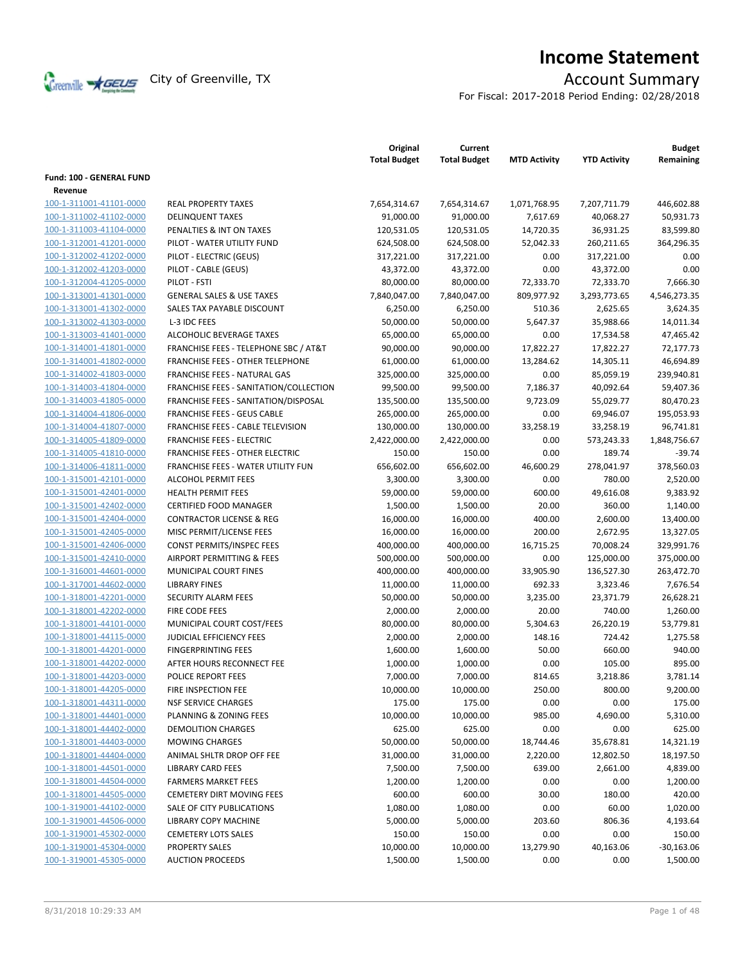

# **Income Statement**

For Fiscal: 2017-2018 Period Ending: 02/28/2018

|                                                    |                                                  | Original<br><b>Total Budget</b> | Current<br><b>Total Budget</b> | <b>MTD Activity</b> | <b>YTD Activity</b> | <b>Budget</b><br>Remaining |
|----------------------------------------------------|--------------------------------------------------|---------------------------------|--------------------------------|---------------------|---------------------|----------------------------|
| Fund: 100 - GENERAL FUND                           |                                                  |                                 |                                |                     |                     |                            |
| Revenue                                            |                                                  |                                 |                                |                     |                     |                            |
| 100-1-311001-41101-0000                            | <b>REAL PROPERTY TAXES</b>                       | 7,654,314.67                    | 7,654,314.67                   | 1,071,768.95        | 7,207,711.79        | 446,602.88                 |
| 100-1-311002-41102-0000                            | <b>DELINQUENT TAXES</b>                          | 91,000.00                       | 91,000.00                      | 7,617.69            | 40,068.27           | 50,931.73                  |
| 100-1-311003-41104-0000                            | PENALTIES & INT ON TAXES                         | 120,531.05                      | 120,531.05                     | 14,720.35           | 36,931.25           | 83,599.80                  |
| 100-1-312001-41201-0000                            | PILOT - WATER UTILITY FUND                       | 624,508.00                      | 624,508.00                     | 52,042.33           | 260,211.65          | 364,296.35                 |
| 100-1-312002-41202-0000                            | PILOT - ELECTRIC (GEUS)                          | 317,221.00                      | 317,221.00                     | 0.00                | 317,221.00          | 0.00                       |
| 100-1-312002-41203-0000                            | PILOT - CABLE (GEUS)                             | 43,372.00                       | 43,372.00                      | 0.00                | 43,372.00           | 0.00                       |
| 100-1-312004-41205-0000                            | PILOT - FSTI                                     | 80,000.00                       | 80,000.00                      | 72,333.70           | 72,333.70           | 7,666.30                   |
| 100-1-313001-41301-0000                            | <b>GENERAL SALES &amp; USE TAXES</b>             | 7,840,047.00                    | 7,840,047.00                   | 809,977.92          | 3,293,773.65        | 4,546,273.35               |
| 100-1-313001-41302-0000                            | SALES TAX PAYABLE DISCOUNT                       | 6,250.00                        | 6,250.00                       | 510.36              | 2,625.65            | 3,624.35                   |
| 100-1-313002-41303-0000                            | L-3 IDC FEES                                     | 50,000.00                       | 50,000.00                      | 5,647.37            | 35,988.66           | 14,011.34                  |
| 100-1-313003-41401-0000                            | ALCOHOLIC BEVERAGE TAXES                         | 65,000.00                       | 65,000.00                      | 0.00                | 17,534.58           | 47,465.42                  |
| 100-1-314001-41801-0000                            | <b>FRANCHISE FEES - TELEPHONE SBC / AT&amp;T</b> | 90,000.00                       | 90,000.00                      | 17,822.27           | 17,822.27           | 72,177.73                  |
| 100-1-314001-41802-0000                            | <b>FRANCHISE FEES - OTHER TELEPHONE</b>          | 61,000.00                       | 61,000.00                      | 13,284.62           | 14,305.11           | 46,694.89                  |
| 100-1-314002-41803-0000                            | FRANCHISE FEES - NATURAL GAS                     | 325,000.00                      | 325,000.00                     | 0.00                | 85,059.19           | 239,940.81                 |
| 100-1-314003-41804-0000                            | FRANCHISE FEES - SANITATION/COLLECTION           | 99,500.00                       | 99,500.00                      | 7,186.37            | 40,092.64           | 59,407.36                  |
| 100-1-314003-41805-0000                            | FRANCHISE FEES - SANITATION/DISPOSAL             | 135,500.00                      | 135,500.00                     | 9,723.09            | 55,029.77           | 80,470.23                  |
| 100-1-314004-41806-0000                            | <b>FRANCHISE FEES - GEUS CABLE</b>               | 265,000.00                      | 265,000.00                     | 0.00                | 69,946.07           | 195,053.93                 |
| 100-1-314004-41807-0000                            | FRANCHISE FEES - CABLE TELEVISION                | 130,000.00                      | 130,000.00                     | 33,258.19           | 33,258.19           | 96,741.81                  |
| 100-1-314005-41809-0000                            | <b>FRANCHISE FEES - ELECTRIC</b>                 | 2,422,000.00                    | 2,422,000.00                   | 0.00                | 573,243.33          | 1,848,756.67               |
| 100-1-314005-41810-0000                            | <b>FRANCHISE FEES - OTHER ELECTRIC</b>           | 150.00                          | 150.00                         | 0.00                | 189.74              | $-39.74$                   |
| 100-1-314006-41811-0000                            | FRANCHISE FEES - WATER UTILITY FUN               | 656,602.00                      | 656,602.00                     | 46,600.29           | 278,041.97          | 378,560.03                 |
| 100-1-315001-42101-0000                            | <b>ALCOHOL PERMIT FEES</b>                       | 3,300.00                        | 3,300.00                       | 0.00                | 780.00              | 2,520.00                   |
| 100-1-315001-42401-0000                            | <b>HEALTH PERMIT FEES</b>                        | 59,000.00                       | 59,000.00                      | 600.00              | 49,616.08           | 9,383.92                   |
| 100-1-315001-42402-0000                            | <b>CERTIFIED FOOD MANAGER</b>                    | 1,500.00                        | 1,500.00                       | 20.00               | 360.00              | 1,140.00                   |
| 100-1-315001-42404-0000                            | <b>CONTRACTOR LICENSE &amp; REG</b>              | 16,000.00                       | 16,000.00                      | 400.00              | 2,600.00            | 13,400.00                  |
| 100-1-315001-42405-0000                            | MISC PERMIT/LICENSE FEES                         | 16,000.00                       | 16,000.00                      | 200.00              | 2,672.95            | 13,327.05                  |
| 100-1-315001-42406-0000                            | CONST PERMITS/INSPEC FEES                        | 400,000.00                      | 400,000.00                     | 16,715.25           | 70,008.24           | 329,991.76                 |
| 100-1-315001-42410-0000                            | AIRPORT PERMITTING & FEES                        | 500,000.00                      | 500,000.00                     | 0.00                | 125,000.00          | 375,000.00                 |
|                                                    | MUNICIPAL COURT FINES                            |                                 |                                |                     |                     | 263,472.70                 |
| 100-1-316001-44601-0000                            | <b>LIBRARY FINES</b>                             | 400,000.00                      | 400,000.00                     | 33,905.90<br>692.33 | 136,527.30          |                            |
| 100-1-317001-44602-0000<br>100-1-318001-42201-0000 |                                                  | 11,000.00                       | 11,000.00                      |                     | 3,323.46            | 7,676.54                   |
|                                                    | <b>SECURITY ALARM FEES</b><br>FIRE CODE FEES     | 50,000.00                       | 50,000.00                      | 3,235.00<br>20.00   | 23,371.79<br>740.00 | 26,628.21                  |
| 100-1-318001-42202-0000                            | MUNICIPAL COURT COST/FEES                        | 2,000.00                        | 2,000.00                       |                     |                     | 1,260.00                   |
| 100-1-318001-44101-0000                            | <b>JUDICIAL EFFICIENCY FEES</b>                  | 80,000.00                       | 80,000.00                      | 5,304.63            | 26,220.19           | 53,779.81                  |
| 100-1-318001-44115-0000                            |                                                  | 2,000.00                        | 2,000.00                       | 148.16              | 724.42              | 1,275.58                   |
| 100-1-318001-44201-0000                            | <b>FINGERPRINTING FEES</b>                       | 1,600.00                        | 1,600.00                       | 50.00               | 660.00              | 940.00                     |
| 100-1-318001-44202-0000                            | AFTER HOURS RECONNECT FEE                        | 1,000.00                        | 1,000.00                       | 0.00                | 105.00              | 895.00                     |
| 100-1-318001-44203-0000                            | POLICE REPORT FEES                               | 7,000.00                        | 7,000.00                       | 814.65              | 3,218.86            | 3,781.14                   |
| 100-1-318001-44205-0000                            | FIRE INSPECTION FEE                              | 10,000.00                       | 10,000.00                      | 250.00              | 800.00              | 9,200.00                   |
| 100-1-318001-44311-0000                            | <b>NSF SERVICE CHARGES</b>                       | 175.00                          | 175.00                         | 0.00                | 0.00                | 175.00                     |
| 100-1-318001-44401-0000                            | <b>PLANNING &amp; ZONING FEES</b>                | 10,000.00                       | 10,000.00                      | 985.00              | 4,690.00            | 5,310.00                   |
| 100-1-318001-44402-0000                            | <b>DEMOLITION CHARGES</b>                        | 625.00                          | 625.00                         | 0.00                | 0.00                | 625.00                     |
| 100-1-318001-44403-0000                            | <b>MOWING CHARGES</b>                            | 50,000.00                       | 50,000.00                      | 18,744.46           | 35,678.81           | 14,321.19                  |
| 100-1-318001-44404-0000                            | ANIMAL SHLTR DROP OFF FEE                        | 31,000.00                       | 31,000.00                      | 2,220.00            | 12,802.50           | 18,197.50                  |
| 100-1-318001-44501-0000                            | <b>LIBRARY CARD FEES</b>                         | 7,500.00                        | 7,500.00                       | 639.00              | 2,661.00            | 4,839.00                   |
| 100-1-318001-44504-0000                            | <b>FARMERS MARKET FEES</b>                       | 1,200.00                        | 1,200.00                       | 0.00                | 0.00                | 1,200.00                   |
| 100-1-318001-44505-0000                            | <b>CEMETERY DIRT MOVING FEES</b>                 | 600.00                          | 600.00                         | 30.00               | 180.00              | 420.00                     |
| 100-1-319001-44102-0000                            | SALE OF CITY PUBLICATIONS                        | 1,080.00                        | 1,080.00                       | 0.00                | 60.00               | 1,020.00                   |
| 100-1-319001-44506-0000                            | LIBRARY COPY MACHINE                             | 5,000.00                        | 5,000.00                       | 203.60              | 806.36              | 4,193.64                   |
| 100-1-319001-45302-0000                            | <b>CEMETERY LOTS SALES</b>                       | 150.00                          | 150.00                         | 0.00                | 0.00                | 150.00                     |
| 100-1-319001-45304-0000                            | PROPERTY SALES                                   | 10,000.00                       | 10,000.00                      | 13,279.90           | 40,163.06           | $-30,163.06$               |
| 100-1-319001-45305-0000                            | <b>AUCTION PROCEEDS</b>                          | 1,500.00                        | 1,500.00                       | 0.00                | 0.00                | 1,500.00                   |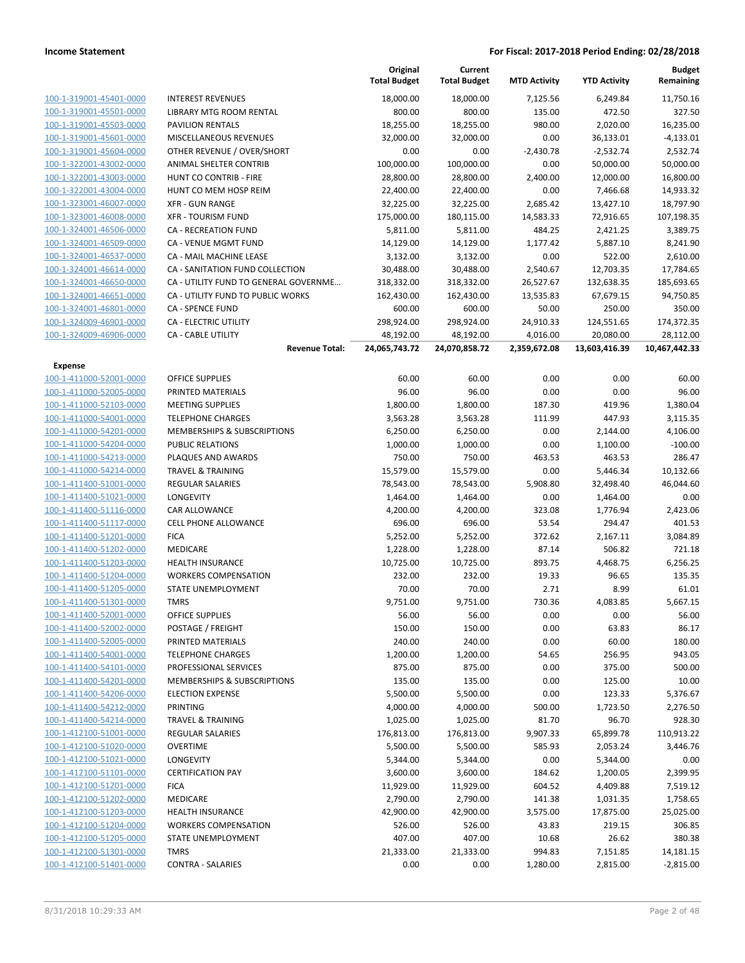|                                           |                                             | Original<br><b>Total Budget</b> | Current<br><b>Total Budget</b> | <b>MTD Activity</b> | <b>YTD Activity</b> | <b>Budget</b><br>Remaining |
|-------------------------------------------|---------------------------------------------|---------------------------------|--------------------------------|---------------------|---------------------|----------------------------|
| 100-1-319001-45401-0000                   | <b>INTEREST REVENUES</b>                    | 18,000.00                       | 18,000.00                      | 7,125.56            | 6,249.84            | 11,750.16                  |
| 100-1-319001-45501-0000                   | LIBRARY MTG ROOM RENTAL                     | 800.00                          | 800.00                         | 135.00              | 472.50              | 327.50                     |
| 100-1-319001-45503-0000                   | <b>PAVILION RENTALS</b>                     | 18,255.00                       | 18,255.00                      | 980.00              | 2,020.00            | 16,235.00                  |
| 100-1-319001-45601-0000                   | MISCELLANEOUS REVENUES                      | 32,000.00                       | 32,000.00                      | 0.00                | 36,133.01           | $-4,133.01$                |
| 100-1-319001-45604-0000                   | OTHER REVENUE / OVER/SHORT                  | 0.00                            | 0.00                           | $-2,430.78$         | $-2,532.74$         | 2,532.74                   |
| 100-1-322001-43002-0000                   | ANIMAL SHELTER CONTRIB                      | 100,000.00                      | 100,000.00                     | 0.00                | 50,000.00           | 50,000.00                  |
| 100-1-322001-43003-0000                   | HUNT CO CONTRIB - FIRE                      | 28,800.00                       | 28,800.00                      | 2,400.00            | 12,000.00           | 16,800.00                  |
| 100-1-322001-43004-0000                   | HUNT CO MEM HOSP REIM                       | 22,400.00                       | 22,400.00                      | 0.00                | 7,466.68            | 14,933.32                  |
| 100-1-323001-46007-0000                   | <b>XFR - GUN RANGE</b>                      | 32,225.00                       | 32,225.00                      | 2,685.42            | 13,427.10           | 18,797.90                  |
| 100-1-323001-46008-0000                   | <b>XFR - TOURISM FUND</b>                   | 175,000.00                      | 180,115.00                     | 14,583.33           | 72,916.65           | 107,198.35                 |
| 100-1-324001-46506-0000                   | <b>CA - RECREATION FUND</b>                 | 5,811.00                        | 5,811.00                       | 484.25              | 2,421.25            | 3,389.75                   |
| 100-1-324001-46509-0000                   | CA - VENUE MGMT FUND                        | 14,129.00                       | 14,129.00                      | 1,177.42            | 5,887.10            | 8,241.90                   |
| 100-1-324001-46537-0000                   | CA - MAIL MACHINE LEASE                     | 3,132.00                        | 3,132.00                       | 0.00                | 522.00              | 2,610.00                   |
| 100-1-324001-46614-0000                   | CA - SANITATION FUND COLLECTION             | 30,488.00                       | 30,488.00                      | 2,540.67            | 12,703.35           | 17,784.65                  |
| 100-1-324001-46650-0000                   | CA - UTILITY FUND TO GENERAL GOVERNME       | 318,332.00                      | 318,332.00                     | 26,527.67           | 132,638.35          | 185,693.65                 |
| 100-1-324001-46651-0000                   | CA - UTILITY FUND TO PUBLIC WORKS           | 162,430.00                      | 162,430.00                     | 13,535.83           | 67,679.15           | 94,750.85                  |
| 100-1-324001-46801-0000                   | <b>CA - SPENCE FUND</b>                     | 600.00                          | 600.00                         | 50.00               | 250.00              | 350.00                     |
| 100-1-324009-46901-0000                   | CA - ELECTRIC UTILITY                       | 298,924.00                      | 298,924.00                     | 24,910.33           | 124,551.65          | 174,372.35                 |
| 100-1-324009-46906-0000                   | CA - CABLE UTILITY                          | 48,192.00                       | 48,192.00                      | 4,016.00            | 20,080.00           | 28,112.00                  |
|                                           | <b>Revenue Total:</b>                       | 24,065,743.72                   | 24,070,858.72                  | 2,359,672.08        | 13,603,416.39       | 10,467,442.33              |
| <b>Expense</b><br>100-1-411000-52001-0000 |                                             |                                 |                                | 0.00                | 0.00                |                            |
| 100-1-411000-52005-0000                   | <b>OFFICE SUPPLIES</b><br>PRINTED MATERIALS | 60.00<br>96.00                  | 60.00<br>96.00                 | 0.00                | 0.00                | 60.00<br>96.00             |
| 100-1-411000-52103-0000                   | <b>MEETING SUPPLIES</b>                     | 1,800.00                        | 1,800.00                       | 187.30              | 419.96              | 1,380.04                   |
| 100-1-411000-54001-0000                   | <b>TELEPHONE CHARGES</b>                    | 3,563.28                        | 3,563.28                       | 111.99              | 447.93              | 3,115.35                   |
| 100-1-411000-54201-0000                   | MEMBERSHIPS & SUBSCRIPTIONS                 | 6,250.00                        | 6,250.00                       | 0.00                | 2,144.00            | 4,106.00                   |
| 100-1-411000-54204-0000                   | <b>PUBLIC RELATIONS</b>                     | 1,000.00                        | 1,000.00                       | 0.00                | 1,100.00            | $-100.00$                  |
| 100-1-411000-54213-0000                   | PLAQUES AND AWARDS                          | 750.00                          | 750.00                         | 463.53              | 463.53              | 286.47                     |
| 100-1-411000-54214-0000                   | <b>TRAVEL &amp; TRAINING</b>                | 15,579.00                       | 15,579.00                      | 0.00                | 5,446.34            | 10,132.66                  |
| 100-1-411400-51001-0000                   | <b>REGULAR SALARIES</b>                     | 78,543.00                       | 78,543.00                      | 5,908.80            | 32,498.40           | 46,044.60                  |
| 100-1-411400-51021-0000                   | LONGEVITY                                   | 1,464.00                        | 1,464.00                       | 0.00                | 1,464.00            | 0.00                       |
| 100-1-411400-51116-0000                   | CAR ALLOWANCE                               | 4,200.00                        | 4,200.00                       | 323.08              | 1,776.94            | 2,423.06                   |
| 100-1-411400-51117-0000                   | <b>CELL PHONE ALLOWANCE</b>                 | 696.00                          | 696.00                         | 53.54               | 294.47              | 401.53                     |
| 100-1-411400-51201-0000                   | <b>FICA</b>                                 | 5,252.00                        | 5,252.00                       | 372.62              | 2,167.11            | 3,084.89                   |
| 100-1-411400-51202-0000                   | MEDICARE                                    | 1,228.00                        | 1,228.00                       | 87.14               | 506.82              | 721.18                     |
| 100-1-411400-51203-0000                   | <b>HEALTH INSURANCE</b>                     | 10,725.00                       | 10,725.00                      | 893.75              | 4,468.75            | 6,256.25                   |
| 100-1-411400-51204-0000                   | <b>WORKERS COMPENSATION</b>                 | 232.00                          | 232.00                         | 19.33               | 96.65               | 135.35                     |
| 100-1-411400-51205-0000                   | STATE UNEMPLOYMENT                          | 70.00                           | 70.00                          | 2.71                | 8.99                | 61.01                      |
| 100-1-411400-51301-0000                   | <b>TMRS</b>                                 | 9,751.00                        | 9,751.00                       | 730.36              | 4,083.85            | 5,667.15                   |
| 100-1-411400-52001-0000                   | <b>OFFICE SUPPLIES</b>                      | 56.00                           | 56.00                          | 0.00                | 0.00                | 56.00                      |
| 100-1-411400-52002-0000                   | POSTAGE / FREIGHT                           | 150.00                          | 150.00                         | 0.00                | 63.83               | 86.17                      |
| 100-1-411400-52005-0000                   | PRINTED MATERIALS                           | 240.00                          | 240.00                         | 0.00                | 60.00               | 180.00                     |
| 100-1-411400-54001-0000                   | <b>TELEPHONE CHARGES</b>                    | 1,200.00                        | 1,200.00                       | 54.65               | 256.95              | 943.05                     |
| 100-1-411400-54101-0000                   | PROFESSIONAL SERVICES                       | 875.00                          | 875.00                         | 0.00                | 375.00              | 500.00                     |
| 100-1-411400-54201-0000                   | <b>MEMBERSHIPS &amp; SUBSCRIPTIONS</b>      | 135.00                          | 135.00                         | 0.00                | 125.00              | 10.00                      |
| 100-1-411400-54206-0000                   | <b>ELECTION EXPENSE</b>                     | 5,500.00                        | 5,500.00                       | 0.00                | 123.33              | 5,376.67                   |
| 100-1-411400-54212-0000                   | <b>PRINTING</b>                             | 4,000.00                        | 4,000.00                       | 500.00              | 1,723.50            | 2,276.50                   |
| 100-1-411400-54214-0000                   | <b>TRAVEL &amp; TRAINING</b>                | 1,025.00                        | 1,025.00                       | 81.70               | 96.70               | 928.30                     |
| 100-1-412100-51001-0000                   | <b>REGULAR SALARIES</b>                     | 176,813.00                      | 176,813.00                     | 9,907.33            | 65,899.78           | 110,913.22                 |
| 100-1-412100-51020-0000                   | <b>OVERTIME</b>                             | 5,500.00                        | 5,500.00                       | 585.93              | 2,053.24            | 3,446.76                   |
| 100-1-412100-51021-0000                   | LONGEVITY                                   | 5,344.00                        | 5,344.00                       | 0.00                | 5,344.00            | 0.00                       |
| 100-1-412100-51101-0000                   | <b>CERTIFICATION PAY</b>                    | 3,600.00                        | 3,600.00                       | 184.62              | 1,200.05            | 2,399.95                   |
| 100-1-412100-51201-0000                   | <b>FICA</b>                                 | 11,929.00                       | 11,929.00                      | 604.52              | 4,409.88            | 7,519.12                   |
| 100-1-412100-51202-0000                   | MEDICARE                                    | 2,790.00                        | 2,790.00                       | 141.38              | 1,031.35            | 1,758.65                   |
| 100-1-412100-51203-0000                   | <b>HEALTH INSURANCE</b>                     | 42,900.00                       | 42,900.00                      | 3,575.00            | 17,875.00           | 25,025.00                  |
| 100-1-412100-51204-0000                   | <b>WORKERS COMPENSATION</b>                 | 526.00                          | 526.00                         | 43.83               | 219.15              | 306.85                     |
| 100-1-412100-51205-0000                   | STATE UNEMPLOYMENT                          | 407.00                          | 407.00                         | 10.68               | 26.62               | 380.38                     |
| 100-1-412100-51301-0000                   | <b>TMRS</b>                                 | 21,333.00                       | 21,333.00                      | 994.83              | 7,151.85            | 14,181.15                  |
| 100-1-412100-51401-0000                   | <b>CONTRA - SALARIES</b>                    | 0.00                            | 0.00                           | 1,280.00            | 2,815.00            | $-2,815.00$                |
|                                           |                                             |                                 |                                |                     |                     |                            |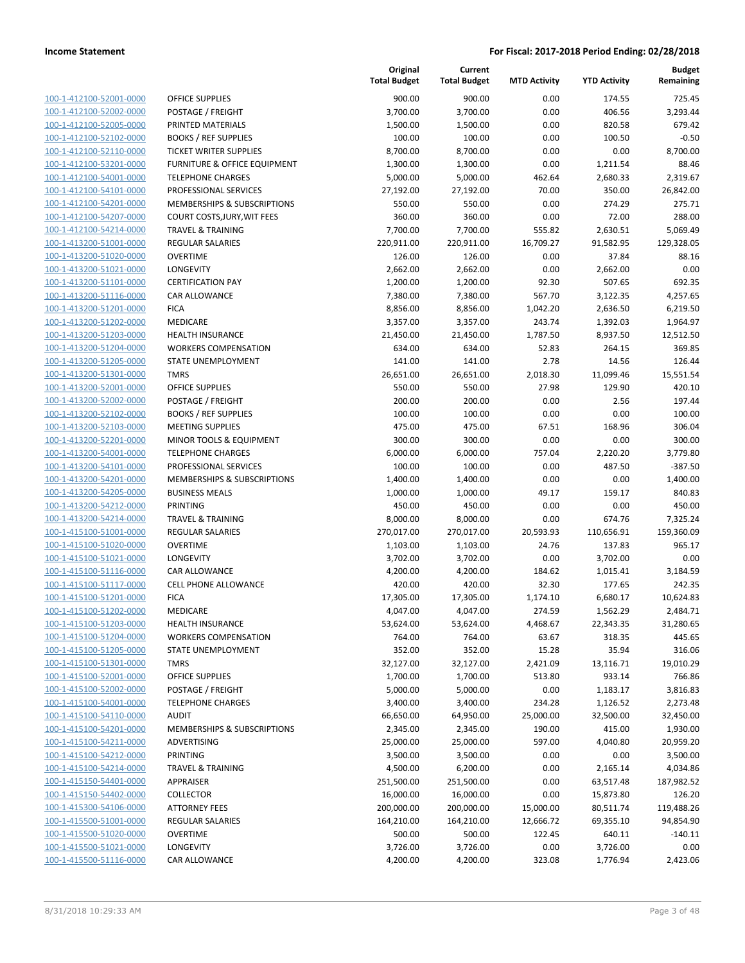**Current**

**Original**

**Budget Remaining**

| 100-1-412100-52001-0000                            | <b>OFFICE SUPPLIES</b>                                  | 900.00                | 900.00                 | 0.00                | 174.55             | 725.45                |
|----------------------------------------------------|---------------------------------------------------------|-----------------------|------------------------|---------------------|--------------------|-----------------------|
| 100-1-412100-52002-0000                            | POSTAGE / FREIGHT                                       | 3,700.00              | 3,700.00               | 0.00                | 406.56             | 3,293.44              |
| 100-1-412100-52005-0000                            | PRINTED MATERIALS                                       | 1,500.00              | 1,500.00               | 0.00                | 820.58             | 679.42                |
| 100-1-412100-52102-0000                            | <b>BOOKS / REF SUPPLIES</b>                             | 100.00                | 100.00                 | 0.00                | 100.50             | $-0.50$               |
| 100-1-412100-52110-0000                            | <b>TICKET WRITER SUPPLIES</b>                           | 8,700.00              | 8,700.00               | 0.00                | 0.00               | 8,700.00              |
| 100-1-412100-53201-0000                            | <b>FURNITURE &amp; OFFICE EQUIPMENT</b>                 | 1,300.00              | 1,300.00               | 0.00                | 1,211.54           | 88.46                 |
| 100-1-412100-54001-0000                            | <b>TELEPHONE CHARGES</b>                                | 5,000.00              | 5,000.00               | 462.64              | 2,680.33           | 2,319.67              |
| 100-1-412100-54101-0000                            | PROFESSIONAL SERVICES                                   | 27,192.00             | 27,192.00              | 70.00               | 350.00             | 26,842.00             |
| 100-1-412100-54201-0000                            | <b>MEMBERSHIPS &amp; SUBSCRIPTIONS</b>                  | 550.00                | 550.00                 | 0.00                | 274.29             | 275.71                |
| 100-1-412100-54207-0000                            | COURT COSTS, JURY, WIT FEES                             | 360.00                | 360.00                 | 0.00                | 72.00<br>2,630.51  | 288.00                |
| 100-1-412100-54214-0000<br>100-1-413200-51001-0000 | <b>TRAVEL &amp; TRAINING</b><br><b>REGULAR SALARIES</b> | 7,700.00              | 7,700.00<br>220,911.00 | 555.82<br>16,709.27 |                    | 5,069.49              |
| 100-1-413200-51020-0000                            | <b>OVERTIME</b>                                         | 220,911.00<br>126.00  | 126.00                 | 0.00                | 91,582.95<br>37.84 | 129,328.05<br>88.16   |
| 100-1-413200-51021-0000                            | <b>LONGEVITY</b>                                        | 2,662.00              | 2,662.00               | 0.00                | 2,662.00           | 0.00                  |
| 100-1-413200-51101-0000                            | <b>CERTIFICATION PAY</b>                                | 1,200.00              | 1,200.00               | 92.30               | 507.65             | 692.35                |
| 100-1-413200-51116-0000                            | <b>CAR ALLOWANCE</b>                                    | 7,380.00              | 7,380.00               | 567.70              | 3,122.35           | 4,257.65              |
| 100-1-413200-51201-0000                            | <b>FICA</b>                                             | 8,856.00              | 8,856.00               | 1,042.20            | 2,636.50           | 6,219.50              |
| 100-1-413200-51202-0000                            | <b>MEDICARE</b>                                         | 3,357.00              | 3,357.00               | 243.74              | 1,392.03           | 1,964.97              |
| 100-1-413200-51203-0000                            | HEALTH INSURANCE                                        | 21,450.00             | 21,450.00              | 1,787.50            | 8,937.50           | 12,512.50             |
| 100-1-413200-51204-0000                            | <b>WORKERS COMPENSATION</b>                             | 634.00                | 634.00                 | 52.83               | 264.15             | 369.85                |
| 100-1-413200-51205-0000                            | STATE UNEMPLOYMENT                                      | 141.00                | 141.00                 | 2.78                | 14.56              | 126.44                |
| 100-1-413200-51301-0000                            | <b>TMRS</b>                                             | 26,651.00             | 26,651.00              | 2,018.30            | 11,099.46          | 15,551.54             |
| 100-1-413200-52001-0000                            | <b>OFFICE SUPPLIES</b>                                  | 550.00                | 550.00                 | 27.98               | 129.90             | 420.10                |
| 100-1-413200-52002-0000                            | POSTAGE / FREIGHT                                       | 200.00                | 200.00                 | 0.00                | 2.56               | 197.44                |
| 100-1-413200-52102-0000                            | <b>BOOKS / REF SUPPLIES</b>                             | 100.00                | 100.00                 | 0.00                | 0.00               | 100.00                |
| 100-1-413200-52103-0000                            | <b>MEETING SUPPLIES</b>                                 | 475.00                | 475.00                 | 67.51               | 168.96             | 306.04                |
| 100-1-413200-52201-0000                            | MINOR TOOLS & EQUIPMENT                                 | 300.00                | 300.00                 | 0.00                | 0.00               | 300.00                |
| 100-1-413200-54001-0000                            | <b>TELEPHONE CHARGES</b>                                | 6,000.00              | 6,000.00               | 757.04              | 2,220.20           | 3,779.80              |
| 100-1-413200-54101-0000                            | PROFESSIONAL SERVICES                                   | 100.00                | 100.00                 | 0.00                | 487.50             | $-387.50$             |
| 100-1-413200-54201-0000                            | MEMBERSHIPS & SUBSCRIPTIONS                             | 1,400.00              | 1,400.00               | 0.00                | 0.00               | 1,400.00              |
| 100-1-413200-54205-0000                            | <b>BUSINESS MEALS</b>                                   | 1,000.00              | 1,000.00               | 49.17               | 159.17             | 840.83                |
| 100-1-413200-54212-0000                            | PRINTING                                                | 450.00                | 450.00                 | 0.00                | 0.00               | 450.00                |
| 100-1-413200-54214-0000                            | <b>TRAVEL &amp; TRAINING</b>                            | 8,000.00              | 8,000.00               | 0.00                | 674.76             | 7,325.24              |
| 100-1-415100-51001-0000                            | REGULAR SALARIES                                        | 270,017.00            | 270,017.00             | 20,593.93           | 110,656.91         | 159,360.09            |
| 100-1-415100-51020-0000                            | <b>OVERTIME</b>                                         | 1,103.00              | 1,103.00               | 24.76               | 137.83             | 965.17                |
| 100-1-415100-51021-0000                            | <b>LONGEVITY</b>                                        | 3,702.00              | 3,702.00               | 0.00                | 3,702.00           | 0.00                  |
| 100-1-415100-51116-0000                            | <b>CAR ALLOWANCE</b>                                    | 4,200.00              | 4,200.00               | 184.62              | 1,015.41           | 3,184.59              |
| 100-1-415100-51117-0000                            | <b>CELL PHONE ALLOWANCE</b>                             | 420.00                | 420.00                 | 32.30               | 177.65             | 242.35                |
| 100-1-415100-51201-0000                            | <b>FICA</b>                                             | 17,305.00             | 17,305.00              | 1,174.10            | 6,680.17           | 10,624.83             |
| 100-1-415100-51202-0000                            | <b>MEDICARE</b>                                         | 4,047.00              | 4,047.00               | 274.59              | 1,562.29           | 2,484.71              |
| 100-1-415100-51203-0000                            | <b>HEALTH INSURANCE</b>                                 | 53,624.00             | 53,624.00              | 4,468.67            | 22,343.35          | 31,280.65             |
| 100-1-415100-51204-0000                            | <b>WORKERS COMPENSATION</b>                             | 764.00                | 764.00                 | 63.67               | 318.35             | 445.65                |
| 100-1-415100-51205-0000                            | STATE UNEMPLOYMENT                                      | 352.00                | 352.00                 | 15.28               | 35.94              | 316.06                |
| 100-1-415100-51301-0000                            | <b>TMRS</b>                                             | 32,127.00             | 32,127.00              | 2,421.09            | 13,116.71          | 19,010.29             |
| 100-1-415100-52001-0000                            | <b>OFFICE SUPPLIES</b>                                  | 1,700.00              | 1,700.00               | 513.80              | 933.14             | 766.86                |
| 100-1-415100-52002-0000                            | POSTAGE / FREIGHT                                       | 5,000.00              | 5,000.00               | 0.00                | 1,183.17           | 3,816.83              |
| 100-1-415100-54001-0000                            | <b>TELEPHONE CHARGES</b>                                | 3,400.00              | 3,400.00               | 234.28              | 1,126.52           | 2,273.48              |
| 100-1-415100-54110-0000                            | <b>AUDIT</b>                                            | 66,650.00             | 64,950.00              | 25,000.00           | 32,500.00          | 32,450.00             |
| 100-1-415100-54201-0000                            | MEMBERSHIPS & SUBSCRIPTIONS                             | 2,345.00              | 2,345.00               | 190.00              | 415.00             | 1,930.00              |
| 100-1-415100-54211-0000<br>100-1-415100-54212-0000 | ADVERTISING<br>PRINTING                                 | 25,000.00<br>3,500.00 | 25,000.00<br>3,500.00  | 597.00<br>0.00      | 4,040.80<br>0.00   | 20,959.20<br>3,500.00 |
| 100-1-415100-54214-0000                            | <b>TRAVEL &amp; TRAINING</b>                            | 4,500.00              | 6,200.00               | 0.00                | 2,165.14           | 4,034.86              |
| 100-1-415150-54401-0000                            | APPRAISER                                               | 251,500.00            | 251,500.00             | 0.00                | 63,517.48          | 187,982.52            |
| 100-1-415150-54402-0000                            | <b>COLLECTOR</b>                                        | 16,000.00             | 16,000.00              | 0.00                | 15,873.80          | 126.20                |
| 100-1-415300-54106-0000                            | <b>ATTORNEY FEES</b>                                    | 200,000.00            | 200,000.00             | 15,000.00           | 80,511.74          | 119,488.26            |
| 100-1-415500-51001-0000                            | <b>REGULAR SALARIES</b>                                 | 164,210.00            | 164,210.00             | 12,666.72           | 69,355.10          | 94,854.90             |
| 100-1-415500-51020-0000                            | <b>OVERTIME</b>                                         | 500.00                | 500.00                 | 122.45              | 640.11             | $-140.11$             |
| 100-1-415500-51021-0000                            | <b>LONGEVITY</b>                                        | 3,726.00              | 3,726.00               | 0.00                | 3,726.00           | 0.00                  |
| 100-1-415500-51116-0000                            | CAR ALLOWANCE                                           | 4,200.00              | 4,200.00               | 323.08              | 1,776.94           | 2,423.06              |
|                                                    |                                                         |                       |                        |                     |                    |                       |

|                         |                                        | <b>Total Budget</b> | <b>Total Budget</b> | <b>MTD Activity</b> | <b>YTD Activity</b> | Remaining  |
|-------------------------|----------------------------------------|---------------------|---------------------|---------------------|---------------------|------------|
| 100-1-412100-52001-0000 | <b>OFFICE SUPPLIES</b>                 | 900.00              | 900.00              | 0.00                | 174.55              | 725.45     |
| 100-1-412100-52002-0000 | POSTAGE / FREIGHT                      | 3,700.00            | 3,700.00            | 0.00                | 406.56              | 3,293.44   |
| 100-1-412100-52005-0000 | PRINTED MATERIALS                      | 1,500.00            | 1,500.00            | 0.00                | 820.58              | 679.42     |
| 100-1-412100-52102-0000 | <b>BOOKS / REF SUPPLIES</b>            | 100.00              | 100.00              | 0.00                | 100.50              | $-0.50$    |
| 100-1-412100-52110-0000 | <b>TICKET WRITER SUPPLIES</b>          | 8,700.00            | 8,700.00            | 0.00                | 0.00                | 8,700.00   |
| 100-1-412100-53201-0000 | FURNITURE & OFFICE EQUIPMENT           | 1,300.00            | 1,300.00            | 0.00                | 1,211.54            | 88.46      |
| 100-1-412100-54001-0000 | <b>TELEPHONE CHARGES</b>               | 5,000.00            | 5,000.00            | 462.64              | 2,680.33            | 2,319.67   |
| 100-1-412100-54101-0000 | PROFESSIONAL SERVICES                  | 27,192.00           | 27,192.00           | 70.00               | 350.00              | 26,842.00  |
| 100-1-412100-54201-0000 | <b>MEMBERSHIPS &amp; SUBSCRIPTIONS</b> | 550.00              | 550.00              | 0.00                | 274.29              | 275.71     |
| 100-1-412100-54207-0000 | COURT COSTS, JURY, WIT FEES            | 360.00              | 360.00              | 0.00                | 72.00               | 288.00     |
| 100-1-412100-54214-0000 | <b>TRAVEL &amp; TRAINING</b>           | 7,700.00            | 7,700.00            | 555.82              | 2,630.51            | 5,069.49   |
| 100-1-413200-51001-0000 | <b>REGULAR SALARIES</b>                | 220,911.00          | 220,911.00          | 16,709.27           | 91,582.95           | 129,328.05 |
| 100-1-413200-51020-0000 | <b>OVERTIME</b>                        | 126.00              | 126.00              | 0.00                | 37.84               | 88.16      |
| 100-1-413200-51021-0000 | LONGEVITY                              | 2,662.00            | 2,662.00            | 0.00                | 2,662.00            | 0.00       |
| 100-1-413200-51101-0000 | <b>CERTIFICATION PAY</b>               | 1,200.00            | 1,200.00            | 92.30               | 507.65              | 692.35     |
| 100-1-413200-51116-0000 | CAR ALLOWANCE                          | 7,380.00            | 7,380.00            | 567.70              | 3,122.35            | 4,257.65   |
| 100-1-413200-51201-0000 | <b>FICA</b>                            | 8,856.00            | 8,856.00            | 1,042.20            | 2,636.50            | 6,219.50   |
| 100-1-413200-51202-0000 | MEDICARE                               | 3,357.00            | 3,357.00            | 243.74              | 1,392.03            | 1,964.97   |
| 100-1-413200-51203-0000 | <b>HEALTH INSURANCE</b>                | 21,450.00           | 21,450.00           | 1,787.50            | 8,937.50            | 12,512.50  |
| 100-1-413200-51204-0000 | <b>WORKERS COMPENSATION</b>            | 634.00              | 634.00              | 52.83               | 264.15              | 369.85     |
| 100-1-413200-51205-0000 | STATE UNEMPLOYMENT                     | 141.00              | 141.00              | 2.78                | 14.56               | 126.44     |
| 100-1-413200-51301-0000 | <b>TMRS</b>                            | 26,651.00           | 26,651.00           | 2,018.30            | 11,099.46           | 15,551.54  |
| 100-1-413200-52001-0000 | <b>OFFICE SUPPLIES</b>                 | 550.00              | 550.00              | 27.98               | 129.90              | 420.10     |
| 100-1-413200-52002-0000 | POSTAGE / FREIGHT                      | 200.00              | 200.00              | 0.00                | 2.56                | 197.44     |
| 100-1-413200-52102-0000 | <b>BOOKS / REF SUPPLIES</b>            | 100.00              | 100.00              | 0.00                | 0.00                | 100.00     |
| 100-1-413200-52103-0000 | <b>MEETING SUPPLIES</b>                | 475.00              | 475.00              | 67.51               | 168.96              | 306.04     |
| 100-1-413200-52201-0000 | MINOR TOOLS & EQUIPMENT                | 300.00              | 300.00              | 0.00                | 0.00                | 300.00     |
| 100-1-413200-54001-0000 | <b>TELEPHONE CHARGES</b>               | 6,000.00            | 6,000.00            | 757.04              | 2,220.20            | 3,779.80   |
| 100-1-413200-54101-0000 | PROFESSIONAL SERVICES                  | 100.00              | 100.00              | 0.00                | 487.50              | $-387.50$  |
| 100-1-413200-54201-0000 | MEMBERSHIPS & SUBSCRIPTIONS            | 1,400.00            | 1,400.00            | 0.00                | 0.00                | 1,400.00   |
| 100-1-413200-54205-0000 | <b>BUSINESS MEALS</b>                  | 1,000.00            | 1,000.00            | 49.17               | 159.17              | 840.83     |
| 100-1-413200-54212-0000 | PRINTING                               | 450.00              | 450.00              | 0.00                | 0.00                | 450.00     |
| 100-1-413200-54214-0000 | <b>TRAVEL &amp; TRAINING</b>           | 8,000.00            | 8,000.00            | 0.00                | 674.76              | 7,325.24   |
| 100-1-415100-51001-0000 | <b>REGULAR SALARIES</b>                | 270,017.00          | 270,017.00          | 20,593.93           | 110,656.91          | 159,360.09 |
| 100-1-415100-51020-0000 | <b>OVERTIME</b>                        | 1,103.00            | 1,103.00            | 24.76               | 137.83              | 965.17     |
| 100-1-415100-51021-0000 | LONGEVITY                              | 3,702.00            | 3,702.00            | 0.00                | 3,702.00            | 0.00       |
| 100-1-415100-51116-0000 | CAR ALLOWANCE                          | 4,200.00            | 4,200.00            | 184.62              | 1,015.41            | 3,184.59   |
| 100-1-415100-51117-0000 | <b>CELL PHONE ALLOWANCE</b>            | 420.00              | 420.00              | 32.30               | 177.65              | 242.35     |
| 100-1-415100-51201-0000 | <b>FICA</b>                            | 17,305.00           | 17,305.00           | 1,174.10            | 6,680.17            | 10,624.83  |
| 100-1-415100-51202-0000 | MEDICARE                               | 4,047.00            | 4,047.00            | 274.59              | 1,562.29            | 2,484.71   |
| 100-1-415100-51203-0000 | <b>HEALTH INSURANCE</b>                | 53,624.00           | 53,624.00           | 4,468.67            | 22,343.35           | 31,280.65  |
| 100-1-415100-51204-0000 | WORKERS COMPENSATION                   | 764.00              | 764.00              | 63.67               | 318.35              | 445.65     |
| 100-1-415100-51205-0000 | STATE UNEMPLOYMENT                     | 352.00              | 352.00              | 15.28               | 35.94               | 316.06     |
| 100-1-415100-51301-0000 | <b>TMRS</b>                            | 32,127.00           | 32,127.00           | 2,421.09            | 13,116.71           | 19.010.29  |
| 100-1-415100-52001-0000 | <b>OFFICE SUPPLIES</b>                 | 1,700.00            | 1,700.00            | 513.80              | 933.14              | 766.86     |
| 100-1-415100-52002-0000 | POSTAGE / FREIGHT                      | 5,000.00            | 5,000.00            | 0.00                | 1,183.17            | 3,816.83   |
| 100-1-415100-54001-0000 | <b>TELEPHONE CHARGES</b>               | 3,400.00            | 3,400.00            | 234.28              | 1,126.52            | 2,273.48   |
| 100-1-415100-54110-0000 | <b>AUDIT</b>                           | 66,650.00           | 64,950.00           | 25,000.00           | 32,500.00           | 32,450.00  |
| 100-1-415100-54201-0000 | MEMBERSHIPS & SUBSCRIPTIONS            | 2,345.00            | 2,345.00            | 190.00              | 415.00              | 1,930.00   |
| 100-1-415100-54211-0000 | ADVERTISING                            | 25,000.00           | 25,000.00           | 597.00              | 4,040.80            | 20,959.20  |
| 100-1-415100-54212-0000 | PRINTING                               | 3,500.00            | 3,500.00            | 0.00                | 0.00                | 3,500.00   |
| 100-1-415100-54214-0000 | <b>TRAVEL &amp; TRAINING</b>           | 4,500.00            | 6,200.00            | 0.00                | 2,165.14            | 4,034.86   |
| 100-1-415150-54401-0000 | APPRAISER                              | 251,500.00          | 251,500.00          | 0.00                | 63,517.48           | 187,982.52 |
| 100-1-415150-54402-0000 | <b>COLLECTOR</b>                       | 16,000.00           | 16,000.00           | 0.00                | 15,873.80           | 126.20     |
| 100-1-415300-54106-0000 | <b>ATTORNEY FEES</b>                   | 200,000.00          | 200,000.00          | 15,000.00           | 80,511.74           | 119,488.26 |
| 100-1-415500-51001-0000 | <b>REGULAR SALARIES</b>                | 164,210.00          | 164,210.00          | 12,666.72           | 69,355.10           | 94,854.90  |
| 100-1-415500-51020-0000 | <b>OVERTIME</b>                        | 500.00              | 500.00              | 122.45              | 640.11              | $-140.11$  |
| 100-1-415500-51021-0000 | LONGEVITY                              | 3,726.00            | 3,726.00            | 0.00                | 3,726.00            | 0.00       |
|                         |                                        |                     |                     |                     |                     |            |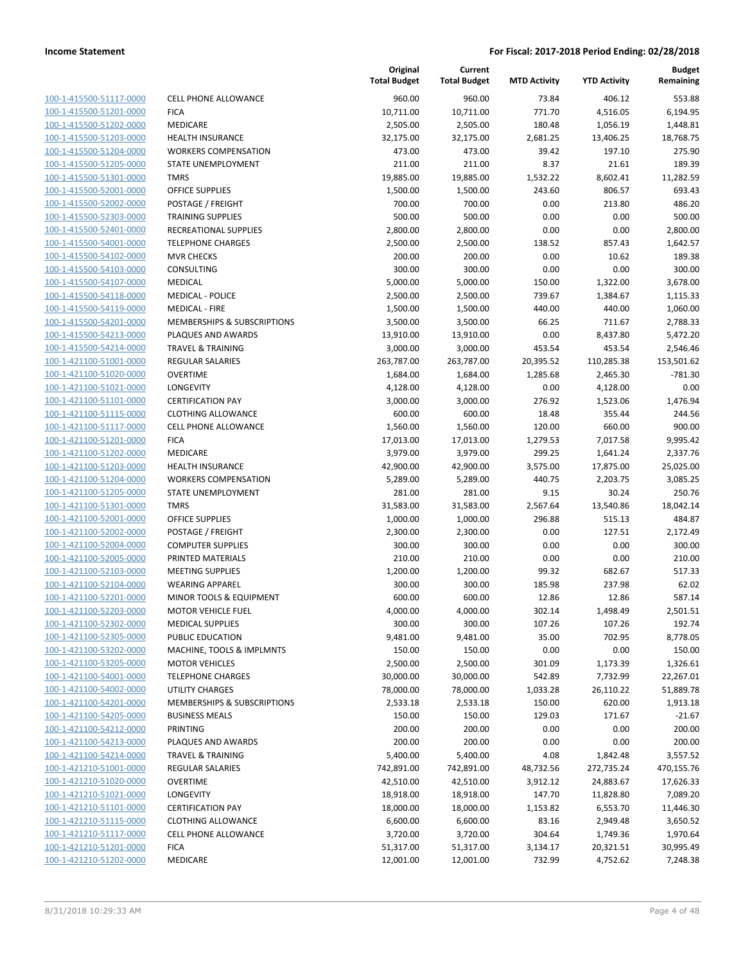| 100-1-415500-51117-0000        |
|--------------------------------|
| 100-1-415500-51201-0000        |
| 100-1-415500-51202-0000        |
| <u>100-1-415500-51203-0000</u> |
| 100-1-415500-51204-0000        |
| 100-1-415500-51205-0000        |
| 100-1-415500-51301-0000        |
| 100-1-415500-52001-0000        |
| 100-1-415500-52002-0000        |
| 100-1-415500-52303-0000        |
| 100-1-415500-52401-0000        |
| 100-1-415500-54001-0000        |
| 100-1-415500-54102-0000        |
| <u>100-1-415500-54103-0000</u> |
| 100-1-415500-54107-0000        |
| 100-1-415500-54118-0000        |
| 100-1-415500-54119-0000        |
| 100-1-415500-54201-0000        |
| 100-1-415500-54213-0000        |
| 100-1-415500-54214-0000        |
| 100-1-421100-51001-0000        |
| 100-1-421100-51020-0000        |
| 100-1-421100-51021-0000        |
|                                |
| <u>100-1-421100-51101-0000</u> |
| 100-1-421100-51115-0000        |
| 100-1-421100-51117-0000        |
| 100-1-421100-51201-0000        |
| 100-1-421100-51202-0000        |
| 100-1-421100-51203-0000        |
| 100-1-421100-51204-0000        |
| 100-1-421100-51205-0000        |
| 100-1-421100-51301-0000        |
| 100-1-421100-52001-0000        |
| <u>100-1-421100-52002-0000</u> |
| 100-1-421100-52004-0000        |
| 100-1-421100-52005-0000        |
| 100-1-421100-52103-0000        |
| 100-1-421100-52104-0000        |
| 100-1-421100-52201-0000        |
| 100-1-421100-52203-0000        |
| 100-1-421100-52302-0000        |
| <u>100-1-421100-52305-0000</u> |
| 100-1-421100-53202-0000        |
| 100-1-421100-53205-0000        |
| <u>100-1-421100-54001-0000</u> |
| <u>100-1-421100-54002-0000</u> |
| 100-1-421100-54201-0000        |
| 100-1-421100-54205-0000        |
| 100-1-421100-54212-0000        |
|                                |
| <u>100-1-421100-54213-0000</u> |
| <u>100-1-421100-54214-0000</u> |
| 100-1-421210-51001-0000        |
| 100-1-421210-51020-0000        |
| 100-1-421210-51021-0000        |
| <u>100-1-421210-51101-0000</u> |
| <u>100-1-421210-51115-0000</u> |
| <u>100-1-421210-51117-0000</u> |
| 100-1-421210-51201-0000        |
| <u>100-1-421210-51202-0000</u> |
|                                |

|                         |                                        | Original<br><b>Total Budget</b> | Current<br><b>Total Budget</b> | <b>MTD Activity</b> | <b>YTD Activity</b> | <b>Budget</b><br>Remaining |
|-------------------------|----------------------------------------|---------------------------------|--------------------------------|---------------------|---------------------|----------------------------|
| 100-1-415500-51117-0000 | <b>CELL PHONE ALLOWANCE</b>            | 960.00                          | 960.00                         | 73.84               | 406.12              | 553.88                     |
| 100-1-415500-51201-0000 | <b>FICA</b>                            | 10,711.00                       | 10,711.00                      | 771.70              | 4,516.05            | 6,194.95                   |
| 100-1-415500-51202-0000 | MEDICARE                               | 2,505.00                        | 2,505.00                       | 180.48              | 1,056.19            | 1,448.81                   |
| 100-1-415500-51203-0000 | <b>HEALTH INSURANCE</b>                | 32,175.00                       | 32,175.00                      | 2,681.25            | 13,406.25           | 18,768.75                  |
| 100-1-415500-51204-0000 | <b>WORKERS COMPENSATION</b>            | 473.00                          | 473.00                         | 39.42               | 197.10              | 275.90                     |
| 100-1-415500-51205-0000 | STATE UNEMPLOYMENT                     | 211.00                          | 211.00                         | 8.37                | 21.61               | 189.39                     |
| 100-1-415500-51301-0000 | <b>TMRS</b>                            | 19,885.00                       | 19,885.00                      | 1,532.22            | 8,602.41            | 11,282.59                  |
| 100-1-415500-52001-0000 | <b>OFFICE SUPPLIES</b>                 | 1,500.00                        | 1,500.00                       | 243.60              | 806.57              | 693.43                     |
| 100-1-415500-52002-0000 | POSTAGE / FREIGHT                      | 700.00                          | 700.00                         | 0.00                | 213.80              | 486.20                     |
| 100-1-415500-52303-0000 | <b>TRAINING SUPPLIES</b>               | 500.00                          | 500.00                         | 0.00                | 0.00                | 500.00                     |
| 100-1-415500-52401-0000 | RECREATIONAL SUPPLIES                  | 2,800.00                        | 2,800.00                       | 0.00                | 0.00                | 2,800.00                   |
| 100-1-415500-54001-0000 | <b>TELEPHONE CHARGES</b>               | 2,500.00                        | 2,500.00                       | 138.52              | 857.43              | 1,642.57                   |
| 100-1-415500-54102-0000 | <b>MVR CHECKS</b>                      | 200.00                          | 200.00                         | 0.00                | 10.62               | 189.38                     |
| 100-1-415500-54103-0000 | <b>CONSULTING</b>                      | 300.00                          | 300.00                         | 0.00                | 0.00                | 300.00                     |
| 100-1-415500-54107-0000 | MEDICAL                                | 5,000.00                        | 5,000.00                       | 150.00              | 1,322.00            | 3,678.00                   |
| 100-1-415500-54118-0000 | <b>MEDICAL - POLICE</b>                | 2,500.00                        | 2,500.00                       | 739.67              | 1,384.67            | 1,115.33                   |
| 100-1-415500-54119-0000 | <b>MEDICAL - FIRE</b>                  | 1,500.00                        | 1,500.00                       | 440.00              | 440.00              | 1,060.00                   |
| 100-1-415500-54201-0000 | <b>MEMBERSHIPS &amp; SUBSCRIPTIONS</b> | 3,500.00                        | 3,500.00                       | 66.25               | 711.67              | 2,788.33                   |
| 100-1-415500-54213-0000 | PLAQUES AND AWARDS                     | 13,910.00                       | 13,910.00                      | 0.00                | 8,437.80            | 5,472.20                   |
| 100-1-415500-54214-0000 | <b>TRAVEL &amp; TRAINING</b>           | 3,000.00                        | 3,000.00                       | 453.54              | 453.54              | 2,546.46                   |
| 100-1-421100-51001-0000 | REGULAR SALARIES                       | 263,787.00                      | 263,787.00                     | 20,395.52           | 110,285.38          | 153,501.62                 |
| 100-1-421100-51020-0000 | <b>OVERTIME</b>                        | 1,684.00                        | 1,684.00                       | 1,285.68            | 2,465.30            | $-781.30$                  |
| 100-1-421100-51021-0000 | <b>LONGEVITY</b>                       | 4,128.00                        | 4,128.00                       | 0.00                | 4,128.00            | 0.00                       |
| 100-1-421100-51101-0000 | <b>CERTIFICATION PAY</b>               | 3,000.00                        | 3,000.00                       | 276.92              | 1,523.06            | 1,476.94                   |
| 100-1-421100-51115-0000 | <b>CLOTHING ALLOWANCE</b>              | 600.00                          | 600.00                         | 18.48               | 355.44              | 244.56                     |
| 100-1-421100-51117-0000 | <b>CELL PHONE ALLOWANCE</b>            | 1,560.00                        | 1,560.00                       | 120.00              | 660.00              | 900.00                     |
| 100-1-421100-51201-0000 | <b>FICA</b>                            | 17,013.00                       | 17,013.00                      | 1,279.53            | 7,017.58            | 9,995.42                   |
| 100-1-421100-51202-0000 | MEDICARE                               | 3,979.00                        | 3,979.00                       | 299.25              | 1,641.24            | 2,337.76                   |
| 100-1-421100-51203-0000 | <b>HEALTH INSURANCE</b>                | 42,900.00                       | 42,900.00                      | 3,575.00            | 17,875.00           | 25,025.00                  |
| 100-1-421100-51204-0000 | <b>WORKERS COMPENSATION</b>            | 5,289.00                        | 5,289.00                       | 440.75              | 2,203.75            | 3,085.25                   |
| 100-1-421100-51205-0000 | STATE UNEMPLOYMENT                     | 281.00                          | 281.00                         | 9.15                | 30.24               | 250.76                     |
| 100-1-421100-51301-0000 | <b>TMRS</b>                            | 31,583.00                       | 31,583.00                      | 2,567.64            | 13,540.86           | 18,042.14                  |
| 100-1-421100-52001-0000 | <b>OFFICE SUPPLIES</b>                 | 1,000.00                        | 1,000.00                       | 296.88              | 515.13              | 484.87                     |
| 100-1-421100-52002-0000 | POSTAGE / FREIGHT                      | 2,300.00                        | 2,300.00                       | 0.00                | 127.51              | 2,172.49                   |
| 100-1-421100-52004-0000 | <b>COMPUTER SUPPLIES</b>               | 300.00                          | 300.00                         | 0.00                | 0.00                | 300.00                     |
| 100-1-421100-52005-0000 | PRINTED MATERIALS                      | 210.00                          | 210.00                         | 0.00                | 0.00                | 210.00                     |
| 100-1-421100-52103-0000 | <b>MEETING SUPPLIES</b>                | 1,200.00                        | 1,200.00                       | 99.32               | 682.67              | 517.33                     |
| 100-1-421100-52104-0000 | <b>WEARING APPAREL</b>                 | 300.00                          | 300.00                         | 185.98              | 237.98              | 62.02                      |
| 100-1-421100-52201-0000 | MINOR TOOLS & EQUIPMENT                | 600.00                          | 600.00                         | 12.86               | 12.86               | 587.14                     |
| 100-1-421100-52203-0000 | <b>MOTOR VEHICLE FUEL</b>              | 4,000.00                        | 4,000.00                       | 302.14              | 1,498.49            | 2,501.51                   |
| 100-1-421100-52302-0000 | <b>MEDICAL SUPPLIES</b>                | 300.00                          | 300.00                         | 107.26              | 107.26              | 192.74                     |
| 100-1-421100-52305-0000 | PUBLIC EDUCATION                       | 9,481.00                        | 9,481.00                       | 35.00               | 702.95              | 8,778.05                   |
| 100-1-421100-53202-0000 | MACHINE, TOOLS & IMPLMNTS              | 150.00                          | 150.00                         | 0.00                | 0.00                | 150.00                     |
| 100-1-421100-53205-0000 | <b>MOTOR VEHICLES</b>                  | 2,500.00                        | 2,500.00                       | 301.09              | 1,173.39            | 1,326.61                   |
| 100-1-421100-54001-0000 | <b>TELEPHONE CHARGES</b>               | 30,000.00                       | 30,000.00                      | 542.89              | 7,732.99            | 22,267.01                  |
| 100-1-421100-54002-0000 | UTILITY CHARGES                        | 78,000.00                       | 78,000.00                      | 1,033.28            | 26,110.22           | 51,889.78                  |
| 100-1-421100-54201-0000 | <b>MEMBERSHIPS &amp; SUBSCRIPTIONS</b> | 2,533.18                        | 2,533.18                       | 150.00              | 620.00              | 1,913.18                   |
| 100-1-421100-54205-0000 | <b>BUSINESS MEALS</b>                  | 150.00                          | 150.00                         | 129.03              | 171.67              | $-21.67$                   |
| 100-1-421100-54212-0000 | PRINTING                               | 200.00                          | 200.00                         | 0.00                | 0.00                | 200.00                     |
| 100-1-421100-54213-0000 | PLAQUES AND AWARDS                     | 200.00                          | 200.00                         | 0.00                | 0.00                | 200.00                     |
| 100-1-421100-54214-0000 |                                        |                                 |                                |                     |                     |                            |
|                         | TRAVEL & TRAINING                      | 5,400.00                        | 5,400.00                       | 4.08                | 1,842.48            | 3,557.52                   |
| 100-1-421210-51001-0000 | REGULAR SALARIES                       | 742,891.00                      | 742,891.00                     | 48,732.56           | 272,735.24          | 470,155.76                 |
| 100-1-421210-51020-0000 | <b>OVERTIME</b>                        | 42,510.00                       | 42,510.00                      | 3,912.12            | 24,883.67           | 17,626.33                  |
| 100-1-421210-51021-0000 | LONGEVITY                              | 18,918.00                       | 18,918.00                      | 147.70              | 11,828.80           | 7,089.20                   |
| 100-1-421210-51101-0000 | <b>CERTIFICATION PAY</b>               | 18,000.00                       | 18,000.00                      | 1,153.82            | 6,553.70            | 11,446.30                  |
| 100-1-421210-51115-0000 | <b>CLOTHING ALLOWANCE</b>              | 6,600.00                        | 6,600.00                       | 83.16               | 2,949.48            | 3,650.52                   |
| 100-1-421210-51117-0000 | <b>CELL PHONE ALLOWANCE</b>            | 3,720.00                        | 3,720.00                       | 304.64              | 1,749.36            | 1,970.64                   |
| 100-1-421210-51201-0000 | <b>FICA</b>                            | 51,317.00                       | 51,317.00                      | 3,134.17            | 20,321.51           | 30,995.49                  |
| 100-1-421210-51202-0000 | MEDICARE                               | 12,001.00                       | 12,001.00                      | 732.99              | 4,752.62            | 7,248.38                   |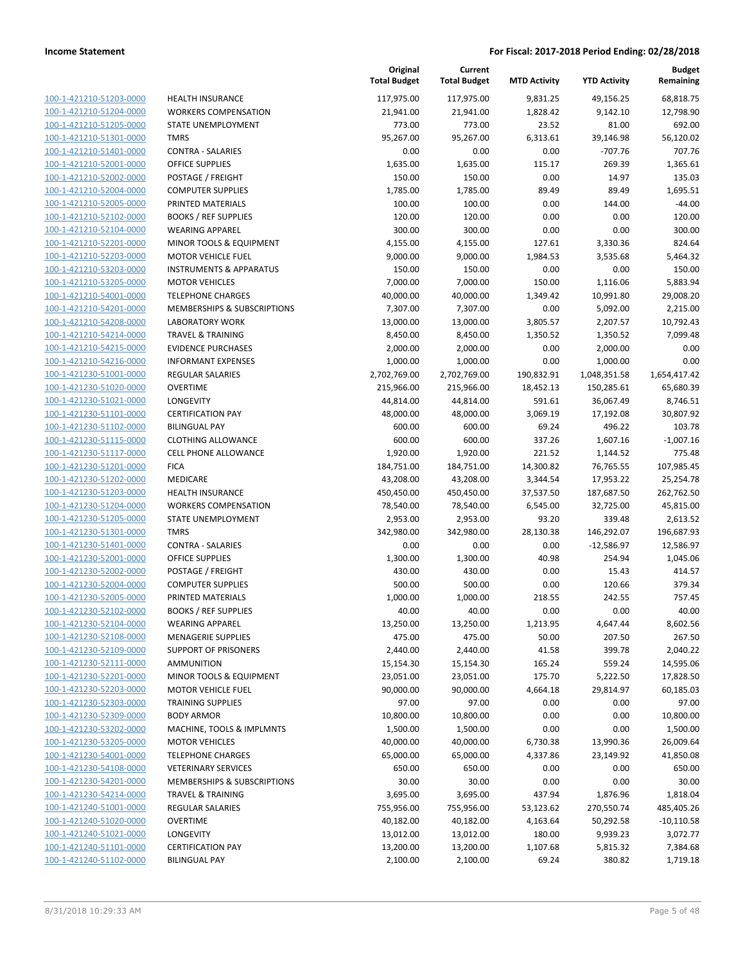**Current**

**Original**

**Budget Remaining**

| 100-1-421210-51203-0000        |
|--------------------------------|
| 100-1-421210-51204-0000        |
| 100-1-421210-51205-0000        |
| 100-1-421210-51301-0000        |
| <u>100-1-421210-51401-0000</u> |
| 100-1-421210-52001-0000        |
| 100-1-421210-52002-0000        |
| 100-1-421210-52004-0000        |
| 100-1-421210-52005-0000        |
| 100-1-421210-52102-0000        |
| 100-1-421210-52104-0000        |
| 100-1-421210-52201-0000        |
| 100-1-421210-52203-0000        |
| 100-1-421210-53203-0000        |
| <u>100-1-421210-53205-0000</u> |
| 100-1-421210-54001-0000        |
| 100-1-421210-54201-0000        |
| 100-1-421210-54208-0000        |
| 100-1-421210-54214-0000        |
| 100-1-421210-54215-0000        |
| 100-1-421210-54216-0000        |
| 100-1-421230-51001-0000        |
| 100-1-421230-51020-0000        |
| 100-1-421230-51021-0000        |
|                                |
| <u>100-1-421230-51101-0000</u> |
| 100-1-421230-51102-0000        |
| 100-1-421230-51115-0000        |
| 100-1-421230-51117-0000        |
| 100-1-421230-51201-0000        |
| 100-1-421230-51202-0000        |
| 100-1-421230-51203-0000        |
| 100-1-421230-51204-0000        |
| 100-1-421230-51205-0000        |
| 100-1-421230-51301-0000        |
| <u>100-1-421230-51401-0000</u> |
| 100-1-421230-52001-0000        |
| 100-1-421230-52002-0000        |
| 100-1-421230-52004-0000        |
| 100-1-421230-52005-0000        |
| 100-1-421230-52102-0000        |
| 100-1-421230-52104-0000        |
| 100-1-421230-52108-0000        |
| 100-1-421230-52109-0000        |
| <u>100-1-421230-52111-0000</u> |
| <u>100-1-421230-52201-0000</u> |
| 100-1-421230-52203-0000        |
| 100-1-421230-52303-0000        |
| 100-1-421230-52309-0000        |
| <u>100-1-421230-53202-0000</u> |
| <u>100-1-421230-53205-0000</u> |
| <u>100-1-421230-54001-0000</u> |
| 100-1-421230-54108-0000        |
| 100-1-421230-54201-0000        |
| <u>100-1-421230-54214-0000</u> |
| <u>100-1-421240-51001-0000</u> |
| <u>100-1-421240-51020-0000</u> |
| 100-1-421240-51021-0000        |
|                                |
| 100-1-421240-51101-0000        |
| 100-1-421240-51102-0000        |

|                         |                                    | <b>Total Budget</b> | <b>Total Budget</b> | <b>MTD Activity</b> | <b>YTD Activity</b> | Remaining    |
|-------------------------|------------------------------------|---------------------|---------------------|---------------------|---------------------|--------------|
| 100-1-421210-51203-0000 | <b>HEALTH INSURANCE</b>            | 117,975.00          | 117,975.00          | 9,831.25            | 49,156.25           | 68,818.75    |
| 100-1-421210-51204-0000 | <b>WORKERS COMPENSATION</b>        | 21,941.00           | 21,941.00           | 1,828.42            | 9,142.10            | 12,798.90    |
| 100-1-421210-51205-0000 | STATE UNEMPLOYMENT                 | 773.00              | 773.00              | 23.52               | 81.00               | 692.00       |
| 100-1-421210-51301-0000 | <b>TMRS</b>                        | 95,267.00           | 95,267.00           | 6,313.61            | 39,146.98           | 56,120.02    |
| 100-1-421210-51401-0000 | <b>CONTRA - SALARIES</b>           | 0.00                | 0.00                | 0.00                | $-707.76$           | 707.76       |
| 100-1-421210-52001-0000 | <b>OFFICE SUPPLIES</b>             | 1,635.00            | 1,635.00            | 115.17              | 269.39              | 1,365.61     |
| 100-1-421210-52002-0000 | POSTAGE / FREIGHT                  | 150.00              | 150.00              | 0.00                | 14.97               | 135.03       |
| 100-1-421210-52004-0000 | <b>COMPUTER SUPPLIES</b>           | 1,785.00            | 1,785.00            | 89.49               | 89.49               | 1,695.51     |
| 100-1-421210-52005-0000 | PRINTED MATERIALS                  | 100.00              | 100.00              | 0.00                | 144.00              | $-44.00$     |
| 100-1-421210-52102-0000 | <b>BOOKS / REF SUPPLIES</b>        | 120.00              | 120.00              | 0.00                | 0.00                | 120.00       |
| 100-1-421210-52104-0000 | <b>WEARING APPAREL</b>             | 300.00              | 300.00              | 0.00                | 0.00                | 300.00       |
| 100-1-421210-52201-0000 | MINOR TOOLS & EQUIPMENT            | 4,155.00            | 4,155.00            | 127.61              | 3,330.36            | 824.64       |
| 100-1-421210-52203-0000 | <b>MOTOR VEHICLE FUEL</b>          | 9,000.00            | 9,000.00            | 1,984.53            | 3,535.68            | 5,464.32     |
| 100-1-421210-53203-0000 | <b>INSTRUMENTS &amp; APPARATUS</b> | 150.00              | 150.00              | 0.00                | 0.00                | 150.00       |
| 100-1-421210-53205-0000 | <b>MOTOR VEHICLES</b>              | 7,000.00            | 7,000.00            | 150.00              | 1,116.06            | 5,883.94     |
| 100-1-421210-54001-0000 | <b>TELEPHONE CHARGES</b>           | 40,000.00           | 40,000.00           | 1,349.42            | 10,991.80           | 29,008.20    |
| 100-1-421210-54201-0000 | MEMBERSHIPS & SUBSCRIPTIONS        | 7,307.00            | 7,307.00            | 0.00                | 5,092.00            | 2,215.00     |
| 100-1-421210-54208-0000 | <b>LABORATORY WORK</b>             | 13,000.00           | 13,000.00           | 3,805.57            | 2,207.57            | 10,792.43    |
| 100-1-421210-54214-0000 | <b>TRAVEL &amp; TRAINING</b>       | 8,450.00            | 8,450.00            | 1,350.52            | 1,350.52            | 7,099.48     |
| 100-1-421210-54215-0000 | <b>EVIDENCE PURCHASES</b>          | 2,000.00            | 2,000.00            | 0.00                | 2,000.00            | 0.00         |
| 100-1-421210-54216-0000 | <b>INFORMANT EXPENSES</b>          | 1,000.00            | 1,000.00            | 0.00                | 1,000.00            | 0.00         |
| 100-1-421230-51001-0000 | <b>REGULAR SALARIES</b>            | 2,702,769.00        | 2,702,769.00        | 190,832.91          | 1,048,351.58        | 1,654,417.42 |
| 100-1-421230-51020-0000 | <b>OVERTIME</b>                    | 215,966.00          | 215,966.00          | 18,452.13           | 150,285.61          | 65,680.39    |
| 100-1-421230-51021-0000 | <b>LONGEVITY</b>                   | 44,814.00           | 44,814.00           | 591.61              | 36,067.49           | 8,746.51     |
| 100-1-421230-51101-0000 | <b>CERTIFICATION PAY</b>           | 48,000.00           | 48,000.00           | 3,069.19            | 17,192.08           | 30,807.92    |
| 100-1-421230-51102-0000 | <b>BILINGUAL PAY</b>               | 600.00              | 600.00              | 69.24               | 496.22              | 103.78       |
| 100-1-421230-51115-0000 | <b>CLOTHING ALLOWANCE</b>          | 600.00              | 600.00              | 337.26              | 1,607.16            | $-1,007.16$  |
| 100-1-421230-51117-0000 | <b>CELL PHONE ALLOWANCE</b>        | 1,920.00            | 1,920.00            | 221.52              | 1,144.52            | 775.48       |
| 100-1-421230-51201-0000 | <b>FICA</b>                        | 184,751.00          | 184,751.00          | 14,300.82           | 76,765.55           | 107,985.45   |
| 100-1-421230-51202-0000 | MEDICARE                           | 43,208.00           | 43,208.00           | 3,344.54            | 17,953.22           | 25,254.78    |
| 100-1-421230-51203-0000 | HEALTH INSURANCE                   | 450,450.00          | 450,450.00          | 37,537.50           | 187,687.50          | 262,762.50   |
| 100-1-421230-51204-0000 | <b>WORKERS COMPENSATION</b>        | 78,540.00           | 78,540.00           | 6,545.00            | 32,725.00           | 45,815.00    |
| 100-1-421230-51205-0000 | STATE UNEMPLOYMENT                 | 2,953.00            | 2,953.00            | 93.20               | 339.48              | 2,613.52     |
| 100-1-421230-51301-0000 | <b>TMRS</b>                        | 342,980.00          | 342,980.00          | 28,130.38           | 146,292.07          | 196,687.93   |
| 100-1-421230-51401-0000 | <b>CONTRA - SALARIES</b>           | 0.00                | 0.00                | 0.00                | $-12,586.97$        | 12,586.97    |
| 100-1-421230-52001-0000 | <b>OFFICE SUPPLIES</b>             | 1,300.00            | 1,300.00            | 40.98               | 254.94              | 1,045.06     |
| 100-1-421230-52002-0000 | POSTAGE / FREIGHT                  | 430.00              | 430.00              | 0.00                | 15.43               | 414.57       |
| 100-1-421230-52004-0000 | <b>COMPUTER SUPPLIES</b>           | 500.00              | 500.00              | 0.00                | 120.66              | 379.34       |
| 100-1-421230-52005-0000 | PRINTED MATERIALS                  | 1,000.00            | 1,000.00            | 218.55              | 242.55              | 757.45       |
| 100-1-421230-52102-0000 | <b>BOOKS / REF SUPPLIES</b>        | 40.00               | 40.00               | 0.00                | 0.00                | 40.00        |
| 100-1-421230-52104-0000 | <b>WEARING APPAREL</b>             | 13,250.00           | 13,250.00           | 1,213.95            | 4,647.44            | 8,602.56     |
| 100-1-421230-52108-0000 | MENAGERIE SUPPLIES                 | 475.00              | 475.00              | 50.00               | 207.50              | 267.50       |
| 100-1-421230-52109-0000 | <b>SUPPORT OF PRISONERS</b>        | 2,440.00            | 2,440.00            | 41.58               | 399.78              | 2,040.22     |
| 100-1-421230-52111-0000 | <b>AMMUNITION</b>                  | 15,154.30           | 15,154.30           | 165.24              | 559.24              | 14,595.06    |
| 100-1-421230-52201-0000 | MINOR TOOLS & EQUIPMENT            | 23,051.00           | 23,051.00           | 175.70              | 5,222.50            | 17,828.50    |
| 100-1-421230-52203-0000 | <b>MOTOR VEHICLE FUEL</b>          | 90,000.00           | 90,000.00           | 4,664.18            | 29,814.97           | 60,185.03    |
| 100-1-421230-52303-0000 | <b>TRAINING SUPPLIES</b>           | 97.00               | 97.00               | 0.00                | 0.00                | 97.00        |
| 100-1-421230-52309-0000 | <b>BODY ARMOR</b>                  | 10,800.00           | 10,800.00           | 0.00                | 0.00                | 10,800.00    |
| 100-1-421230-53202-0000 | MACHINE, TOOLS & IMPLMNTS          | 1,500.00            | 1,500.00            | 0.00                | 0.00                | 1,500.00     |
| 100-1-421230-53205-0000 | <b>MOTOR VEHICLES</b>              | 40,000.00           | 40,000.00           | 6,730.38            | 13,990.36           | 26,009.64    |
| 100-1-421230-54001-0000 | <b>TELEPHONE CHARGES</b>           | 65,000.00           | 65,000.00           | 4,337.86            | 23,149.92           | 41,850.08    |
| 100-1-421230-54108-0000 | <b>VETERINARY SERVICES</b>         | 650.00              | 650.00              | 0.00                | 0.00                | 650.00       |
| 100-1-421230-54201-0000 | MEMBERSHIPS & SUBSCRIPTIONS        | 30.00               | 30.00               | 0.00                | 0.00                | 30.00        |
| 100-1-421230-54214-0000 | <b>TRAVEL &amp; TRAINING</b>       | 3,695.00            | 3,695.00            | 437.94              | 1,876.96            | 1,818.04     |
| 100-1-421240-51001-0000 | <b>REGULAR SALARIES</b>            | 755,956.00          | 755,956.00          | 53,123.62           | 270,550.74          | 485,405.26   |
| 100-1-421240-51020-0000 | <b>OVERTIME</b>                    | 40,182.00           | 40,182.00           | 4,163.64            | 50,292.58           | $-10,110.58$ |
| 100-1-421240-51021-0000 | LONGEVITY                          | 13,012.00           | 13,012.00           | 180.00              | 9,939.23            | 3,072.77     |
| 100-1-421240-51101-0000 | <b>CERTIFICATION PAY</b>           | 13,200.00           | 13,200.00           | 1,107.68            | 5,815.32            | 7,384.68     |
| 100-1-421240-51102-0000 | <b>BILINGUAL PAY</b>               | 2,100.00            | 2,100.00            | 69.24               | 380.82              | 1,719.18     |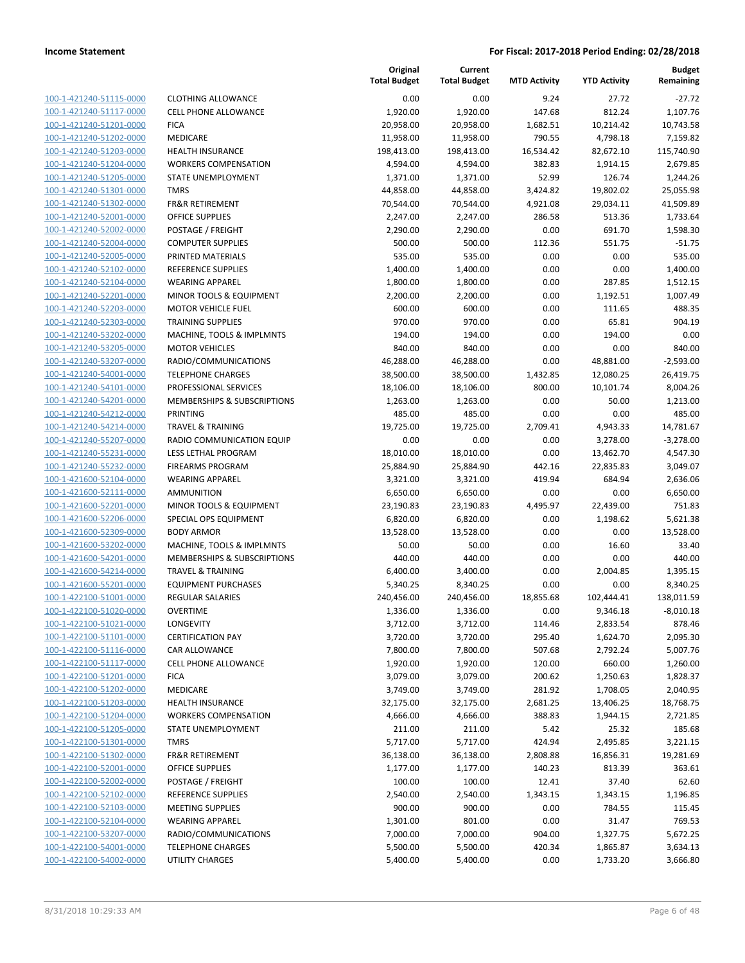|                         |                              | Original<br><b>Total Budget</b> | Current<br><b>Total Budget</b> | <b>MTD Activity</b> | <b>YTD Activity</b> | <b>Budget</b><br>Remaining |
|-------------------------|------------------------------|---------------------------------|--------------------------------|---------------------|---------------------|----------------------------|
| 100-1-421240-51115-0000 | <b>CLOTHING ALLOWANCE</b>    | 0.00                            | 0.00                           | 9.24                | 27.72               | $-27.72$                   |
| 100-1-421240-51117-0000 | <b>CELL PHONE ALLOWANCE</b>  | 1,920.00                        | 1,920.00                       | 147.68              | 812.24              | 1,107.76                   |
| 100-1-421240-51201-0000 | <b>FICA</b>                  | 20,958.00                       | 20,958.00                      | 1,682.51            | 10,214.42           | 10,743.58                  |
| 100-1-421240-51202-0000 | <b>MEDICARE</b>              | 11,958.00                       | 11,958.00                      | 790.55              | 4,798.18            | 7,159.82                   |
| 100-1-421240-51203-0000 | <b>HEALTH INSURANCE</b>      | 198,413.00                      | 198,413.00                     | 16,534.42           | 82,672.10           | 115,740.90                 |
| 100-1-421240-51204-0000 | <b>WORKERS COMPENSATION</b>  | 4,594.00                        | 4,594.00                       | 382.83              | 1,914.15            | 2,679.85                   |
| 100-1-421240-51205-0000 | STATE UNEMPLOYMENT           | 1,371.00                        | 1,371.00                       | 52.99               | 126.74              | 1,244.26                   |
| 100-1-421240-51301-0000 | <b>TMRS</b>                  | 44,858.00                       | 44,858.00                      | 3,424.82            | 19,802.02           | 25,055.98                  |
| 100-1-421240-51302-0000 | <b>FR&amp;R RETIREMENT</b>   | 70,544.00                       | 70,544.00                      | 4,921.08            | 29,034.11           | 41,509.89                  |
| 100-1-421240-52001-0000 | <b>OFFICE SUPPLIES</b>       | 2,247.00                        | 2,247.00                       | 286.58              | 513.36              | 1,733.64                   |
| 100-1-421240-52002-0000 | POSTAGE / FREIGHT            | 2,290.00                        | 2,290.00                       | 0.00                | 691.70              | 1,598.30                   |
| 100-1-421240-52004-0000 | <b>COMPUTER SUPPLIES</b>     | 500.00                          | 500.00                         | 112.36              | 551.75              | $-51.75$                   |
| 100-1-421240-52005-0000 | PRINTED MATERIALS            | 535.00                          | 535.00                         | 0.00                | 0.00                | 535.00                     |
| 100-1-421240-52102-0000 | <b>REFERENCE SUPPLIES</b>    | 1,400.00                        | 1,400.00                       | 0.00                | 0.00                | 1,400.00                   |
| 100-1-421240-52104-0000 | <b>WEARING APPAREL</b>       | 1,800.00                        | 1,800.00                       | 0.00                | 287.85              | 1,512.15                   |
| 100-1-421240-52201-0000 | MINOR TOOLS & EQUIPMENT      | 2,200.00                        | 2,200.00                       | 0.00                | 1,192.51            | 1,007.49                   |
| 100-1-421240-52203-0000 | <b>MOTOR VEHICLE FUEL</b>    | 600.00                          | 600.00                         | 0.00                | 111.65              | 488.35                     |
| 100-1-421240-52303-0000 | <b>TRAINING SUPPLIES</b>     | 970.00                          | 970.00                         | 0.00                | 65.81               | 904.19                     |
| 100-1-421240-53202-0000 | MACHINE, TOOLS & IMPLMNTS    | 194.00                          | 194.00                         | 0.00                | 194.00              | 0.00                       |
| 100-1-421240-53205-0000 | <b>MOTOR VEHICLES</b>        | 840.00                          | 840.00                         | 0.00                | 0.00                | 840.00                     |
| 100-1-421240-53207-0000 | RADIO/COMMUNICATIONS         | 46,288.00                       | 46,288.00                      | 0.00                | 48,881.00           | $-2,593.00$                |
| 100-1-421240-54001-0000 | <b>TELEPHONE CHARGES</b>     | 38,500.00                       | 38,500.00                      | 1,432.85            | 12,080.25           | 26,419.75                  |
| 100-1-421240-54101-0000 | PROFESSIONAL SERVICES        | 18,106.00                       | 18,106.00                      | 800.00              | 10,101.74           | 8,004.26                   |
| 100-1-421240-54201-0000 | MEMBERSHIPS & SUBSCRIPTIONS  | 1,263.00                        | 1,263.00                       | 0.00                | 50.00               | 1,213.00                   |
| 100-1-421240-54212-0000 | PRINTING                     | 485.00                          | 485.00                         | 0.00                | 0.00                | 485.00                     |
| 100-1-421240-54214-0000 | <b>TRAVEL &amp; TRAINING</b> | 19,725.00                       | 19,725.00                      | 2,709.41            | 4,943.33            | 14,781.67                  |
| 100-1-421240-55207-0000 | RADIO COMMUNICATION EQUIP    | 0.00                            | 0.00                           | 0.00                | 3,278.00            | $-3,278.00$                |
| 100-1-421240-55231-0000 | LESS LETHAL PROGRAM          | 18,010.00                       | 18,010.00                      | 0.00                | 13,462.70           | 4,547.30                   |
| 100-1-421240-55232-0000 | <b>FIREARMS PROGRAM</b>      | 25,884.90                       | 25,884.90                      | 442.16              | 22,835.83           | 3,049.07                   |
| 100-1-421600-52104-0000 | <b>WEARING APPAREL</b>       | 3,321.00                        | 3,321.00                       | 419.94              | 684.94              | 2,636.06                   |
| 100-1-421600-52111-0000 | <b>AMMUNITION</b>            | 6,650.00                        | 6,650.00                       | 0.00                | 0.00                | 6,650.00                   |
| 100-1-421600-52201-0000 | MINOR TOOLS & EQUIPMENT      | 23,190.83                       | 23,190.83                      | 4,495.97            | 22,439.00           | 751.83                     |
| 100-1-421600-52206-0000 | SPECIAL OPS EQUIPMENT        | 6,820.00                        | 6,820.00                       | 0.00                | 1,198.62            | 5,621.38                   |
| 100-1-421600-52309-0000 | <b>BODY ARMOR</b>            | 13,528.00                       | 13,528.00                      | 0.00                | 0.00                | 13,528.00                  |
| 100-1-421600-53202-0000 | MACHINE, TOOLS & IMPLMNTS    | 50.00                           | 50.00                          | 0.00                | 16.60               | 33.40                      |
| 100-1-421600-54201-0000 | MEMBERSHIPS & SUBSCRIPTIONS  | 440.00                          | 440.00                         | 0.00                | 0.00                | 440.00                     |
| 100-1-421600-54214-0000 | <b>TRAVEL &amp; TRAINING</b> | 6,400.00                        | 3,400.00                       | 0.00                | 2,004.85            | 1,395.15                   |
| 100-1-421600-55201-0000 | <b>EQUIPMENT PURCHASES</b>   | 5,340.25                        | 8,340.25                       | 0.00                | 0.00                | 8,340.25                   |
| 100-1-422100-51001-0000 | <b>REGULAR SALARIES</b>      | 240,456.00                      | 240,456.00                     | 18,855.68           | 102,444.41          | 138,011.59                 |
| 100-1-422100-51020-0000 | OVERTIME                     | 1,336.00                        | 1,336.00                       | 0.00                | 9,346.18            | $-8,010.18$                |
| 100-1-422100-51021-0000 | LONGEVITY                    | 3,712.00                        | 3,712.00                       | 114.46              | 2,833.54            | 878.46                     |
| 100-1-422100-51101-0000 | <b>CERTIFICATION PAY</b>     | 3,720.00                        | 3,720.00                       | 295.40              | 1,624.70            | 2,095.30                   |
| 100-1-422100-51116-0000 | CAR ALLOWANCE                | 7,800.00                        | 7,800.00                       | 507.68              | 2,792.24            | 5,007.76                   |
| 100-1-422100-51117-0000 | <b>CELL PHONE ALLOWANCE</b>  | 1,920.00                        | 1,920.00                       | 120.00              | 660.00              | 1,260.00                   |
| 100-1-422100-51201-0000 | <b>FICA</b>                  | 3,079.00                        | 3,079.00                       | 200.62              | 1,250.63            | 1,828.37                   |
| 100-1-422100-51202-0000 | MEDICARE                     | 3,749.00                        | 3,749.00                       | 281.92              | 1,708.05            | 2,040.95                   |
| 100-1-422100-51203-0000 | <b>HEALTH INSURANCE</b>      | 32,175.00                       | 32,175.00                      | 2,681.25            | 13,406.25           | 18,768.75                  |
| 100-1-422100-51204-0000 | <b>WORKERS COMPENSATION</b>  | 4,666.00                        | 4,666.00                       | 388.83              | 1,944.15            | 2,721.85                   |
| 100-1-422100-51205-0000 | STATE UNEMPLOYMENT           | 211.00                          | 211.00                         | 5.42                | 25.32               | 185.68                     |
| 100-1-422100-51301-0000 | <b>TMRS</b>                  | 5,717.00                        | 5,717.00                       | 424.94              | 2,495.85            | 3,221.15                   |
| 100-1-422100-51302-0000 | FR&R RETIREMENT              | 36,138.00                       | 36,138.00                      | 2,808.88            | 16,856.31           | 19,281.69                  |
| 100-1-422100-52001-0000 | <b>OFFICE SUPPLIES</b>       | 1,177.00                        | 1,177.00                       | 140.23              | 813.39              | 363.61                     |
| 100-1-422100-52002-0000 | POSTAGE / FREIGHT            | 100.00                          | 100.00                         | 12.41               | 37.40               | 62.60                      |
| 100-1-422100-52102-0000 | REFERENCE SUPPLIES           | 2,540.00                        | 2,540.00                       | 1,343.15            | 1,343.15            | 1,196.85                   |
| 100-1-422100-52103-0000 | <b>MEETING SUPPLIES</b>      | 900.00                          | 900.00                         | 0.00                | 784.55              | 115.45                     |
| 100-1-422100-52104-0000 | <b>WEARING APPAREL</b>       | 1,301.00                        | 801.00                         | 0.00                | 31.47               | 769.53                     |
| 100-1-422100-53207-0000 | RADIO/COMMUNICATIONS         | 7,000.00                        | 7,000.00                       | 904.00              | 1,327.75            | 5,672.25                   |
| 100-1-422100-54001-0000 | <b>TELEPHONE CHARGES</b>     | 5,500.00                        | 5,500.00                       | 420.34              |                     | 3,634.13                   |
| 100-1-422100-54002-0000 | UTILITY CHARGES              | 5,400.00                        | 5,400.00                       | 0.00                | 1,865.87            |                            |
|                         |                              |                                 |                                |                     | 1,733.20            | 3,666.80                   |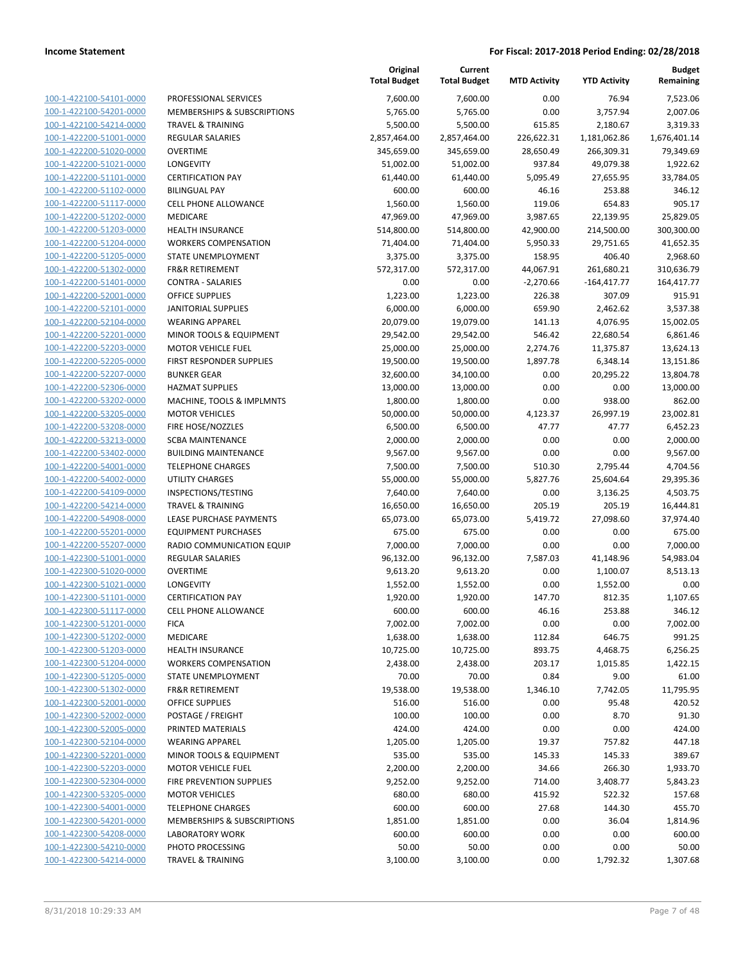|                                                    |                                                     | Original<br><b>Total Budget</b> | Current<br><b>Total Budget</b> | <b>MTD Activity</b> | <b>YTD Activity</b> | Budget<br>Remaining |
|----------------------------------------------------|-----------------------------------------------------|---------------------------------|--------------------------------|---------------------|---------------------|---------------------|
| 100-1-422100-54101-0000                            | PROFESSIONAL SERVICES                               | 7,600.00                        | 7,600.00                       | 0.00                | 76.94               | 7,523.06            |
| 100-1-422100-54201-0000                            | <b>MEMBERSHIPS &amp; SUBSCRIPTIONS</b>              | 5,765.00                        | 5,765.00                       | 0.00                | 3,757.94            | 2,007.06            |
| 100-1-422100-54214-0000                            | <b>TRAVEL &amp; TRAINING</b>                        | 5,500.00                        | 5,500.00                       | 615.85              | 2,180.67            | 3,319.33            |
| 100-1-422200-51001-0000                            | <b>REGULAR SALARIES</b>                             | 2,857,464.00                    | 2,857,464.00                   | 226,622.31          | 1,181,062.86        | 1,676,401.14        |
| 100-1-422200-51020-0000                            | <b>OVERTIME</b>                                     | 345,659.00                      | 345,659.00                     | 28,650.49           | 266,309.31          | 79,349.69           |
| 100-1-422200-51021-0000                            | LONGEVITY                                           | 51,002.00                       | 51,002.00                      | 937.84              | 49,079.38           | 1,922.62            |
| 100-1-422200-51101-0000                            | <b>CERTIFICATION PAY</b>                            | 61,440.00                       | 61,440.00                      | 5,095.49            | 27,655.95           | 33,784.05           |
| 100-1-422200-51102-0000                            | <b>BILINGUAL PAY</b>                                | 600.00                          | 600.00                         | 46.16               | 253.88              | 346.12              |
| 100-1-422200-51117-0000                            | <b>CELL PHONE ALLOWANCE</b>                         | 1,560.00                        | 1,560.00                       | 119.06              | 654.83              | 905.17              |
| 100-1-422200-51202-0000                            | <b>MEDICARE</b>                                     | 47,969.00                       | 47,969.00                      | 3,987.65            | 22,139.95           | 25,829.05           |
| 100-1-422200-51203-0000                            | <b>HEALTH INSURANCE</b>                             | 514,800.00                      | 514,800.00                     | 42,900.00           | 214,500.00          | 300,300.00          |
| 100-1-422200-51204-0000                            | <b>WORKERS COMPENSATION</b>                         | 71,404.00                       | 71,404.00                      | 5,950.33            | 29,751.65           | 41,652.35           |
| 100-1-422200-51205-0000                            | STATE UNEMPLOYMENT                                  | 3,375.00                        | 3,375.00                       | 158.95              | 406.40              | 2,968.60            |
| 100-1-422200-51302-0000                            | <b>FR&amp;R RETIREMENT</b>                          | 572,317.00                      | 572,317.00                     | 44,067.91           | 261,680.21          | 310,636.79          |
| 100-1-422200-51401-0000                            | <b>CONTRA - SALARIES</b>                            | 0.00                            | 0.00                           | $-2,270.66$         | $-164,417.77$       | 164,417.77          |
| 100-1-422200-52001-0000                            | <b>OFFICE SUPPLIES</b>                              | 1,223.00                        | 1,223.00                       | 226.38              | 307.09              | 915.91              |
| 100-1-422200-52101-0000                            | <b>JANITORIAL SUPPLIES</b>                          | 6,000.00                        | 6,000.00                       | 659.90              | 2,462.62            | 3,537.38            |
| 100-1-422200-52104-0000                            | <b>WEARING APPAREL</b>                              | 20,079.00                       | 19,079.00                      | 141.13              | 4,076.95            | 15,002.05           |
| 100-1-422200-52201-0000                            | <b>MINOR TOOLS &amp; EQUIPMENT</b>                  | 29,542.00                       | 29,542.00                      | 546.42              | 22,680.54           | 6,861.46            |
| 100-1-422200-52203-0000                            | <b>MOTOR VEHICLE FUEL</b>                           | 25,000.00                       | 25,000.00                      | 2,274.76            | 11,375.87           | 13,624.13           |
| 100-1-422200-52205-0000                            | <b>FIRST RESPONDER SUPPLIES</b>                     | 19,500.00                       | 19,500.00                      | 1,897.78            | 6,348.14            | 13,151.86           |
| 100-1-422200-52207-0000                            | <b>BUNKER GEAR</b>                                  | 32,600.00                       | 34,100.00                      | 0.00                | 20,295.22           | 13,804.78           |
| 100-1-422200-52306-0000                            | <b>HAZMAT SUPPLIES</b>                              | 13,000.00                       | 13,000.00                      | 0.00                | 0.00                | 13,000.00           |
| 100-1-422200-53202-0000                            | MACHINE, TOOLS & IMPLMNTS                           | 1,800.00                        | 1,800.00                       | 0.00                | 938.00              | 862.00              |
| 100-1-422200-53205-0000                            | <b>MOTOR VEHICLES</b>                               | 50,000.00                       | 50,000.00                      | 4,123.37            | 26,997.19           | 23,002.81           |
| 100-1-422200-53208-0000                            | FIRE HOSE/NOZZLES                                   | 6,500.00                        | 6,500.00                       | 47.77               | 47.77               | 6,452.23            |
| 100-1-422200-53213-0000                            | <b>SCBA MAINTENANCE</b>                             | 2,000.00                        | 2,000.00                       | 0.00                | 0.00                | 2,000.00            |
| 100-1-422200-53402-0000                            | <b>BUILDING MAINTENANCE</b>                         | 9,567.00                        | 9,567.00                       | 0.00                | 0.00                | 9,567.00            |
| 100-1-422200-54001-0000                            | <b>TELEPHONE CHARGES</b>                            | 7,500.00                        | 7,500.00                       | 510.30              | 2,795.44            | 4,704.56            |
| 100-1-422200-54002-0000<br>100-1-422200-54109-0000 | UTILITY CHARGES                                     | 55,000.00                       | 55,000.00                      | 5,827.76            | 25,604.64           | 29,395.36           |
| 100-1-422200-54214-0000                            | INSPECTIONS/TESTING<br><b>TRAVEL &amp; TRAINING</b> | 7,640.00                        | 7,640.00                       | 0.00<br>205.19      | 3,136.25<br>205.19  | 4,503.75            |
| 100-1-422200-54908-0000                            | LEASE PURCHASE PAYMENTS                             | 16,650.00                       | 16,650.00                      |                     |                     | 16,444.81           |
| 100-1-422200-55201-0000                            | <b>EQUIPMENT PURCHASES</b>                          | 65,073.00<br>675.00             | 65,073.00<br>675.00            | 5,419.72<br>0.00    | 27,098.60<br>0.00   | 37,974.40<br>675.00 |
| 100-1-422200-55207-0000                            | RADIO COMMUNICATION EQUIP                           | 7,000.00                        | 7,000.00                       | 0.00                | 0.00                | 7,000.00            |
| 100-1-422300-51001-0000                            | <b>REGULAR SALARIES</b>                             | 96,132.00                       | 96,132.00                      | 7,587.03            | 41,148.96           | 54,983.04           |
| 100-1-422300-51020-0000                            | <b>OVERTIME</b>                                     | 9,613.20                        | 9,613.20                       | 0.00                | 1,100.07            | 8,513.13            |
| 100-1-422300-51021-0000                            | LONGEVITY                                           | 1,552.00                        | 1,552.00                       | 0.00                | 1,552.00            | 0.00                |
| 100-1-422300-51101-0000                            | <b>CERTIFICATION PAY</b>                            | 1,920.00                        | 1,920.00                       | 147.70              | 812.35              | 1,107.65            |
| 100-1-422300-51117-0000                            | <b>CELL PHONE ALLOWANCE</b>                         | 600.00                          | 600.00                         | 46.16               | 253.88              | 346.12              |
| 100-1-422300-51201-0000                            | <b>FICA</b>                                         | 7,002.00                        | 7,002.00                       | 0.00                | 0.00                | 7,002.00            |
| 100-1-422300-51202-0000                            | MEDICARE                                            | 1,638.00                        | 1,638.00                       | 112.84              | 646.75              | 991.25              |
| 100-1-422300-51203-0000                            | <b>HEALTH INSURANCE</b>                             | 10,725.00                       | 10,725.00                      | 893.75              | 4,468.75            | 6,256.25            |
| 100-1-422300-51204-0000                            | <b>WORKERS COMPENSATION</b>                         | 2,438.00                        | 2,438.00                       | 203.17              | 1,015.85            | 1,422.15            |
| 100-1-422300-51205-0000                            | STATE UNEMPLOYMENT                                  | 70.00                           | 70.00                          | 0.84                | 9.00                | 61.00               |
| 100-1-422300-51302-0000                            | <b>FR&amp;R RETIREMENT</b>                          | 19,538.00                       | 19,538.00                      | 1,346.10            | 7,742.05            | 11,795.95           |
| 100-1-422300-52001-0000                            | <b>OFFICE SUPPLIES</b>                              | 516.00                          | 516.00                         | 0.00                | 95.48               | 420.52              |
| 100-1-422300-52002-0000                            | POSTAGE / FREIGHT                                   | 100.00                          | 100.00                         | 0.00                | 8.70                | 91.30               |
| 100-1-422300-52005-0000                            | PRINTED MATERIALS                                   | 424.00                          | 424.00                         | 0.00                | 0.00                | 424.00              |
| 100-1-422300-52104-0000                            | <b>WEARING APPAREL</b>                              | 1,205.00                        | 1,205.00                       | 19.37               | 757.82              | 447.18              |
| 100-1-422300-52201-0000                            | MINOR TOOLS & EQUIPMENT                             | 535.00                          | 535.00                         | 145.33              | 145.33              | 389.67              |
| 100-1-422300-52203-0000                            | <b>MOTOR VEHICLE FUEL</b>                           | 2,200.00                        | 2,200.00                       | 34.66               | 266.30              | 1,933.70            |
| 100-1-422300-52304-0000                            | FIRE PREVENTION SUPPLIES                            | 9,252.00                        | 9,252.00                       | 714.00              | 3,408.77            | 5,843.23            |
| 100-1-422300-53205-0000                            | <b>MOTOR VEHICLES</b>                               | 680.00                          | 680.00                         | 415.92              | 522.32              | 157.68              |
| 100-1-422300-54001-0000                            | <b>TELEPHONE CHARGES</b>                            | 600.00                          | 600.00                         | 27.68               | 144.30              | 455.70              |
| 100-1-422300-54201-0000                            | MEMBERSHIPS & SUBSCRIPTIONS                         | 1,851.00                        | 1,851.00                       | 0.00                | 36.04               | 1,814.96            |
| 100-1-422300-54208-0000                            | <b>LABORATORY WORK</b>                              | 600.00                          | 600.00                         | 0.00                | 0.00                | 600.00              |
| 100-1-422300-54210-0000                            | PHOTO PROCESSING                                    | 50.00                           | 50.00                          | 0.00                | 0.00                | 50.00               |
| 100-1-422300-54214-0000                            | <b>TRAVEL &amp; TRAINING</b>                        | 3,100.00                        | 3,100.00                       | 0.00                | 1,792.32            | 1,307.68            |
|                                                    |                                                     |                                 |                                |                     |                     |                     |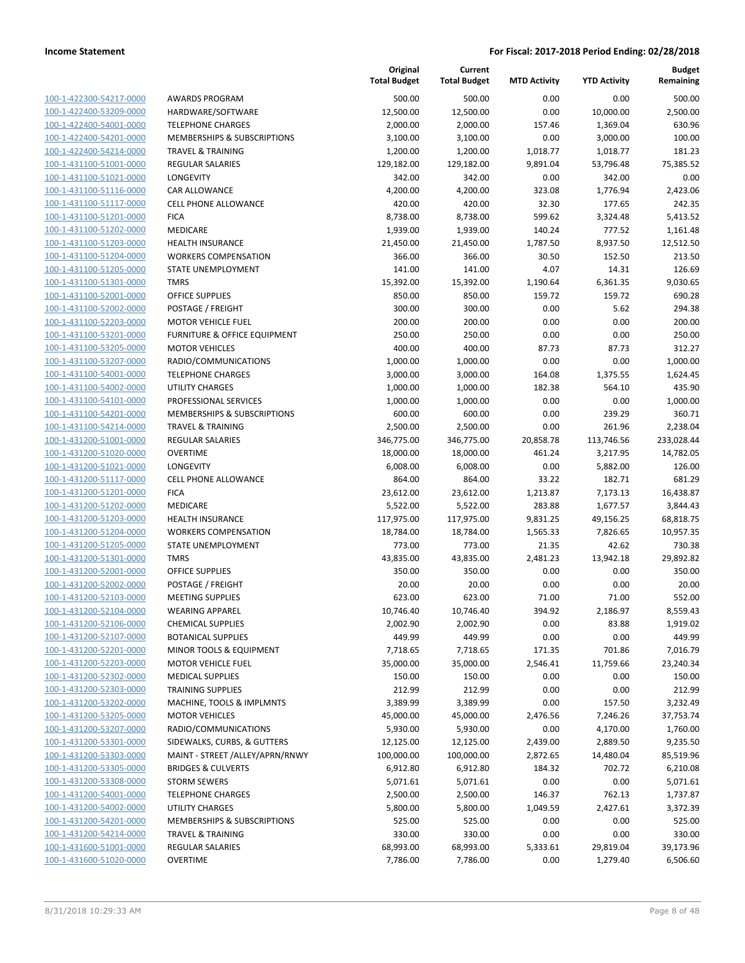| 100-1-422300-54217-0000                                          |
|------------------------------------------------------------------|
| 100-1-422400-53209-0000                                          |
| 100-1-422400-54001-0000                                          |
| 100-1-422400-54201-0000                                          |
| 100-1-422400-54214-0000                                          |
|                                                                  |
| 100-1-431100-51001-0000                                          |
| 100-1-431100-51021-0000                                          |
| 100-1-431100-51116-0000                                          |
| 100-1-431100-51117-0000                                          |
| 100-1-431100-51201-0000                                          |
| 100-1-431100-51202-0000                                          |
| 100-1-431100-51203-0000                                          |
| 100-1-431100-51204-0000                                          |
| 100-1-431100-51205-0000                                          |
|                                                                  |
| 100-1-431100-51301-0000                                          |
| 100-1-431100-52001-0000                                          |
| 100-1-431100-52002-0000                                          |
| 100-1-431100-52203-0000                                          |
| 100-1-431100-53201-0000                                          |
| 100-1-431100-53205-0000                                          |
| 100-1-431100-53207-0000                                          |
| 100-1-431100-54001-0000                                          |
|                                                                  |
| 100-1-431100-54002-0000                                          |
| 100-1-431100-54101-0000                                          |
| 100-1-431100-54201-0000                                          |
| 100-1-431100-54214-0000                                          |
| 100-1-431200-51001-0000                                          |
| 100-1-431200-51020-0000                                          |
| 100-1-431200-51021-0000                                          |
| 100-1-431200-51117-0000                                          |
| 100-1-431200-51201-0000                                          |
| 100-1-431200-51202-0000                                          |
|                                                                  |
| <u>100-1-431200-51203-0000</u>                                   |
| 100-1-431200-51204-0000                                          |
| 100-1-431200-51205-0000                                          |
| 100-1-431200-51301-0000                                          |
| 100-1-431200-52001-0000                                          |
| 100-1-431200-52002-0000                                          |
| 100-1-431200-52103-0000                                          |
| 100-1-431200-52104-0000                                          |
| 100-1-431200-52106-0000                                          |
| 100-1-431200-52107-0000                                          |
|                                                                  |
| 100-1-431200-52201-0000                                          |
| <u>100-1-431200-52203-0000</u>                                   |
| 100-1-431200-52302-0000                                          |
| <u>100-1-431200-52303-0000</u>                                   |
| <u>100-1-431200-53202-0000</u>                                   |
| <u>100-1-431200-53205-0000</u>                                   |
| <u>100-1-431200-53207-0000</u>                                   |
| 100-1-431200-53301-0000                                          |
| 100-1-431200-53303-0000                                          |
|                                                                  |
| 100-1-431200-53305-0000                                          |
| <u>100-1-431200-53308-0000</u>                                   |
| <u>100-1-431200-54001-0000</u>                                   |
| <u>100-1-431200-54002-0000</u>                                   |
| <u>100-1-431200-54201-0000</u>                                   |
| <u>100-1-431200-54214-0000</u>                                   |
|                                                                  |
|                                                                  |
| <u>100-1-431600-51001-0000</u><br><u>100-1-431600-51020-0000</u> |

|                         |                                 | Original<br><b>Total Budget</b> | Current<br><b>Total Budget</b> | <b>MTD Activity</b> | <b>YTD Activity</b> | <b>Budget</b><br>Remaining |
|-------------------------|---------------------------------|---------------------------------|--------------------------------|---------------------|---------------------|----------------------------|
| 100-1-422300-54217-0000 | <b>AWARDS PROGRAM</b>           | 500.00                          | 500.00                         | 0.00                | 0.00                | 500.00                     |
| 100-1-422400-53209-0000 | HARDWARE/SOFTWARE               | 12,500.00                       | 12,500.00                      | 0.00                | 10,000.00           | 2,500.00                   |
| 100-1-422400-54001-0000 | <b>TELEPHONE CHARGES</b>        | 2,000.00                        | 2,000.00                       | 157.46              | 1,369.04            | 630.96                     |
| 100-1-422400-54201-0000 | MEMBERSHIPS & SUBSCRIPTIONS     | 3,100.00                        | 3,100.00                       | 0.00                | 3,000.00            | 100.00                     |
| 100-1-422400-54214-0000 | <b>TRAVEL &amp; TRAINING</b>    | 1,200.00                        | 1,200.00                       | 1,018.77            | 1,018.77            | 181.23                     |
| 100-1-431100-51001-0000 | <b>REGULAR SALARIES</b>         | 129,182.00                      | 129,182.00                     | 9,891.04            | 53,796.48           | 75,385.52                  |
| 100-1-431100-51021-0000 | LONGEVITY                       | 342.00                          | 342.00                         | 0.00                | 342.00              | 0.00                       |
| 100-1-431100-51116-0000 | CAR ALLOWANCE                   | 4,200.00                        | 4,200.00                       | 323.08              | 1,776.94            | 2,423.06                   |
| 100-1-431100-51117-0000 | <b>CELL PHONE ALLOWANCE</b>     | 420.00                          | 420.00                         | 32.30               | 177.65              | 242.35                     |
| 100-1-431100-51201-0000 | <b>FICA</b>                     | 8,738.00                        | 8,738.00                       | 599.62              | 3,324.48            | 5,413.52                   |
| 100-1-431100-51202-0000 | MEDICARE                        | 1,939.00                        | 1,939.00                       | 140.24              | 777.52              | 1,161.48                   |
| 100-1-431100-51203-0000 | HEALTH INSURANCE                | 21,450.00                       | 21,450.00                      | 1,787.50            | 8,937.50            | 12,512.50                  |
| 100-1-431100-51204-0000 | <b>WORKERS COMPENSATION</b>     | 366.00                          | 366.00                         | 30.50               | 152.50              | 213.50                     |
| 100-1-431100-51205-0000 | STATE UNEMPLOYMENT              | 141.00                          | 141.00                         | 4.07                | 14.31               | 126.69                     |
| 100-1-431100-51301-0000 | <b>TMRS</b>                     | 15,392.00                       | 15,392.00                      | 1,190.64            | 6,361.35            | 9,030.65                   |
| 100-1-431100-52001-0000 | <b>OFFICE SUPPLIES</b>          | 850.00                          | 850.00                         | 159.72              | 159.72              | 690.28                     |
| 100-1-431100-52002-0000 | POSTAGE / FREIGHT               | 300.00                          | 300.00                         | 0.00                | 5.62                | 294.38                     |
| 100-1-431100-52203-0000 | <b>MOTOR VEHICLE FUEL</b>       | 200.00                          | 200.00                         | 0.00                | 0.00                | 200.00                     |
| 100-1-431100-53201-0000 | FURNITURE & OFFICE EQUIPMENT    | 250.00                          | 250.00                         | 0.00                | 0.00                | 250.00                     |
| 100-1-431100-53205-0000 | <b>MOTOR VEHICLES</b>           | 400.00                          | 400.00                         | 87.73               | 87.73               | 312.27                     |
| 100-1-431100-53207-0000 | RADIO/COMMUNICATIONS            | 1,000.00                        | 1,000.00                       | 0.00                | 0.00                | 1,000.00                   |
| 100-1-431100-54001-0000 | <b>TELEPHONE CHARGES</b>        | 3,000.00                        | 3,000.00                       | 164.08              | 1,375.55            | 1,624.45                   |
| 100-1-431100-54002-0000 | <b>UTILITY CHARGES</b>          | 1,000.00                        | 1,000.00                       | 182.38              | 564.10              | 435.90                     |
| 100-1-431100-54101-0000 | PROFESSIONAL SERVICES           | 1,000.00                        | 1,000.00                       | 0.00                | 0.00                | 1,000.00                   |
| 100-1-431100-54201-0000 | MEMBERSHIPS & SUBSCRIPTIONS     | 600.00                          | 600.00                         | 0.00                | 239.29              | 360.71                     |
| 100-1-431100-54214-0000 | <b>TRAVEL &amp; TRAINING</b>    | 2,500.00                        | 2,500.00                       | 0.00                | 261.96              | 2,238.04                   |
| 100-1-431200-51001-0000 | <b>REGULAR SALARIES</b>         | 346,775.00                      | 346,775.00                     | 20,858.78           | 113,746.56          | 233,028.44                 |
| 100-1-431200-51020-0000 | <b>OVERTIME</b>                 | 18,000.00                       | 18,000.00                      | 461.24              | 3,217.95            | 14,782.05                  |
| 100-1-431200-51021-0000 | <b>LONGEVITY</b>                | 6,008.00                        | 6,008.00                       | 0.00                | 5,882.00            | 126.00                     |
| 100-1-431200-51117-0000 | <b>CELL PHONE ALLOWANCE</b>     | 864.00                          | 864.00                         | 33.22               | 182.71              | 681.29                     |
| 100-1-431200-51201-0000 | <b>FICA</b>                     | 23,612.00                       | 23,612.00                      | 1,213.87            | 7,173.13            | 16,438.87                  |
| 100-1-431200-51202-0000 | MEDICARE                        | 5,522.00                        | 5,522.00                       | 283.88              | 1,677.57            | 3,844.43                   |
| 100-1-431200-51203-0000 | HEALTH INSURANCE                | 117,975.00                      | 117,975.00                     | 9,831.25            | 49,156.25           | 68,818.75                  |
| 100-1-431200-51204-0000 | <b>WORKERS COMPENSATION</b>     | 18,784.00                       | 18,784.00                      | 1,565.33            | 7,826.65            | 10,957.35                  |
| 100-1-431200-51205-0000 | STATE UNEMPLOYMENT              | 773.00                          | 773.00                         | 21.35               | 42.62               | 730.38                     |
| 100-1-431200-51301-0000 | <b>TMRS</b>                     | 43,835.00                       | 43,835.00                      | 2,481.23            | 13,942.18           | 29,892.82                  |
| 100-1-431200-52001-0000 | <b>OFFICE SUPPLIES</b>          | 350.00                          | 350.00                         | 0.00                | 0.00                | 350.00                     |
| 100-1-431200-52002-0000 | POSTAGE / FREIGHT               | 20.00                           | 20.00                          | 0.00                | 0.00                | 20.00                      |
| 100-1-431200-52103-0000 | <b>MEETING SUPPLIES</b>         | 623.00                          | 623.00                         | 71.00               | 71.00               | 552.00                     |
| 100-1-431200-52104-0000 | <b>WEARING APPAREL</b>          | 10,746.40                       | 10,746.40                      | 394.92              | 2,186.97            | 8,559.43                   |
| 100-1-431200-52106-0000 | <b>CHEMICAL SUPPLIES</b>        | 2,002.90                        | 2,002.90                       | 0.00                | 83.88               | 1,919.02                   |
| 100-1-431200-52107-0000 | <b>BOTANICAL SUPPLIES</b>       | 449.99                          | 449.99                         | 0.00                | 0.00                | 449.99                     |
| 100-1-431200-52201-0000 | MINOR TOOLS & EQUIPMENT         | 7,718.65                        | 7,718.65                       | 171.35              | 701.86              | 7,016.79                   |
| 100-1-431200-52203-0000 | <b>MOTOR VEHICLE FUEL</b>       | 35,000.00                       | 35,000.00                      | 2,546.41            | 11,759.66           | 23,240.34                  |
| 100-1-431200-52302-0000 | <b>MEDICAL SUPPLIES</b>         | 150.00                          | 150.00                         | 0.00                | 0.00                | 150.00                     |
| 100-1-431200-52303-0000 | <b>TRAINING SUPPLIES</b>        | 212.99                          | 212.99                         | 0.00                | 0.00                | 212.99                     |
| 100-1-431200-53202-0000 | MACHINE, TOOLS & IMPLMNTS       | 3,389.99                        | 3,389.99                       | 0.00                | 157.50              | 3,232.49                   |
| 100-1-431200-53205-0000 | <b>MOTOR VEHICLES</b>           | 45,000.00                       | 45,000.00                      | 2,476.56            | 7,246.26            | 37,753.74                  |
| 100-1-431200-53207-0000 | RADIO/COMMUNICATIONS            | 5,930.00                        | 5,930.00                       | 0.00                | 4,170.00            | 1,760.00                   |
| 100-1-431200-53301-0000 | SIDEWALKS, CURBS, & GUTTERS     | 12,125.00                       | 12,125.00                      | 2,439.00            | 2,889.50            | 9,235.50                   |
| 100-1-431200-53303-0000 | MAINT - STREET /ALLEY/APRN/RNWY | 100,000.00                      | 100,000.00                     | 2,872.65            | 14,480.04           | 85,519.96                  |
| 100-1-431200-53305-0000 | <b>BRIDGES &amp; CULVERTS</b>   | 6,912.80                        | 6,912.80                       | 184.32              | 702.72              | 6,210.08                   |
| 100-1-431200-53308-0000 | <b>STORM SEWERS</b>             | 5,071.61                        | 5,071.61                       | 0.00                | 0.00                | 5,071.61                   |
| 100-1-431200-54001-0000 | <b>TELEPHONE CHARGES</b>        | 2,500.00                        | 2,500.00                       | 146.37              | 762.13              | 1,737.87                   |
| 100-1-431200-54002-0000 | UTILITY CHARGES                 | 5,800.00                        | 5,800.00                       | 1,049.59            | 2,427.61            | 3,372.39                   |
| 100-1-431200-54201-0000 | MEMBERSHIPS & SUBSCRIPTIONS     | 525.00                          | 525.00                         | 0.00                | 0.00                | 525.00                     |
| 100-1-431200-54214-0000 | <b>TRAVEL &amp; TRAINING</b>    | 330.00                          | 330.00                         | 0.00                | 0.00                | 330.00                     |
| 100-1-431600-51001-0000 | <b>REGULAR SALARIES</b>         | 68,993.00                       | 68,993.00                      | 5,333.61            | 29,819.04           | 39,173.96                  |
| 100-1-431600-51020-0000 | <b>OVERTIME</b>                 | 7,786.00                        | 7,786.00                       | 0.00                | 1,279.40            | 6,506.60                   |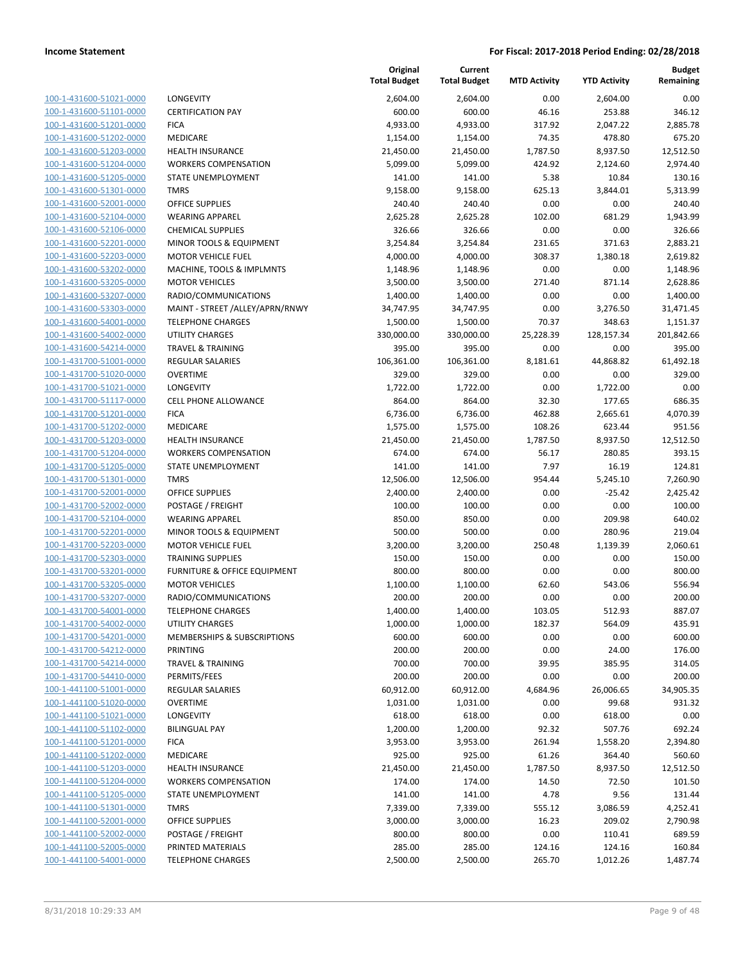100-1-431600-51021-0000 100-1-431600-51101-0000 100-1-431600-51201-0000 100-1-431600-51202-0000 100-1-431600-51203-0000 100-1-431600-51204-0000 100-1-431600-51205-0000 100-1-431600-51301-0000 100-1-431600-52001-0000 100-1-431600-52104-0000 100-1-431600-52106-0000 100-1-431600-52201-0000 100-1-431600-52203-0000 100-1-431600-53202-0000 100-1-431600-53205-0000 100-1-431600-53207-0000 100-1-431600-53303-0000 100-1-431600-54001-0000 100-1-431600-54002-0000 100-1-431600-54214-0000 100-1-431700-51001-0000 100-1-431700-51020-0000 100-1-431700-51021-0000 100-1-431700-51117-0000 100-1-431700-51201-0000 100-1-431700-51202-0000 100-1-431700-51203-0000 100-1-431700-51204-0000 100-1-431700-51205-0000 100-1-431700-51301-0000 100-1-431700-52001-0000 100-1-431700-52002-0000 POSTAGE / FREIGHT 100.00 100.00 0.00 0.00 100.00 100-1-431700-52104-0000 100-1-431700-52201-0000 100-1-431700-52203-0000 100-1-431700-52303-0000 100-1-431700-53201-0000 100-1-431700-53205-0000 100-1-431700-53207-0000 100-1-431700-54001-0000 100-1-431700-54002-0000 100-1-431700-54201-0000 100-1-431700-54212-0000 100-1-431700-54214-0000 100-1-431700-54410-0000 100-1-441100-51001-0000 100-1-441100-51020-0000 100-1-441100-51021-0000 100-1-441100-51102-0000 100-1-441100-51201-0000 100-1-441100-51202-0000 100-1-441100-51203-0000 100-1-441100-51204-0000 100-1-441100-51205-0000 100-1-441100-51301-0000 100-1-441100-52001-0000 100-1-441100-52002-0000 100-1-441100-52005-0000 100-1-441100-54001-0000

|                                 | Original<br><b>Total Budget</b> | Current<br><b>Total Budget</b> | <b>MTD Activity</b> | <b>YTD Activity</b> | <b>Budget</b><br>Remaining |
|---------------------------------|---------------------------------|--------------------------------|---------------------|---------------------|----------------------------|
| <b>LONGEVITY</b>                |                                 | 2,604.00                       | 0.00                |                     | 0.00                       |
| <b>CERTIFICATION PAY</b>        | 2,604.00<br>600.00              | 600.00                         | 46.16               | 2,604.00<br>253.88  | 346.12                     |
| <b>FICA</b>                     | 4,933.00                        | 4,933.00                       | 317.92              | 2,047.22            | 2,885.78                   |
| <b>MEDICARE</b>                 | 1,154.00                        | 1,154.00                       | 74.35               | 478.80              | 675.20                     |
| <b>HEALTH INSURANCE</b>         | 21,450.00                       | 21,450.00                      | 1,787.50            | 8,937.50            | 12,512.50                  |
| <b>WORKERS COMPENSATION</b>     | 5,099.00                        | 5,099.00                       | 424.92              | 2,124.60            | 2,974.40                   |
| STATE UNEMPLOYMENT              | 141.00                          | 141.00                         | 5.38                | 10.84               | 130.16                     |
| <b>TMRS</b>                     | 9,158.00                        | 9,158.00                       | 625.13              | 3,844.01            | 5,313.99                   |
| <b>OFFICE SUPPLIES</b>          | 240.40                          | 240.40                         | 0.00                | 0.00                | 240.40                     |
| <b>WEARING APPAREL</b>          | 2,625.28                        | 2,625.28                       | 102.00              | 681.29              | 1,943.99                   |
| <b>CHEMICAL SUPPLIES</b>        | 326.66                          | 326.66                         | 0.00                | 0.00                | 326.66                     |
| MINOR TOOLS & EQUIPMENT         | 3,254.84                        | 3,254.84                       | 231.65              | 371.63              | 2,883.21                   |
| <b>MOTOR VEHICLE FUEL</b>       | 4,000.00                        | 4,000.00                       | 308.37              | 1,380.18            | 2,619.82                   |
| MACHINE, TOOLS & IMPLMNTS       | 1,148.96                        | 1,148.96                       | 0.00                | 0.00                | 1,148.96                   |
| <b>MOTOR VEHICLES</b>           | 3,500.00                        | 3,500.00                       | 271.40              | 871.14              | 2,628.86                   |
| RADIO/COMMUNICATIONS            | 1,400.00                        | 1,400.00                       | 0.00                | 0.00                | 1,400.00                   |
| MAINT - STREET /ALLEY/APRN/RNWY | 34,747.95                       | 34,747.95                      | 0.00                | 3,276.50            | 31,471.45                  |
| <b>TELEPHONE CHARGES</b>        | 1,500.00                        | 1,500.00                       | 70.37               | 348.63              | 1,151.37                   |
| <b>UTILITY CHARGES</b>          | 330,000.00                      | 330,000.00                     | 25,228.39           | 128,157.34          | 201,842.66                 |
| <b>TRAVEL &amp; TRAINING</b>    | 395.00                          | 395.00                         | 0.00                | 0.00                | 395.00                     |
| <b>REGULAR SALARIES</b>         | 106,361.00                      | 106,361.00                     | 8,181.61            | 44,868.82           | 61,492.18                  |
| <b>OVERTIME</b>                 | 329.00                          | 329.00                         | 0.00                | 0.00                | 329.00                     |
| <b>LONGEVITY</b>                | 1,722.00                        | 1,722.00                       | 0.00                | 1,722.00            | 0.00                       |
| <b>CELL PHONE ALLOWANCE</b>     | 864.00                          | 864.00                         | 32.30               | 177.65              | 686.35                     |
| <b>FICA</b>                     | 6,736.00                        | 6,736.00                       | 462.88              | 2,665.61            | 4,070.39                   |
| MEDICARE                        | 1,575.00                        | 1,575.00                       | 108.26              | 623.44              | 951.56                     |
| <b>HEALTH INSURANCE</b>         | 21,450.00                       | 21,450.00                      | 1,787.50            | 8,937.50            | 12,512.50                  |
| <b>WORKERS COMPENSATION</b>     | 674.00                          | 674.00                         | 56.17               | 280.85              | 393.15                     |
| STATE UNEMPLOYMENT              | 141.00                          | 141.00                         | 7.97                | 16.19               | 124.81                     |
| <b>TMRS</b>                     | 12,506.00                       | 12,506.00                      | 954.44              | 5,245.10            | 7,260.90                   |
| <b>OFFICE SUPPLIES</b>          | 2,400.00                        | 2,400.00                       | 0.00                | $-25.42$            | 2,425.42                   |
| POSTAGE / FREIGHT               | 100.00                          | 100.00                         | 0.00                | 0.00                | 100.00                     |
| <b>WEARING APPAREL</b>          | 850.00                          | 850.00                         | 0.00                | 209.98              | 640.02                     |
| MINOR TOOLS & EQUIPMENT         | 500.00                          | 500.00                         | 0.00                | 280.96              | 219.04                     |
| <b>MOTOR VEHICLE FUEL</b>       | 3,200.00                        | 3,200.00                       | 250.48              | 1,139.39            | 2,060.61                   |
| <b>TRAINING SUPPLIES</b>        | 150.00                          | 150.00                         | 0.00                | 0.00                | 150.00                     |
| FURNITURE & OFFICE EQUIPMENT    | 800.00                          | 800.00                         | 0.00                | 0.00                | 800.00                     |
| <b>MOTOR VEHICLES</b>           | 1,100.00                        | 1,100.00                       | 62.60               | 543.06              | 556.94                     |
| RADIO/COMMUNICATIONS            | 200.00                          | 200.00                         | 0.00                | 0.00                | 200.00                     |
| <b>TELEPHONE CHARGES</b>        | 1,400.00                        | 1,400.00                       | 103.05              | 512.93              | 887.07                     |
| <b>UTILITY CHARGES</b>          | 1,000.00                        | 1,000.00                       | 182.37              | 564.09              | 435.91                     |
| MEMBERSHIPS & SUBSCRIPTIONS     | 600.00                          | 600.00                         | 0.00                | 0.00                | 600.00                     |
| PRINTING                        | 200.00                          | 200.00                         | 0.00                | 24.00               | 176.00                     |
| <b>TRAVEL &amp; TRAINING</b>    | 700.00                          | 700.00                         | 39.95               | 385.95              | 314.05                     |
| PERMITS/FEES                    | 200.00                          | 200.00                         | 0.00                | 0.00                | 200.00                     |
| <b>REGULAR SALARIES</b>         | 60,912.00                       | 60,912.00                      | 4,684.96            | 26,006.65           | 34,905.35                  |
| <b>OVERTIME</b>                 | 1,031.00                        | 1,031.00                       | 0.00                | 99.68               | 931.32                     |
| <b>LONGEVITY</b>                | 618.00                          | 618.00                         | 0.00                | 618.00              | 0.00                       |
| <b>BILINGUAL PAY</b>            | 1,200.00                        | 1,200.00                       | 92.32               | 507.76              | 692.24                     |
| <b>FICA</b>                     | 3,953.00                        | 3,953.00                       | 261.94              | 1,558.20            | 2,394.80                   |
| MEDICARE                        | 925.00                          | 925.00                         | 61.26               | 364.40              | 560.60                     |
| <b>HEALTH INSURANCE</b>         | 21,450.00                       | 21,450.00                      | 1,787.50            | 8,937.50            | 12,512.50                  |
| <b>WORKERS COMPENSATION</b>     | 174.00                          | 174.00                         | 14.50               | 72.50               | 101.50                     |
| STATE UNEMPLOYMENT              | 141.00                          | 141.00                         | 4.78                | 9.56                | 131.44                     |
| <b>TMRS</b>                     | 7,339.00                        | 7,339.00                       | 555.12              | 3,086.59            | 4,252.41                   |
| <b>OFFICE SUPPLIES</b>          | 3,000.00                        | 3,000.00                       | 16.23               | 209.02              | 2,790.98                   |
| POSTAGE / FREIGHT               | 800.00                          | 800.00                         | 0.00                | 110.41              | 689.59                     |
| PRINTED MATERIALS               | 285.00                          | 285.00                         | 124.16              | 124.16              | 160.84<br>1,487.74         |
| <b>TELEPHONE CHARGES</b>        | 2,500.00                        | 2,500.00                       | 265.70              | 1,012.26            |                            |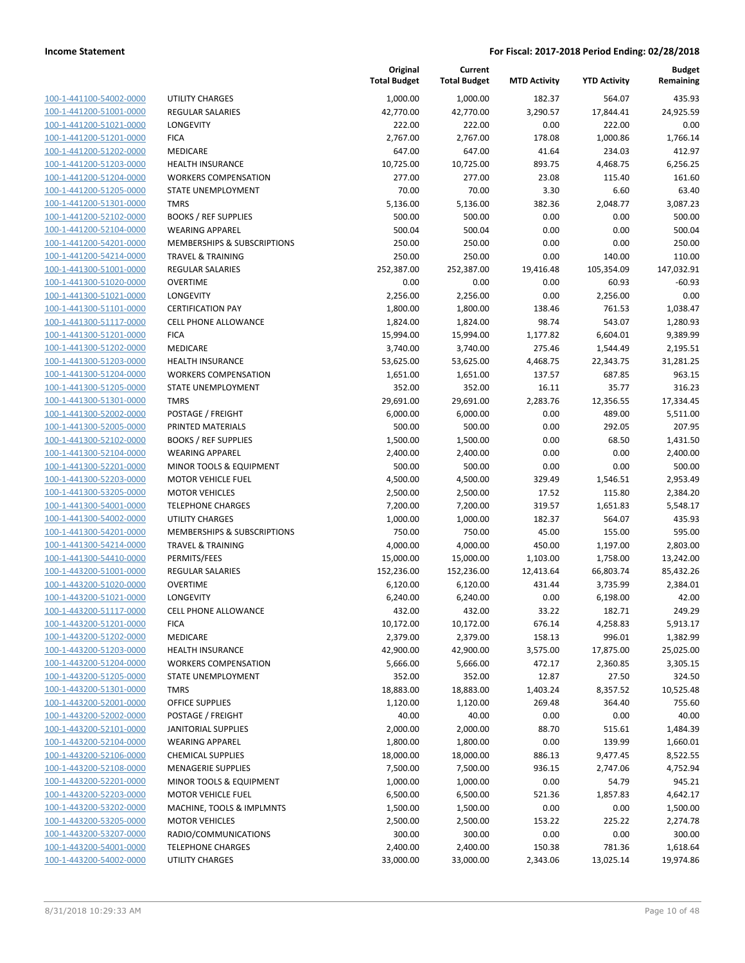| 100-1-441100-54002-0000                      |
|----------------------------------------------|
| 100-1-441200-51001-0000                      |
| 100-1-441200-51021-0000                      |
| <u>100-1-441200-51201-0000</u>               |
| 100-1-441200-51202-0000                      |
| -441200-51203-0000<br>$100 - 1$              |
| 100-1-441200-51204-0000                      |
| 100-1-441200-51205-0000                      |
| <u>100-1-441200-51301-0000</u>               |
| 100-1-441200-52102-0000                      |
|                                              |
| -441200-52104-0000<br>$100-$<br>$\mathbf{1}$ |
| 100-1-441200-54201-0000                      |
| 100-1-441200-54214-0000                      |
| <u>100-1-441300-51001-0000</u>               |
| 100-1-441300-51020-0000                      |
| $-441300 - 51021$<br>$100 - 1$<br>-0000      |
| 100-1-441300-51101-0000                      |
| 100-1-441300-51117-0000                      |
|                                              |
| <u>100-1-441300-51201-0000</u>               |
| 100-1-441300-51202-0000                      |
| -441300-51203-0000<br>$100-$<br>1            |
| 100-1-441300-51204-0000                      |
| 100-1-441300-51205-0000                      |
| <u>100-1-441300-51301-0000</u>               |
| 100-1-441300-52002-0000                      |
| -441300-52005-0000<br>$100 - 1$              |
| 100-1-441300-52102-0000                      |
| 100-1-441300-52104-0000                      |
|                                              |
| <u>100-1-441300-52201-0000</u>               |
| 100-1-441300-52203-0000                      |
| -441300-53205-0000<br>100-<br>1              |
| 100-1-441300-54001-0000                      |
| 100-1-441300-54002-0000                      |
| <u>100-1-441300-54201-0000</u>               |
| 100-1-441300-54214-0000                      |
| 100-1-441300-54410-0000                      |
| 100-1-443200-51001-0000                      |
| 100-1-443200-51020-0000                      |
| 100-1-443200-51021-0000                      |
|                                              |
| 100-1-443200-51117-0000                      |
| -443200-51201-0000<br>$100 - 1$              |
| 100-1-443200-51202-0000                      |
| 100-1-443200-51203-0000                      |
| <u>100-1-443200-51204-0000</u>               |
| 100-1-443200-51205-0000                      |
| 100-1-443200-51301-0000                      |
| 100-1-443200-52001-0000                      |
| 100-1-443200-52002-0000                      |
|                                              |
| <u>100-1-443200-52101-0000</u>               |
| 100-1-443200-52104-0000                      |
| 100-1-443200-52106-0000                      |
| 100-1-443200-52108-0000                      |
| 100-1-443200-52201-0000                      |
| <u>100-1-443200-52203-0000</u>               |
| <u>100-1-443200-53202-0000</u>               |
| <u>100-1-443200-53205-0000</u>               |
| 100-1-443200-53207-0000                      |
| 100-1-443200-54001-0000                      |
|                                              |
| <u>100-1-443200-54002-0000</u>               |

|                                                    |                                          | Original<br><b>Total Budget</b> | Current<br><b>Total Budget</b> | <b>MTD Activity</b> | <b>YTD Activity</b> | <b>Budget</b><br>Remaining |
|----------------------------------------------------|------------------------------------------|---------------------------------|--------------------------------|---------------------|---------------------|----------------------------|
| 100-1-441100-54002-0000                            | <b>UTILITY CHARGES</b>                   | 1,000.00                        | 1,000.00                       | 182.37              | 564.07              | 435.93                     |
| 100-1-441200-51001-0000                            | <b>REGULAR SALARIES</b>                  | 42,770.00                       | 42,770.00                      | 3,290.57            | 17,844.41           | 24,925.59                  |
| 100-1-441200-51021-0000                            | LONGEVITY                                | 222.00                          | 222.00                         | 0.00                | 222.00              | 0.00                       |
| 100-1-441200-51201-0000                            | <b>FICA</b>                              | 2,767.00                        | 2,767.00                       | 178.08              | 1,000.86            | 1,766.14                   |
| 100-1-441200-51202-0000                            | <b>MEDICARE</b>                          | 647.00                          | 647.00                         | 41.64               | 234.03              | 412.97                     |
| 100-1-441200-51203-0000                            | <b>HEALTH INSURANCE</b>                  | 10,725.00                       | 10,725.00                      | 893.75              | 4,468.75            | 6,256.25                   |
| 100-1-441200-51204-0000                            | <b>WORKERS COMPENSATION</b>              | 277.00                          | 277.00                         | 23.08               | 115.40              | 161.60                     |
| 100-1-441200-51205-0000                            | STATE UNEMPLOYMENT                       | 70.00                           | 70.00                          | 3.30                | 6.60                | 63.40                      |
| 100-1-441200-51301-0000                            | <b>TMRS</b>                              | 5,136.00                        | 5,136.00                       | 382.36              | 2,048.77            | 3,087.23                   |
| 100-1-441200-52102-0000                            | <b>BOOKS / REF SUPPLIES</b>              | 500.00                          | 500.00                         | 0.00                | 0.00                | 500.00                     |
| 100-1-441200-52104-0000                            | <b>WEARING APPAREL</b>                   | 500.04                          | 500.04                         | 0.00                | 0.00                | 500.04                     |
| 100-1-441200-54201-0000                            | <b>MEMBERSHIPS &amp; SUBSCRIPTIONS</b>   | 250.00                          | 250.00                         | 0.00                | 0.00                | 250.00                     |
| 100-1-441200-54214-0000                            | <b>TRAVEL &amp; TRAINING</b>             | 250.00                          | 250.00                         | 0.00                | 140.00              | 110.00                     |
| 100-1-441300-51001-0000                            | <b>REGULAR SALARIES</b>                  | 252,387.00                      | 252,387.00                     | 19,416.48           | 105,354.09          | 147,032.91                 |
| 100-1-441300-51020-0000                            | <b>OVERTIME</b>                          | 0.00                            | 0.00                           | 0.00                | 60.93               | $-60.93$                   |
| 100-1-441300-51021-0000                            | LONGEVITY                                | 2,256.00                        | 2,256.00                       | 0.00                | 2,256.00            | 0.00                       |
| 100-1-441300-51101-0000                            | <b>CERTIFICATION PAY</b>                 | 1,800.00                        | 1,800.00                       | 138.46              | 761.53              | 1,038.47                   |
| 100-1-441300-51117-0000                            | CELL PHONE ALLOWANCE                     | 1,824.00                        | 1,824.00                       | 98.74               | 543.07              | 1,280.93                   |
| 100-1-441300-51201-0000                            | <b>FICA</b>                              | 15,994.00                       | 15,994.00                      | 1,177.82            | 6,604.01            | 9,389.99                   |
| 100-1-441300-51202-0000                            | MEDICARE                                 | 3,740.00                        | 3,740.00                       | 275.46              | 1,544.49            | 2,195.51                   |
| 100-1-441300-51203-0000                            | <b>HEALTH INSURANCE</b>                  | 53,625.00                       | 53,625.00                      | 4,468.75            | 22,343.75           | 31,281.25                  |
| 100-1-441300-51204-0000                            | <b>WORKERS COMPENSATION</b>              | 1,651.00                        | 1,651.00                       | 137.57              | 687.85              | 963.15                     |
| 100-1-441300-51205-0000                            | STATE UNEMPLOYMENT                       | 352.00                          | 352.00                         | 16.11               | 35.77               | 316.23                     |
| 100-1-441300-51301-0000                            | <b>TMRS</b>                              | 29,691.00                       | 29,691.00                      | 2,283.76            | 12,356.55           | 17,334.45                  |
| 100-1-441300-52002-0000                            | POSTAGE / FREIGHT                        | 6,000.00                        | 6,000.00                       | 0.00                | 489.00              | 5,511.00                   |
| 100-1-441300-52005-0000                            | PRINTED MATERIALS                        | 500.00                          | 500.00                         | 0.00                | 292.05              | 207.95                     |
| 100-1-441300-52102-0000                            | <b>BOOKS / REF SUPPLIES</b>              | 1,500.00                        | 1,500.00                       | 0.00                | 68.50               | 1,431.50                   |
| 100-1-441300-52104-0000                            | <b>WEARING APPAREL</b>                   | 2,400.00                        | 2,400.00                       | 0.00                | 0.00                | 2,400.00                   |
| 100-1-441300-52201-0000                            | MINOR TOOLS & EQUIPMENT                  | 500.00                          | 500.00                         | 0.00                | 0.00                | 500.00                     |
| 100-1-441300-52203-0000                            | <b>MOTOR VEHICLE FUEL</b>                | 4,500.00                        | 4,500.00                       | 329.49              | 1,546.51            | 2,953.49                   |
| 100-1-441300-53205-0000                            | <b>MOTOR VEHICLES</b>                    | 2,500.00                        | 2,500.00                       | 17.52               | 115.80              | 2,384.20                   |
| 100-1-441300-54001-0000                            | <b>TELEPHONE CHARGES</b>                 | 7,200.00                        | 7,200.00                       | 319.57              | 1,651.83            | 5,548.17                   |
| 100-1-441300-54002-0000                            | <b>UTILITY CHARGES</b>                   | 1,000.00                        | 1,000.00                       | 182.37              | 564.07              | 435.93                     |
| 100-1-441300-54201-0000                            | MEMBERSHIPS & SUBSCRIPTIONS              | 750.00                          | 750.00                         | 45.00               | 155.00              | 595.00                     |
| 100-1-441300-54214-0000                            | <b>TRAVEL &amp; TRAINING</b>             | 4,000.00                        | 4,000.00                       | 450.00              | 1,197.00            | 2,803.00                   |
| 100-1-441300-54410-0000                            | PERMITS/FEES                             | 15,000.00                       | 15,000.00                      | 1,103.00            | 1,758.00            | 13,242.00                  |
| 100-1-443200-51001-0000                            | <b>REGULAR SALARIES</b>                  | 152,236.00                      | 152,236.00                     | 12,413.64           | 66,803.74           | 85,432.26                  |
| 100-1-443200-51020-0000<br>100-1-443200-51021-0000 | OVERTIME                                 | 6,120.00                        | 6,120.00                       | 431.44              | 3,735.99            | 2,384.01                   |
| 100-1-443200-51117-0000                            | <b>LONGEVITY</b><br>CELL PHONE ALLOWANCE | 6,240.00                        | 6,240.00                       | 0.00<br>33.22       | 6,198.00            | 42.00<br>249.29            |
| 100-1-443200-51201-0000                            | <b>FICA</b>                              | 432.00                          | 432.00                         | 676.14              | 182.71<br>4,258.83  | 5,913.17                   |
| 100-1-443200-51202-0000                            | MEDICARE                                 | 10,172.00<br>2,379.00           | 10,172.00<br>2,379.00          |                     | 996.01              | 1,382.99                   |
| 100-1-443200-51203-0000                            | <b>HEALTH INSURANCE</b>                  | 42,900.00                       | 42,900.00                      | 158.13<br>3,575.00  | 17,875.00           | 25,025.00                  |
| 100-1-443200-51204-0000                            | <b>WORKERS COMPENSATION</b>              | 5,666.00                        | 5,666.00                       | 472.17              | 2,360.85            | 3,305.15                   |
| 100-1-443200-51205-0000                            | <b>STATE UNEMPLOYMENT</b>                | 352.00                          | 352.00                         | 12.87               | 27.50               | 324.50                     |
| 100-1-443200-51301-0000                            | <b>TMRS</b>                              | 18,883.00                       | 18,883.00                      | 1,403.24            | 8,357.52            | 10,525.48                  |
| 100-1-443200-52001-0000                            | <b>OFFICE SUPPLIES</b>                   | 1,120.00                        | 1,120.00                       | 269.48              | 364.40              | 755.60                     |
| 100-1-443200-52002-0000                            | POSTAGE / FREIGHT                        | 40.00                           | 40.00                          | 0.00                | 0.00                | 40.00                      |
| 100-1-443200-52101-0000                            | <b>JANITORIAL SUPPLIES</b>               | 2,000.00                        | 2,000.00                       | 88.70               | 515.61              | 1,484.39                   |
| 100-1-443200-52104-0000                            | <b>WEARING APPAREL</b>                   | 1,800.00                        | 1,800.00                       | 0.00                | 139.99              | 1,660.01                   |
| 100-1-443200-52106-0000                            | <b>CHEMICAL SUPPLIES</b>                 | 18,000.00                       | 18,000.00                      | 886.13              | 9,477.45            | 8,522.55                   |
| 100-1-443200-52108-0000                            | <b>MENAGERIE SUPPLIES</b>                | 7,500.00                        | 7,500.00                       | 936.15              | 2,747.06            | 4,752.94                   |
| 100-1-443200-52201-0000                            | MINOR TOOLS & EQUIPMENT                  | 1,000.00                        | 1,000.00                       | 0.00                | 54.79               | 945.21                     |
| 100-1-443200-52203-0000                            | <b>MOTOR VEHICLE FUEL</b>                | 6,500.00                        | 6,500.00                       | 521.36              | 1,857.83            | 4,642.17                   |
| 100-1-443200-53202-0000                            | MACHINE, TOOLS & IMPLMNTS                | 1,500.00                        | 1,500.00                       | 0.00                | 0.00                | 1,500.00                   |
| 100-1-443200-53205-0000                            | <b>MOTOR VEHICLES</b>                    | 2,500.00                        | 2,500.00                       | 153.22              | 225.22              | 2,274.78                   |
| 100-1-443200-53207-0000                            | RADIO/COMMUNICATIONS                     | 300.00                          | 300.00                         | 0.00                | 0.00                | 300.00                     |
| 100-1-443200-54001-0000                            | <b>TELEPHONE CHARGES</b>                 | 2,400.00                        | 2,400.00                       | 150.38              | 781.36              | 1,618.64                   |
| 100-1-443200-54002-0000                            | <b>UTILITY CHARGES</b>                   | 33,000.00                       | 33,000.00                      | 2,343.06            | 13,025.14           | 19,974.86                  |
|                                                    |                                          |                                 |                                |                     |                     |                            |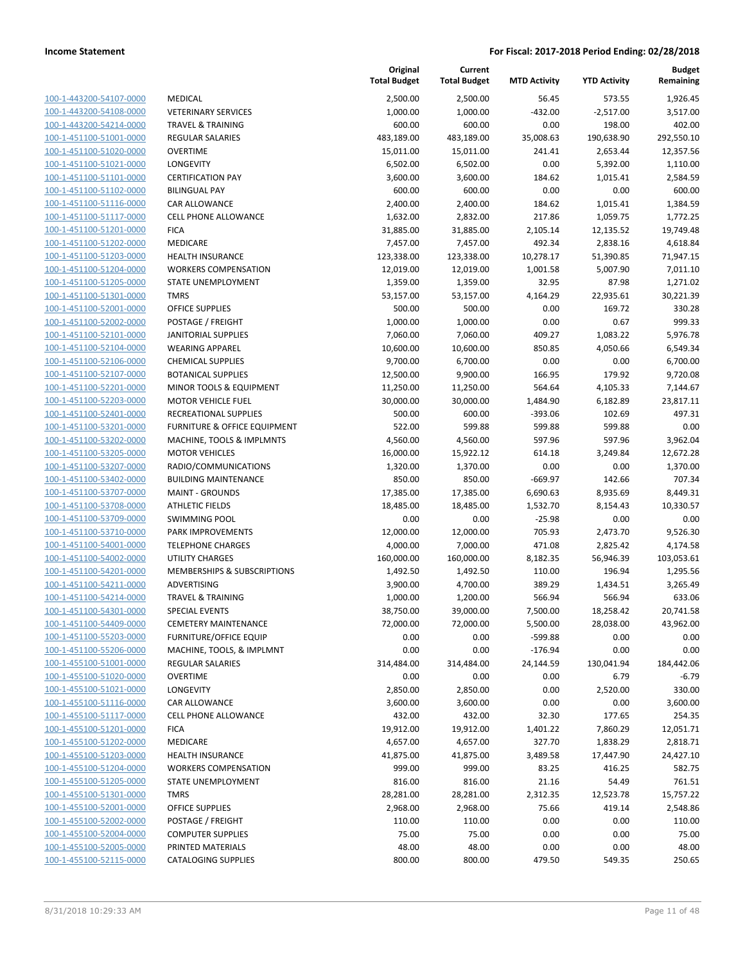| 100-1-443200-54107-0000        |
|--------------------------------|
| 100-1-443200-54108-0000        |
| 100-1-443200-54214-0000        |
| 100-1-451100-51001-0000        |
| <u>100-1-451100-51020-0000</u> |
| 100-1-451100-51021-0000        |
| 100-1-451100-51101-0000        |
| 100-1-451100-51102-0000        |
| 100-1-451100-51116-0000        |
| <u>100-1-451100-51117-0000</u> |
| 100-1-451100-51201-0000        |
| 100-1-451100-51202-0000        |
| 100-1-451100-51203-0000        |
| 100-1-451100-51204-0000        |
| <u>100-1-451100-51205-0000</u> |
| 100-1-451100-51301-0000        |
| 100-1-451100-52001-0000        |
| 100-1-451100-52002-0000        |
| 100-1-451100-52101-0000        |
| 100-1-451100-52104-0000        |
| 100-1-451100-52106-0000        |
| 100-1-451100-52107-0000        |
| 100-1-451100-52201-0000        |
| 100-1-451100-52203-0000        |
| 100-1-451100-52401-0000        |
| 100-1-451100-53201-0000        |
|                                |
| 100-1-451100-53202-0000        |
| 100-1-451100-53205-0000        |
| 100-1-451100-53207-0000        |
| 100-1-451100-53402-0000        |
| 100-1-451100-53707-0000        |
| 100-1-451100-53708-0000        |
| 100-1-451100-53709-0000        |
| 100-1-451100-53710-0000        |
| <u>100-1-451100-54001-0000</u> |
| 100-1-451100-54002-0000        |
| 100-1-451100-54201-0000        |
| 100-1-451100-54211-0000        |
| 100-1-451100-54214-0000        |
| 100-1-451100-54301-0000        |
| 100-1-451100-54409-0000        |
| <u>100-1-451100-55203-0000</u> |
| 100-1-451100-55206-0000        |
| <u>100-1-455100-51001-0000</u> |
| <u>100-1-455100-51020-0000</u> |
| 100-1-455100-51021-0000        |
| 100-1-455100-51116-0000        |
| 100-1-455100-51117-0000        |
| <u>100-1-455100-51201-0000</u> |
| <u>100-1-455100-51202-0000</u> |
| 100-1-455100-51203-0000        |
| 100-1-455100-51204-0000        |
| 100-1-455100-51205-0000        |
| <u>100-1-455100-51301-0000</u> |
| <u>100-1-455100-52001-0000</u> |
| <u>100-1-455100-52002-0000</u> |
| <u>100-1-455100-52004-0000</u> |
| 100-1-455100-52005-0000        |
| 100-1-455100-52115-0000        |
|                                |

| <b>MEDICAL</b>                             |
|--------------------------------------------|
| <b>VETERINARY SERVICES</b>                 |
| <b>TRAVEL &amp; TRAINING</b>               |
| <b>REGULAR SALARIES</b>                    |
| <b>OVERTIME</b>                            |
| <b>LONGEVITY</b>                           |
| <b>CERTIFICATION PAY</b>                   |
| <b>BILINGUAL PAY</b>                       |
| CAR ALLOWANCE                              |
| <b>CELL PHONE ALLOWANCE</b>                |
| <b>FICA</b>                                |
| <b>MEDICARE</b>                            |
| <b>HEALTH INSURANCE</b>                    |
| <b>WORKERS COMPENSATION</b>                |
| STATE UNEMPLOYMENT                         |
| <b>TMRS</b><br>OFFICE SUPPLIES             |
| <b>POSTAGE / FREIGHT</b>                   |
| <b>JANITORIAL SUPPLIES</b>                 |
| <b>WEARING APPAREL</b>                     |
| <b>CHEMICAL SUPPLIES</b>                   |
| <b>BOTANICAL SUPPLIES</b>                  |
| <b>MINOR TOOLS &amp; EQUIPMENT</b>         |
| <b>MOTOR VEHICLE FUEL</b>                  |
| RECREATIONAL SUPPLIES                      |
| <b>FURNITURE &amp; OFFICE EQUIPMENT</b>    |
| MACHINE, TOOLS & IMPLMNTS                  |
| <b>MOTOR VEHICLES</b>                      |
| RADIO/COMMUNICATIONS                       |
| <b>BUILDING MAINTENANCE</b>                |
| <b>MAINT - GROUNDS</b>                     |
| <b>ATHLETIC FIELDS</b>                     |
| <b>SWIMMING POOL</b>                       |
| <b>PARK IMPROVEMENTS</b>                   |
| <b>TELEPHONE CHARGES</b>                   |
| UTILITY CHARGES                            |
| <b>MEMBERSHIPS &amp; SUBSCRIPTIONS</b>     |
| <b>ADVERTISING</b>                         |
| <b>TRAVEL &amp; TRAINING</b>               |
| <b>SPECIAL EVENTS</b>                      |
| <b>CEMETERY MAINTENANCE</b>                |
| <b>FURNITURE/OFFICE EQUIP</b>              |
| MACHINE, TOOLS, & IMPLMNT                  |
| <b>REGULAR SALARIES</b>                    |
| <b>OVERTIME</b>                            |
| <b>LONGEVITY</b>                           |
| <b>CAR ALLOWANCE</b>                       |
| <b>CELL PHONE ALLOWANCE</b><br><b>FICA</b> |
| <b>MEDICARE</b>                            |
| <b>HEALTH INSURANCE</b>                    |
| <b>WORKERS COMPENSATION</b>                |
| STATE UNEMPLOYMENT                         |
| <b>TMRS</b>                                |
| <b>OFFICE SUPPLIES</b>                     |
| POSTAGE / FREIGHT                          |
| <b>COMPUTER SUPPLIES</b>                   |
| PRINTED MATERIALS                          |
| <b>CATALOGING SUPPLIES</b>                 |

|                                                    |                                               | Original<br><b>Total Budget</b> | Current<br><b>Total Budget</b> | <b>MTD Activity</b> | <b>YTD Activity</b> | <b>Budget</b><br>Remaining |
|----------------------------------------------------|-----------------------------------------------|---------------------------------|--------------------------------|---------------------|---------------------|----------------------------|
| 100-1-443200-54107-0000                            | MEDICAL                                       | 2,500.00                        | 2,500.00                       | 56.45               | 573.55              | 1,926.45                   |
| 100-1-443200-54108-0000                            | <b>VETERINARY SERVICES</b>                    | 1,000.00                        | 1,000.00                       | $-432.00$           | $-2,517.00$         | 3,517.00                   |
| 100-1-443200-54214-0000                            | <b>TRAVEL &amp; TRAINING</b>                  | 600.00                          | 600.00                         | 0.00                | 198.00              | 402.00                     |
| 100-1-451100-51001-0000                            | <b>REGULAR SALARIES</b>                       | 483,189.00                      | 483,189.00                     | 35,008.63           | 190,638.90          | 292,550.10                 |
| 100-1-451100-51020-0000                            | <b>OVERTIME</b>                               | 15,011.00                       | 15,011.00                      | 241.41              | 2,653.44            | 12,357.56                  |
| 100-1-451100-51021-0000                            | LONGEVITY                                     | 6,502.00                        | 6,502.00                       | 0.00                | 5,392.00            | 1,110.00                   |
| 100-1-451100-51101-0000                            | <b>CERTIFICATION PAY</b>                      | 3,600.00                        | 3,600.00                       | 184.62              | 1,015.41            | 2,584.59                   |
| 100-1-451100-51102-0000                            | <b>BILINGUAL PAY</b>                          | 600.00                          | 600.00                         | 0.00                | 0.00                | 600.00                     |
| 100-1-451100-51116-0000                            | <b>CAR ALLOWANCE</b>                          | 2,400.00                        | 2,400.00                       | 184.62              | 1,015.41            | 1,384.59                   |
| 100-1-451100-51117-0000                            | <b>CELL PHONE ALLOWANCE</b>                   | 1,632.00                        | 2,832.00                       | 217.86              | 1,059.75            | 1,772.25                   |
| 100-1-451100-51201-0000                            | <b>FICA</b>                                   | 31,885.00                       | 31,885.00                      | 2,105.14            | 12,135.52           | 19,749.48                  |
| 100-1-451100-51202-0000                            | MEDICARE                                      | 7,457.00                        | 7,457.00                       | 492.34              | 2,838.16            | 4,618.84                   |
| 100-1-451100-51203-0000                            | <b>HEALTH INSURANCE</b>                       | 123,338.00                      | 123,338.00                     | 10,278.17           | 51,390.85           | 71,947.15                  |
| 100-1-451100-51204-0000                            | <b>WORKERS COMPENSATION</b>                   | 12,019.00                       | 12,019.00                      | 1,001.58            | 5,007.90            | 7,011.10                   |
| 100-1-451100-51205-0000                            | STATE UNEMPLOYMENT                            | 1,359.00                        | 1,359.00                       | 32.95               | 87.98               | 1,271.02                   |
| 100-1-451100-51301-0000                            | <b>TMRS</b>                                   | 53,157.00                       | 53,157.00                      | 4,164.29            | 22,935.61           | 30,221.39                  |
| 100-1-451100-52001-0000                            | OFFICE SUPPLIES                               | 500.00                          | 500.00                         | 0.00                | 169.72              | 330.28                     |
| 100-1-451100-52002-0000                            | POSTAGE / FREIGHT                             | 1,000.00                        | 1,000.00                       | 0.00                | 0.67                | 999.33                     |
| 100-1-451100-52101-0000                            | <b>JANITORIAL SUPPLIES</b>                    | 7,060.00                        | 7,060.00                       | 409.27              | 1,083.22            | 5,976.78                   |
| 100-1-451100-52104-0000                            | <b>WEARING APPAREL</b>                        | 10,600.00                       | 10,600.00                      | 850.85              | 4,050.66            | 6,549.34                   |
| 100-1-451100-52106-0000                            | <b>CHEMICAL SUPPLIES</b>                      | 9,700.00                        | 6,700.00                       | 0.00                | 0.00                | 6,700.00                   |
| 100-1-451100-52107-0000                            | <b>BOTANICAL SUPPLIES</b>                     | 12,500.00                       | 9,900.00                       | 166.95              | 179.92              | 9,720.08                   |
| 100-1-451100-52201-0000                            | MINOR TOOLS & EQUIPMENT                       | 11,250.00                       | 11,250.00                      | 564.64              | 4,105.33            | 7,144.67                   |
| 100-1-451100-52203-0000                            | <b>MOTOR VEHICLE FUEL</b>                     | 30,000.00                       | 30,000.00                      | 1,484.90            | 6,182.89            | 23,817.11                  |
| 100-1-451100-52401-0000                            | RECREATIONAL SUPPLIES                         | 500.00                          | 600.00                         | $-393.06$           | 102.69              | 497.31                     |
| 100-1-451100-53201-0000                            | FURNITURE & OFFICE EQUIPMENT                  | 522.00                          | 599.88                         | 599.88              | 599.88              | 0.00                       |
| 100-1-451100-53202-0000                            | MACHINE, TOOLS & IMPLMNTS                     | 4,560.00                        | 4,560.00                       | 597.96              | 597.96              | 3,962.04                   |
| 100-1-451100-53205-0000                            | <b>MOTOR VEHICLES</b>                         | 16,000.00                       | 15,922.12                      | 614.18              | 3,249.84            | 12,672.28                  |
| 100-1-451100-53207-0000                            | RADIO/COMMUNICATIONS                          | 1,320.00                        | 1,370.00                       | 0.00                | 0.00                | 1,370.00                   |
| 100-1-451100-53402-0000                            | <b>BUILDING MAINTENANCE</b>                   | 850.00                          | 850.00                         | $-669.97$           | 142.66              | 707.34                     |
| 100-1-451100-53707-0000                            | <b>MAINT - GROUNDS</b>                        | 17,385.00                       | 17,385.00                      | 6,690.63            | 8,935.69            | 8,449.31                   |
| 100-1-451100-53708-0000                            | <b>ATHLETIC FIELDS</b>                        | 18,485.00                       | 18,485.00                      | 1,532.70            | 8,154.43            | 10,330.57                  |
| 100-1-451100-53709-0000                            | <b>SWIMMING POOL</b>                          | 0.00                            | 0.00                           | $-25.98$            | 0.00                | 0.00                       |
| 100-1-451100-53710-0000                            | PARK IMPROVEMENTS                             | 12,000.00                       | 12,000.00                      | 705.93              | 2,473.70            | 9,526.30                   |
| 100-1-451100-54001-0000                            | <b>TELEPHONE CHARGES</b>                      | 4,000.00                        | 7,000.00                       | 471.08              | 2,825.42            | 4,174.58                   |
| 100-1-451100-54002-0000                            | <b>UTILITY CHARGES</b>                        | 160,000.00                      | 160,000.00                     | 8,182.35            | 56,946.39           | 103,053.61                 |
| 100-1-451100-54201-0000                            | MEMBERSHIPS & SUBSCRIPTIONS                   | 1,492.50                        | 1,492.50                       | 110.00              | 196.94              | 1,295.56                   |
| 100-1-451100-54211-0000                            | ADVERTISING                                   | 3,900.00                        | 4,700.00                       | 389.29              | 1,434.51            | 3,265.49                   |
| 100-1-451100-54214-0000                            | <b>TRAVEL &amp; TRAINING</b>                  | 1,000.00                        | 1,200.00                       | 566.94              | 566.94              | 633.06                     |
| 100-1-451100-54301-0000                            | SPECIAL EVENTS                                | 38,750.00                       | 39,000.00                      | 7,500.00            | 18,258.42           | 20,741.58                  |
| 100-1-451100-54409-0000                            | <b>CEMETERY MAINTENANCE</b>                   | 72,000.00                       | 72,000.00                      | 5,500.00            | 28,038.00           | 43,962.00                  |
| 100-1-451100-55203-0000                            | <b>FURNITURE/OFFICE EQUIP</b>                 | 0.00                            | 0.00                           | -599.88             | 0.00                | 0.00                       |
| 100-1-451100-55206-0000                            | MACHINE, TOOLS, & IMPLMNT                     | 0.00                            | 0.00                           | $-176.94$           | 0.00                | 0.00                       |
| 100-1-455100-51001-0000                            | <b>REGULAR SALARIES</b>                       | 314,484.00                      | 314,484.00                     | 24,144.59           | 130,041.94          | 184,442.06                 |
| 100-1-455100-51020-0000                            | <b>OVERTIME</b>                               | 0.00                            | 0.00                           | 0.00                | 6.79                | $-6.79$                    |
| 100-1-455100-51021-0000                            | LONGEVITY                                     | 2,850.00                        | 2,850.00                       | 0.00                | 2,520.00            | 330.00                     |
| 100-1-455100-51116-0000                            | CAR ALLOWANCE                                 | 3,600.00                        | 3,600.00                       | 0.00                | 0.00                | 3,600.00                   |
| 100-1-455100-51117-0000                            | <b>CELL PHONE ALLOWANCE</b>                   | 432.00                          | 432.00                         | 32.30               | 177.65              | 254.35                     |
| 100-1-455100-51201-0000                            | <b>FICA</b>                                   | 19,912.00                       | 19,912.00                      | 1,401.22            | 7,860.29            | 12,051.71                  |
| 100-1-455100-51202-0000                            | MEDICARE                                      | 4,657.00                        | 4,657.00                       | 327.70              | 1,838.29            | 2,818.71                   |
| 100-1-455100-51203-0000                            | <b>HEALTH INSURANCE</b>                       | 41,875.00                       | 41,875.00                      | 3,489.58            | 17,447.90           | 24,427.10                  |
| 100-1-455100-51204-0000                            | <b>WORKERS COMPENSATION</b>                   | 999.00                          | 999.00                         | 83.25               | 416.25              | 582.75                     |
| 100-1-455100-51205-0000                            | STATE UNEMPLOYMENT                            | 816.00                          | 816.00                         | 21.16               | 54.49               | 761.51                     |
| 100-1-455100-51301-0000                            | <b>TMRS</b>                                   | 28,281.00                       | 28,281.00                      | 2,312.35            | 12,523.78           | 15,757.22                  |
| 100-1-455100-52001-0000<br>100-1-455100-52002-0000 | OFFICE SUPPLIES                               | 2,968.00                        | 2,968.00                       | 75.66               | 419.14              | 2,548.86                   |
|                                                    | POSTAGE / FREIGHT                             | 110.00                          | 110.00                         | 0.00                | 0.00                | 110.00                     |
| 100-1-455100-52004-0000                            | <b>COMPUTER SUPPLIES</b><br>PRINTED MATERIALS | 75.00                           | 75.00                          | 0.00                | 0.00                | 75.00                      |
| 100-1-455100-52005-0000<br>100-1-455100-52115-0000 |                                               | 48.00                           | 48.00                          | 0.00                | 0.00                | 48.00                      |
|                                                    | <b>CATALOGING SUPPLIES</b>                    | 800.00                          | 800.00                         | 479.50              | 549.35              | 250.65                     |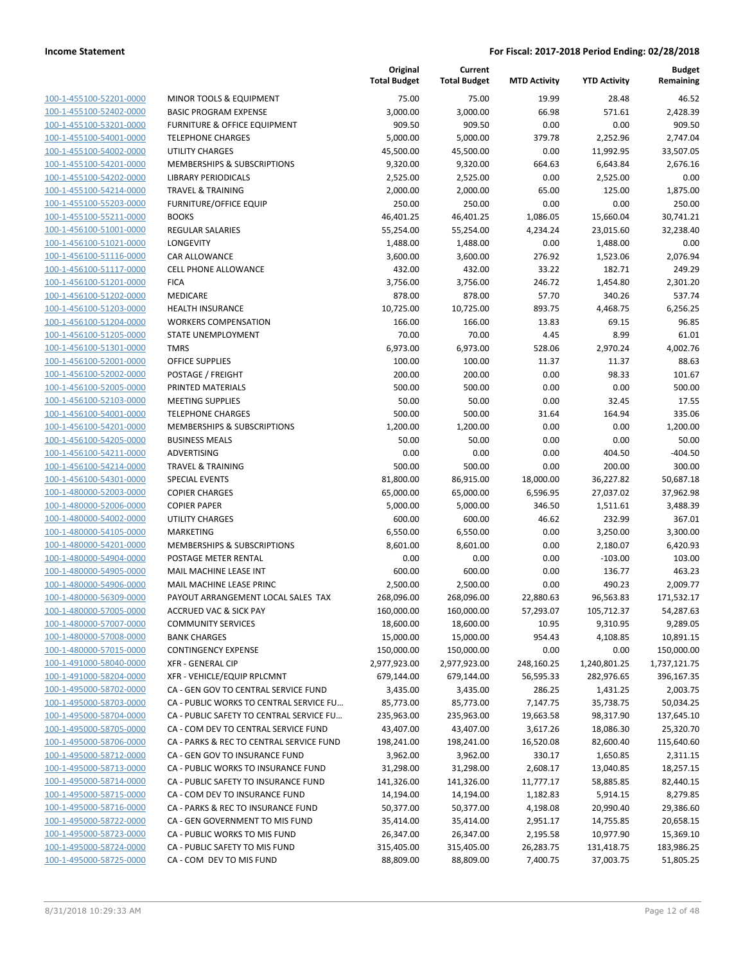| 100-1-455100-52201-0000                            | M  |
|----------------------------------------------------|----|
| 100-1-455100-52402-0000                            | B/ |
| 100-1-455100-53201-0000                            | Fl |
| 100-1-455100-54001-0000                            | ΤE |
| 100-1-455100-54002-0000                            | n. |
| 100-1-455100-54201-0000                            | M  |
| 100-1-455100-54202-0000                            | Ц  |
| 100-1-455100-54214-0000                            | ΤF |
|                                                    | Fl |
| 100-1-455100-55203-0000<br>100-1-455100-55211-0000 | B  |
|                                                    |    |
| 100-1-456100-51001-0000                            | RI |
| 100-1-456100-51021-0000                            | LC |
| 100-1-456100-51116-0000                            | C/ |
| 100-1-456100-51117-0000                            | C  |
| 100-1-456100-51201-0000                            | FI |
| 100-1-456100-51202-0000                            | M  |
| 100-1-456100-51203-0000                            | н  |
| 100-1-456100-51204-0000                            | W  |
| 100-1-456100-51205-0000                            | S1 |
| 100-1-456100-51301-0000                            | T١ |
| 100-1-456100-52001-0000                            | O  |
| 100-1-456100-52002-0000                            | P( |
| 100-1-456100-52005-0000                            | PF |
| 100-1-456100-52103-0000                            | M  |
| 100-1-456100-54001-0000                            | ΤE |
| 100-1-456100-54201-0000                            | M  |
| 100-1-456100-54205-0000                            | BΙ |
| 100-1-456100-54211-0000                            | Al |
| 100-1-456100-54214-0000                            | ΤF |
| 100-1-456100-54301-0000                            | SF |
| 100-1-480000-52003-0000                            | C( |
| 100-1-480000-52006-0000                            | C( |
|                                                    | n. |
| 100-1-480000-54002-0000                            | M  |
| 100-1-480000-54105-0000                            |    |
| 100-1-480000-54201-0000                            | M  |
| 100-1-480000-54904-0000                            | P( |
| 100-1-480000-54905-0000                            | M  |
| 100-1-480000-54906-0000                            | M  |
| 100-1-480000-56309-0000                            | P/ |
| 100-1-480000-57005-0000                            | A  |
| 100-1-480000-57007-0000                            | C( |
| 100-1-480000-57008-0000                            | B١ |
| 100-1-480000-57015-0000                            | C( |
| 100-1-491000-58040-0000                            | ΧI |
| 100-1-491000-58204-0000                            | ΧI |
| 100-1-495000-58702-0000                            | C/ |
| 100-1-495000-58703-0000                            | C/ |
| 100-1-495000-58704-0000                            | C/ |
| <u>100-1-495000-58705-0000</u>                     | C/ |
| 100-1-495000-58706-0000                            | C/ |
| 100-1-495000-58712-0000                            | C/ |
| 100-1-495000-58713-0000                            | C/ |
| 100-1-495000-58714-0000                            | C/ |
| <u>100-1-495000-58715-0000</u>                     | C/ |
| <u>100-1-495000-58716-0000</u>                     | C/ |
| 100-1-495000-58722-0000                            | C/ |
| 100-1-495000-58723-0000                            | C/ |
| 100-1-495000-58724-0000                            | C١ |
| 100-1-495000-58725-0000                            | C/ |
|                                                    |    |
|                                                    |    |

|                         |                                          | Original<br><b>Total Budget</b> | Current<br><b>Total Budget</b> | <b>MTD Activity</b> | <b>YTD Activity</b> | <b>Budget</b><br>Remaining |
|-------------------------|------------------------------------------|---------------------------------|--------------------------------|---------------------|---------------------|----------------------------|
| 100-1-455100-52201-0000 | MINOR TOOLS & EQUIPMENT                  | 75.00                           | 75.00                          | 19.99               | 28.48               | 46.52                      |
| 100-1-455100-52402-0000 | <b>BASIC PROGRAM EXPENSE</b>             | 3,000.00                        | 3,000.00                       | 66.98               | 571.61              | 2,428.39                   |
| 100-1-455100-53201-0000 | <b>FURNITURE &amp; OFFICE EQUIPMENT</b>  | 909.50                          | 909.50                         | 0.00                | 0.00                | 909.50                     |
| 100-1-455100-54001-0000 | <b>TELEPHONE CHARGES</b>                 | 5,000.00                        | 5,000.00                       | 379.78              | 2,252.96            | 2.747.04                   |
| 100-1-455100-54002-0000 | <b>UTILITY CHARGES</b>                   | 45,500.00                       | 45,500.00                      | 0.00                | 11,992.95           | 33,507.05                  |
| 100-1-455100-54201-0000 | MEMBERSHIPS & SUBSCRIPTIONS              | 9,320.00                        | 9,320.00                       | 664.63              | 6,643.84            | 2,676.16                   |
| 100-1-455100-54202-0000 | <b>LIBRARY PERIODICALS</b>               | 2,525.00                        | 2,525.00                       | 0.00                | 2,525.00            | 0.00                       |
| 100-1-455100-54214-0000 | <b>TRAVEL &amp; TRAINING</b>             | 2,000.00                        | 2,000.00                       | 65.00               | 125.00              | 1,875.00                   |
| 100-1-455100-55203-0000 | <b>FURNITURE/OFFICE EQUIP</b>            | 250.00                          | 250.00                         | 0.00                | 0.00                | 250.00                     |
| 100-1-455100-55211-0000 | <b>BOOKS</b>                             | 46,401.25                       | 46,401.25                      | 1,086.05            | 15,660.04           | 30,741.21                  |
| 100-1-456100-51001-0000 | <b>REGULAR SALARIES</b>                  | 55,254.00                       | 55,254.00                      | 4,234.24            | 23,015.60           | 32,238.40                  |
| 100-1-456100-51021-0000 | <b>LONGEVITY</b>                         | 1,488.00                        | 1,488.00                       | 0.00                | 1,488.00            | 0.00                       |
| 100-1-456100-51116-0000 | <b>CAR ALLOWANCE</b>                     | 3,600.00                        | 3,600.00                       | 276.92              | 1,523.06            | 2,076.94                   |
| 100-1-456100-51117-0000 | <b>CELL PHONE ALLOWANCE</b>              | 432.00                          | 432.00                         | 33.22               | 182.71              | 249.29                     |
| 100-1-456100-51201-0000 | <b>FICA</b>                              | 3,756.00                        | 3,756.00                       | 246.72              | 1,454.80            | 2,301.20                   |
| 100-1-456100-51202-0000 | MEDICARE                                 | 878.00                          | 878.00                         | 57.70               | 340.26              | 537.74                     |
| 100-1-456100-51203-0000 | <b>HEALTH INSURANCE</b>                  | 10,725.00                       | 10,725.00                      | 893.75              | 4,468.75            | 6,256.25                   |
| 100-1-456100-51204-0000 | <b>WORKERS COMPENSATION</b>              | 166.00                          | 166.00                         | 13.83               | 69.15               | 96.85                      |
| 100-1-456100-51205-0000 | STATE UNEMPLOYMENT                       | 70.00                           | 70.00                          | 4.45                | 8.99                | 61.01                      |
| 100-1-456100-51301-0000 | <b>TMRS</b>                              | 6,973.00                        | 6,973.00                       | 528.06              | 2,970.24            | 4,002.76                   |
| 100-1-456100-52001-0000 | <b>OFFICE SUPPLIES</b>                   | 100.00                          | 100.00                         | 11.37               | 11.37               | 88.63                      |
| 100-1-456100-52002-0000 | POSTAGE / FREIGHT                        | 200.00                          | 200.00                         | 0.00                | 98.33               | 101.67                     |
| 100-1-456100-52005-0000 | PRINTED MATERIALS                        | 500.00                          | 500.00                         | 0.00                | 0.00                | 500.00                     |
| 100-1-456100-52103-0000 | <b>MEETING SUPPLIES</b>                  | 50.00                           | 50.00                          | 0.00                | 32.45               | 17.55                      |
| 100-1-456100-54001-0000 | <b>TELEPHONE CHARGES</b>                 | 500.00                          | 500.00                         | 31.64               | 164.94              | 335.06                     |
| 100-1-456100-54201-0000 | MEMBERSHIPS & SUBSCRIPTIONS              | 1,200.00                        | 1,200.00                       | 0.00                | 0.00                | 1,200.00                   |
| 100-1-456100-54205-0000 | <b>BUSINESS MEALS</b>                    | 50.00                           | 50.00                          | 0.00                | 0.00                | 50.00                      |
| 100-1-456100-54211-0000 | ADVERTISING                              | 0.00                            | 0.00                           | 0.00                | 404.50              | $-404.50$                  |
| 100-1-456100-54214-0000 | <b>TRAVEL &amp; TRAINING</b>             | 500.00                          | 500.00                         | 0.00                | 200.00              | 300.00                     |
| 100-1-456100-54301-0000 | <b>SPECIAL EVENTS</b>                    | 81,800.00                       | 86,915.00                      | 18,000.00           | 36,227.82           | 50,687.18                  |
| 100-1-480000-52003-0000 | <b>COPIER CHARGES</b>                    | 65,000.00                       | 65,000.00                      | 6,596.95            | 27,037.02           | 37,962.98                  |
| 100-1-480000-52006-0000 | <b>COPIER PAPER</b>                      | 5,000.00                        | 5,000.00                       | 346.50              | 1,511.61            | 3,488.39                   |
| 100-1-480000-54002-0000 | <b>UTILITY CHARGES</b>                   | 600.00                          | 600.00                         | 46.62               | 232.99              | 367.01                     |
| 100-1-480000-54105-0000 | <b>MARKETING</b>                         | 6,550.00                        | 6,550.00                       | 0.00                | 3,250.00            | 3,300.00                   |
| 100-1-480000-54201-0000 | MEMBERSHIPS & SUBSCRIPTIONS              | 8,601.00                        | 8,601.00                       | 0.00                | 2,180.07            | 6,420.93                   |
| 100-1-480000-54904-0000 | POSTAGE METER RENTAL                     | 0.00                            | 0.00                           | 0.00                | $-103.00$           | 103.00                     |
| 100-1-480000-54905-0000 | MAIL MACHINE LEASE INT                   | 600.00                          | 600.00                         | 0.00                | 136.77              | 463.23                     |
| 100-1-480000-54906-0000 | <b>MAIL MACHINE LEASE PRINC</b>          | 2,500.00                        | 2,500.00                       | 0.00                | 490.23              | 2,009.77                   |
| 100-1-480000-56309-0000 | PAYOUT ARRANGEMENT LOCAL SALES TAX       | 268,096.00                      | 268,096.00                     | 22,880.63           | 96,563.83           | 171,532.17                 |
| 100-1-480000-57005-0000 | ACCRUED VAC & SICK PAY                   | 160,000.00                      | 160,000.00                     | 57,293.07           | 105,712.37          | 54,287.63                  |
| 100-1-480000-57007-0000 | <b>COMMUNITY SERVICES</b>                | 18,600.00                       | 18,600.00                      | 10.95               | 9,310.95            | 9,289.05                   |
| 100-1-480000-57008-0000 | <b>BANK CHARGES</b>                      | 15,000.00                       | 15,000.00                      | 954.43              | 4,108.85            | 10,891.15                  |
| 100-1-480000-57015-0000 | <b>CONTINGENCY EXPENSE</b>               | 150,000.00                      | 150,000.00                     | 0.00                | 0.00                | 150,000.00                 |
| 100-1-491000-58040-0000 | <b>XFR - GENERAL CIP</b>                 | 2,977,923.00                    | 2,977,923.00                   | 248,160.25          | 1,240,801.25        | 1,737,121.75               |
| 100-1-491000-58204-0000 | XFR - VEHICLE/EQUIP RPLCMNT              | 679,144.00                      | 679,144.00                     | 56,595.33           | 282,976.65          | 396,167.35                 |
| 100-1-495000-58702-0000 | CA - GEN GOV TO CENTRAL SERVICE FUND     | 3,435.00                        | 3,435.00                       | 286.25              | 1,431.25            | 2,003.75                   |
| 100-1-495000-58703-0000 | CA - PUBLIC WORKS TO CENTRAL SERVICE FU  | 85,773.00                       | 85,773.00                      | 7,147.75            | 35,738.75           | 50,034.25                  |
| 100-1-495000-58704-0000 | CA - PUBLIC SAFETY TO CENTRAL SERVICE FU | 235,963.00                      | 235,963.00                     | 19,663.58           | 98,317.90           | 137,645.10                 |
| 100-1-495000-58705-0000 | CA - COM DEV TO CENTRAL SERVICE FUND     | 43,407.00                       | 43,407.00                      | 3,617.26            | 18,086.30           | 25,320.70                  |
| 100-1-495000-58706-0000 | CA - PARKS & REC TO CENTRAL SERVICE FUND | 198,241.00                      | 198,241.00                     | 16,520.08           | 82,600.40           | 115,640.60                 |
| 100-1-495000-58712-0000 | CA - GEN GOV TO INSURANCE FUND           | 3,962.00                        | 3,962.00                       | 330.17              | 1,650.85            | 2,311.15                   |
| 100-1-495000-58713-0000 | CA - PUBLIC WORKS TO INSURANCE FUND      | 31,298.00                       | 31,298.00                      | 2,608.17            | 13,040.85           | 18,257.15                  |
| 100-1-495000-58714-0000 | CA - PUBLIC SAFETY TO INSURANCE FUND     | 141,326.00                      | 141,326.00                     | 11,777.17           | 58,885.85           | 82,440.15                  |
| 100-1-495000-58715-0000 | CA - COM DEV TO INSURANCE FUND           | 14,194.00                       | 14,194.00                      | 1,182.83            | 5,914.15            | 8,279.85                   |
| 100-1-495000-58716-0000 | CA - PARKS & REC TO INSURANCE FUND       | 50,377.00                       | 50,377.00                      | 4,198.08            | 20,990.40           | 29,386.60                  |
| 100-1-495000-58722-0000 | CA - GEN GOVERNMENT TO MIS FUND          | 35,414.00                       | 35,414.00                      | 2,951.17            | 14,755.85           | 20,658.15                  |
| 100-1-495000-58723-0000 | CA - PUBLIC WORKS TO MIS FUND            | 26,347.00                       | 26,347.00                      | 2,195.58            | 10,977.90           | 15,369.10                  |
| 100-1-495000-58724-0000 | CA - PUBLIC SAFETY TO MIS FUND           | 315,405.00                      | 315,405.00                     | 26,283.75           | 131,418.75          | 183,986.25                 |
| 100-1-495000-58725-0000 | CA - COM DEV TO MIS FUND                 | 88,809.00                       | 88,809.00                      | 7,400.75            | 37,003.75           | 51,805.25                  |
|                         |                                          |                                 |                                |                     |                     |                            |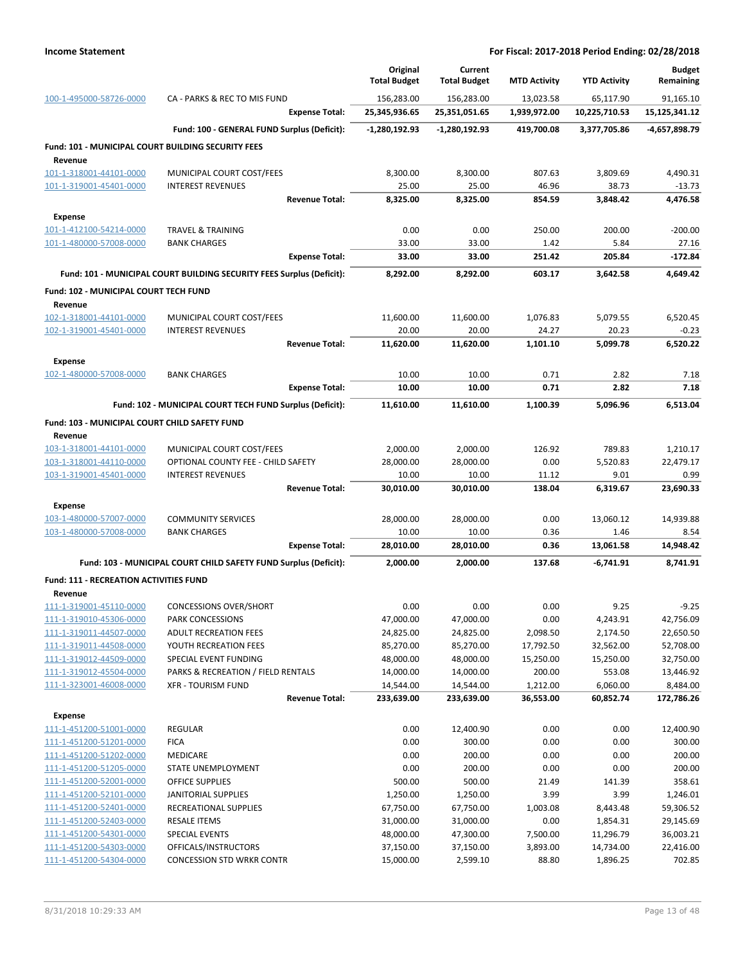|                                                          |                                                                       | Original<br><b>Total Budget</b> | Current<br><b>Total Budget</b> | <b>MTD Activity</b> | <b>YTD Activity</b>   | <b>Budget</b><br>Remaining |
|----------------------------------------------------------|-----------------------------------------------------------------------|---------------------------------|--------------------------------|---------------------|-----------------------|----------------------------|
| 100-1-495000-58726-0000                                  | CA - PARKS & REC TO MIS FUND                                          | 156,283.00                      | 156,283.00                     | 13,023.58           | 65,117.90             | 91,165.10                  |
|                                                          | <b>Expense Total:</b>                                                 | 25,345,936.65                   | 25,351,051.65                  | 1,939,972.00        | 10,225,710.53         | 15,125,341.12              |
|                                                          | Fund: 100 - GENERAL FUND Surplus (Deficit):                           | $-1,280,192.93$                 | -1,280,192.93                  | 419,700.08          | 3,377,705.86          | -4,657,898.79              |
| Fund: 101 - MUNICIPAL COURT BUILDING SECURITY FEES       |                                                                       |                                 |                                |                     |                       |                            |
| Revenue                                                  |                                                                       |                                 |                                |                     |                       |                            |
| 101-1-318001-44101-0000<br>101-1-319001-45401-0000       | MUNICIPAL COURT COST/FEES<br><b>INTEREST REVENUES</b>                 | 8,300.00<br>25.00               | 8,300.00<br>25.00              | 807.63<br>46.96     | 3,809.69<br>38.73     | 4,490.31<br>$-13.73$       |
|                                                          | <b>Revenue Total:</b>                                                 | 8,325.00                        | 8,325.00                       | 854.59              | 3,848.42              | 4,476.58                   |
| <b>Expense</b>                                           |                                                                       |                                 |                                |                     |                       |                            |
| 101-1-412100-54214-0000                                  | <b>TRAVEL &amp; TRAINING</b>                                          | 0.00                            | 0.00                           | 250.00              | 200.00                | $-200.00$                  |
| 101-1-480000-57008-0000                                  | <b>BANK CHARGES</b>                                                   | 33.00                           | 33.00                          | 1.42                | 5.84                  | 27.16                      |
|                                                          | <b>Expense Total:</b>                                                 | 33.00                           | 33.00                          | 251.42              | 205.84                | $-172.84$                  |
|                                                          | Fund: 101 - MUNICIPAL COURT BUILDING SECURITY FEES Surplus (Deficit): | 8,292.00                        | 8,292.00                       | 603.17              | 3,642.58              | 4,649.42                   |
| <b>Fund: 102 - MUNICIPAL COURT TECH FUND</b>             |                                                                       |                                 |                                |                     |                       |                            |
| Revenue                                                  |                                                                       |                                 |                                |                     |                       |                            |
| 102-1-318001-44101-0000                                  | MUNICIPAL COURT COST/FEES                                             | 11,600.00                       | 11,600.00                      | 1,076.83            | 5,079.55              | 6,520.45                   |
| 102-1-319001-45401-0000                                  | <b>INTEREST REVENUES</b>                                              | 20.00                           | 20.00                          | 24.27               | 20.23                 | $-0.23$                    |
|                                                          | <b>Revenue Total:</b>                                                 | 11,620.00                       | 11,620.00                      | 1,101.10            | 5,099.78              | 6,520.22                   |
| <b>Expense</b>                                           |                                                                       |                                 |                                |                     |                       |                            |
| 102-1-480000-57008-0000                                  | <b>BANK CHARGES</b>                                                   | 10.00                           | 10.00                          | 0.71                | 2.82                  | 7.18                       |
|                                                          | <b>Expense Total:</b>                                                 | 10.00                           | 10.00                          | 0.71                | 2.82                  | 7.18                       |
|                                                          | Fund: 102 - MUNICIPAL COURT TECH FUND Surplus (Deficit):              | 11,610.00                       | 11,610.00                      | 1,100.39            | 5,096.96              | 6,513.04                   |
| Fund: 103 - MUNICIPAL COURT CHILD SAFETY FUND<br>Revenue |                                                                       |                                 |                                |                     |                       |                            |
| 103-1-318001-44101-0000                                  | MUNICIPAL COURT COST/FEES                                             | 2,000.00                        | 2,000.00                       | 126.92              | 789.83                | 1,210.17                   |
| 103-1-318001-44110-0000                                  | OPTIONAL COUNTY FEE - CHILD SAFETY                                    | 28,000.00                       | 28,000.00                      | 0.00                | 5,520.83              | 22,479.17                  |
| 103-1-319001-45401-0000                                  | <b>INTEREST REVENUES</b>                                              | 10.00                           | 10.00                          | 11.12               | 9.01                  | 0.99                       |
|                                                          | <b>Revenue Total:</b>                                                 | 30,010.00                       | 30,010.00                      | 138.04              | 6,319.67              | 23,690.33                  |
| <b>Expense</b>                                           |                                                                       |                                 |                                |                     |                       |                            |
| 103-1-480000-57007-0000<br>103-1-480000-57008-0000       | <b>COMMUNITY SERVICES</b>                                             | 28,000.00                       | 28,000.00<br>10.00             | 0.00<br>0.36        | 13,060.12             | 14,939.88<br>8.54          |
|                                                          | <b>BANK CHARGES</b><br><b>Expense Total:</b>                          | 10.00<br>28,010.00              | 28,010.00                      | 0.36                | 1.46<br>13,061.58     | 14,948.42                  |
|                                                          | Fund: 103 - MUNICIPAL COURT CHILD SAFETY FUND Surplus (Deficit):      | 2,000.00                        | 2,000.00                       | 137.68              | -6,741.91             | 8,741.91                   |
|                                                          |                                                                       |                                 |                                |                     |                       |                            |
| <b>Fund: 111 - RECREATION ACTIVITIES FUND</b><br>Revenue |                                                                       |                                 |                                |                     |                       |                            |
| 111-1-319001-45110-0000                                  | <b>CONCESSIONS OVER/SHORT</b>                                         | 0.00                            | 0.00                           | 0.00                | 9.25                  | $-9.25$                    |
| 111-1-319010-45306-0000                                  | PARK CONCESSIONS                                                      | 47,000.00                       | 47,000.00                      | 0.00                | 4,243.91              | 42,756.09                  |
| 111-1-319011-44507-0000                                  | <b>ADULT RECREATION FEES</b>                                          | 24,825.00                       | 24,825.00                      | 2,098.50            | 2,174.50              | 22,650.50                  |
| 111-1-319011-44508-0000                                  | YOUTH RECREATION FEES                                                 | 85,270.00                       | 85,270.00                      | 17,792.50           | 32,562.00             | 52,708.00                  |
| 111-1-319012-44509-0000                                  | SPECIAL EVENT FUNDING                                                 | 48,000.00                       | 48,000.00                      | 15,250.00           | 15,250.00             | 32,750.00                  |
| 111-1-319012-45504-0000<br>111-1-323001-46008-0000       | PARKS & RECREATION / FIELD RENTALS<br><b>XFR - TOURISM FUND</b>       | 14,000.00<br>14,544.00          | 14,000.00<br>14,544.00         | 200.00<br>1,212.00  | 553.08<br>6,060.00    | 13,446.92<br>8,484.00      |
|                                                          | <b>Revenue Total:</b>                                                 | 233,639.00                      | 233,639.00                     | 36,553.00           | 60,852.74             | 172,786.26                 |
| <b>Expense</b>                                           |                                                                       |                                 |                                |                     |                       |                            |
| 111-1-451200-51001-0000                                  | <b>REGULAR</b>                                                        | 0.00                            | 12,400.90                      | 0.00                | 0.00                  | 12,400.90                  |
| 111-1-451200-51201-0000                                  | <b>FICA</b>                                                           | 0.00                            | 300.00                         | 0.00                | 0.00                  | 300.00                     |
| 111-1-451200-51202-0000                                  | MEDICARE                                                              | 0.00                            | 200.00                         | 0.00                | 0.00                  | 200.00                     |
| 111-1-451200-51205-0000                                  | STATE UNEMPLOYMENT                                                    | 0.00                            | 200.00                         | 0.00                | 0.00                  | 200.00                     |
| 111-1-451200-52001-0000                                  | <b>OFFICE SUPPLIES</b>                                                | 500.00                          | 500.00                         | 21.49               | 141.39                | 358.61                     |
| 111-1-451200-52101-0000                                  | JANITORIAL SUPPLIES                                                   | 1,250.00                        | 1,250.00                       | 3.99                | 3.99                  | 1,246.01                   |
| 111-1-451200-52401-0000                                  | RECREATIONAL SUPPLIES                                                 | 67,750.00                       | 67,750.00                      | 1,003.08            | 8,443.48              | 59,306.52                  |
| 111-1-451200-52403-0000<br>111-1-451200-54301-0000       | <b>RESALE ITEMS</b><br>SPECIAL EVENTS                                 | 31,000.00<br>48,000.00          | 31,000.00<br>47,300.00         | 0.00<br>7,500.00    | 1,854.31<br>11,296.79 | 29,145.69<br>36,003.21     |
| 111-1-451200-54303-0000                                  | OFFICALS/INSTRUCTORS                                                  | 37,150.00                       | 37,150.00                      | 3,893.00            | 14,734.00             | 22,416.00                  |
| 111-1-451200-54304-0000                                  | <b>CONCESSION STD WRKR CONTR</b>                                      | 15,000.00                       | 2,599.10                       | 88.80               | 1,896.25              | 702.85                     |
|                                                          |                                                                       |                                 |                                |                     |                       |                            |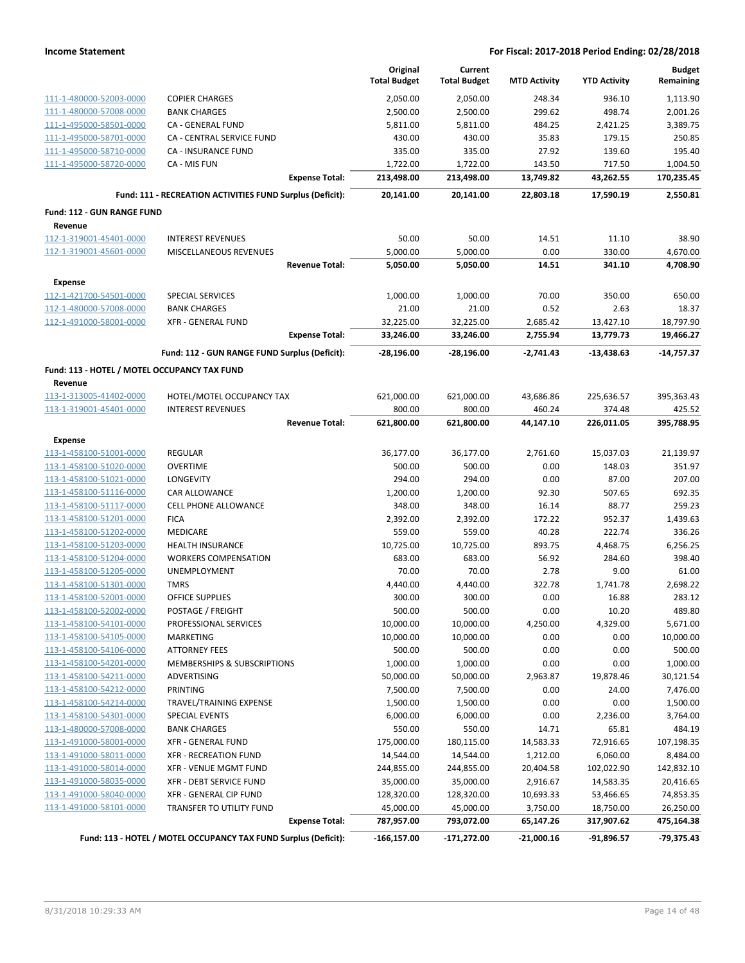|                                                    |                                                                 |                       | Original<br><b>Total Budget</b> | Current<br><b>Total Budget</b> | <b>MTD Activity</b> | <b>YTD Activity</b> | <b>Budget</b><br>Remaining |
|----------------------------------------------------|-----------------------------------------------------------------|-----------------------|---------------------------------|--------------------------------|---------------------|---------------------|----------------------------|
| 111-1-480000-52003-0000                            | <b>COPIER CHARGES</b>                                           |                       | 2,050.00                        | 2,050.00                       | 248.34              | 936.10              | 1,113.90                   |
| 111-1-480000-57008-0000                            | <b>BANK CHARGES</b>                                             |                       | 2,500.00                        | 2,500.00                       | 299.62              | 498.74              | 2,001.26                   |
| 111-1-495000-58501-0000                            | <b>CA - GENERAL FUND</b>                                        |                       | 5,811.00                        | 5,811.00                       | 484.25              | 2,421.25            | 3,389.75                   |
| 111-1-495000-58701-0000                            | CA - CENTRAL SERVICE FUND                                       |                       | 430.00                          | 430.00                         | 35.83               | 179.15              | 250.85                     |
| 111-1-495000-58710-0000                            | CA - INSURANCE FUND                                             |                       | 335.00                          | 335.00                         | 27.92               | 139.60              | 195.40                     |
| 111-1-495000-58720-0000                            | CA - MIS FUN                                                    |                       | 1,722.00                        | 1,722.00                       | 143.50              | 717.50              | 1,004.50                   |
|                                                    |                                                                 | <b>Expense Total:</b> | 213,498.00                      | 213,498.00                     | 13,749.82           | 43,262.55           | 170,235.45                 |
|                                                    | Fund: 111 - RECREATION ACTIVITIES FUND Surplus (Deficit):       |                       | 20,141.00                       | 20,141.00                      | 22,803.18           | 17,590.19           | 2,550.81                   |
| Fund: 112 - GUN RANGE FUND                         |                                                                 |                       |                                 |                                |                     |                     |                            |
| Revenue                                            |                                                                 |                       |                                 |                                |                     |                     |                            |
| 112-1-319001-45401-0000                            | <b>INTEREST REVENUES</b>                                        |                       | 50.00                           | 50.00                          | 14.51               | 11.10               | 38.90                      |
| 112-1-319001-45601-0000                            | MISCELLANEOUS REVENUES                                          |                       | 5,000.00                        | 5,000.00                       | 0.00                | 330.00              | 4,670.00                   |
|                                                    |                                                                 | <b>Revenue Total:</b> | 5,050.00                        | 5,050.00                       | 14.51               | 341.10              | 4,708.90                   |
| <b>Expense</b>                                     |                                                                 |                       |                                 |                                |                     |                     |                            |
| 112-1-421700-54501-0000                            | <b>SPECIAL SERVICES</b>                                         |                       | 1,000.00                        | 1,000.00                       | 70.00               | 350.00              | 650.00                     |
| 112-1-480000-57008-0000                            | <b>BANK CHARGES</b>                                             |                       | 21.00                           | 21.00                          | 0.52                | 2.63                | 18.37                      |
| 112-1-491000-58001-0000                            | <b>XFR - GENERAL FUND</b>                                       |                       | 32,225.00                       | 32,225.00                      | 2,685.42            | 13,427.10           | 18,797.90                  |
|                                                    |                                                                 | <b>Expense Total:</b> | 33,246.00                       | 33,246.00                      | 2,755.94            | 13,779.73           | 19,466.27                  |
|                                                    | Fund: 112 - GUN RANGE FUND Surplus (Deficit):                   |                       | $-28,196.00$                    | $-28,196.00$                   | $-2,741.43$         | $-13,438.63$        | $-14,757.37$               |
| Fund: 113 - HOTEL / MOTEL OCCUPANCY TAX FUND       |                                                                 |                       |                                 |                                |                     |                     |                            |
| Revenue                                            |                                                                 |                       |                                 |                                |                     |                     |                            |
| 113-1-313005-41402-0000                            | HOTEL/MOTEL OCCUPANCY TAX                                       |                       | 621,000.00                      | 621,000.00                     | 43,686.86           | 225,636.57          | 395,363.43                 |
| 113-1-319001-45401-0000                            | <b>INTEREST REVENUES</b>                                        |                       | 800.00                          | 800.00                         | 460.24              | 374.48              | 425.52                     |
|                                                    |                                                                 | <b>Revenue Total:</b> | 621,800.00                      | 621,800.00                     | 44,147.10           | 226,011.05          | 395,788.95                 |
| <b>Expense</b>                                     |                                                                 |                       |                                 |                                |                     |                     |                            |
| 113-1-458100-51001-0000                            | <b>REGULAR</b>                                                  |                       | 36,177.00                       | 36,177.00                      | 2,761.60            | 15,037.03           | 21,139.97                  |
| 113-1-458100-51020-0000                            | <b>OVERTIME</b>                                                 |                       | 500.00                          | 500.00                         | 0.00                | 148.03              | 351.97                     |
| 113-1-458100-51021-0000                            | LONGEVITY                                                       |                       | 294.00                          | 294.00                         | 0.00                | 87.00               | 207.00                     |
| 113-1-458100-51116-0000                            | CAR ALLOWANCE                                                   |                       | 1,200.00                        | 1,200.00                       | 92.30               | 507.65              | 692.35                     |
| 113-1-458100-51117-0000                            | CELL PHONE ALLOWANCE                                            |                       | 348.00                          | 348.00                         | 16.14               | 88.77               | 259.23                     |
| 113-1-458100-51201-0000                            | <b>FICA</b>                                                     |                       | 2,392.00                        | 2,392.00                       | 172.22              | 952.37              | 1,439.63                   |
| 113-1-458100-51202-0000                            | <b>MEDICARE</b>                                                 |                       | 559.00                          | 559.00                         | 40.28               | 222.74              | 336.26                     |
| 113-1-458100-51203-0000                            | <b>HEALTH INSURANCE</b>                                         |                       | 10,725.00                       | 10,725.00                      | 893.75              | 4,468.75            | 6,256.25                   |
| 113-1-458100-51204-0000                            | <b>WORKERS COMPENSATION</b>                                     |                       | 683.00                          | 683.00                         | 56.92               | 284.60              | 398.40                     |
| 113-1-458100-51205-0000<br>113-1-458100-51301-0000 | UNEMPLOYMENT                                                    |                       | 70.00                           | 70.00                          | 2.78<br>322.78      | 9.00                | 61.00                      |
| 113-1-458100-52001-0000                            | <b>TMRS</b><br><b>OFFICE SUPPLIES</b>                           |                       | 4,440.00<br>300.00              | 4,440.00<br>300.00             | 0.00                | 1,741.78<br>16.88   | 2,698.22<br>283.12         |
| 113-1-458100-52002-0000                            | POSTAGE / FREIGHT                                               |                       | 500.00                          | 500.00                         | 0.00                | 10.20               | 489.80                     |
| 113-1-458100-54101-0000                            | PROFESSIONAL SERVICES                                           |                       | 10,000.00                       | 10,000.00                      | 4,250.00            | 4,329.00            | 5,671.00                   |
| 113-1-458100-54105-0000                            | MARKETING                                                       |                       | 10,000.00                       | 10,000.00                      | 0.00                | 0.00                | 10,000.00                  |
| 113-1-458100-54106-0000                            | <b>ATTORNEY FEES</b>                                            |                       | 500.00                          | 500.00                         | 0.00                | 0.00                | 500.00                     |
| 113-1-458100-54201-0000                            | MEMBERSHIPS & SUBSCRIPTIONS                                     |                       | 1,000.00                        | 1,000.00                       | 0.00                | 0.00                | 1,000.00                   |
| 113-1-458100-54211-0000                            | ADVERTISING                                                     |                       | 50,000.00                       | 50,000.00                      | 2,963.87            | 19,878.46           | 30,121.54                  |
| 113-1-458100-54212-0000                            | PRINTING                                                        |                       | 7,500.00                        | 7,500.00                       | 0.00                | 24.00               | 7,476.00                   |
| 113-1-458100-54214-0000                            | TRAVEL/TRAINING EXPENSE                                         |                       | 1,500.00                        | 1,500.00                       | 0.00                | 0.00                | 1,500.00                   |
| 113-1-458100-54301-0000                            | <b>SPECIAL EVENTS</b>                                           |                       | 6,000.00                        | 6,000.00                       | 0.00                | 2,236.00            | 3,764.00                   |
| 113-1-480000-57008-0000                            | <b>BANK CHARGES</b>                                             |                       | 550.00                          | 550.00                         | 14.71               | 65.81               | 484.19                     |
| 113-1-491000-58001-0000                            | XFR - GENERAL FUND                                              |                       | 175,000.00                      | 180,115.00                     | 14,583.33           | 72,916.65           | 107,198.35                 |
| 113-1-491000-58011-0000                            | <b>XFR - RECREATION FUND</b>                                    |                       | 14,544.00                       | 14,544.00                      | 1,212.00            | 6,060.00            | 8,484.00                   |
| 113-1-491000-58014-0000                            | XFR - VENUE MGMT FUND                                           |                       | 244,855.00                      | 244,855.00                     | 20,404.58           | 102,022.90          | 142,832.10                 |
| 113-1-491000-58035-0000                            | XFR - DEBT SERVICE FUND                                         |                       | 35,000.00                       | 35,000.00                      | 2,916.67            | 14,583.35           | 20,416.65                  |
| 113-1-491000-58040-0000                            | XFR - GENERAL CIP FUND                                          |                       | 128,320.00                      | 128,320.00                     | 10,693.33           | 53,466.65           | 74,853.35                  |
| 113-1-491000-58101-0000                            | TRANSFER TO UTILITY FUND                                        |                       | 45,000.00                       | 45,000.00                      | 3,750.00            | 18,750.00           | 26,250.00                  |
|                                                    |                                                                 | <b>Expense Total:</b> | 787,957.00                      | 793,072.00                     | 65,147.26           | 317,907.62          | 475,164.38                 |
|                                                    | Fund: 113 - HOTEL / MOTEL OCCUPANCY TAX FUND Surplus (Deficit): |                       | $-166, 157.00$                  | -171,272.00                    | $-21,000.16$        | $-91,896.57$        | -79,375.43                 |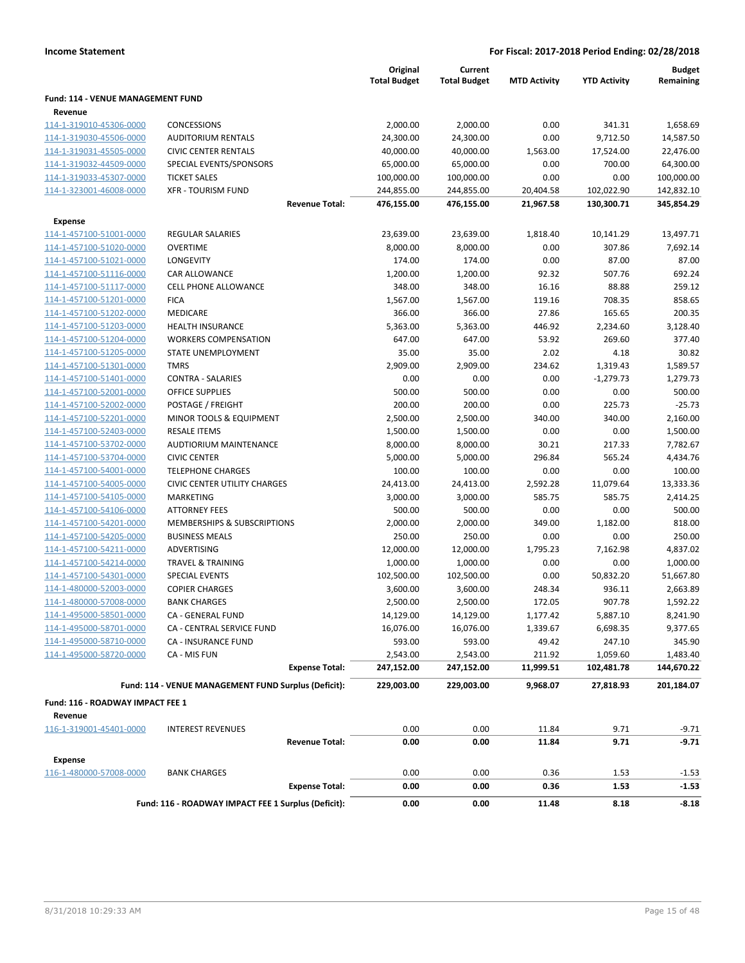|                                           |                                                      | Original<br><b>Total Budget</b> | Current<br><b>Total Budget</b> | <b>MTD Activity</b> | <b>YTD Activity</b> | <b>Budget</b><br>Remaining |
|-------------------------------------------|------------------------------------------------------|---------------------------------|--------------------------------|---------------------|---------------------|----------------------------|
| Fund: 114 - VENUE MANAGEMENT FUND         |                                                      |                                 |                                |                     |                     |                            |
| Revenue                                   |                                                      |                                 |                                |                     |                     |                            |
| 114-1-319010-45306-0000                   | <b>CONCESSIONS</b>                                   | 2,000.00                        | 2,000.00                       | 0.00                | 341.31              | 1,658.69                   |
| 114-1-319030-45506-0000                   | <b>AUDITORIUM RENTALS</b>                            | 24,300.00                       | 24,300.00                      | 0.00                | 9,712.50            | 14,587.50                  |
| 114-1-319031-45505-0000                   | <b>CIVIC CENTER RENTALS</b>                          | 40,000.00                       | 40,000.00                      | 1,563.00            | 17,524.00           | 22,476.00                  |
| 114-1-319032-44509-0000                   | SPECIAL EVENTS/SPONSORS                              | 65,000.00                       | 65,000.00                      | 0.00                | 700.00              | 64,300.00                  |
| 114-1-319033-45307-0000                   | <b>TICKET SALES</b>                                  | 100,000.00                      | 100,000.00                     | 0.00                | 0.00                | 100,000.00                 |
| 114-1-323001-46008-0000                   | <b>XFR - TOURISM FUND</b>                            | 244,855.00                      | 244,855.00                     | 20,404.58           | 102,022.90          | 142,832.10                 |
|                                           | <b>Revenue Total:</b>                                | 476,155.00                      | 476,155.00                     | 21,967.58           | 130,300.71          | 345,854.29                 |
| <b>Expense</b>                            |                                                      |                                 |                                |                     |                     |                            |
| 114-1-457100-51001-0000                   | <b>REGULAR SALARIES</b>                              | 23,639.00                       | 23,639.00                      | 1,818.40            | 10,141.29           | 13,497.71                  |
| 114-1-457100-51020-0000                   | <b>OVERTIME</b>                                      | 8,000.00                        | 8,000.00                       | 0.00                | 307.86              | 7,692.14                   |
| 114-1-457100-51021-0000                   | LONGEVITY                                            | 174.00                          | 174.00                         | 0.00                | 87.00               | 87.00                      |
| 114-1-457100-51116-0000                   | CAR ALLOWANCE                                        | 1,200.00                        | 1,200.00                       | 92.32               | 507.76              | 692.24                     |
| 114-1-457100-51117-0000                   | <b>CELL PHONE ALLOWANCE</b>                          | 348.00                          | 348.00                         | 16.16               | 88.88               | 259.12                     |
| 114-1-457100-51201-0000                   | <b>FICA</b>                                          | 1,567.00                        | 1,567.00                       | 119.16              | 708.35              | 858.65                     |
| 114-1-457100-51202-0000                   | MEDICARE                                             | 366.00                          | 366.00                         | 27.86               | 165.65              | 200.35                     |
| 114-1-457100-51203-0000                   | <b>HEALTH INSURANCE</b>                              | 5,363.00                        | 5,363.00                       | 446.92              | 2,234.60            | 3,128.40                   |
| 114-1-457100-51204-0000                   | <b>WORKERS COMPENSATION</b>                          | 647.00                          | 647.00                         | 53.92               | 269.60              | 377.40                     |
| 114-1-457100-51205-0000                   | STATE UNEMPLOYMENT                                   | 35.00                           | 35.00                          | 2.02                | 4.18                | 30.82                      |
| 114-1-457100-51301-0000                   | <b>TMRS</b>                                          | 2,909.00                        | 2,909.00                       | 234.62              | 1,319.43            | 1,589.57                   |
| 114-1-457100-51401-0000                   | <b>CONTRA - SALARIES</b>                             | 0.00                            | 0.00                           | 0.00                | $-1,279.73$         | 1,279.73                   |
| 114-1-457100-52001-0000                   | <b>OFFICE SUPPLIES</b>                               | 500.00                          | 500.00                         | 0.00                | 0.00                | 500.00                     |
| 114-1-457100-52002-0000                   | POSTAGE / FREIGHT                                    | 200.00                          | 200.00                         | 0.00                | 225.73              | $-25.73$                   |
| 114-1-457100-52201-0000                   | MINOR TOOLS & EQUIPMENT                              | 2,500.00                        | 2,500.00                       | 340.00              | 340.00              | 2,160.00                   |
| 114-1-457100-52403-0000                   | <b>RESALE ITEMS</b>                                  | 1,500.00                        | 1,500.00                       | 0.00                | 0.00                | 1,500.00                   |
| 114-1-457100-53702-0000                   | <b>AUDTIORIUM MAINTENANCE</b>                        | 8,000.00                        | 8,000.00                       | 30.21               | 217.33              | 7,782.67                   |
| 114-1-457100-53704-0000                   | <b>CIVIC CENTER</b>                                  | 5,000.00                        | 5,000.00                       | 296.84              | 565.24              | 4,434.76                   |
| 114-1-457100-54001-0000                   | <b>TELEPHONE CHARGES</b>                             | 100.00                          | 100.00                         | 0.00                | 0.00                | 100.00                     |
| 114-1-457100-54005-0000                   | <b>CIVIC CENTER UTILITY CHARGES</b>                  | 24,413.00                       | 24,413.00                      | 2,592.28            | 11,079.64           | 13,333.36                  |
| 114-1-457100-54105-0000                   | MARKETING                                            | 3,000.00                        | 3,000.00                       | 585.75              | 585.75              | 2,414.25                   |
| 114-1-457100-54106-0000                   | <b>ATTORNEY FEES</b>                                 | 500.00                          | 500.00                         | 0.00                | 0.00                | 500.00                     |
| 114-1-457100-54201-0000                   | MEMBERSHIPS & SUBSCRIPTIONS                          | 2,000.00                        | 2,000.00                       | 349.00              | 1,182.00            | 818.00                     |
| 114-1-457100-54205-0000                   | <b>BUSINESS MEALS</b>                                | 250.00                          | 250.00                         | 0.00                | 0.00                | 250.00                     |
| 114-1-457100-54211-0000                   | ADVERTISING                                          | 12,000.00                       | 12,000.00                      | 1,795.23            | 7,162.98            | 4,837.02                   |
| 114-1-457100-54214-0000                   | <b>TRAVEL &amp; TRAINING</b>                         | 1,000.00                        | 1,000.00                       | 0.00                | 0.00                | 1,000.00                   |
| 114-1-457100-54301-0000                   | <b>SPECIAL EVENTS</b>                                | 102,500.00                      | 102,500.00                     | 0.00                | 50,832.20           | 51,667.80                  |
| 114-1-480000-52003-0000                   | <b>COPIER CHARGES</b>                                | 3,600.00                        | 3,600.00                       | 248.34              | 936.11              | 2,663.89                   |
| 114-1-480000-57008-0000                   | <b>BANK CHARGES</b>                                  | 2,500.00                        | 2,500.00                       | 172.05              | 907.78              | 1,592.22                   |
| 114-1-495000-58501-0000                   | CA - GENERAL FUND                                    | 14,129.00                       | 14,129.00                      | 1,177.42            | 5,887.10            | 8,241.90                   |
| 114-1-495000-58701-0000                   | CA - CENTRAL SERVICE FUND                            | 16,076.00                       | 16,076.00                      | 1,339.67            | 6,698.35            | 9,377.65                   |
| 114-1-495000-58710-0000                   | <b>CA - INSURANCE FUND</b>                           | 593.00                          | 593.00                         | 49.42               | 247.10              | 345.90                     |
| 114-1-495000-58720-0000                   | CA - MIS FUN                                         | 2,543.00                        | 2,543.00                       | 211.92              | 1,059.60            | 1,483.40                   |
|                                           | <b>Expense Total:</b>                                | 247,152.00                      | 247,152.00                     | 11,999.51           | 102,481.78          | 144,670.22                 |
|                                           | Fund: 114 - VENUE MANAGEMENT FUND Surplus (Deficit): | 229,003.00                      | 229,003.00                     | 9,968.07            | 27,818.93           | 201,184.07                 |
|                                           |                                                      |                                 |                                |                     |                     |                            |
| Fund: 116 - ROADWAY IMPACT FEE 1          |                                                      |                                 |                                |                     |                     |                            |
| Revenue<br>116-1-319001-45401-0000        |                                                      |                                 |                                |                     |                     |                            |
|                                           | <b>INTEREST REVENUES</b><br><b>Revenue Total:</b>    | 0.00<br>0.00                    | 0.00<br>0.00                   | 11.84<br>11.84      | 9.71<br>9.71        | $-9.71$<br>$-9.71$         |
|                                           |                                                      |                                 |                                |                     |                     |                            |
| <b>Expense</b><br>116-1-480000-57008-0000 | <b>BANK CHARGES</b>                                  | 0.00                            | 0.00                           | 0.36                |                     |                            |
|                                           | <b>Expense Total:</b>                                | 0.00                            | 0.00                           | 0.36                | 1.53<br>1.53        | $-1.53$<br>$-1.53$         |
|                                           | Fund: 116 - ROADWAY IMPACT FEE 1 Surplus (Deficit):  | 0.00                            | 0.00                           | 11.48               | 8.18                | $-8.18$                    |
|                                           |                                                      |                                 |                                |                     |                     |                            |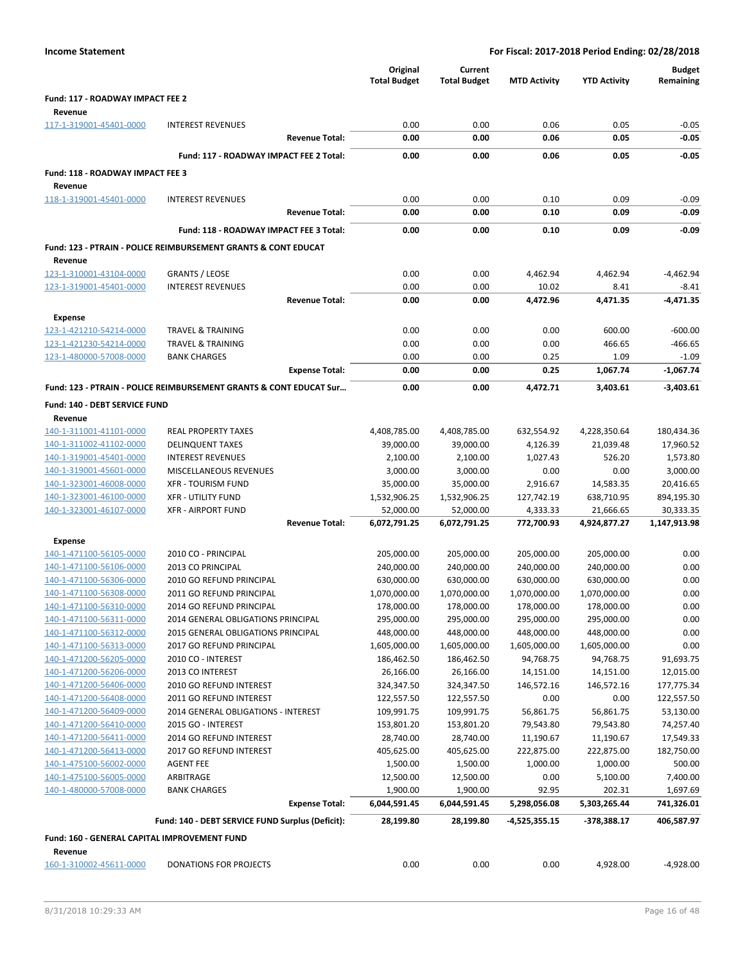|                                                    |                                                                           | Original<br><b>Total Budget</b> | Current<br><b>Total Budget</b> | <b>MTD Activity</b>      | <b>YTD Activity</b>      | <b>Budget</b><br>Remaining |
|----------------------------------------------------|---------------------------------------------------------------------------|---------------------------------|--------------------------------|--------------------------|--------------------------|----------------------------|
| Fund: 117 - ROADWAY IMPACT FEE 2                   |                                                                           |                                 |                                |                          |                          |                            |
| Revenue                                            |                                                                           |                                 |                                |                          |                          |                            |
| 117-1-319001-45401-0000                            | <b>INTEREST REVENUES</b>                                                  | 0.00                            | 0.00                           | 0.06                     | 0.05                     | $-0.05$                    |
|                                                    | <b>Revenue Total:</b>                                                     | 0.00                            | 0.00                           | 0.06                     | 0.05                     | $-0.05$                    |
|                                                    | Fund: 117 - ROADWAY IMPACT FEE 2 Total:                                   | 0.00                            | 0.00                           | 0.06                     | 0.05                     | $-0.05$                    |
| Fund: 118 - ROADWAY IMPACT FEE 3                   |                                                                           |                                 |                                |                          |                          |                            |
| Revenue                                            |                                                                           |                                 |                                |                          |                          |                            |
| 118-1-319001-45401-0000                            | <b>INTEREST REVENUES</b>                                                  | 0.00                            | 0.00                           | 0.10                     | 0.09                     | $-0.09$                    |
|                                                    | <b>Revenue Total:</b>                                                     | 0.00                            | 0.00                           | 0.10                     | 0.09                     | $-0.09$                    |
|                                                    | Fund: 118 - ROADWAY IMPACT FEE 3 Total:                                   | 0.00                            | 0.00                           | 0.10                     | 0.09                     | $-0.09$                    |
|                                                    | <b>Fund: 123 - PTRAIN - POLICE REIMBURSEMENT GRANTS &amp; CONT EDUCAT</b> |                                 |                                |                          |                          |                            |
| Revenue                                            |                                                                           |                                 |                                |                          |                          |                            |
| 123-1-310001-43104-0000                            | <b>GRANTS / LEOSE</b>                                                     | 0.00                            | 0.00                           | 4,462.94                 | 4,462.94                 | $-4,462.94$                |
| 123-1-319001-45401-0000                            | <b>INTEREST REVENUES</b>                                                  | 0.00                            | 0.00                           | 10.02                    | 8.41                     | $-8.41$                    |
|                                                    | <b>Revenue Total:</b>                                                     | 0.00                            | 0.00                           | 4,472.96                 | 4,471.35                 | -4,471.35                  |
| <b>Expense</b>                                     |                                                                           |                                 |                                |                          |                          |                            |
| 123-1-421210-54214-0000                            | <b>TRAVEL &amp; TRAINING</b>                                              | 0.00                            | 0.00                           | 0.00                     | 600.00                   | $-600.00$                  |
| 123-1-421230-54214-0000                            | <b>TRAVEL &amp; TRAINING</b>                                              | 0.00                            | 0.00                           | 0.00                     | 466.65                   | $-466.65$                  |
| 123-1-480000-57008-0000                            | <b>BANK CHARGES</b>                                                       | 0.00                            | 0.00                           | 0.25                     | 1.09                     | $-1.09$                    |
|                                                    | <b>Expense Total:</b>                                                     | 0.00                            | 0.00                           | 0.25                     | 1,067.74                 | $-1,067.74$                |
|                                                    | Fund: 123 - PTRAIN - POLICE REIMBURSEMENT GRANTS & CONT EDUCAT Sur        | 0.00                            | 0.00                           | 4,472.71                 | 3.403.61                 | $-3,403.61$                |
| Fund: 140 - DEBT SERVICE FUND                      |                                                                           |                                 |                                |                          |                          |                            |
| Revenue                                            |                                                                           |                                 |                                |                          |                          |                            |
| 140-1-311001-41101-0000                            | <b>REAL PROPERTY TAXES</b>                                                | 4,408,785.00                    | 4,408,785.00                   | 632,554.92               | 4,228,350.64             | 180,434.36                 |
| 140-1-311002-41102-0000                            | <b>DELINQUENT TAXES</b>                                                   | 39,000.00                       | 39,000.00                      | 4,126.39                 | 21,039.48                | 17,960.52                  |
| 140-1-319001-45401-0000                            | <b>INTEREST REVENUES</b>                                                  | 2,100.00                        | 2,100.00                       | 1,027.43                 | 526.20                   | 1,573.80                   |
| 140-1-319001-45601-0000                            | MISCELLANEOUS REVENUES                                                    | 3,000.00                        | 3,000.00                       | 0.00                     | 0.00                     | 3,000.00                   |
| 140-1-323001-46008-0000                            | <b>XFR - TOURISM FUND</b>                                                 | 35,000.00                       | 35,000.00                      | 2,916.67                 | 14,583.35                | 20,416.65                  |
| 140-1-323001-46100-0000                            | <b>XFR - UTILITY FUND</b>                                                 | 1,532,906.25                    | 1,532,906.25                   | 127,742.19               | 638,710.95               | 894,195.30                 |
| 140-1-323001-46107-0000                            | <b>XFR - AIRPORT FUND</b>                                                 | 52,000.00                       | 52,000.00                      | 4,333.33                 | 21,666.65                | 30,333.35                  |
|                                                    | <b>Revenue Total:</b>                                                     | 6,072,791.25                    | 6,072,791.25                   | 772,700.93               | 4,924,877.27             | 1,147,913.98               |
| <b>Expense</b>                                     |                                                                           |                                 |                                |                          |                          |                            |
| 140-1-471100-56105-0000                            | 2010 CO - PRINCIPAL                                                       | 205,000.00                      | 205,000.00                     | 205,000.00               | 205,000.00               | 0.00                       |
| 140-1-471100-56106-0000<br>140-1-471100-56306-0000 | 2013 CO PRINCIPAL<br>2010 GO REFUND PRINCIPAL                             | 240,000.00<br>630,000.00        | 240,000.00<br>630,000.00       | 240,000.00<br>630,000.00 | 240,000.00<br>630,000.00 | 0.00<br>0.00               |
| 140-1-471100-56308-0000                            | 2011 GO REFUND PRINCIPAL                                                  | 1,070,000.00                    | 1,070,000.00                   | 1,070,000.00             | 1,070,000.00             | 0.00                       |
| <u>140-1-471100-56310-0000</u>                     | 2014 GO REFUND PRINCIPAL                                                  | 178,000.00                      | 178,000.00                     | 178,000.00               | 178,000.00               | $0.00\,$                   |
| 140-1-471100-56311-0000                            | 2014 GENERAL OBLIGATIONS PRINCIPAL                                        | 295,000.00                      | 295,000.00                     | 295,000.00               | 295,000.00               | 0.00                       |
| 140-1-471100-56312-0000                            | 2015 GENERAL OBLIGATIONS PRINCIPAL                                        | 448,000.00                      | 448,000.00                     | 448,000.00               | 448,000.00               | 0.00                       |
| 140-1-471100-56313-0000                            | 2017 GO REFUND PRINCIPAL                                                  | 1,605,000.00                    | 1,605,000.00                   | 1,605,000.00             | 1,605,000.00             | 0.00                       |
| 140-1-471200-56205-0000                            | 2010 CO - INTEREST                                                        | 186,462.50                      | 186,462.50                     | 94,768.75                | 94,768.75                | 91,693.75                  |
| 140-1-471200-56206-0000                            | 2013 CO INTEREST                                                          | 26,166.00                       | 26,166.00                      | 14,151.00                | 14,151.00                | 12,015.00                  |
| 140-1-471200-56406-0000                            | 2010 GO REFUND INTEREST                                                   | 324,347.50                      | 324,347.50                     | 146,572.16               | 146,572.16               | 177,775.34                 |
| 140-1-471200-56408-0000                            | 2011 GO REFUND INTEREST                                                   | 122,557.50                      | 122,557.50                     | 0.00                     | 0.00                     | 122,557.50                 |
| 140-1-471200-56409-0000                            | 2014 GENERAL OBLIGATIONS - INTEREST                                       | 109,991.75                      | 109,991.75                     | 56,861.75                | 56,861.75                | 53,130.00                  |
| 140-1-471200-56410-0000                            | 2015 GO - INTEREST                                                        | 153,801.20                      | 153,801.20                     | 79,543.80                | 79,543.80                | 74,257.40                  |
| 140-1-471200-56411-0000                            | 2014 GO REFUND INTEREST                                                   | 28,740.00                       | 28,740.00                      | 11,190.67                | 11,190.67                | 17,549.33                  |
| 140-1-471200-56413-0000                            | 2017 GO REFUND INTEREST                                                   | 405,625.00                      | 405,625.00                     | 222,875.00               | 222,875.00               | 182,750.00                 |
| 140-1-475100-56002-0000                            | <b>AGENT FEE</b>                                                          | 1,500.00                        | 1,500.00                       | 1,000.00                 | 1,000.00                 | 500.00                     |
| 140-1-475100-56005-0000                            | ARBITRAGE                                                                 | 12,500.00                       | 12,500.00                      | 0.00                     | 5,100.00                 | 7,400.00                   |
| 140-1-480000-57008-0000                            | <b>BANK CHARGES</b>                                                       | 1,900.00<br>6,044,591.45        | 1,900.00<br>6,044,591.45       | 92.95                    | 202.31                   | 1,697.69                   |
|                                                    | <b>Expense Total:</b>                                                     |                                 |                                | 5,298,056.08             | 5,303,265.44             | 741,326.01                 |
|                                                    | Fund: 140 - DEBT SERVICE FUND Surplus (Deficit):                          | 28,199.80                       | 28,199.80                      | -4,525,355.15            | $-378,388.17$            | 406,587.97                 |
| Fund: 160 - GENERAL CAPITAL IMPROVEMENT FUND       |                                                                           |                                 |                                |                          |                          |                            |
| Revenue                                            |                                                                           |                                 |                                |                          |                          |                            |
| 160-1-310002-45611-0000                            | DONATIONS FOR PROJECTS                                                    | 0.00                            | 0.00                           | 0.00                     | 4,928.00                 | $-4,928.00$                |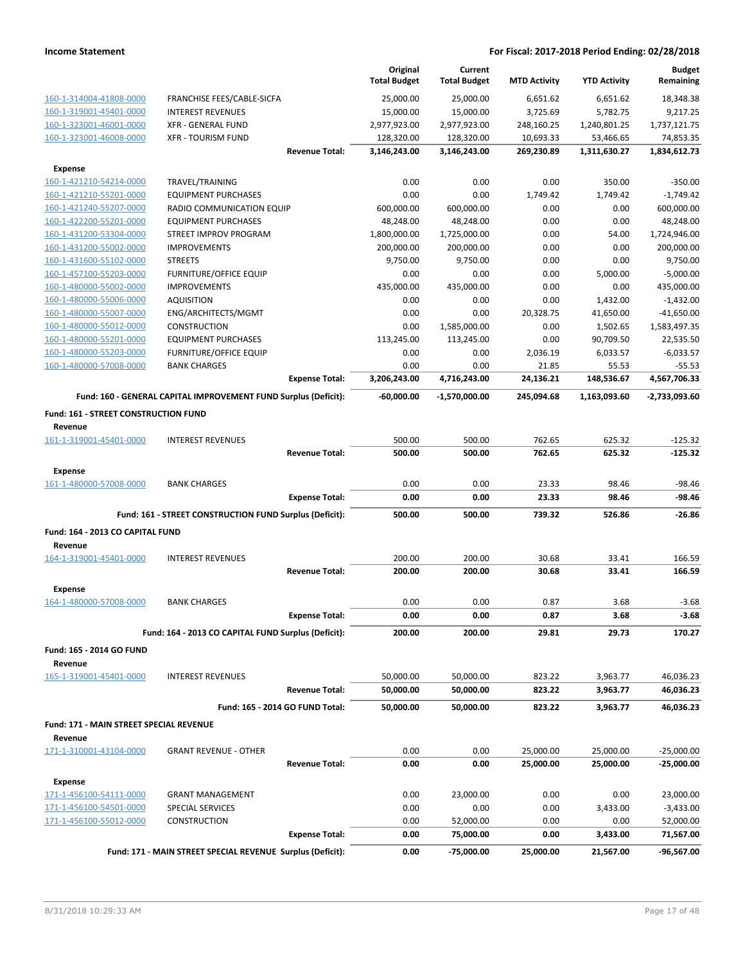|                                                           |                                                                 |                       | Original<br><b>Total Budget</b> | Current<br><b>Total Budget</b> | <b>MTD Activity</b> | <b>YTD Activity</b>   | <b>Budget</b><br>Remaining   |
|-----------------------------------------------------------|-----------------------------------------------------------------|-----------------------|---------------------------------|--------------------------------|---------------------|-----------------------|------------------------------|
| 160-1-314004-41808-0000                                   | FRANCHISE FEES/CABLE-SICFA                                      |                       | 25,000.00                       | 25,000.00                      | 6,651.62            | 6,651.62              | 18,348.38                    |
| 160-1-319001-45401-0000                                   | <b>INTEREST REVENUES</b>                                        |                       | 15,000.00                       | 15,000.00                      | 3,725.69            | 5,782.75              | 9,217.25                     |
| 160-1-323001-46001-0000                                   | <b>XFR - GENERAL FUND</b>                                       |                       | 2,977,923.00                    | 2,977,923.00                   | 248,160.25          | 1,240,801.25          | 1,737,121.75                 |
| 160-1-323001-46008-0000                                   | <b>XFR - TOURISM FUND</b>                                       |                       | 128,320.00                      | 128,320.00                     | 10,693.33           | 53,466.65             | 74,853.35                    |
|                                                           |                                                                 | <b>Revenue Total:</b> | 3,146,243.00                    | 3,146,243.00                   | 269,230.89          | 1,311,630.27          | 1,834,612.73                 |
| <b>Expense</b>                                            |                                                                 |                       |                                 |                                |                     |                       |                              |
| 160-1-421210-54214-0000                                   | TRAVEL/TRAINING                                                 |                       | 0.00                            | 0.00                           | 0.00                | 350.00                | $-350.00$                    |
| 160-1-421210-55201-0000                                   | <b>EQUIPMENT PURCHASES</b>                                      |                       | 0.00                            | 0.00                           | 1,749.42            | 1,749.42              | $-1,749.42$                  |
| 160-1-421240-55207-0000                                   | RADIO COMMUNICATION EQUIP                                       |                       | 600,000.00                      | 600,000.00                     | 0.00                | 0.00                  | 600,000.00                   |
| 160-1-422200-55201-0000                                   | <b>EQUIPMENT PURCHASES</b>                                      |                       | 48,248.00                       | 48,248.00                      | 0.00                | 0.00                  | 48,248.00                    |
| 160-1-431200-53304-0000                                   | STREET IMPROV PROGRAM                                           |                       | 1,800,000.00                    | 1,725,000.00                   | 0.00                | 54.00                 | 1,724,946.00                 |
| 160-1-431200-55002-0000                                   | <b>IMPROVEMENTS</b>                                             |                       | 200,000.00                      | 200,000.00                     | 0.00                | 0.00                  | 200,000.00                   |
| 160-1-431600-55102-0000                                   | <b>STREETS</b>                                                  |                       | 9,750.00                        | 9,750.00                       | 0.00                | 0.00                  | 9,750.00                     |
| 160-1-457100-55203-0000                                   | <b>FURNITURE/OFFICE EQUIP</b>                                   |                       | 0.00                            | 0.00                           | 0.00                | 5,000.00              | $-5,000.00$                  |
| 160-1-480000-55002-0000                                   | <b>IMPROVEMENTS</b>                                             |                       | 435,000.00                      | 435,000.00                     | 0.00                | 0.00                  | 435,000.00                   |
| 160-1-480000-55006-0000                                   | <b>AQUISITION</b>                                               |                       | 0.00                            | 0.00                           | 0.00                | 1,432.00              | $-1,432.00$                  |
| 160-1-480000-55007-0000<br>160-1-480000-55012-0000        | ENG/ARCHITECTS/MGMT<br><b>CONSTRUCTION</b>                      |                       | 0.00<br>0.00                    | 0.00<br>1,585,000.00           | 20,328.75<br>0.00   | 41,650.00<br>1,502.65 | $-41,650.00$<br>1,583,497.35 |
| 160-1-480000-55201-0000                                   | <b>EQUIPMENT PURCHASES</b>                                      |                       | 113,245.00                      | 113,245.00                     | 0.00                | 90,709.50             | 22,535.50                    |
| 160-1-480000-55203-0000                                   | <b>FURNITURE/OFFICE EQUIP</b>                                   |                       | 0.00                            | 0.00                           | 2,036.19            | 6,033.57              | $-6,033.57$                  |
| 160-1-480000-57008-0000                                   | <b>BANK CHARGES</b>                                             |                       | 0.00                            | 0.00                           | 21.85               | 55.53                 | $-55.53$                     |
|                                                           |                                                                 | <b>Expense Total:</b> | 3,206,243.00                    | 4,716,243.00                   | 24,136.21           | 148,536.67            | 4,567,706.33                 |
|                                                           |                                                                 |                       |                                 |                                |                     |                       |                              |
|                                                           | Fund: 160 - GENERAL CAPITAL IMPROVEMENT FUND Surplus (Deficit): |                       | $-60,000.00$                    | -1,570,000.00                  | 245,094.68          | 1,163,093.60          | $-2,733,093.60$              |
| <b>Fund: 161 - STREET CONSTRUCTION FUND</b><br>Revenue    |                                                                 |                       |                                 |                                |                     |                       |                              |
| 161-1-319001-45401-0000                                   | <b>INTEREST REVENUES</b>                                        |                       | 500.00                          | 500.00                         | 762.65              | 625.32                | $-125.32$                    |
|                                                           |                                                                 | <b>Revenue Total:</b> | 500.00                          | 500.00                         | 762.65              | 625.32                | $-125.32$                    |
| Expense                                                   |                                                                 |                       |                                 |                                |                     |                       |                              |
| 161-1-480000-57008-0000                                   | <b>BANK CHARGES</b>                                             |                       | 0.00                            | 0.00                           | 23.33               | 98.46                 | $-98.46$                     |
|                                                           |                                                                 | <b>Expense Total:</b> | 0.00                            | 0.00                           | 23.33               | 98.46                 | $-98.46$                     |
|                                                           | Fund: 161 - STREET CONSTRUCTION FUND Surplus (Deficit):         |                       | 500.00                          | 500.00                         | 739.32              | 526.86                | $-26.86$                     |
| Fund: 164 - 2013 CO CAPITAL FUND                          |                                                                 |                       |                                 |                                |                     |                       |                              |
| Revenue                                                   |                                                                 |                       |                                 |                                |                     |                       |                              |
| 164-1-319001-45401-0000                                   | <b>INTEREST REVENUES</b>                                        |                       | 200.00                          | 200.00                         | 30.68               | 33.41                 | 166.59                       |
|                                                           |                                                                 | <b>Revenue Total:</b> | 200.00                          | 200.00                         | 30.68               | 33.41                 | 166.59                       |
| <b>Expense</b>                                            |                                                                 |                       |                                 |                                |                     |                       |                              |
| 164-1-480000-57008-0000                                   | <b>BANK CHARGES</b>                                             |                       | 0.00                            | 0.00                           | 0.87                | 3.68                  | $-3.68$                      |
|                                                           |                                                                 | <b>Expense Total:</b> | 0.00                            | 0.00                           | 0.87                | 3.68                  | $-3.68$                      |
|                                                           | Fund: 164 - 2013 CO CAPITAL FUND Surplus (Deficit):             |                       | 200.00                          | 200.00                         | 29.81               | 29.73                 | 170.27                       |
|                                                           |                                                                 |                       |                                 |                                |                     |                       |                              |
| Fund: 165 - 2014 GO FUND                                  |                                                                 |                       |                                 |                                |                     |                       |                              |
| Revenue                                                   |                                                                 |                       |                                 |                                |                     |                       |                              |
| 165-1-319001-45401-0000                                   | <b>INTEREST REVENUES</b>                                        | <b>Revenue Total:</b> | 50,000.00                       | 50,000.00                      | 823.22<br>823.22    | 3,963.77              | 46,036.23<br>46,036.23       |
|                                                           |                                                                 |                       | 50,000.00                       | 50,000.00                      |                     | 3,963.77              |                              |
|                                                           | Fund: 165 - 2014 GO FUND Total:                                 |                       | 50,000.00                       | 50,000.00                      | 823.22              | 3,963.77              | 46,036.23                    |
| <b>Fund: 171 - MAIN STREET SPECIAL REVENUE</b><br>Revenue |                                                                 |                       |                                 |                                |                     |                       |                              |
| 171-1-310001-43104-0000                                   | <b>GRANT REVENUE - OTHER</b>                                    |                       | 0.00                            | 0.00                           | 25,000.00           | 25,000.00             | $-25,000.00$                 |
|                                                           |                                                                 | <b>Revenue Total:</b> | 0.00                            | 0.00                           | 25,000.00           | 25,000.00             | $-25,000.00$                 |
| <b>Expense</b>                                            |                                                                 |                       |                                 |                                |                     |                       |                              |
| 171-1-456100-54111-0000                                   | <b>GRANT MANAGEMENT</b>                                         |                       | 0.00                            | 23,000.00                      | 0.00                | 0.00                  | 23,000.00                    |
| 171-1-456100-54501-0000                                   | SPECIAL SERVICES                                                |                       | 0.00                            | 0.00                           | 0.00                | 3,433.00              | $-3,433.00$                  |
| 171-1-456100-55012-0000                                   | CONSTRUCTION                                                    |                       | 0.00                            | 52,000.00                      | 0.00                | 0.00                  | 52,000.00                    |
|                                                           |                                                                 | <b>Expense Total:</b> | 0.00                            | 75,000.00                      | 0.00                | 3,433.00              | 71,567.00                    |
|                                                           | Fund: 171 - MAIN STREET SPECIAL REVENUE Surplus (Deficit):      |                       | 0.00                            | -75,000.00                     | 25,000.00           | 21,567.00             |                              |
|                                                           |                                                                 |                       |                                 |                                |                     |                       | $-96,567.00$                 |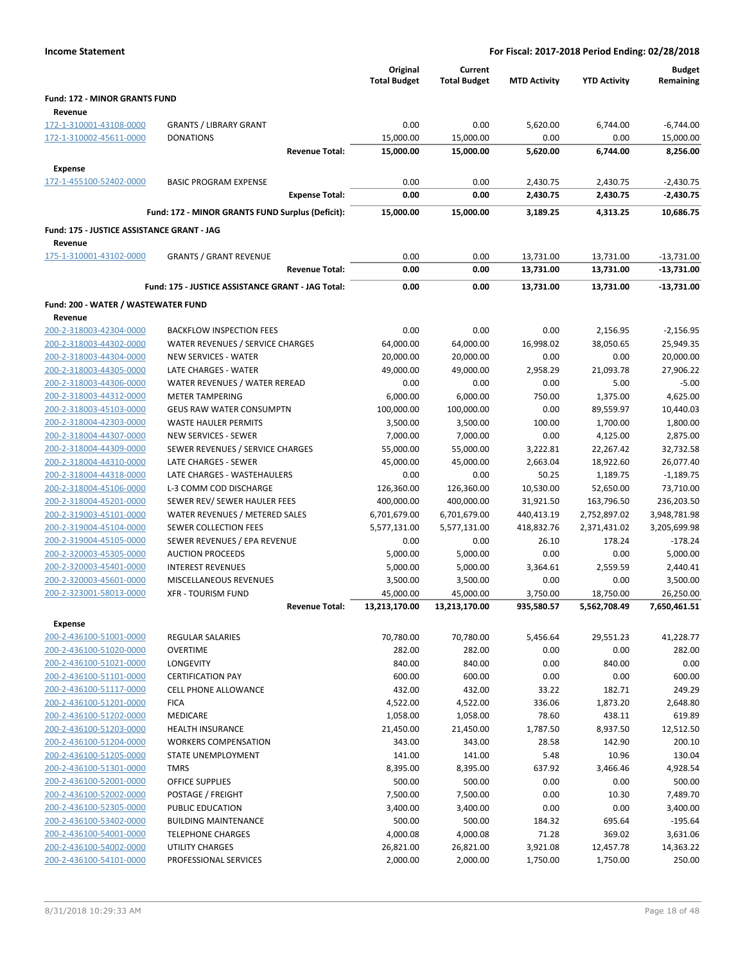|                                                    |                                                    | Original<br><b>Total Budget</b> | Current<br><b>Total Budget</b> | <b>MTD Activity</b> | <b>YTD Activity</b>       | <b>Budget</b><br>Remaining |
|----------------------------------------------------|----------------------------------------------------|---------------------------------|--------------------------------|---------------------|---------------------------|----------------------------|
| Fund: 172 - MINOR GRANTS FUND                      |                                                    |                                 |                                |                     |                           |                            |
| Revenue                                            |                                                    |                                 |                                |                     |                           |                            |
| 172-1-310001-43108-0000                            | <b>GRANTS / LIBRARY GRANT</b>                      | 0.00                            | 0.00                           | 5,620.00            | 6,744.00                  | -6,744.00                  |
| 172-1-310002-45611-0000                            | <b>DONATIONS</b>                                   | 15,000.00                       | 15,000.00                      | 0.00                | 0.00                      | 15,000.00                  |
|                                                    | <b>Revenue Total:</b>                              | 15,000.00                       | 15,000.00                      | 5,620.00            | 6,744.00                  | 8,256.00                   |
| Expense                                            |                                                    |                                 |                                |                     |                           |                            |
| 172-1-455100-52402-0000                            | <b>BASIC PROGRAM EXPENSE</b>                       | 0.00                            | 0.00                           | 2,430.75            | 2,430.75                  | $-2,430.75$                |
|                                                    | <b>Expense Total:</b>                              | 0.00                            | 0.00                           | 2,430.75            | 2,430.75                  | $-2,430.75$                |
|                                                    | Fund: 172 - MINOR GRANTS FUND Surplus (Deficit):   | 15,000.00                       | 15,000.00                      | 3.189.25            | 4,313.25                  | 10,686.75                  |
| Fund: 175 - JUSTICE ASSISTANCE GRANT - JAG         |                                                    |                                 |                                |                     |                           |                            |
| Revenue                                            |                                                    |                                 |                                |                     |                           |                            |
| 175-1-310001-43102-0000                            | <b>GRANTS / GRANT REVENUE</b>                      | 0.00                            | 0.00                           | 13,731.00           | 13,731.00                 | $-13,731.00$               |
|                                                    | <b>Revenue Total:</b>                              | 0.00                            | 0.00                           | 13,731.00           | 13,731.00                 | -13,731.00                 |
|                                                    | Fund: 175 - JUSTICE ASSISTANCE GRANT - JAG Total:  | 0.00                            | 0.00                           | 13,731.00           | 13,731.00                 | -13,731.00                 |
| Fund: 200 - WATER / WASTEWATER FUND                |                                                    |                                 |                                |                     |                           |                            |
| Revenue                                            |                                                    |                                 |                                |                     |                           |                            |
| 200-2-318003-42304-0000                            | <b>BACKFLOW INSPECTION FEES</b>                    | 0.00                            | 0.00                           | 0.00                | 2,156.95                  | $-2,156.95$                |
| 200-2-318003-44302-0000                            | WATER REVENUES / SERVICE CHARGES                   | 64,000.00                       | 64,000.00                      | 16,998.02           | 38,050.65                 | 25,949.35                  |
| 200-2-318003-44304-0000                            | <b>NEW SERVICES - WATER</b>                        | 20,000.00                       | 20,000.00                      | 0.00                | 0.00                      | 20,000.00                  |
| 200-2-318003-44305-0000                            | LATE CHARGES - WATER                               | 49,000.00                       | 49,000.00                      | 2,958.29            | 21,093.78                 | 27,906.22                  |
| 200-2-318003-44306-0000                            | WATER REVENUES / WATER REREAD                      | 0.00                            | 0.00                           | 0.00                | 5.00                      | $-5.00$                    |
| 200-2-318003-44312-0000                            | <b>METER TAMPERING</b>                             | 6,000.00                        | 6,000.00                       | 750.00              | 1,375.00                  | 4,625.00                   |
| 200-2-318003-45103-0000                            | <b>GEUS RAW WATER CONSUMPTN</b>                    | 100,000.00                      | 100,000.00                     | 0.00                | 89,559.97                 | 10,440.03                  |
| 200-2-318004-42303-0000                            | WASTE HAULER PERMITS                               | 3,500.00                        | 3,500.00                       | 100.00              | 1,700.00                  | 1,800.00                   |
| 200-2-318004-44307-0000                            | <b>NEW SERVICES - SEWER</b>                        | 7,000.00                        | 7,000.00                       | 0.00                | 4,125.00                  | 2,875.00                   |
| 200-2-318004-44309-0000                            | SEWER REVENUES / SERVICE CHARGES                   | 55,000.00                       | 55,000.00                      | 3,222.81            | 22,267.42                 | 32,732.58                  |
| 200-2-318004-44310-0000                            | LATE CHARGES - SEWER                               | 45,000.00                       | 45,000.00                      | 2,663.04            | 18,922.60                 | 26,077.40                  |
| 200-2-318004-44318-0000                            | LATE CHARGES - WASTEHAULERS                        | 0.00                            | 0.00                           | 50.25               | 1,189.75                  | $-1,189.75$                |
| 200-2-318004-45106-0000                            | L-3 COMM COD DISCHARGE                             | 126,360.00                      | 126,360.00                     | 10,530.00           | 52,650.00                 | 73,710.00                  |
| 200-2-318004-45201-0000                            | SEWER REV/ SEWER HAULER FEES                       | 400,000.00                      | 400,000.00                     | 31,921.50           | 163,796.50                | 236,203.50                 |
| 200-2-319003-45101-0000                            | WATER REVENUES / METERED SALES                     | 6,701,679.00                    | 6,701,679.00                   | 440,413.19          | 2,752,897.02              | 3,948,781.98               |
| 200-2-319004-45104-0000                            | SEWER COLLECTION FEES                              | 5,577,131.00                    | 5,577,131.00                   | 418,832.76          | 2,371,431.02              | 3,205,699.98               |
| 200-2-319004-45105-0000                            | SEWER REVENUES / EPA REVENUE                       | 0.00                            | 0.00                           | 26.10               | 178.24                    | $-178.24$                  |
| 200-2-320003-45305-0000                            | <b>AUCTION PROCEEDS</b>                            | 5,000.00                        | 5,000.00                       | 0.00                | 0.00                      | 5,000.00                   |
| 200-2-320003-45401-0000<br>200-2-320003-45601-0000 | <b>INTEREST REVENUES</b><br>MISCELLANEOUS REVENUES | 5,000.00                        | 5,000.00                       | 3,364.61            | 2,559.59                  | 2,440.41                   |
| 200-2-323001-58013-0000                            | <b>XFR - TOURISM FUND</b>                          | 3,500.00                        | 3,500.00                       | 0.00<br>3,750.00    | 0.00                      | 3,500.00<br>26,250.00      |
|                                                    | <b>Revenue Total:</b>                              | 45,000.00<br>13,213,170.00      | 45,000.00<br>13,213,170.00     | 935,580.57          | 18,750.00<br>5,562,708.49 | 7,650,461.51               |
|                                                    |                                                    |                                 |                                |                     |                           |                            |
| <b>Expense</b>                                     |                                                    | 70,780.00                       |                                |                     |                           |                            |
| 200-2-436100-51001-0000                            | REGULAR SALARIES<br><b>OVERTIME</b>                | 282.00                          | 70,780.00<br>282.00            | 5,456.64<br>0.00    | 29,551.23<br>0.00         | 41,228.77<br>282.00        |
| 200-2-436100-51020-0000<br>200-2-436100-51021-0000 | LONGEVITY                                          | 840.00                          | 840.00                         | 0.00                | 840.00                    | 0.00                       |
| 200-2-436100-51101-0000                            | <b>CERTIFICATION PAY</b>                           | 600.00                          | 600.00                         | 0.00                | 0.00                      | 600.00                     |
| 200-2-436100-51117-0000                            | CELL PHONE ALLOWANCE                               | 432.00                          | 432.00                         | 33.22               | 182.71                    | 249.29                     |
| 200-2-436100-51201-0000                            | <b>FICA</b>                                        | 4,522.00                        | 4,522.00                       | 336.06              | 1,873.20                  | 2,648.80                   |
| 200-2-436100-51202-0000                            | MEDICARE                                           | 1,058.00                        | 1,058.00                       | 78.60               | 438.11                    | 619.89                     |
| 200-2-436100-51203-0000                            | <b>HEALTH INSURANCE</b>                            | 21,450.00                       | 21,450.00                      | 1,787.50            | 8,937.50                  | 12,512.50                  |
| 200-2-436100-51204-0000                            | <b>WORKERS COMPENSATION</b>                        | 343.00                          | 343.00                         | 28.58               | 142.90                    | 200.10                     |
| 200-2-436100-51205-0000                            | STATE UNEMPLOYMENT                                 | 141.00                          | 141.00                         | 5.48                | 10.96                     | 130.04                     |
| 200-2-436100-51301-0000                            | <b>TMRS</b>                                        | 8,395.00                        | 8,395.00                       | 637.92              | 3,466.46                  | 4,928.54                   |
| 200-2-436100-52001-0000                            | <b>OFFICE SUPPLIES</b>                             | 500.00                          | 500.00                         | 0.00                | 0.00                      | 500.00                     |
| 200-2-436100-52002-0000                            | POSTAGE / FREIGHT                                  | 7,500.00                        | 7,500.00                       | 0.00                | 10.30                     | 7,489.70                   |
| 200-2-436100-52305-0000                            | PUBLIC EDUCATION                                   | 3,400.00                        | 3,400.00                       | 0.00                | 0.00                      | 3,400.00                   |
| 200-2-436100-53402-0000                            | <b>BUILDING MAINTENANCE</b>                        | 500.00                          | 500.00                         | 184.32              | 695.64                    | $-195.64$                  |
| 200-2-436100-54001-0000                            | <b>TELEPHONE CHARGES</b>                           | 4,000.08                        | 4,000.08                       | 71.28               | 369.02                    | 3,631.06                   |
| 200-2-436100-54002-0000                            | UTILITY CHARGES                                    | 26,821.00                       | 26,821.00                      | 3,921.08            | 12,457.78                 | 14,363.22                  |
| 200-2-436100-54101-0000                            | PROFESSIONAL SERVICES                              | 2,000.00                        | 2,000.00                       | 1,750.00            | 1,750.00                  | 250.00                     |
|                                                    |                                                    |                                 |                                |                     |                           |                            |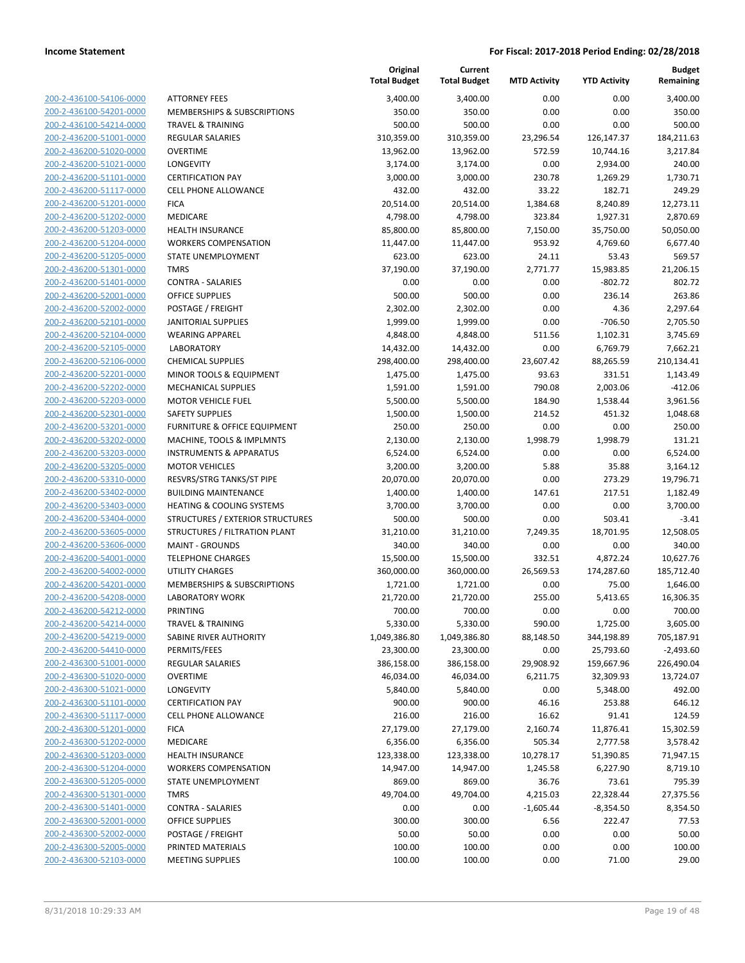| 200-2-436100-54106-0000        |
|--------------------------------|
| 200-2-436100-54201-0000        |
| 200-2-436100-54214-0000        |
| <u>200-2-436200-51001-0000</u> |
| 200-2-436200-51020-0000        |
| 200-2-436200-51021-0000        |
| 200-2-436200-51101-0000        |
| 200-2-436200-51117-0000        |
| <u>200-2-436200-51201-0000</u> |
| 200-2-436200-51202-0000        |
| 200-2-436200-51203-0000        |
| 200-2-436200-51204-0000        |
| 200-2-436200-51205-0000        |
|                                |
| <u>200-2-436200-51301-0000</u> |
| 200-2-436200-51401-0000        |
| 200-2-436200-52001-0000        |
| 200-2-436200-52002-0000        |
| 200-2-436200-52101-0000        |
| <u>200-2-436200-52104-0000</u> |
| 200-2-436200-52105-0000        |
| 200-2-436200-52106-0000        |
| 200-2-436200-52201-0000        |
| 200-2-436200-52202-0000        |
| <u>200-2-436200-52203-0000</u> |
| 200-2-436200-52301-0000        |
| 200-2-436200-53201-0000        |
| 200-2-436200-53202-0000        |
| 200-2-436200-53203-0000        |
| <u>200-2-436200-53205-0000</u> |
| 200-2-436200-53310-0000        |
|                                |
| 200-2-436200-53402-0000        |
| 200-2-436200-53403-0000        |
| 200-2-436200-53404-0000        |
| <u>200-2-436200-53605-0000</u> |
| 200-2-436200-53606-0000        |
| 200-2-436200-54001-0000        |
| 200-2-436200-54002-0000        |
| 200-2-436200-54201-0000        |
| 200-2-436200-54208-0000        |
| 200-2-436200-54212-0000        |
| 200-2-436200-54214-0000        |
| <u>200-2-436200-54219-0000</u> |
| 200-2-436200-54410-0000        |
| <u>200-2-436300-51001-0000</u> |
| <u>200-2-436300-51020-0000</u> |
| 200-2-436300-51021-0000        |
| 200-2-436300-51101-0000        |
|                                |
| 200-2-436300-51117-0000        |
| <u>200-2-436300-51201-0000</u> |
| <u>200-2-436300-51202-0000</u> |
| 200-2-436300-51203-0000        |
| 200-2-436300-51204-0000        |
| 200-2-436300-51205-0000        |
| <u>200-2-436300-51301-0000</u> |
| <u>200-2-436300-51401-0000</u> |
| 200-2-436300-52001-0000        |
| 200-2-436300-52002-0000        |
| 200-2-436300-52005-0000        |
| <u>200-2-436300-52103-0000</u> |
|                                |

|                                                    |                                                       | Original<br><b>Total Budget</b> | Current<br><b>Total Budget</b> | <b>MTD Activity</b>   | <b>YTD Activity</b>     | <b>Budget</b><br>Remaining |
|----------------------------------------------------|-------------------------------------------------------|---------------------------------|--------------------------------|-----------------------|-------------------------|----------------------------|
| 200-2-436100-54106-0000                            | <b>ATTORNEY FEES</b>                                  | 3,400.00                        | 3,400.00                       | 0.00                  | 0.00                    | 3,400.00                   |
| 200-2-436100-54201-0000                            | MEMBERSHIPS & SUBSCRIPTIONS                           | 350.00                          | 350.00                         | 0.00                  | 0.00                    | 350.00                     |
| 200-2-436100-54214-0000                            | <b>TRAVEL &amp; TRAINING</b>                          | 500.00                          | 500.00                         | 0.00                  | 0.00                    | 500.00                     |
| 200-2-436200-51001-0000                            | <b>REGULAR SALARIES</b>                               | 310,359.00                      | 310,359.00                     | 23,296.54             | 126,147.37              | 184,211.63                 |
| 200-2-436200-51020-0000                            | <b>OVERTIME</b>                                       | 13,962.00                       | 13,962.00                      | 572.59                | 10,744.16               | 3,217.84                   |
| 200-2-436200-51021-0000                            | LONGEVITY                                             | 3,174.00                        | 3,174.00                       | 0.00                  | 2,934.00                | 240.00                     |
| 200-2-436200-51101-0000                            | <b>CERTIFICATION PAY</b>                              | 3,000.00                        | 3,000.00                       | 230.78                | 1,269.29                | 1,730.71                   |
| 200-2-436200-51117-0000                            | <b>CELL PHONE ALLOWANCE</b>                           | 432.00                          | 432.00                         | 33.22                 | 182.71                  | 249.29                     |
| 200-2-436200-51201-0000                            | <b>FICA</b>                                           | 20,514.00                       | 20,514.00                      | 1,384.68              | 8,240.89                | 12,273.11                  |
| 200-2-436200-51202-0000                            | MEDICARE                                              | 4,798.00                        | 4,798.00                       | 323.84                | 1,927.31                | 2,870.69                   |
| 200-2-436200-51203-0000                            | <b>HEALTH INSURANCE</b>                               | 85,800.00                       | 85,800.00                      | 7,150.00              | 35,750.00               | 50,050.00                  |
| 200-2-436200-51204-0000                            | <b>WORKERS COMPENSATION</b>                           | 11,447.00                       | 11,447.00                      | 953.92                | 4,769.60                | 6,677.40                   |
| 200-2-436200-51205-0000                            | STATE UNEMPLOYMENT                                    | 623.00                          | 623.00                         | 24.11                 | 53.43                   | 569.57                     |
| 200-2-436200-51301-0000                            | <b>TMRS</b>                                           | 37,190.00                       | 37,190.00                      | 2,771.77              | 15,983.85               | 21,206.15                  |
| 200-2-436200-51401-0000                            | <b>CONTRA - SALARIES</b>                              | 0.00                            | 0.00                           | 0.00                  | $-802.72$               | 802.72                     |
| 200-2-436200-52001-0000                            | <b>OFFICE SUPPLIES</b>                                | 500.00                          | 500.00                         | 0.00                  | 236.14                  | 263.86                     |
| 200-2-436200-52002-0000                            | POSTAGE / FREIGHT                                     | 2,302.00                        | 2,302.00                       | 0.00                  | 4.36                    | 2,297.64                   |
| 200-2-436200-52101-0000                            | <b>JANITORIAL SUPPLIES</b>                            | 1,999.00                        | 1,999.00                       | 0.00                  | $-706.50$               | 2,705.50                   |
| 200-2-436200-52104-0000                            | <b>WEARING APPAREL</b>                                | 4,848.00                        | 4,848.00                       | 511.56                | 1,102.31                | 3,745.69                   |
| 200-2-436200-52105-0000                            | <b>LABORATORY</b>                                     | 14,432.00                       | 14,432.00                      | 0.00                  | 6,769.79                | 7,662.21                   |
| 200-2-436200-52106-0000<br>200-2-436200-52201-0000 | <b>CHEMICAL SUPPLIES</b>                              | 298,400.00                      | 298,400.00                     | 23,607.42<br>93.63    | 88,265.59               | 210,134.41                 |
| 200-2-436200-52202-0000                            | MINOR TOOLS & EQUIPMENT<br><b>MECHANICAL SUPPLIES</b> | 1,475.00                        | 1,475.00<br>1,591.00           | 790.08                | 331.51<br>2,003.06      | 1,143.49<br>$-412.06$      |
| 200-2-436200-52203-0000                            | <b>MOTOR VEHICLE FUEL</b>                             | 1,591.00<br>5,500.00            | 5,500.00                       | 184.90                | 1,538.44                | 3,961.56                   |
| 200-2-436200-52301-0000                            | <b>SAFETY SUPPLIES</b>                                | 1,500.00                        | 1,500.00                       | 214.52                | 451.32                  | 1,048.68                   |
| 200-2-436200-53201-0000                            | FURNITURE & OFFICE EQUIPMENT                          | 250.00                          | 250.00                         | 0.00                  | 0.00                    | 250.00                     |
| 200-2-436200-53202-0000                            | MACHINE, TOOLS & IMPLMNTS                             | 2,130.00                        | 2,130.00                       | 1,998.79              | 1,998.79                | 131.21                     |
| 200-2-436200-53203-0000                            | <b>INSTRUMENTS &amp; APPARATUS</b>                    | 6,524.00                        | 6,524.00                       | 0.00                  | 0.00                    | 6,524.00                   |
| 200-2-436200-53205-0000                            | <b>MOTOR VEHICLES</b>                                 | 3,200.00                        | 3,200.00                       | 5.88                  | 35.88                   | 3,164.12                   |
| 200-2-436200-53310-0000                            | RESVRS/STRG TANKS/ST PIPE                             | 20,070.00                       | 20,070.00                      | 0.00                  | 273.29                  | 19,796.71                  |
| 200-2-436200-53402-0000                            | <b>BUILDING MAINTENANCE</b>                           | 1,400.00                        | 1,400.00                       | 147.61                | 217.51                  | 1,182.49                   |
| 200-2-436200-53403-0000                            | <b>HEATING &amp; COOLING SYSTEMS</b>                  | 3,700.00                        | 3,700.00                       | 0.00                  | 0.00                    | 3,700.00                   |
| 200-2-436200-53404-0000                            | STRUCTURES / EXTERIOR STRUCTURES                      | 500.00                          | 500.00                         | 0.00                  | 503.41                  | $-3.41$                    |
| 200-2-436200-53605-0000                            | STRUCTURES / FILTRATION PLANT                         | 31,210.00                       | 31,210.00                      | 7,249.35              | 18,701.95               | 12,508.05                  |
| 200-2-436200-53606-0000                            | <b>MAINT - GROUNDS</b>                                | 340.00                          | 340.00                         | 0.00                  | 0.00                    | 340.00                     |
| 200-2-436200-54001-0000                            | <b>TELEPHONE CHARGES</b>                              | 15,500.00                       | 15,500.00                      | 332.51                | 4,872.24                | 10,627.76                  |
| 200-2-436200-54002-0000                            | <b>UTILITY CHARGES</b>                                | 360,000.00                      | 360,000.00                     | 26,569.53             | 174,287.60              | 185,712.40                 |
| 200-2-436200-54201-0000                            | <b>MEMBERSHIPS &amp; SUBSCRIPTIONS</b>                | 1,721.00                        | 1,721.00                       | 0.00                  | 75.00                   | 1,646.00                   |
| 200-2-436200-54208-0000                            | <b>LABORATORY WORK</b>                                | 21,720.00                       | 21,720.00                      | 255.00                | 5,413.65                | 16,306.35                  |
| 200-2-436200-54212-0000                            | PRINTING                                              | 700.00                          | 700.00                         | 0.00                  | 0.00                    | 700.00                     |
| 200-2-436200-54214-0000                            | TRAVEL & TRAINING                                     | 5,330.00                        | 5,330.00                       | 590.00                | 1,725.00                | 3,605.00                   |
| 200-2-436200-54219-0000                            | SABINE RIVER AUTHORITY                                | 1,049,386.80                    | 1,049,386.80                   | 88,148.50             | 344,198.89              | 705,187.91                 |
| 200-2-436200-54410-0000                            | PERMITS/FEES                                          | 23,300.00                       | 23,300.00                      | 0.00                  | 25,793.60               | $-2,493.60$                |
| 200-2-436300-51001-0000<br>200-2-436300-51020-0000 | <b>REGULAR SALARIES</b><br><b>OVERTIME</b>            | 386,158.00<br>46,034.00         | 386,158.00<br>46,034.00        | 29,908.92<br>6,211.75 | 159,667.96<br>32,309.93 | 226,490.04<br>13,724.07    |
| 200-2-436300-51021-0000                            | LONGEVITY                                             | 5,840.00                        | 5,840.00                       | 0.00                  | 5,348.00                | 492.00                     |
| 200-2-436300-51101-0000                            | <b>CERTIFICATION PAY</b>                              | 900.00                          | 900.00                         | 46.16                 | 253.88                  | 646.12                     |
| 200-2-436300-51117-0000                            | <b>CELL PHONE ALLOWANCE</b>                           | 216.00                          | 216.00                         | 16.62                 | 91.41                   | 124.59                     |
| 200-2-436300-51201-0000                            | <b>FICA</b>                                           | 27,179.00                       | 27,179.00                      | 2,160.74              | 11,876.41               | 15,302.59                  |
| 200-2-436300-51202-0000                            | MEDICARE                                              | 6,356.00                        | 6,356.00                       | 505.34                | 2,777.58                | 3,578.42                   |
| 200-2-436300-51203-0000                            | HEALTH INSURANCE                                      | 123,338.00                      | 123,338.00                     | 10,278.17             | 51,390.85               | 71,947.15                  |
| 200-2-436300-51204-0000                            | <b>WORKERS COMPENSATION</b>                           | 14,947.00                       | 14,947.00                      | 1,245.58              | 6,227.90                | 8,719.10                   |
| 200-2-436300-51205-0000                            | STATE UNEMPLOYMENT                                    | 869.00                          | 869.00                         | 36.76                 | 73.61                   | 795.39                     |
| 200-2-436300-51301-0000                            | <b>TMRS</b>                                           | 49,704.00                       | 49,704.00                      | 4,215.03              | 22,328.44               | 27,375.56                  |
| 200-2-436300-51401-0000                            | <b>CONTRA - SALARIES</b>                              | 0.00                            | 0.00                           | $-1,605.44$           | $-8,354.50$             | 8,354.50                   |
| 200-2-436300-52001-0000                            | <b>OFFICE SUPPLIES</b>                                | 300.00                          | 300.00                         | 6.56                  | 222.47                  | 77.53                      |
| 200-2-436300-52002-0000                            | POSTAGE / FREIGHT                                     | 50.00                           | 50.00                          | 0.00                  | 0.00                    | 50.00                      |
| 200-2-436300-52005-0000                            | PRINTED MATERIALS                                     | 100.00                          | 100.00                         | 0.00                  | 0.00                    | 100.00                     |
| 200-2-436300-52103-0000                            | <b>MEETING SUPPLIES</b>                               | 100.00                          | 100.00                         | 0.00                  | 71.00                   | 29.00                      |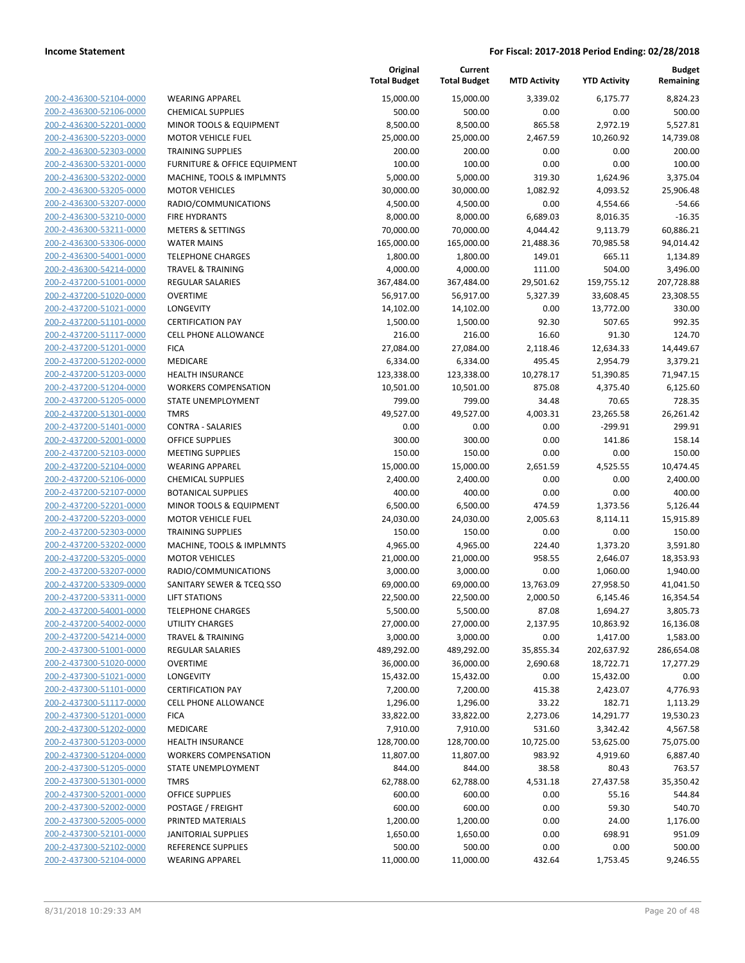| 200-2-436300-52104-0000                                          |
|------------------------------------------------------------------|
| 200-2-436300-52106-0000                                          |
| 200-2-436300-52201-0000                                          |
| 200-2-436300-52203-0000                                          |
| 200-2-436300-52303-0000                                          |
| 200-2-436300-53201-0000                                          |
| 200-2-436300-53202-0000                                          |
| 200-2-436300-53205-0000                                          |
|                                                                  |
| 200-2-436300-53207-0000                                          |
| 200-2-436300-53210-0000                                          |
| 200-2-436300-53211-0000                                          |
| 200-2-436300-53306-0000                                          |
| 200-2-436300-54001-0000                                          |
| 200-2-436300-54214-0000                                          |
| 200-2-437200-51001-0000                                          |
| 200-2-437200-51020-0000                                          |
| 200-2-437200-51021-0000                                          |
| <u>200-2-437200-51101-0000</u>                                   |
| 200-2-437200-51117-0000                                          |
| 200-2-437200-51201-0000                                          |
|                                                                  |
| 200-2-437200-51202-0000                                          |
| 200-2-437200-51203-0000                                          |
| 200-2-437200-51204-0000                                          |
| 200-2-437200-51205-0000                                          |
| 200-2-437200-51301-0000                                          |
| 200-2-437200-51401-0000                                          |
| 200-2-437200-52001-0000                                          |
| <u>200-2-437200-52103-0000</u>                                   |
| 200-2-437200-52104-0000                                          |
| 200-2-437200-52106-0000                                          |
| 200-2-437200-52107-0000                                          |
|                                                                  |
| 200-2-437200-52201-0000                                          |
| 200-2-437200-52203-0000                                          |
| 200-2-437200-52303-0000                                          |
| 200-2-437200-53202-0000                                          |
| 200-2-437200-53205-0000                                          |
| 200-2-437200-53207-0000                                          |
| 200-2-437200-53309-0000                                          |
| 200-2-437200-53311-0000                                          |
| 200-2-437200-54001-0000                                          |
| 200-2-437200-54002-0000                                          |
| <u>200-2-437200-54214-0000</u>                                   |
| 200-2-437300-51001-0000                                          |
| <u>200-2-437300-51020-0000</u>                                   |
|                                                                  |
| 200-2-437300-51021-0000                                          |
| <u>200-2-437300-51101-0000</u>                                   |
| 200-2-437300-51117-0000                                          |
| <u>200-2-437300-51201-0000</u>                                   |
| <u>200-2-437300-51202-0000</u>                                   |
| 200-2-437300-51203-0000                                          |
| 200-2-437300-51204-0000                                          |
| 200-2-437300-51205-0000                                          |
| 200-2-437300-51301-0000                                          |
|                                                                  |
| <u>200-2-437300-52001-0000</u>                                   |
|                                                                  |
| <u>200-2-437300-52002-0000</u>                                   |
| 200-2-437300-52005-0000                                          |
| 200-2-437300-52101-0000                                          |
| <u>200-2-437300-52102-0000</u><br><u>200-2-437300-52104-0000</u> |

| <b>WEARING APPAREL</b>                  |
|-----------------------------------------|
| <b>CHEMICAL SUPPLIES</b>                |
| MINOR TOOLS & EQUIPMENT                 |
| MOTOR VEHICLE FUEL                      |
| <b>TRAINING SUPPLIES</b>                |
| <b>FURNITURE &amp; OFFICE EQUIPMENT</b> |
| MACHINE, TOOLS & IMPLMNTS               |
| <b>MOTOR VEHICLES</b>                   |
| RADIO/COMMUNICATIONS                    |
| <b>FIRE HYDRANTS</b>                    |
| <b>METERS &amp; SETTINGS</b>            |
| <b>WATER MAINS</b>                      |
| <b>TELEPHONE CHARGES</b>                |
| <b>TRAVEL &amp; TRAINING</b>            |
| <b>REGULAR SALARIES</b>                 |
| <b>OVERTIME</b>                         |
| LONGEVITY                               |
| <b>CERTIFICATION PAY</b>                |
| <b>CELL PHONE ALLOWANCE</b>             |
| FICA                                    |
| MEDICARE                                |
| <b>HEALTH INSURANCE</b>                 |
| <b>WORKERS COMPENSATION</b>             |
| STATE UNEMPLOYMENT                      |
| <b>TMRS</b>                             |
| CONTRA - SALARIES                       |
| <b>OFFICE SUPPLIES</b>                  |
| <b>MEETING SUPPLIES</b>                 |
| <b>WEARING APPAREL</b>                  |
| <b>CHEMICAL SUPPLIES</b>                |
| <b>BOTANICAL SUPPLIES</b>               |
| MINOR TOOLS & EQUIPMENT                 |
| <b>MOTOR VEHICLE FUEL</b>               |
| <b>TRAINING SUPPLIES</b>                |
| MACHINE, TOOLS & IMPLMNTS               |
| <b>MOTOR VEHICLES</b>                   |
| RADIO/COMMUNICATIONS                    |
| SANITARY SEWER & TCEQ SSO               |
| <b>LIFT STATIONS</b>                    |
| <b>TELEPHONE CHARGES</b>                |
| UTILITY CHARGES                         |
| <b>TRAVEL &amp; TRAINING</b>            |
| <b>REGULAR SALARIES</b>                 |
| <b>OVERTIME</b>                         |
| LONGEVITY                               |
| <b>CERTIFICATION PAY</b>                |
| <b>CELL PHONE ALLOWANCE</b>             |
| <b>FICA</b>                             |
| MEDICARE                                |
| <b>HEALTH INSURANCE</b>                 |
| <b>WORKERS COMPENSATION</b>             |
| <b>STATE UNEMPLOYMENT</b>               |
| <b>TMRS</b>                             |
| <b>OFFICE SUPPLIES</b>                  |
| POSTAGE / FREIGHT                       |
| PRINTED MATERIALS                       |
| <b>JANITORIAL SUPPLIES</b>              |
| REFERENCE SUPPLIES                      |
| <b>WEARING APPAREL</b>                  |

|                         |                              | Original<br><b>Total Budget</b> | Current<br><b>Total Budget</b> | <b>MTD Activity</b> | <b>YTD Activity</b> | <b>Budget</b><br>Remaining |
|-------------------------|------------------------------|---------------------------------|--------------------------------|---------------------|---------------------|----------------------------|
| 200-2-436300-52104-0000 | <b>WEARING APPAREL</b>       | 15,000.00                       | 15,000.00                      | 3,339.02            | 6,175.77            | 8,824.23                   |
| 200-2-436300-52106-0000 | <b>CHEMICAL SUPPLIES</b>     | 500.00                          | 500.00                         | 0.00                | 0.00                | 500.00                     |
| 200-2-436300-52201-0000 | MINOR TOOLS & EQUIPMENT      | 8,500.00                        | 8,500.00                       | 865.58              | 2,972.19            | 5,527.81                   |
| 200-2-436300-52203-0000 | <b>MOTOR VEHICLE FUEL</b>    | 25,000.00                       | 25,000.00                      | 2,467.59            | 10,260.92           | 14,739.08                  |
| 200-2-436300-52303-0000 | <b>TRAINING SUPPLIES</b>     | 200.00                          | 200.00                         | 0.00                | 0.00                | 200.00                     |
| 200-2-436300-53201-0000 | FURNITURE & OFFICE EQUIPMENT | 100.00                          | 100.00                         | 0.00                | 0.00                | 100.00                     |
| 200-2-436300-53202-0000 | MACHINE, TOOLS & IMPLMNTS    | 5,000.00                        | 5,000.00                       | 319.30              | 1,624.96            | 3,375.04                   |
| 200-2-436300-53205-0000 | <b>MOTOR VEHICLES</b>        | 30,000.00                       | 30,000.00                      | 1,082.92            | 4,093.52            | 25,906.48                  |
| 200-2-436300-53207-0000 | RADIO/COMMUNICATIONS         | 4,500.00                        | 4,500.00                       | 0.00                | 4,554.66            | $-54.66$                   |
| 200-2-436300-53210-0000 | <b>FIRE HYDRANTS</b>         | 8,000.00                        | 8,000.00                       | 6,689.03            | 8,016.35            | $-16.35$                   |
| 200-2-436300-53211-0000 | <b>METERS &amp; SETTINGS</b> | 70,000.00                       | 70,000.00                      | 4,044.42            | 9,113.79            | 60,886.21                  |
| 200-2-436300-53306-0000 | <b>WATER MAINS</b>           | 165,000.00                      | 165,000.00                     | 21,488.36           | 70,985.58           | 94,014.42                  |
| 200-2-436300-54001-0000 | <b>TELEPHONE CHARGES</b>     | 1,800.00                        | 1,800.00                       | 149.01              | 665.11              | 1,134.89                   |
| 200-2-436300-54214-0000 | <b>TRAVEL &amp; TRAINING</b> | 4,000.00                        | 4,000.00                       | 111.00              | 504.00              | 3,496.00                   |
| 200-2-437200-51001-0000 | <b>REGULAR SALARIES</b>      | 367,484.00                      | 367,484.00                     | 29,501.62           | 159,755.12          | 207,728.88                 |
| 200-2-437200-51020-0000 | <b>OVERTIME</b>              | 56,917.00                       | 56,917.00                      | 5,327.39            | 33,608.45           | 23,308.55                  |
| 200-2-437200-51021-0000 | LONGEVITY                    | 14,102.00                       | 14,102.00                      | 0.00                | 13,772.00           | 330.00                     |
| 200-2-437200-51101-0000 | <b>CERTIFICATION PAY</b>     | 1,500.00                        | 1,500.00                       | 92.30               | 507.65              | 992.35                     |
| 200-2-437200-51117-0000 | <b>CELL PHONE ALLOWANCE</b>  | 216.00                          | 216.00                         | 16.60               | 91.30               | 124.70                     |
| 200-2-437200-51201-0000 | <b>FICA</b>                  | 27,084.00                       | 27,084.00                      | 2,118.46            | 12,634.33           | 14,449.67                  |
| 200-2-437200-51202-0000 | MEDICARE                     | 6,334.00                        | 6,334.00                       | 495.45              | 2,954.79            | 3,379.21                   |
| 200-2-437200-51203-0000 | <b>HEALTH INSURANCE</b>      | 123,338.00                      | 123,338.00                     | 10,278.17           | 51,390.85           | 71,947.15                  |
| 200-2-437200-51204-0000 | <b>WORKERS COMPENSATION</b>  | 10,501.00                       | 10,501.00                      | 875.08              | 4,375.40            | 6,125.60                   |
| 200-2-437200-51205-0000 | STATE UNEMPLOYMENT           | 799.00                          | 799.00                         | 34.48               | 70.65               | 728.35                     |
| 200-2-437200-51301-0000 | <b>TMRS</b>                  | 49,527.00                       | 49,527.00                      | 4,003.31            | 23,265.58           | 26,261.42                  |
| 200-2-437200-51401-0000 | <b>CONTRA - SALARIES</b>     | 0.00                            | 0.00                           | 0.00                | $-299.91$           | 299.91                     |
| 200-2-437200-52001-0000 | OFFICE SUPPLIES              | 300.00                          | 300.00                         | 0.00                | 141.86              | 158.14                     |
| 200-2-437200-52103-0000 | <b>MEETING SUPPLIES</b>      | 150.00                          | 150.00                         | 0.00                | 0.00                | 150.00                     |
| 200-2-437200-52104-0000 | <b>WEARING APPAREL</b>       | 15,000.00                       | 15,000.00                      | 2,651.59            | 4,525.55            | 10,474.45                  |
| 200-2-437200-52106-0000 | <b>CHEMICAL SUPPLIES</b>     | 2,400.00                        | 2,400.00                       | 0.00                | 0.00                | 2,400.00                   |
| 200-2-437200-52107-0000 | <b>BOTANICAL SUPPLIES</b>    | 400.00                          | 400.00                         | 0.00                | 0.00                | 400.00                     |
| 200-2-437200-52201-0000 | MINOR TOOLS & EQUIPMENT      | 6,500.00                        | 6,500.00                       | 474.59              | 1,373.56            | 5,126.44                   |
| 200-2-437200-52203-0000 | <b>MOTOR VEHICLE FUEL</b>    | 24,030.00                       | 24,030.00                      | 2,005.63            | 8,114.11            | 15,915.89                  |
| 200-2-437200-52303-0000 | <b>TRAINING SUPPLIES</b>     | 150.00                          | 150.00                         | 0.00                | 0.00                | 150.00                     |
| 200-2-437200-53202-0000 | MACHINE, TOOLS & IMPLMNTS    | 4,965.00                        | 4,965.00                       | 224.40              | 1,373.20            | 3,591.80                   |
| 200-2-437200-53205-0000 | <b>MOTOR VEHICLES</b>        | 21,000.00                       | 21,000.00                      | 958.55              | 2,646.07            | 18,353.93                  |
| 200-2-437200-53207-0000 | RADIO/COMMUNICATIONS         | 3,000.00                        | 3,000.00                       | 0.00                | 1,060.00            | 1,940.00                   |
| 200-2-437200-53309-0000 | SANITARY SEWER & TCEQ SSO    | 69,000.00                       | 69,000.00                      | 13,763.09           | 27,958.50           | 41,041.50                  |
| 200-2-437200-53311-0000 | <b>LIFT STATIONS</b>         | 22,500.00                       | 22,500.00                      | 2,000.50            | 6,145.46            | 16,354.54                  |
| 200-2-437200-54001-0000 | <b>TELEPHONE CHARGES</b>     | 5,500.00                        | 5,500.00                       | 87.08               | 1,694.27            | 3,805.73                   |
| 200-2-437200-54002-0000 | UTILITY CHARGES              | 27,000.00                       | 27,000.00                      | 2,137.95            | 10,863.92           | 16,136.08                  |
| 200-2-437200-54214-0000 | <b>TRAVEL &amp; TRAINING</b> | 3,000.00                        | 3,000.00                       | 0.00                | 1,417.00            | 1,583.00                   |
| 200-2-437300-51001-0000 | REGULAR SALARIES             | 489,292.00                      | 489,292.00                     | 35,855.34           | 202,637.92          | 286,654.08                 |
| 200-2-437300-51020-0000 | <b>OVERTIME</b>              | 36,000.00                       | 36,000.00                      | 2,690.68            | 18,722.71           | 17,277.29                  |
| 200-2-437300-51021-0000 | LONGEVITY                    | 15,432.00                       | 15,432.00                      | 0.00                | 15,432.00           | 0.00                       |
| 200-2-437300-51101-0000 | <b>CERTIFICATION PAY</b>     | 7,200.00                        | 7,200.00                       | 415.38              | 2,423.07            | 4,776.93                   |
| 200-2-437300-51117-0000 | <b>CELL PHONE ALLOWANCE</b>  | 1,296.00                        | 1,296.00                       | 33.22               | 182.71              | 1,113.29                   |
| 200-2-437300-51201-0000 | <b>FICA</b>                  | 33,822.00                       | 33,822.00                      | 2,273.06            | 14,291.77           | 19,530.23                  |
| 200-2-437300-51202-0000 | MEDICARE                     | 7,910.00                        | 7,910.00                       | 531.60              | 3,342.42            | 4,567.58                   |
| 200-2-437300-51203-0000 | HEALTH INSURANCE             | 128,700.00                      | 128,700.00                     | 10,725.00           | 53,625.00           | 75,075.00                  |
| 200-2-437300-51204-0000 | <b>WORKERS COMPENSATION</b>  | 11,807.00                       | 11,807.00                      | 983.92              | 4,919.60            | 6,887.40                   |
| 200-2-437300-51205-0000 | STATE UNEMPLOYMENT           | 844.00                          | 844.00                         | 38.58               | 80.43               | 763.57                     |
| 200-2-437300-51301-0000 | <b>TMRS</b>                  | 62,788.00                       | 62,788.00                      | 4,531.18            | 27,437.58           | 35,350.42                  |
| 200-2-437300-52001-0000 | OFFICE SUPPLIES              | 600.00                          | 600.00                         | 0.00                | 55.16               | 544.84                     |
| 200-2-437300-52002-0000 | POSTAGE / FREIGHT            | 600.00                          | 600.00                         | 0.00                | 59.30               | 540.70                     |
| 200-2-437300-52005-0000 | PRINTED MATERIALS            | 1,200.00                        | 1,200.00                       | 0.00                | 24.00               | 1,176.00                   |
| 200-2-437300-52101-0000 | <b>JANITORIAL SUPPLIES</b>   | 1,650.00                        | 1,650.00                       | 0.00                | 698.91              | 951.09                     |
| 200-2-437300-52102-0000 | REFERENCE SUPPLIES           | 500.00                          | 500.00                         | 0.00                | 0.00                | 500.00                     |
| 200-2-437300-52104-0000 | <b>WEARING APPAREL</b>       | 11,000.00                       | 11,000.00                      | 432.64              | 1,753.45            | 9,246.55                   |
|                         |                              |                                 |                                |                     |                     |                            |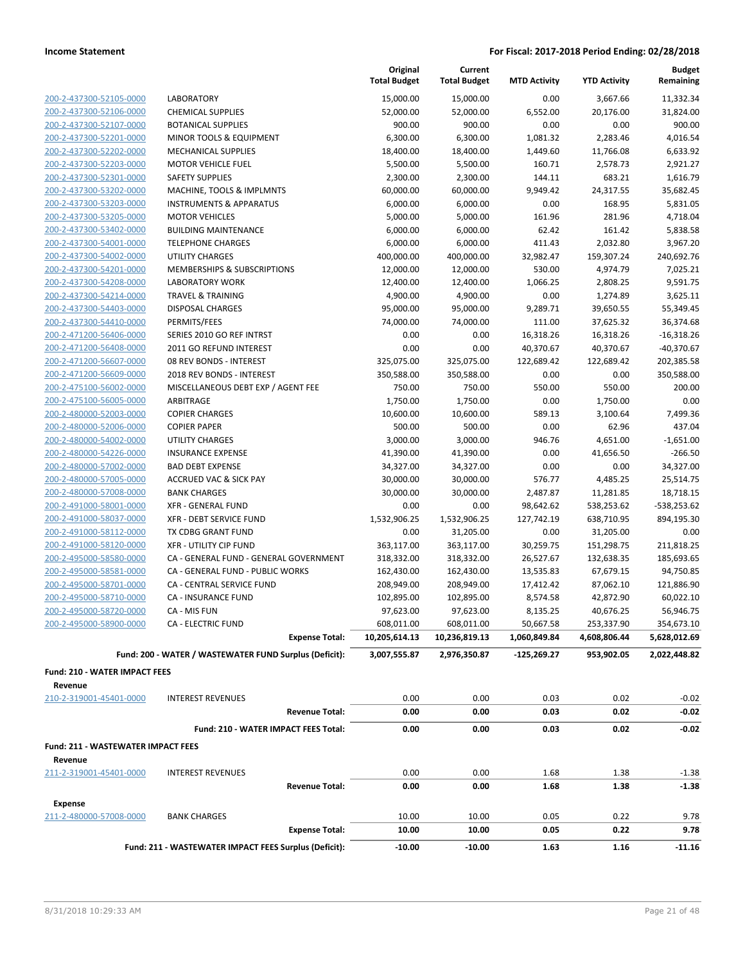|                                      |                                                        | Original<br><b>Total Budget</b> | Current<br><b>Total Budget</b> | <b>MTD Activity</b> | <b>YTD Activity</b> | <b>Budget</b><br>Remaining |
|--------------------------------------|--------------------------------------------------------|---------------------------------|--------------------------------|---------------------|---------------------|----------------------------|
| 200-2-437300-52105-0000              | LABORATORY                                             | 15,000.00                       | 15,000.00                      | 0.00                | 3,667.66            | 11,332.34                  |
| 200-2-437300-52106-0000              | <b>CHEMICAL SUPPLIES</b>                               | 52,000.00                       | 52,000.00                      | 6,552.00            | 20,176.00           | 31,824.00                  |
| 200-2-437300-52107-0000              | <b>BOTANICAL SUPPLIES</b>                              | 900.00                          | 900.00                         | 0.00                | 0.00                | 900.00                     |
| 200-2-437300-52201-0000              | MINOR TOOLS & EQUIPMENT                                | 6,300.00                        | 6,300.00                       | 1,081.32            | 2,283.46            | 4,016.54                   |
| 200-2-437300-52202-0000              | <b>MECHANICAL SUPPLIES</b>                             | 18,400.00                       | 18,400.00                      | 1,449.60            | 11,766.08           | 6,633.92                   |
| 200-2-437300-52203-0000              | <b>MOTOR VEHICLE FUEL</b>                              | 5,500.00                        | 5,500.00                       | 160.71              | 2,578.73            | 2,921.27                   |
| 200-2-437300-52301-0000              | <b>SAFETY SUPPLIES</b>                                 | 2,300.00                        | 2,300.00                       | 144.11              | 683.21              | 1,616.79                   |
| 200-2-437300-53202-0000              | MACHINE, TOOLS & IMPLMNTS                              | 60,000.00                       | 60,000.00                      | 9,949.42            | 24,317.55           | 35,682.45                  |
| 200-2-437300-53203-0000              | <b>INSTRUMENTS &amp; APPARATUS</b>                     | 6,000.00                        | 6,000.00                       | 0.00                | 168.95              | 5,831.05                   |
| 200-2-437300-53205-0000              | <b>MOTOR VEHICLES</b>                                  | 5,000.00                        | 5,000.00                       | 161.96              | 281.96              | 4,718.04                   |
| 200-2-437300-53402-0000              | <b>BUILDING MAINTENANCE</b>                            | 6,000.00                        | 6,000.00                       | 62.42               | 161.42              | 5,838.58                   |
| 200-2-437300-54001-0000              | <b>TELEPHONE CHARGES</b>                               | 6,000.00                        | 6,000.00                       | 411.43              | 2,032.80            | 3,967.20                   |
| 200-2-437300-54002-0000              | UTILITY CHARGES                                        | 400,000.00                      | 400,000.00                     | 32,982.47           | 159,307.24          | 240,692.76                 |
| 200-2-437300-54201-0000              | MEMBERSHIPS & SUBSCRIPTIONS                            | 12,000.00                       | 12,000.00                      | 530.00              | 4,974.79            | 7,025.21                   |
| 200-2-437300-54208-0000              | <b>LABORATORY WORK</b>                                 | 12,400.00                       | 12,400.00                      | 1,066.25            | 2,808.25            | 9,591.75                   |
| 200-2-437300-54214-0000              | <b>TRAVEL &amp; TRAINING</b>                           | 4,900.00                        | 4,900.00                       | 0.00                | 1,274.89            | 3,625.11                   |
| 200-2-437300-54403-0000              | DISPOSAL CHARGES                                       | 95,000.00                       | 95,000.00                      | 9,289.71            | 39,650.55           | 55,349.45                  |
| 200-2-437300-54410-0000              | PERMITS/FEES                                           | 74,000.00                       | 74,000.00                      | 111.00              | 37,625.32           | 36,374.68                  |
| 200-2-471200-56406-0000              | SERIES 2010 GO REF INTRST                              | 0.00                            | 0.00                           | 16,318.26           | 16,318.26           | $-16,318.26$               |
| 200-2-471200-56408-0000              | 2011 GO REFUND INTEREST                                | 0.00                            | 0.00                           | 40,370.67           | 40,370.67           | $-40,370.67$               |
| 200-2-471200-56607-0000              | 08 REV BONDS - INTEREST                                | 325,075.00                      | 325,075.00                     | 122,689.42          | 122,689.42          | 202,385.58                 |
| 200-2-471200-56609-0000              | 2018 REV BONDS - INTEREST                              | 350,588.00                      | 350,588.00                     | 0.00                | 0.00                | 350,588.00                 |
| 200-2-475100-56002-0000              | MISCELLANEOUS DEBT EXP / AGENT FEE                     | 750.00                          | 750.00                         | 550.00              | 550.00              | 200.00                     |
| 200-2-475100-56005-0000              | ARBITRAGE                                              | 1,750.00                        | 1,750.00                       | 0.00                | 1,750.00            | 0.00                       |
| 200-2-480000-52003-0000              | <b>COPIER CHARGES</b>                                  | 10,600.00                       | 10,600.00                      | 589.13              | 3,100.64            | 7,499.36                   |
| 200-2-480000-52006-0000              | <b>COPIER PAPER</b>                                    | 500.00                          | 500.00                         | 0.00                | 62.96               | 437.04                     |
| 200-2-480000-54002-0000              | UTILITY CHARGES                                        | 3,000.00                        | 3,000.00                       | 946.76              | 4,651.00            | $-1,651.00$                |
| 200-2-480000-54226-0000              | <b>INSURANCE EXPENSE</b>                               | 41,390.00                       | 41,390.00                      | 0.00                | 41,656.50           | $-266.50$                  |
| 200-2-480000-57002-0000              | <b>BAD DEBT EXPENSE</b>                                | 34,327.00                       | 34,327.00                      | 0.00                | 0.00                | 34,327.00                  |
| 200-2-480000-57005-0000              | <b>ACCRUED VAC &amp; SICK PAY</b>                      | 30,000.00                       | 30,000.00                      | 576.77              | 4,485.25            | 25,514.75                  |
| 200-2-480000-57008-0000              | <b>BANK CHARGES</b>                                    | 30,000.00                       | 30,000.00                      | 2,487.87            | 11,281.85           | 18,718.15                  |
| 200-2-491000-58001-0000              | <b>XFR - GENERAL FUND</b>                              | 0.00                            | 0.00                           | 98,642.62           | 538,253.62          | $-538,253.62$              |
| 200-2-491000-58037-0000              | XFR - DEBT SERVICE FUND                                | 1,532,906.25                    | 1,532,906.25                   | 127,742.19          | 638,710.95          | 894,195.30                 |
| 200-2-491000-58112-0000              | TX CDBG GRANT FUND                                     | 0.00                            | 31,205.00                      | 0.00                | 31,205.00           | 0.00                       |
| 200-2-491000-58120-0000              | <b>XFR - UTILITY CIP FUND</b>                          | 363,117.00                      | 363,117.00                     | 30,259.75           | 151,298.75          | 211,818.25                 |
| 200-2-495000-58580-0000              | CA - GENERAL FUND - GENERAL GOVERNMENT                 | 318,332.00                      | 318,332.00                     | 26,527.67           | 132,638.35          | 185,693.65                 |
| 200-2-495000-58581-0000              | CA - GENERAL FUND - PUBLIC WORKS                       | 162,430.00                      | 162,430.00                     | 13,535.83           | 67,679.15           | 94,750.85                  |
| 200-2-495000-58701-0000              | <b>CA - CENTRAL SERVICE FUND</b>                       | 208,949.00                      | 208,949.00                     | 17,412.42           | 87,062.10           | 121,886.90                 |
| 200-2-495000-58710-0000              | <b>CA - INSURANCE FUND</b>                             | 102,895.00                      | 102,895.00                     | 8,574.58            | 42,872.90           | 60,022.10                  |
| 200-2-495000-58720-0000              | CA - MIS FUN                                           | 97,623.00                       | 97,623.00                      | 8,135.25            | 40,676.25           | 56,946.75                  |
| 200-2-495000-58900-0000              | <b>CA - ELECTRIC FUND</b>                              | 608,011.00                      | 608,011.00                     | 50,667.58           | 253,337.90          | 354,673.10                 |
|                                      | <b>Expense Total:</b>                                  | 10,205,614.13                   | 10,236,819.13                  | 1,060,849.84        | 4,608,806.44        | 5,628,012.69               |
|                                      | Fund: 200 - WATER / WASTEWATER FUND Surplus (Deficit): | 3,007,555.87                    | 2,976,350.87                   | -125,269.27         | 953,902.05          | 2,022,448.82               |
| <b>Fund: 210 - WATER IMPACT FEES</b> |                                                        |                                 |                                |                     |                     |                            |
| Revenue                              |                                                        |                                 |                                |                     |                     |                            |
| 210-2-319001-45401-0000              | <b>INTEREST REVENUES</b>                               | 0.00                            | 0.00                           | 0.03                | 0.02                | $-0.02$                    |
|                                      | <b>Revenue Total:</b>                                  | 0.00                            | 0.00                           | 0.03                | 0.02                | $-0.02$                    |
|                                      | Fund: 210 - WATER IMPACT FEES Total:                   | 0.00                            | 0.00                           | 0.03                | 0.02                | $-0.02$                    |
| Fund: 211 - WASTEWATER IMPACT FEES   |                                                        |                                 |                                |                     |                     |                            |
| Revenue                              |                                                        |                                 |                                |                     |                     |                            |
| 211-2-319001-45401-0000              | <b>INTEREST REVENUES</b>                               | 0.00                            | 0.00                           | 1.68                | 1.38                | $-1.38$                    |
|                                      | <b>Revenue Total:</b>                                  | 0.00                            | 0.00                           | 1.68                | 1.38                | -1.38                      |
| <b>Expense</b>                       |                                                        |                                 |                                |                     |                     |                            |
| 211-2-480000-57008-0000              | <b>BANK CHARGES</b>                                    | 10.00                           | 10.00                          | 0.05                | 0.22                | 9.78                       |
|                                      | <b>Expense Total:</b>                                  | 10.00                           | 10.00                          | 0.05                | 0.22                | 9.78                       |
|                                      | Fund: 211 - WASTEWATER IMPACT FEES Surplus (Deficit):  | $-10.00$                        | $-10.00$                       | 1.63                | 1.16                | $-11.16$                   |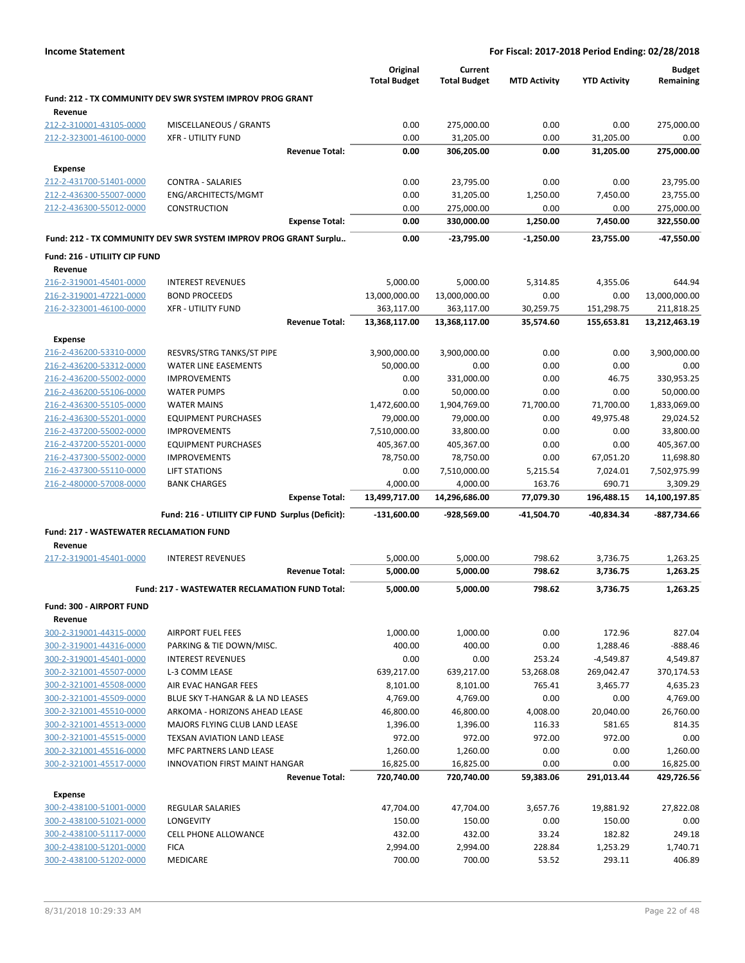|                                                    |                                                                  | Original<br><b>Total Budget</b> | Current<br><b>Total Budget</b> | <b>MTD Activity</b> | <b>YTD Activity</b> | <b>Budget</b><br>Remaining |
|----------------------------------------------------|------------------------------------------------------------------|---------------------------------|--------------------------------|---------------------|---------------------|----------------------------|
| Revenue                                            | Fund: 212 - TX COMMUNITY DEV SWR SYSTEM IMPROV PROG GRANT        |                                 |                                |                     |                     |                            |
| 212-2-310001-43105-0000                            | MISCELLANEOUS / GRANTS                                           | 0.00                            | 275,000.00                     | 0.00                | 0.00                | 275,000.00                 |
| 212-2-323001-46100-0000                            | <b>XFR - UTILITY FUND</b>                                        | 0.00                            | 31,205.00                      | 0.00                | 31,205.00           | 0.00                       |
|                                                    | <b>Revenue Total:</b>                                            | 0.00                            | 306,205.00                     | 0.00                | 31,205.00           | 275,000.00                 |
| <b>Expense</b>                                     |                                                                  |                                 |                                |                     |                     |                            |
| 212-2-431700-51401-0000                            | <b>CONTRA - SALARIES</b>                                         | 0.00                            | 23,795.00                      | 0.00                | 0.00                | 23,795.00                  |
| 212-2-436300-55007-0000                            | ENG/ARCHITECTS/MGMT                                              | 0.00                            | 31,205.00                      | 1,250.00            | 7,450.00            | 23,755.00                  |
| 212-2-436300-55012-0000                            | <b>CONSTRUCTION</b>                                              | 0.00                            | 275,000.00                     | 0.00                | 0.00                | 275,000.00                 |
|                                                    | <b>Expense Total:</b>                                            | 0.00                            | 330,000.00                     | 1,250.00            | 7,450.00            | 322,550.00                 |
|                                                    | Fund: 212 - TX COMMUNITY DEV SWR SYSTEM IMPROV PROG GRANT Surplu | 0.00                            | -23,795.00                     | -1,250.00           | 23,755.00           | -47,550.00                 |
| Fund: 216 - UTILIITY CIP FUND                      |                                                                  |                                 |                                |                     |                     |                            |
| Revenue                                            |                                                                  |                                 |                                |                     |                     |                            |
| 216-2-319001-45401-0000                            | <b>INTEREST REVENUES</b>                                         | 5,000.00                        | 5,000.00                       | 5,314.85            | 4,355.06            | 644.94                     |
| 216-2-319001-47221-0000                            | <b>BOND PROCEEDS</b>                                             | 13,000,000.00                   | 13,000,000.00                  | 0.00                | 0.00                | 13,000,000.00              |
| 216-2-323001-46100-0000                            | <b>XFR - UTILITY FUND</b>                                        | 363,117.00                      | 363,117.00                     | 30,259.75           | 151,298.75          | 211,818.25                 |
|                                                    | <b>Revenue Total:</b>                                            | 13,368,117.00                   | 13,368,117.00                  | 35,574.60           | 155,653.81          | 13,212,463.19              |
| <b>Expense</b>                                     |                                                                  |                                 |                                |                     |                     |                            |
| 216-2-436200-53310-0000                            | RESVRS/STRG TANKS/ST PIPE                                        | 3,900,000.00                    | 3,900,000.00                   | 0.00                | 0.00                | 3,900,000.00               |
| 216-2-436200-53312-0000                            | <b>WATER LINE EASEMENTS</b>                                      | 50,000.00                       | 0.00                           | 0.00                | 0.00                | 0.00                       |
| 216-2-436200-55002-0000                            | <b>IMPROVEMENTS</b>                                              | 0.00                            | 331,000.00                     | 0.00                | 46.75               | 330,953.25                 |
| 216-2-436200-55106-0000                            | <b>WATER PUMPS</b>                                               | 0.00                            | 50,000.00                      | 0.00                | 0.00                | 50,000.00                  |
| 216-2-436300-55105-0000                            | <b>WATER MAINS</b>                                               | 1,472,600.00                    | 1,904,769.00                   | 71,700.00           | 71,700.00           | 1,833,069.00               |
| 216-2-436300-55201-0000                            | <b>EQUIPMENT PURCHASES</b>                                       | 79,000.00                       | 79,000.00                      | 0.00                | 49,975.48           | 29,024.52                  |
| 216-2-437200-55002-0000                            | <b>IMPROVEMENTS</b>                                              | 7,510,000.00                    | 33,800.00                      | 0.00                | 0.00                | 33,800.00                  |
| 216-2-437200-55201-0000<br>216-2-437300-55002-0000 | <b>EQUIPMENT PURCHASES</b><br><b>IMPROVEMENTS</b>                | 405,367.00<br>78,750.00         | 405,367.00<br>78,750.00        | 0.00<br>0.00        | 0.00<br>67,051.20   | 405,367.00<br>11,698.80    |
| 216-2-437300-55110-0000                            | <b>LIFT STATIONS</b>                                             | 0.00                            | 7,510,000.00                   | 5,215.54            | 7,024.01            | 7,502,975.99               |
| 216-2-480000-57008-0000                            | <b>BANK CHARGES</b>                                              | 4,000.00                        | 4,000.00                       | 163.76              | 690.71              | 3,309.29                   |
|                                                    | <b>Expense Total:</b>                                            | 13,499,717.00                   | 14,296,686.00                  | 77,079.30           | 196,488.15          | 14,100,197.85              |
|                                                    | Fund: 216 - UTILIITY CIP FUND Surplus (Deficit):                 | -131,600.00                     | -928,569.00                    | -41,504.70          | -40,834.34          | -887,734.66                |
| <b>Fund: 217 - WASTEWATER RECLAMATION FUND</b>     |                                                                  |                                 |                                |                     |                     |                            |
| Revenue                                            |                                                                  |                                 |                                |                     |                     |                            |
| 217-2-319001-45401-0000                            | <b>INTEREST REVENUES</b>                                         | 5,000.00                        | 5,000.00                       | 798.62              | 3,736.75            | 1,263.25                   |
|                                                    | <b>Revenue Total:</b>                                            | 5,000.00                        | 5,000.00                       | 798.62              | 3,736.75            | 1,263.25                   |
|                                                    | Fund: 217 - WASTEWATER RECLAMATION FUND Total:                   | 5,000.00                        | 5,000.00                       | 798.62              | 3,736.75            | 1,263.25                   |
| Fund: 300 - AIRPORT FUND                           |                                                                  |                                 |                                |                     |                     |                            |
| Revenue                                            |                                                                  |                                 |                                |                     |                     |                            |
| 300-2-319001-44315-0000                            | AIRPORT FUEL FEES                                                | 1,000.00                        | 1,000.00                       | 0.00                | 172.96              | 827.04                     |
| 300-2-319001-44316-0000                            | PARKING & TIE DOWN/MISC.                                         | 400.00                          | 400.00                         | 0.00                | 1,288.46            | $-888.46$                  |
| 300-2-319001-45401-0000                            | <b>INTEREST REVENUES</b>                                         | 0.00                            | 0.00                           | 253.24              | $-4,549.87$         | 4,549.87                   |
| 300-2-321001-45507-0000                            | L-3 COMM LEASE                                                   | 639,217.00                      | 639,217.00                     | 53,268.08           | 269,042.47          | 370,174.53                 |
| 300-2-321001-45508-0000                            | AIR EVAC HANGAR FEES                                             | 8,101.00                        | 8,101.00                       | 765.41              | 3,465.77            | 4,635.23                   |
| 300-2-321001-45509-0000                            | BLUE SKY T-HANGAR & LA ND LEASES                                 | 4,769.00                        | 4,769.00                       | 0.00                | 0.00                | 4,769.00                   |
| 300-2-321001-45510-0000                            | ARKOMA - HORIZONS AHEAD LEASE                                    | 46,800.00                       | 46,800.00                      | 4,008.00            | 20,040.00           | 26,760.00                  |
| 300-2-321001-45513-0000                            | MAJORS FLYING CLUB LAND LEASE                                    | 1,396.00                        | 1,396.00                       | 116.33              | 581.65              | 814.35                     |
| 300-2-321001-45515-0000                            | TEXSAN AVIATION LAND LEASE                                       | 972.00                          | 972.00                         | 972.00              | 972.00              | 0.00                       |
| 300-2-321001-45516-0000                            | MFC PARTNERS LAND LEASE                                          | 1,260.00                        | 1,260.00                       | 0.00                | 0.00                | 1,260.00                   |
| 300-2-321001-45517-0000                            | <b>INNOVATION FIRST MAINT HANGAR</b>                             | 16,825.00                       | 16,825.00                      | 0.00                | 0.00                | 16,825.00                  |
|                                                    | <b>Revenue Total:</b>                                            | 720,740.00                      | 720,740.00                     | 59,383.06           | 291,013.44          | 429,726.56                 |
| <b>Expense</b>                                     |                                                                  |                                 |                                |                     |                     |                            |
| 300-2-438100-51001-0000                            | <b>REGULAR SALARIES</b>                                          | 47,704.00                       | 47,704.00                      | 3,657.76            | 19,881.92           | 27,822.08                  |
| 300-2-438100-51021-0000                            | LONGEVITY                                                        | 150.00                          | 150.00                         | 0.00                | 150.00              | 0.00                       |
| 300-2-438100-51117-0000                            | <b>CELL PHONE ALLOWANCE</b>                                      | 432.00                          | 432.00                         | 33.24               | 182.82              | 249.18                     |
| 300-2-438100-51201-0000<br>300-2-438100-51202-0000 | <b>FICA</b>                                                      | 2,994.00<br>700.00              | 2,994.00                       | 228.84              | 1,253.29            | 1,740.71<br>406.89         |
|                                                    | MEDICARE                                                         |                                 | 700.00                         | 53.52               | 293.11              |                            |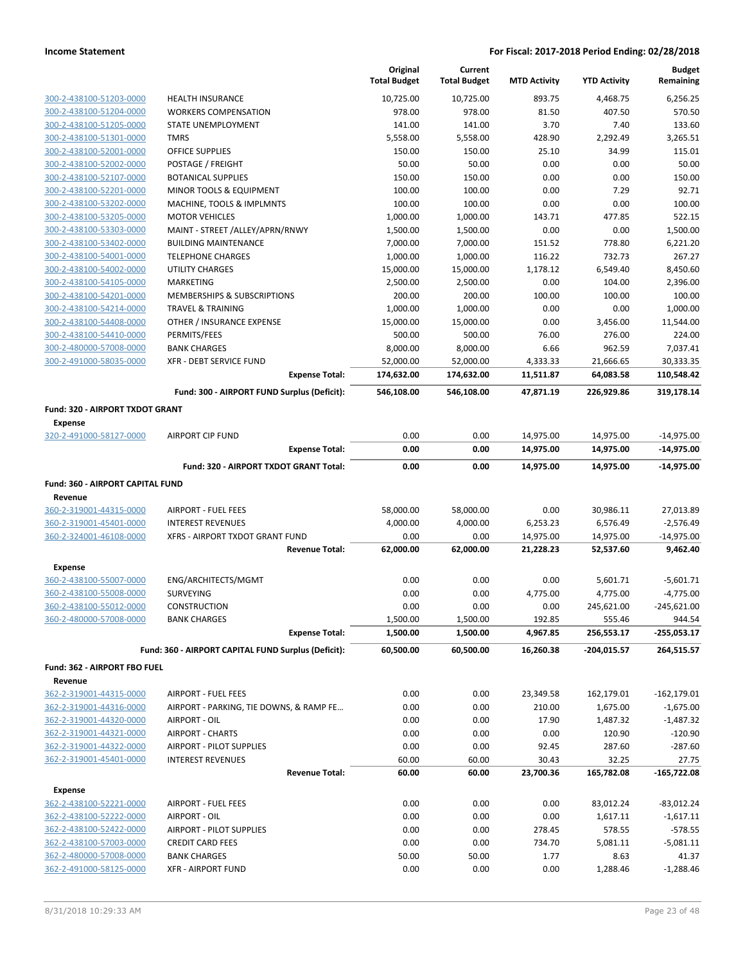|                                                    |                                                         | Original<br><b>Total Budget</b> | Current<br><b>Total Budget</b> | <b>MTD Activity</b>    | <b>YTD Activity</b>    | <b>Budget</b><br>Remaining   |
|----------------------------------------------------|---------------------------------------------------------|---------------------------------|--------------------------------|------------------------|------------------------|------------------------------|
| 300-2-438100-51203-0000                            | <b>HEALTH INSURANCE</b>                                 | 10,725.00                       | 10,725.00                      | 893.75                 | 4,468.75               | 6,256.25                     |
| 300-2-438100-51204-0000                            | <b>WORKERS COMPENSATION</b>                             | 978.00                          | 978.00                         | 81.50                  | 407.50                 | 570.50                       |
| 300-2-438100-51205-0000                            | STATE UNEMPLOYMENT                                      | 141.00                          | 141.00                         | 3.70                   | 7.40                   | 133.60                       |
| 300-2-438100-51301-0000                            | <b>TMRS</b>                                             | 5,558.00                        | 5,558.00                       | 428.90                 | 2,292.49               | 3,265.51                     |
| 300-2-438100-52001-0000                            | OFFICE SUPPLIES                                         | 150.00                          | 150.00                         | 25.10                  | 34.99                  | 115.01                       |
| 300-2-438100-52002-0000                            | POSTAGE / FREIGHT                                       | 50.00                           | 50.00                          | 0.00                   | 0.00                   | 50.00                        |
| 300-2-438100-52107-0000                            | <b>BOTANICAL SUPPLIES</b>                               | 150.00                          | 150.00                         | 0.00                   | 0.00                   | 150.00                       |
| 300-2-438100-52201-0000                            | MINOR TOOLS & EQUIPMENT                                 | 100.00                          | 100.00                         | 0.00                   | 7.29                   | 92.71                        |
| 300-2-438100-53202-0000                            | MACHINE, TOOLS & IMPLMNTS                               | 100.00                          | 100.00                         | 0.00                   | 0.00                   | 100.00                       |
| 300-2-438100-53205-0000                            | <b>MOTOR VEHICLES</b>                                   | 1,000.00                        | 1,000.00                       | 143.71                 | 477.85                 | 522.15                       |
| 300-2-438100-53303-0000                            | MAINT - STREET /ALLEY/APRN/RNWY                         | 1,500.00                        | 1,500.00                       | 0.00                   | 0.00<br>778.80         | 1,500.00                     |
| 300-2-438100-53402-0000<br>300-2-438100-54001-0000 | <b>BUILDING MAINTENANCE</b><br><b>TELEPHONE CHARGES</b> | 7,000.00<br>1,000.00            | 7,000.00<br>1,000.00           | 151.52<br>116.22       | 732.73                 | 6,221.20<br>267.27           |
| 300-2-438100-54002-0000                            | <b>UTILITY CHARGES</b>                                  | 15,000.00                       | 15,000.00                      | 1,178.12               | 6,549.40               | 8,450.60                     |
| 300-2-438100-54105-0000                            | MARKETING                                               | 2,500.00                        | 2,500.00                       | 0.00                   | 104.00                 | 2,396.00                     |
| 300-2-438100-54201-0000                            | MEMBERSHIPS & SUBSCRIPTIONS                             | 200.00                          | 200.00                         | 100.00                 | 100.00                 | 100.00                       |
| 300-2-438100-54214-0000                            | <b>TRAVEL &amp; TRAINING</b>                            | 1,000.00                        | 1,000.00                       | 0.00                   | 0.00                   | 1,000.00                     |
| 300-2-438100-54408-0000                            | OTHER / INSURANCE EXPENSE                               | 15,000.00                       | 15,000.00                      | 0.00                   | 3,456.00               | 11,544.00                    |
| 300-2-438100-54410-0000                            | PERMITS/FEES                                            | 500.00                          | 500.00                         | 76.00                  | 276.00                 | 224.00                       |
| 300-2-480000-57008-0000                            | <b>BANK CHARGES</b>                                     | 8,000.00                        | 8,000.00                       | 6.66                   | 962.59                 | 7,037.41                     |
| 300-2-491000-58035-0000                            | XFR - DEBT SERVICE FUND                                 | 52,000.00                       | 52,000.00                      | 4,333.33               | 21,666.65              | 30,333.35                    |
|                                                    | <b>Expense Total:</b>                                   | 174,632.00                      | 174,632.00                     | 11,511.87              | 64,083.58              | 110,548.42                   |
|                                                    | Fund: 300 - AIRPORT FUND Surplus (Deficit):             | 546,108.00                      | 546,108.00                     | 47,871.19              | 226,929.86             | 319,178.14                   |
| Fund: 320 - AIRPORT TXDOT GRANT                    |                                                         |                                 |                                |                        |                        |                              |
| <b>Expense</b>                                     |                                                         |                                 |                                |                        |                        |                              |
| 320-2-491000-58127-0000                            | <b>AIRPORT CIP FUND</b><br><b>Expense Total:</b>        | 0.00<br>0.00                    | 0.00<br>0.00                   | 14,975.00<br>14,975.00 | 14,975.00<br>14,975.00 | $-14,975.00$<br>$-14,975.00$ |
|                                                    | Fund: 320 - AIRPORT TXDOT GRANT Total:                  | 0.00                            | 0.00                           | 14,975.00              | 14,975.00              | $-14,975.00$                 |
| Fund: 360 - AIRPORT CAPITAL FUND                   |                                                         |                                 |                                |                        |                        |                              |
| Revenue                                            |                                                         |                                 |                                |                        |                        |                              |
| 360-2-319001-44315-0000                            | <b>AIRPORT - FUEL FEES</b>                              | 58,000.00                       | 58,000.00                      | 0.00                   | 30,986.11              | 27,013.89                    |
| 360-2-319001-45401-0000                            | <b>INTEREST REVENUES</b>                                | 4,000.00                        | 4,000.00                       | 6,253.23               | 6,576.49               | $-2,576.49$                  |
| 360-2-324001-46108-0000                            | XFRS - AIRPORT TXDOT GRANT FUND                         | 0.00                            | 0.00                           | 14,975.00              | 14,975.00              | $-14,975.00$                 |
|                                                    | <b>Revenue Total:</b>                                   | 62,000.00                       | 62,000.00                      | 21,228.23              | 52,537.60              | 9,462.40                     |
| <b>Expense</b>                                     |                                                         |                                 |                                |                        |                        |                              |
| 360-2-438100-55007-0000                            | ENG/ARCHITECTS/MGMT                                     | 0.00                            | 0.00                           | 0.00                   | 5,601.71               | $-5,601.71$                  |
| 360-2-438100-55008-0000                            | SURVEYING                                               | 0.00                            | 0.00                           | 4,775.00               | 4,775.00               | $-4,775.00$                  |
| 360-2-438100-55012-0000                            | CONSTRUCTION                                            | 0.00                            | 0.00                           | 0.00                   | 245,621.00             | $-245,621.00$                |
| 360-2-480000-57008-0000                            | <b>BANK CHARGES</b>                                     | 1,500.00                        | 1,500.00                       | 192.85                 | 555.46                 | 944.54                       |
|                                                    | <b>Expense Total:</b>                                   | 1,500.00                        | 1,500.00                       | 4,967.85               | 256,553.17             | -255,053.17                  |
|                                                    | Fund: 360 - AIRPORT CAPITAL FUND Surplus (Deficit):     | 60,500.00                       | 60,500.00                      | 16,260.38              | -204,015.57            | 264,515.57                   |
| Fund: 362 - AIRPORT FBO FUEL                       |                                                         |                                 |                                |                        |                        |                              |
| Revenue                                            |                                                         |                                 |                                |                        |                        |                              |
| 362-2-319001-44315-0000                            | AIRPORT - FUEL FEES                                     | 0.00                            | 0.00                           | 23,349.58              | 162,179.01             | $-162, 179.01$               |
| 362-2-319001-44316-0000                            | AIRPORT - PARKING, TIE DOWNS, & RAMP FE                 | 0.00                            | 0.00                           | 210.00                 | 1,675.00               | $-1,675.00$                  |
| 362-2-319001-44320-0000                            | AIRPORT - OIL                                           | 0.00                            | 0.00                           | 17.90                  | 1,487.32               | $-1,487.32$                  |
| 362-2-319001-44321-0000                            | <b>AIRPORT - CHARTS</b>                                 | 0.00                            | 0.00                           | 0.00                   | 120.90                 | $-120.90$                    |
| 362-2-319001-44322-0000                            | AIRPORT - PILOT SUPPLIES                                | 0.00                            | 0.00                           | 92.45                  | 287.60                 | $-287.60$                    |
| 362-2-319001-45401-0000                            | <b>INTEREST REVENUES</b><br><b>Revenue Total:</b>       | 60.00<br>60.00                  | 60.00<br>60.00                 | 30.43<br>23,700.36     | 32.25<br>165,782.08    | 27.75<br>$-165,722.08$       |
|                                                    |                                                         |                                 |                                |                        |                        |                              |
| <b>Expense</b><br>362-2-438100-52221-0000          | AIRPORT - FUEL FEES                                     | 0.00                            | 0.00                           | 0.00                   | 83,012.24              | $-83,012.24$                 |
| 362-2-438100-52222-0000                            | AIRPORT - OIL                                           | 0.00                            | 0.00                           | 0.00                   | 1,617.11               | $-1,617.11$                  |
| 362-2-438100-52422-0000                            | AIRPORT - PILOT SUPPLIES                                | 0.00                            | 0.00                           | 278.45                 | 578.55                 | $-578.55$                    |
| 362-2-438100-57003-0000                            | <b>CREDIT CARD FEES</b>                                 | 0.00                            | 0.00                           | 734.70                 | 5,081.11               | $-5,081.11$                  |
| 362-2-480000-57008-0000                            | <b>BANK CHARGES</b>                                     | 50.00                           | 50.00                          | 1.77                   | 8.63                   | 41.37                        |
| 362-2-491000-58125-0000                            | <b>XFR - AIRPORT FUND</b>                               | 0.00                            | 0.00                           | 0.00                   | 1,288.46               | $-1,288.46$                  |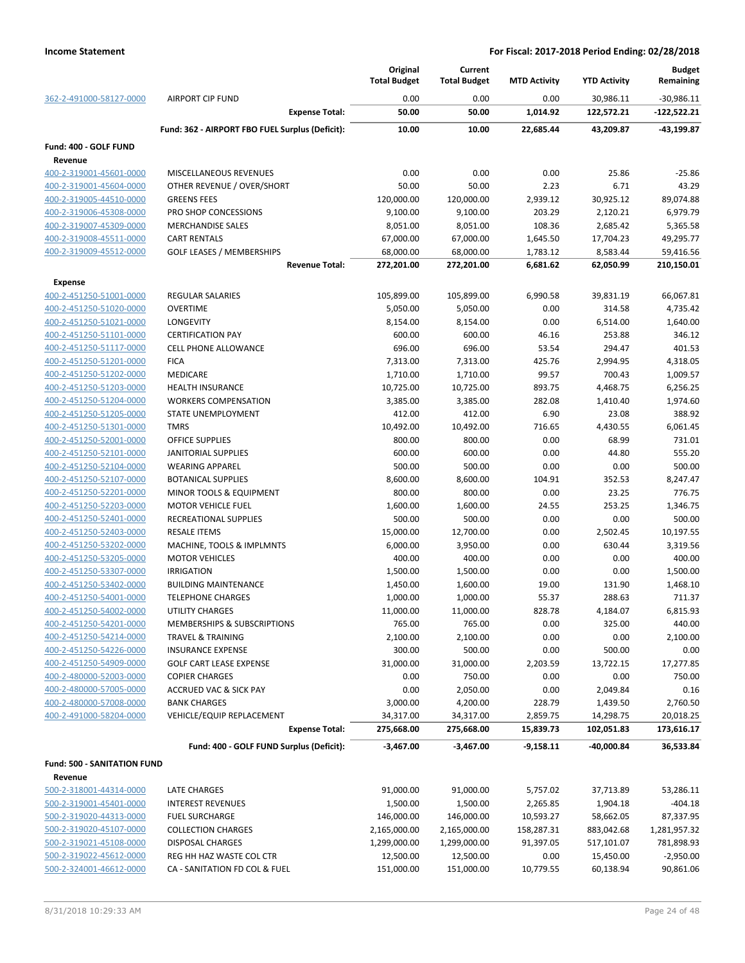|                                                    |                                                 | Original<br><b>Total Budget</b> | Current<br><b>Total Budget</b> | <b>MTD Activity</b> | <b>YTD Activity</b> | <b>Budget</b><br>Remaining |
|----------------------------------------------------|-------------------------------------------------|---------------------------------|--------------------------------|---------------------|---------------------|----------------------------|
| 362-2-491000-58127-0000                            | <b>AIRPORT CIP FUND</b>                         | 0.00                            | 0.00                           | 0.00                | 30,986.11           | $-30,986.11$               |
|                                                    | <b>Expense Total:</b>                           | 50.00                           | 50.00                          | 1,014.92            | 122,572.21          | -122,522.21                |
|                                                    | Fund: 362 - AIRPORT FBO FUEL Surplus (Deficit): | 10.00                           | 10.00                          | 22,685.44           | 43,209.87           | -43,199.87                 |
| Fund: 400 - GOLF FUND                              |                                                 |                                 |                                |                     |                     |                            |
| Revenue                                            |                                                 |                                 |                                |                     |                     |                            |
| 400-2-319001-45601-0000                            | MISCELLANEOUS REVENUES                          | 0.00                            | 0.00                           | 0.00                | 25.86               | $-25.86$                   |
| 400-2-319001-45604-0000                            | OTHER REVENUE / OVER/SHORT                      | 50.00                           | 50.00                          | 2.23                | 6.71                | 43.29                      |
| 400-2-319005-44510-0000                            | <b>GREENS FEES</b>                              | 120,000.00                      | 120,000.00                     | 2,939.12            | 30,925.12           | 89,074.88                  |
| 400-2-319006-45308-0000                            | PRO SHOP CONCESSIONS                            | 9,100.00                        | 9,100.00                       | 203.29              | 2,120.21            | 6,979.79                   |
| 400-2-319007-45309-0000                            | <b>MERCHANDISE SALES</b>                        | 8,051.00                        | 8,051.00                       | 108.36              | 2,685.42            | 5,365.58                   |
| 400-2-319008-45511-0000                            | <b>CART RENTALS</b>                             | 67,000.00                       | 67,000.00                      | 1,645.50            | 17,704.23           | 49,295.77                  |
| 400-2-319009-45512-0000                            | <b>GOLF LEASES / MEMBERSHIPS</b>                | 68,000.00                       | 68,000.00                      | 1,783.12            | 8,583.44            | 59,416.56                  |
|                                                    | <b>Revenue Total:</b>                           | 272,201.00                      | 272,201.00                     | 6,681.62            | 62,050.99           | 210,150.01                 |
| Expense                                            |                                                 |                                 |                                |                     |                     |                            |
| 400-2-451250-51001-0000                            | <b>REGULAR SALARIES</b>                         | 105,899.00                      | 105,899.00                     | 6,990.58            | 39,831.19           | 66,067.81                  |
| 400-2-451250-51020-0000                            | <b>OVERTIME</b><br>LONGEVITY                    | 5,050.00                        | 5,050.00                       | 0.00<br>0.00        | 314.58              | 4,735.42                   |
| 400-2-451250-51021-0000<br>400-2-451250-51101-0000 | <b>CERTIFICATION PAY</b>                        | 8,154.00<br>600.00              | 8,154.00<br>600.00             | 46.16               | 6,514.00<br>253.88  | 1,640.00<br>346.12         |
| 400-2-451250-51117-0000                            | <b>CELL PHONE ALLOWANCE</b>                     | 696.00                          | 696.00                         | 53.54               | 294.47              | 401.53                     |
| 400-2-451250-51201-0000                            | <b>FICA</b>                                     | 7,313.00                        | 7,313.00                       | 425.76              | 2,994.95            | 4,318.05                   |
| 400-2-451250-51202-0000                            | MEDICARE                                        | 1,710.00                        | 1,710.00                       | 99.57               | 700.43              | 1,009.57                   |
| 400-2-451250-51203-0000                            | HEALTH INSURANCE                                | 10,725.00                       | 10,725.00                      | 893.75              | 4,468.75            | 6,256.25                   |
| 400-2-451250-51204-0000                            | <b>WORKERS COMPENSATION</b>                     | 3,385.00                        | 3,385.00                       | 282.08              | 1,410.40            | 1,974.60                   |
| 400-2-451250-51205-0000                            | <b>STATE UNEMPLOYMENT</b>                       | 412.00                          | 412.00                         | 6.90                | 23.08               | 388.92                     |
| 400-2-451250-51301-0000                            | <b>TMRS</b>                                     | 10,492.00                       | 10,492.00                      | 716.65              | 4,430.55            | 6,061.45                   |
| 400-2-451250-52001-0000                            | <b>OFFICE SUPPLIES</b>                          | 800.00                          | 800.00                         | 0.00                | 68.99               | 731.01                     |
| 400-2-451250-52101-0000                            | JANITORIAL SUPPLIES                             | 600.00                          | 600.00                         | 0.00                | 44.80               | 555.20                     |
| 400-2-451250-52104-0000                            | <b>WEARING APPAREL</b>                          | 500.00                          | 500.00                         | 0.00                | 0.00                | 500.00                     |
| 400-2-451250-52107-0000                            | <b>BOTANICAL SUPPLIES</b>                       | 8,600.00                        | 8,600.00                       | 104.91              | 352.53              | 8,247.47                   |
| 400-2-451250-52201-0000                            | MINOR TOOLS & EQUIPMENT                         | 800.00                          | 800.00                         | 0.00                | 23.25               | 776.75                     |
| 400-2-451250-52203-0000                            | <b>MOTOR VEHICLE FUEL</b>                       | 1,600.00                        | 1,600.00                       | 24.55               | 253.25              | 1,346.75                   |
| 400-2-451250-52401-0000                            | RECREATIONAL SUPPLIES                           | 500.00                          | 500.00                         | 0.00                | 0.00                | 500.00                     |
| 400-2-451250-52403-0000                            | <b>RESALE ITEMS</b>                             | 15,000.00                       | 12,700.00                      | 0.00                | 2,502.45            | 10,197.55                  |
| 400-2-451250-53202-0000                            | MACHINE, TOOLS & IMPLMNTS                       | 6,000.00                        | 3,950.00                       | 0.00                | 630.44              | 3,319.56                   |
| 400-2-451250-53205-0000                            | <b>MOTOR VEHICLES</b>                           | 400.00                          | 400.00                         | 0.00                | 0.00                | 400.00                     |
| 400-2-451250-53307-0000                            | <b>IRRIGATION</b>                               | 1,500.00                        | 1,500.00                       | 0.00                | 0.00                | 1,500.00                   |
| 400-2-451250-53402-0000                            | <b>BUILDING MAINTENANCE</b>                     | 1,450.00                        | 1,600.00                       | 19.00               | 131.90              | 1,468.10                   |
| 400-2-451250-54001-0000                            | <b>TELEPHONE CHARGES</b>                        | 1,000.00                        | 1,000.00                       | 55.37               | 288.63              | 711.37                     |
| 400-2-451250-54002-0000                            | UTILITY CHARGES                                 | 11,000.00                       | 11,000.00                      | 828.78              | 4,184.07            | 6,815.93                   |
| 400-2-451250-54201-0000                            | MEMBERSHIPS & SUBSCRIPTIONS                     | 765.00                          | 765.00                         | 0.00                | 325.00              | 440.00                     |
| 400-2-451250-54214-0000                            | TRAVEL & TRAINING                               | 2,100.00                        | 2,100.00                       | 0.00                | 0.00                | 2,100.00                   |
| 400-2-451250-54226-0000                            | <b>INSURANCE EXPENSE</b>                        | 300.00                          | 500.00                         | 0.00                | 500.00              | 0.00                       |
| 400-2-451250-54909-0000                            | <b>GOLF CART LEASE EXPENSE</b>                  | 31,000.00                       | 31,000.00                      | 2,203.59            | 13,722.15           | 17,277.85                  |
| 400-2-480000-52003-0000                            | <b>COPIER CHARGES</b>                           | 0.00                            | 750.00                         | 0.00                | 0.00                | 750.00                     |
| 400-2-480000-57005-0000                            | <b>ACCRUED VAC &amp; SICK PAY</b>               | 0.00                            | 2,050.00                       | 0.00                | 2,049.84            | 0.16                       |
| 400-2-480000-57008-0000                            | <b>BANK CHARGES</b>                             | 3,000.00                        | 4,200.00                       | 228.79              | 1,439.50            | 2,760.50                   |
| 400-2-491000-58204-0000                            | VEHICLE/EQUIP REPLACEMENT                       | 34,317.00                       | 34,317.00                      | 2,859.75            | 14,298.75           | 20,018.25                  |
|                                                    | <b>Expense Total:</b>                           | 275,668.00                      | 275,668.00                     | 15,839.73           | 102,051.83          | 173,616.17                 |
|                                                    | Fund: 400 - GOLF FUND Surplus (Deficit):        | $-3,467.00$                     | $-3,467.00$                    | $-9,158.11$         | $-40,000.84$        | 36,533.84                  |
| Fund: 500 - SANITATION FUND                        |                                                 |                                 |                                |                     |                     |                            |
| Revenue                                            |                                                 |                                 |                                |                     |                     |                            |
| 500-2-318001-44314-0000                            | LATE CHARGES                                    | 91,000.00                       | 91,000.00                      | 5,757.02            | 37,713.89           | 53,286.11                  |
| 500-2-319001-45401-0000                            | <b>INTEREST REVENUES</b>                        | 1,500.00                        | 1,500.00                       | 2,265.85            | 1,904.18            | $-404.18$                  |
| 500-2-319020-44313-0000                            | <b>FUEL SURCHARGE</b>                           | 146,000.00                      | 146,000.00                     | 10,593.27           | 58,662.05           | 87,337.95                  |
| 500-2-319020-45107-0000                            | <b>COLLECTION CHARGES</b>                       | 2,165,000.00                    | 2,165,000.00                   | 158,287.31          | 883,042.68          | 1,281,957.32               |
| 500-2-319021-45108-0000                            | <b>DISPOSAL CHARGES</b>                         | 1,299,000.00                    | 1,299,000.00                   | 91,397.05           | 517,101.07          | 781,898.93                 |
| 500-2-319022-45612-0000                            | REG HH HAZ WASTE COL CTR                        | 12,500.00                       | 12,500.00                      | 0.00                | 15,450.00           | $-2,950.00$                |
| 500-2-324001-46612-0000                            | CA - SANITATION FD COL & FUEL                   | 151,000.00                      | 151,000.00                     | 10,779.55           | 60,138.94           | 90,861.06                  |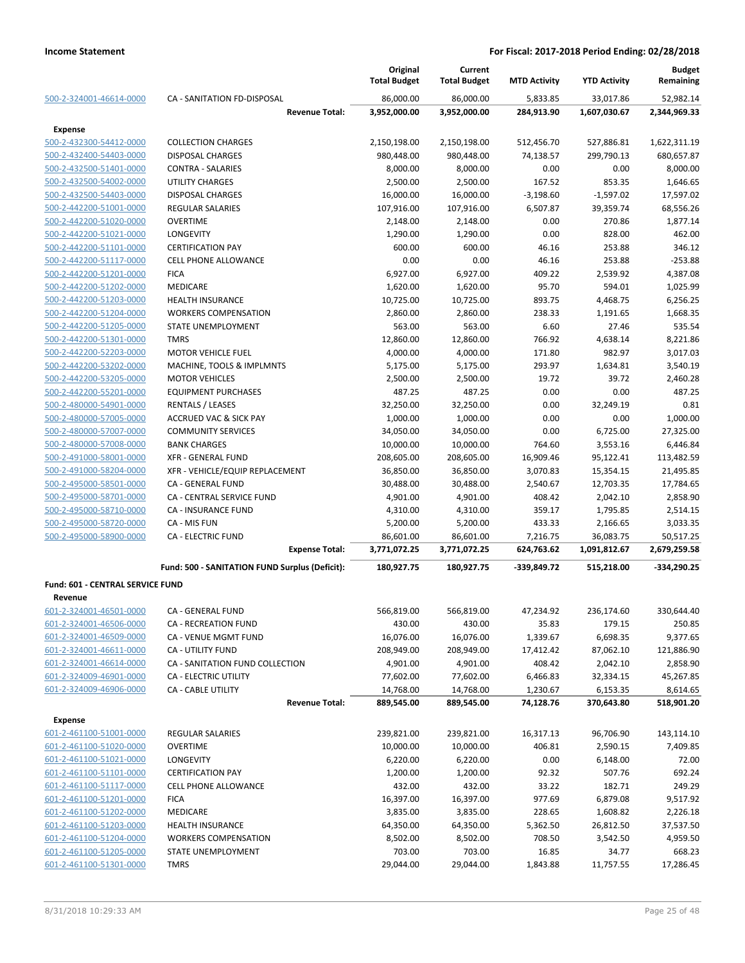|                                  |                                                | Original<br><b>Total Budget</b> | Current<br><b>Total Budget</b> | <b>MTD Activity</b> | <b>YTD Activity</b> | <b>Budget</b><br>Remaining |
|----------------------------------|------------------------------------------------|---------------------------------|--------------------------------|---------------------|---------------------|----------------------------|
| 500-2-324001-46614-0000          | CA - SANITATION FD-DISPOSAL                    | 86,000.00                       | 86,000.00                      | 5,833.85            | 33,017.86           | 52,982.14                  |
|                                  | <b>Revenue Total:</b>                          | 3,952,000.00                    | 3,952,000.00                   | 284,913.90          | 1,607,030.67        | 2,344,969.33               |
| <b>Expense</b>                   |                                                |                                 |                                |                     |                     |                            |
| 500-2-432300-54412-0000          | <b>COLLECTION CHARGES</b>                      | 2,150,198.00                    | 2,150,198.00                   | 512,456.70          | 527,886.81          | 1,622,311.19               |
| 500-2-432400-54403-0000          | <b>DISPOSAL CHARGES</b>                        | 980,448.00                      | 980,448.00                     | 74,138.57           | 299,790.13          | 680,657.87                 |
| 500-2-432500-51401-0000          | <b>CONTRA - SALARIES</b>                       | 8,000.00                        | 8,000.00                       | 0.00                | 0.00                | 8,000.00                   |
| 500-2-432500-54002-0000          | <b>UTILITY CHARGES</b>                         | 2,500.00                        | 2,500.00                       | 167.52              | 853.35              | 1,646.65                   |
| 500-2-432500-54403-0000          | DISPOSAL CHARGES                               | 16,000.00                       | 16,000.00                      | $-3,198.60$         | $-1,597.02$         | 17,597.02                  |
| 500-2-442200-51001-0000          | <b>REGULAR SALARIES</b>                        | 107,916.00                      | 107,916.00                     | 6,507.87            | 39,359.74           | 68,556.26                  |
| 500-2-442200-51020-0000          | <b>OVERTIME</b>                                | 2,148.00                        | 2,148.00                       | 0.00                | 270.86              | 1,877.14                   |
| 500-2-442200-51021-0000          | <b>LONGEVITY</b>                               | 1,290.00                        | 1,290.00                       | 0.00                | 828.00              | 462.00                     |
| 500-2-442200-51101-0000          | <b>CERTIFICATION PAY</b>                       | 600.00                          | 600.00                         | 46.16               | 253.88              | 346.12                     |
| 500-2-442200-51117-0000          | CELL PHONE ALLOWANCE                           | 0.00                            | 0.00                           | 46.16               | 253.88              | $-253.88$                  |
| 500-2-442200-51201-0000          | <b>FICA</b>                                    | 6,927.00                        | 6,927.00                       | 409.22              | 2,539.92            | 4,387.08                   |
| 500-2-442200-51202-0000          | <b>MEDICARE</b>                                | 1,620.00                        | 1,620.00                       | 95.70               | 594.01              | 1,025.99                   |
| 500-2-442200-51203-0000          | <b>HEALTH INSURANCE</b>                        | 10,725.00                       | 10,725.00                      | 893.75              | 4,468.75            | 6,256.25                   |
| 500-2-442200-51204-0000          | <b>WORKERS COMPENSATION</b>                    | 2,860.00                        | 2,860.00                       | 238.33              | 1,191.65            | 1,668.35                   |
| 500-2-442200-51205-0000          | STATE UNEMPLOYMENT                             | 563.00                          | 563.00                         | 6.60                | 27.46               | 535.54                     |
| 500-2-442200-51301-0000          | <b>TMRS</b>                                    | 12,860.00                       | 12,860.00                      | 766.92              | 4,638.14            | 8,221.86                   |
| 500-2-442200-52203-0000          | <b>MOTOR VEHICLE FUEL</b>                      | 4,000.00                        | 4,000.00                       | 171.80              | 982.97              | 3,017.03                   |
| 500-2-442200-53202-0000          | MACHINE, TOOLS & IMPLMNTS                      | 5,175.00                        | 5,175.00                       | 293.97              | 1,634.81            | 3,540.19                   |
| 500-2-442200-53205-0000          | <b>MOTOR VEHICLES</b>                          | 2,500.00                        | 2,500.00                       | 19.72               | 39.72               | 2,460.28                   |
| 500-2-442200-55201-0000          | <b>EQUIPMENT PURCHASES</b>                     | 487.25                          | 487.25                         | 0.00                | 0.00                | 487.25                     |
| 500-2-480000-54901-0000          | <b>RENTALS / LEASES</b>                        | 32,250.00                       | 32,250.00                      | 0.00                | 32,249.19           | 0.81                       |
| 500-2-480000-57005-0000          | <b>ACCRUED VAC &amp; SICK PAY</b>              | 1,000.00                        | 1,000.00                       | 0.00                | 0.00                | 1,000.00                   |
| 500-2-480000-57007-0000          | <b>COMMUNITY SERVICES</b>                      | 34,050.00                       | 34,050.00                      | 0.00                | 6,725.00            | 27,325.00                  |
| 500-2-480000-57008-0000          | <b>BANK CHARGES</b>                            |                                 |                                |                     |                     |                            |
|                                  | <b>XFR - GENERAL FUND</b>                      | 10,000.00                       | 10,000.00                      | 764.60              | 3,553.16            | 6,446.84                   |
| 500-2-491000-58001-0000          |                                                | 208,605.00                      | 208,605.00                     | 16,909.46           | 95,122.41           | 113,482.59                 |
| 500-2-491000-58204-0000          | XFR - VEHICLE/EQUIP REPLACEMENT                | 36,850.00                       | 36,850.00                      | 3,070.83            | 15,354.15           | 21,495.85                  |
| 500-2-495000-58501-0000          | CA - GENERAL FUND                              | 30,488.00                       | 30,488.00                      | 2,540.67            | 12,703.35           | 17,784.65                  |
| 500-2-495000-58701-0000          | CA - CENTRAL SERVICE FUND                      | 4,901.00                        | 4,901.00                       | 408.42              | 2,042.10            | 2,858.90                   |
| 500-2-495000-58710-0000          | <b>CA - INSURANCE FUND</b>                     | 4,310.00                        | 4,310.00                       | 359.17              | 1,795.85            | 2,514.15                   |
| 500-2-495000-58720-0000          | CA - MIS FUN                                   | 5,200.00                        | 5,200.00                       | 433.33              | 2,166.65            | 3,033.35                   |
| 500-2-495000-58900-0000          | <b>CA - ELECTRIC FUND</b>                      | 86,601.00                       | 86,601.00                      | 7,216.75            | 36,083.75           | 50,517.25                  |
|                                  | <b>Expense Total:</b>                          | 3,771,072.25                    | 3,771,072.25                   | 624,763.62          | 1,091,812.67        | 2,679,259.58               |
|                                  | Fund: 500 - SANITATION FUND Surplus (Deficit): | 180,927.75                      | 180,927.75                     | -339,849.72         | 515,218.00          | -334,290.25                |
| Fund: 601 - CENTRAL SERVICE FUND |                                                |                                 |                                |                     |                     |                            |
| Revenue                          |                                                |                                 |                                |                     |                     |                            |
| 601-2-324001-46501-0000          | CA - GENERAL FUND                              | 566,819.00                      | 566,819.00                     | 47,234.92           | 236,174.60          | 330,644.40                 |
| 601-2-324001-46506-0000          | CA - RECREATION FUND                           | 430.00                          | 430.00                         | 35.83               | 179.15              | 250.85                     |
| 601-2-324001-46509-0000          | CA - VENUE MGMT FUND                           | 16,076.00                       | 16,076.00                      | 1,339.67            | 6,698.35            | 9,377.65                   |
| 601-2-324001-46611-0000          | CA - UTILITY FUND                              | 208,949.00                      | 208,949.00                     | 17,412.42           | 87,062.10           | 121,886.90                 |
| 601-2-324001-46614-0000          | CA - SANITATION FUND COLLECTION                | 4,901.00                        | 4,901.00                       | 408.42              | 2,042.10            | 2,858.90                   |
| 601-2-324009-46901-0000          | CA - ELECTRIC UTILITY                          | 77,602.00                       | 77,602.00                      | 6,466.83            | 32,334.15           | 45,267.85                  |
| 601-2-324009-46906-0000          | CA - CABLE UTILITY                             | 14,768.00                       | 14,768.00                      | 1,230.67            | 6,153.35            | 8,614.65                   |
|                                  | <b>Revenue Total:</b>                          | 889,545.00                      | 889,545.00                     | 74,128.76           | 370,643.80          | 518,901.20                 |
| <b>Expense</b>                   |                                                |                                 |                                |                     |                     |                            |
| 601-2-461100-51001-0000          | <b>REGULAR SALARIES</b>                        | 239,821.00                      | 239,821.00                     | 16,317.13           | 96,706.90           | 143,114.10                 |
| 601-2-461100-51020-0000          | <b>OVERTIME</b>                                | 10,000.00                       | 10,000.00                      | 406.81              | 2,590.15            | 7,409.85                   |
| 601-2-461100-51021-0000          | <b>LONGEVITY</b>                               | 6,220.00                        | 6,220.00                       | 0.00                | 6,148.00            | 72.00                      |
| 601-2-461100-51101-0000          | <b>CERTIFICATION PAY</b>                       | 1,200.00                        | 1,200.00                       | 92.32               | 507.76              | 692.24                     |
| 601-2-461100-51117-0000          | <b>CELL PHONE ALLOWANCE</b>                    | 432.00                          | 432.00                         | 33.22               | 182.71              | 249.29                     |
| 601-2-461100-51201-0000          | <b>FICA</b>                                    | 16,397.00                       | 16,397.00                      | 977.69              | 6,879.08            | 9,517.92                   |
| 601-2-461100-51202-0000          | MEDICARE                                       | 3,835.00                        | 3,835.00                       | 228.65              | 1,608.82            | 2,226.18                   |
| 601-2-461100-51203-0000          | <b>HEALTH INSURANCE</b>                        | 64,350.00                       | 64,350.00                      | 5,362.50            | 26,812.50           | 37,537.50                  |
| 601-2-461100-51204-0000          | <b>WORKERS COMPENSATION</b>                    | 8,502.00                        | 8,502.00                       | 708.50              | 3,542.50            | 4,959.50                   |
| 601-2-461100-51205-0000          | STATE UNEMPLOYMENT                             | 703.00                          | 703.00                         | 16.85               | 34.77               | 668.23                     |
| 601-2-461100-51301-0000          | <b>TMRS</b>                                    | 29,044.00                       | 29,044.00                      | 1,843.88            | 11,757.55           | 17,286.45                  |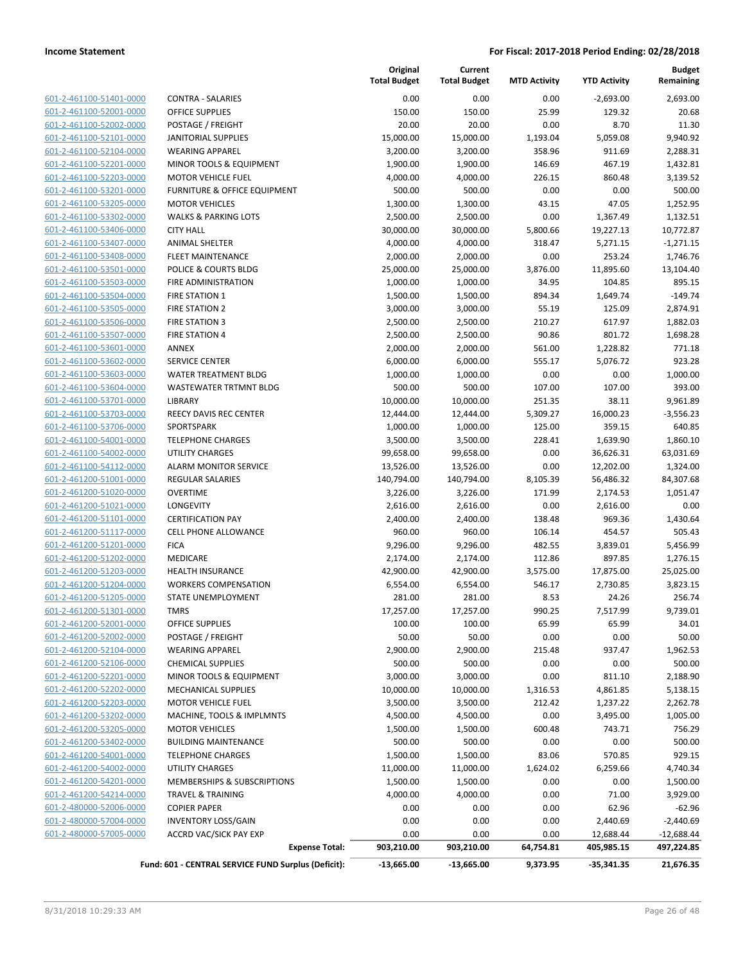| 601-2-461100-51401-0000 | CONTRA             |
|-------------------------|--------------------|
| 601-2-461100-52001-0000 | OFFICE S           |
| 601-2-461100-52002-0000 | POSTAGI            |
| 601-2-461100-52101-0000 | <b>JANITOR</b>     |
| 601-2-461100-52104-0000 | <b>WEARIN</b>      |
| 601-2-461100-52201-0000 | <b>MINOR T</b>     |
| 601-2-461100-52203-0000 | MOTOR <sup>®</sup> |
| 601-2-461100-53201-0000 | <b>FURNITL</b>     |
| 601-2-461100-53205-0000 | MOTOR <sup>®</sup> |
| 601-2-461100-53302-0000 | <b>WALKS &amp;</b> |
| 601-2-461100-53406-0000 | <b>CITY HAL</b>    |
| 601-2-461100-53407-0000 | ANIMAL             |
| 601-2-461100-53408-0000 | FLEET M.           |
| 601-2-461100-53501-0000 | POLICE 8           |
| 601-2-461100-53503-0000 | <b>FIRE ADN</b>    |
| 601-2-461100-53504-0000 | <b>FIRE STA</b>    |
| 601-2-461100-53505-0000 | <b>FIRE STA</b>    |
| 601-2-461100-53506-0000 | <b>FIRE STA</b>    |
| 601-2-461100-53507-0000 | <b>FIRE STA</b>    |
| 601-2-461100-53601-0000 | <b>ANNEX</b>       |
| 601-2-461100-53602-0000 | <b>SERVICE</b>     |
| 601-2-461100-53603-0000 | WATER 1            |
| 601-2-461100-53604-0000 | WASTEW             |
| 601-2-461100-53701-0000 | LIBRARY            |
| 601-2-461100-53703-0000 | REECY D            |
| 601-2-461100-53706-0000 | <b>SPORTSF</b>     |
| 601-2-461100-54001-0000 | <b>TELEPHC</b>     |
| 601-2-461100-54002-0000 | UTILITY (          |
| 601-2-461100-54112-0000 | <b>ALARM N</b>     |
| 601-2-461200-51001-0000 | REGULAI            |
| 601-2-461200-51020-0000 | OVERTIN            |
| 601-2-461200-51021-0000 | LONGEV             |
| 601-2-461200-51101-0000 | <b>CERTIFIC</b>    |
| 601-2-461200-51117-0000 | <b>CELL PHO</b>    |
| 601-2-461200-51201-0000 | <b>FICA</b>        |
| 601-2-461200-51202-0000 | <b>MEDICAI</b>     |
| 601-2-461200-51203-0000 | <b>HEALTH</b>      |
| 601-2-461200-51204-0000 | <b>WORKER</b>      |
| 601-2-461200-51205-0000 | <b>STATE UI</b>    |
| 601-2-461200-51301-0000 | <b>TMRS</b>        |
| 601-2-461200-52001-0000 | <b>OFFICE S</b>    |
| 601-2-461200-52002-0000 | POSTAGI            |
| 601-2-461200-52104-0000 | WEARIN             |
| 601-2-461200-52106-0000 | <b>CHEMICA</b>     |
| 601-2-461200-52201-0000 | MINOR T            |
| 601-2-461200-52202-0000 | <b>MECHAN</b>      |
| 601-2-461200-52203-0000 | MOTOR '            |
| 601-2-461200-53202-0000 | MACHIN             |
| 601-2-461200-53205-0000 | MOTOR <sup>®</sup> |
| 601-2-461200-53402-0000 | <b>BUILDIN</b>     |
| 601-2-461200-54001-0000 | <b>TELEPHC</b>     |
| 601-2-461200-54002-0000 | UTILITY (          |
| 601-2-461200-54201-0000 | <b>MEMBEF</b>      |
| 601-2-461200-54214-0000 | <b>TRAVEL</b>      |
| 601-2-480000-52006-0000 | <b>COPIER F</b>    |
| 601-2-480000-57004-0000 | INVENTO            |
| 601-2-480000-57005-0000 | ACCRD V            |
|                         |                    |

|                                                    |                                                     | Original<br><b>Total Budget</b> | Current<br><b>Total Budget</b> | <b>MTD Activity</b> | <b>YTD Activity</b> | <b>Budget</b><br>Remaining |
|----------------------------------------------------|-----------------------------------------------------|---------------------------------|--------------------------------|---------------------|---------------------|----------------------------|
| 601-2-461100-51401-0000                            | <b>CONTRA - SALARIES</b>                            | 0.00                            | 0.00                           | 0.00                | $-2,693.00$         | 2,693.00                   |
| 601-2-461100-52001-0000                            | <b>OFFICE SUPPLIES</b>                              | 150.00                          | 150.00                         | 25.99               | 129.32              | 20.68                      |
| 601-2-461100-52002-0000                            | POSTAGE / FREIGHT                                   | 20.00                           | 20.00                          | 0.00                | 8.70                | 11.30                      |
| 601-2-461100-52101-0000                            | <b>JANITORIAL SUPPLIES</b>                          | 15,000.00                       | 15,000.00                      | 1,193.04            | 5,059.08            | 9,940.92                   |
| 601-2-461100-52104-0000                            | <b>WEARING APPAREL</b>                              | 3,200.00                        | 3,200.00                       | 358.96              | 911.69              | 2,288.31                   |
| 601-2-461100-52201-0000                            | MINOR TOOLS & EQUIPMENT                             | 1,900.00                        | 1,900.00                       | 146.69              | 467.19              | 1,432.81                   |
| 601-2-461100-52203-0000                            | <b>MOTOR VEHICLE FUEL</b>                           | 4,000.00                        | 4,000.00                       | 226.15              | 860.48              | 3,139.52                   |
| 601-2-461100-53201-0000                            | <b>FURNITURE &amp; OFFICE EQUIPMENT</b>             | 500.00                          | 500.00                         | 0.00                | 0.00                | 500.00                     |
| 601-2-461100-53205-0000                            | <b>MOTOR VEHICLES</b>                               | 1,300.00                        | 1,300.00                       | 43.15               | 47.05               | 1,252.95                   |
| 601-2-461100-53302-0000                            | <b>WALKS &amp; PARKING LOTS</b>                     | 2,500.00                        | 2,500.00                       | 0.00                | 1,367.49            | 1,132.51                   |
| 601-2-461100-53406-0000                            | <b>CITY HALL</b>                                    | 30,000.00                       | 30,000.00                      | 5,800.66            | 19,227.13           | 10,772.87                  |
| 601-2-461100-53407-0000                            | <b>ANIMAL SHELTER</b>                               | 4,000.00                        | 4,000.00                       | 318.47              | 5,271.15            | $-1,271.15$                |
| 601-2-461100-53408-0000                            | <b>FLEET MAINTENANCE</b>                            | 2,000.00                        | 2,000.00                       | 0.00                | 253.24              | 1,746.76                   |
| 601-2-461100-53501-0000                            | POLICE & COURTS BLDG                                | 25,000.00                       | 25,000.00                      | 3,876.00            | 11,895.60           | 13,104.40                  |
| 601-2-461100-53503-0000                            | FIRE ADMINISTRATION                                 | 1,000.00                        | 1,000.00                       | 34.95               | 104.85              | 895.15                     |
| 601-2-461100-53504-0000                            | <b>FIRE STATION 1</b>                               | 1,500.00                        | 1,500.00                       | 894.34              | 1,649.74            | $-149.74$                  |
| 601-2-461100-53505-0000                            | <b>FIRE STATION 2</b>                               | 3,000.00                        | 3,000.00                       | 55.19               | 125.09              | 2,874.91                   |
| 601-2-461100-53506-0000                            | <b>FIRE STATION 3</b>                               | 2,500.00                        | 2,500.00                       | 210.27              | 617.97              | 1,882.03                   |
| 601-2-461100-53507-0000                            | <b>FIRE STATION 4</b>                               | 2,500.00                        | 2,500.00                       | 90.86               | 801.72              | 1,698.28                   |
| 601-2-461100-53601-0000                            | <b>ANNEX</b>                                        | 2,000.00                        | 2,000.00                       | 561.00              | 1,228.82            | 771.18                     |
| 601-2-461100-53602-0000                            | <b>SERVICE CENTER</b>                               | 6,000.00                        | 6,000.00                       | 555.17              | 5,076.72            | 923.28                     |
| 601-2-461100-53603-0000                            | <b>WATER TREATMENT BLDG</b>                         | 1,000.00                        | 1,000.00                       | 0.00                | 0.00                | 1,000.00                   |
| 601-2-461100-53604-0000                            | WASTEWATER TRTMNT BLDG                              | 500.00                          | 500.00                         | 107.00              | 107.00              | 393.00                     |
| 601-2-461100-53701-0000                            | LIBRARY                                             | 10,000.00                       | 10,000.00                      | 251.35              | 38.11               | 9,961.89                   |
| 601-2-461100-53703-0000                            | REECY DAVIS REC CENTER                              | 12,444.00                       | 12,444.00                      | 5,309.27            | 16,000.23           | $-3,556.23$                |
| 601-2-461100-53706-0000                            | SPORTSPARK                                          | 1,000.00                        | 1,000.00                       | 125.00              | 359.15              | 640.85                     |
| 601-2-461100-54001-0000                            | <b>TELEPHONE CHARGES</b>                            | 3,500.00                        | 3,500.00                       | 228.41              | 1,639.90            | 1,860.10                   |
| 601-2-461100-54002-0000                            | <b>UTILITY CHARGES</b>                              | 99,658.00                       | 99,658.00                      | 0.00                | 36,626.31           | 63,031.69                  |
| 601-2-461100-54112-0000                            | ALARM MONITOR SERVICE                               | 13,526.00                       | 13,526.00                      | 0.00                | 12,202.00           | 1,324.00                   |
| 601-2-461200-51001-0000                            | REGULAR SALARIES                                    | 140,794.00                      | 140,794.00                     | 8,105.39            | 56,486.32           | 84,307.68                  |
| 601-2-461200-51020-0000                            | <b>OVERTIME</b>                                     | 3,226.00                        | 3,226.00                       | 171.99              | 2,174.53            | 1,051.47                   |
| 601-2-461200-51021-0000                            | LONGEVITY                                           | 2,616.00                        | 2,616.00                       | 0.00                | 2,616.00            | 0.00                       |
| 601-2-461200-51101-0000                            | <b>CERTIFICATION PAY</b>                            | 2,400.00                        | 2,400.00                       | 138.48              | 969.36              | 1,430.64                   |
| 601-2-461200-51117-0000                            | <b>CELL PHONE ALLOWANCE</b>                         | 960.00                          | 960.00                         | 106.14              | 454.57              | 505.43                     |
| 601-2-461200-51201-0000<br>601-2-461200-51202-0000 | <b>FICA</b><br>MEDICARE                             | 9,296.00<br>2,174.00            | 9,296.00<br>2,174.00           | 482.55<br>112.86    | 3,839.01<br>897.85  | 5,456.99<br>1,276.15       |
| 601-2-461200-51203-0000                            | <b>HEALTH INSURANCE</b>                             | 42,900.00                       | 42,900.00                      | 3,575.00            | 17,875.00           | 25,025.00                  |
| 601-2-461200-51204-0000                            | <b>WORKERS COMPENSATION</b>                         | 6,554.00                        | 6,554.00                       | 546.17              | 2,730.85            | 3,823.15                   |
| 601-2-461200-51205-0000                            | STATE UNEMPLOYMENT                                  | 281.00                          | 281.00                         | 8.53                | 24.26               | 256.74                     |
| 601-2-461200-51301-0000                            | <b>TMRS</b>                                         | 17,257.00                       | 17,257.00                      | 990.25              | 7,517.99            | 9,739.01                   |
| 601-2-461200-52001-0000                            | <b>OFFICE SUPPLIES</b>                              | 100.00                          | 100.00                         | 65.99               | 65.99               | 34.01                      |
| 601-2-461200-52002-0000                            | POSTAGE / FREIGHT                                   | 50.00                           | 50.00                          | 0.00                | 0.00                | 50.00                      |
| 601-2-461200-52104-0000                            | <b>WEARING APPAREL</b>                              | 2,900.00                        | 2,900.00                       | 215.48              | 937.47              | 1,962.53                   |
| 601-2-461200-52106-0000                            | <b>CHEMICAL SUPPLIES</b>                            | 500.00                          | 500.00                         | 0.00                | 0.00                | 500.00                     |
| 601-2-461200-52201-0000                            | MINOR TOOLS & EQUIPMENT                             | 3,000.00                        | 3,000.00                       | 0.00                | 811.10              | 2,188.90                   |
| 601-2-461200-52202-0000                            | <b>MECHANICAL SUPPLIES</b>                          | 10,000.00                       | 10,000.00                      | 1,316.53            | 4,861.85            | 5,138.15                   |
| 601-2-461200-52203-0000                            | <b>MOTOR VEHICLE FUEL</b>                           | 3,500.00                        | 3,500.00                       | 212.42              | 1,237.22            | 2,262.78                   |
| 601-2-461200-53202-0000                            | MACHINE, TOOLS & IMPLMNTS                           | 4,500.00                        | 4,500.00                       | 0.00                | 3,495.00            | 1,005.00                   |
| 601-2-461200-53205-0000                            | <b>MOTOR VEHICLES</b>                               | 1,500.00                        | 1,500.00                       | 600.48              | 743.71              | 756.29                     |
| 601-2-461200-53402-0000                            | <b>BUILDING MAINTENANCE</b>                         | 500.00                          | 500.00                         | 0.00                | 0.00                | 500.00                     |
| 601-2-461200-54001-0000                            | <b>TELEPHONE CHARGES</b>                            | 1,500.00                        | 1,500.00                       | 83.06               | 570.85              | 929.15                     |
| 601-2-461200-54002-0000                            | UTILITY CHARGES                                     | 11,000.00                       | 11,000.00                      | 1,624.02            | 6,259.66            | 4,740.34                   |
| 601-2-461200-54201-0000                            | MEMBERSHIPS & SUBSCRIPTIONS                         | 1,500.00                        | 1,500.00                       | 0.00                | 0.00                | 1,500.00                   |
| 601-2-461200-54214-0000                            | <b>TRAVEL &amp; TRAINING</b>                        | 4,000.00                        | 4,000.00                       | 0.00                | 71.00               | 3,929.00                   |
| 601-2-480000-52006-0000                            | <b>COPIER PAPER</b>                                 | 0.00                            | 0.00                           | 0.00                | 62.96               | $-62.96$                   |
| 601-2-480000-57004-0000                            | <b>INVENTORY LOSS/GAIN</b>                          | 0.00                            | 0.00                           | 0.00                | 2,440.69            | $-2,440.69$                |
| 601-2-480000-57005-0000                            | ACCRD VAC/SICK PAY EXP                              | 0.00                            | 0.00                           | 0.00                | 12,688.44           | $-12,688.44$               |
|                                                    | <b>Expense Total:</b>                               | 903,210.00                      | 903,210.00                     | 64,754.81           | 405,985.15          | 497,224.85                 |
|                                                    | Fund: 601 - CENTRAL SERVICE FUND Surplus (Deficit): | $-13,665.00$                    | $-13,665.00$                   | 9,373.95            | $-35,341.35$        | 21,676.35                  |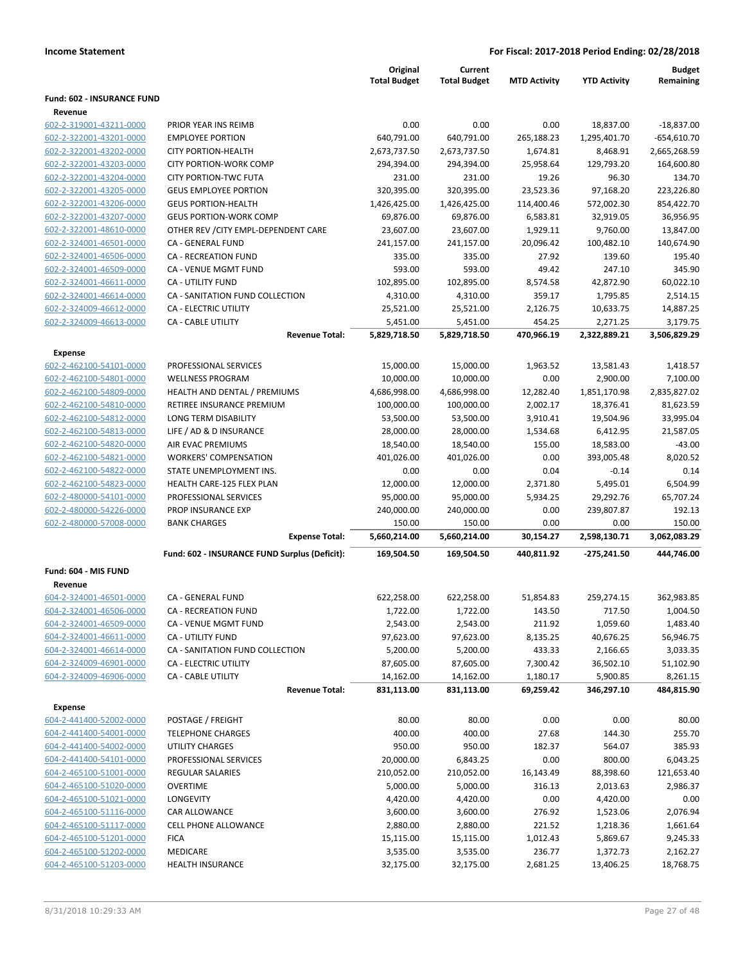|                                                    |                                                               | Original<br><b>Total Budget</b> | Current<br><b>Total Budget</b> | <b>MTD Activity</b>    | <b>YTD Activity</b> | <b>Budget</b><br>Remaining |
|----------------------------------------------------|---------------------------------------------------------------|---------------------------------|--------------------------------|------------------------|---------------------|----------------------------|
| <b>Fund: 602 - INSURANCE FUND</b>                  |                                                               |                                 |                                |                        |                     |                            |
| Revenue                                            |                                                               |                                 |                                |                        |                     |                            |
| 602-2-319001-43211-0000                            | PRIOR YEAR INS REIMB                                          | 0.00                            | 0.00                           | 0.00                   | 18,837.00           | $-18,837.00$               |
| 602-2-322001-43201-0000<br>602-2-322001-43202-0000 | <b>EMPLOYEE PORTION</b><br>CITY PORTION-HEALTH                | 640,791.00<br>2,673,737.50      | 640,791.00                     | 265,188.23<br>1,674.81 | 1,295,401.70        | $-654,610.70$              |
|                                                    |                                                               |                                 | 2,673,737.50                   |                        | 8,468.91            | 2,665,268.59               |
| 602-2-322001-43203-0000<br>602-2-322001-43204-0000 | <b>CITY PORTION-WORK COMP</b><br><b>CITY PORTION-TWC FUTA</b> | 294,394.00<br>231.00            | 294,394.00<br>231.00           | 25,958.64<br>19.26     | 129,793.20<br>96.30 | 164,600.80<br>134.70       |
| 602-2-322001-43205-0000                            | <b>GEUS EMPLOYEE PORTION</b>                                  | 320,395.00                      | 320,395.00                     | 23,523.36              | 97,168.20           | 223,226.80                 |
| 602-2-322001-43206-0000                            | <b>GEUS PORTION-HEALTH</b>                                    | 1,426,425.00                    | 1,426,425.00                   | 114,400.46             | 572,002.30          | 854,422.70                 |
| 602-2-322001-43207-0000                            | <b>GEUS PORTION-WORK COMP</b>                                 | 69,876.00                       | 69,876.00                      | 6,583.81               | 32,919.05           | 36,956.95                  |
| 602-2-322001-48610-0000                            | OTHER REV / CITY EMPL-DEPENDENT CARE                          | 23,607.00                       | 23,607.00                      | 1,929.11               | 9,760.00            | 13,847.00                  |
| 602-2-324001-46501-0000                            | CA - GENERAL FUND                                             | 241,157.00                      | 241,157.00                     | 20,096.42              | 100,482.10          | 140,674.90                 |
| 602-2-324001-46506-0000                            | CA - RECREATION FUND                                          | 335.00                          | 335.00                         | 27.92                  | 139.60              | 195.40                     |
| 602-2-324001-46509-0000                            | CA - VENUE MGMT FUND                                          | 593.00                          | 593.00                         | 49.42                  | 247.10              | 345.90                     |
| 602-2-324001-46611-0000                            | CA - UTILITY FUND                                             | 102,895.00                      | 102,895.00                     | 8,574.58               | 42,872.90           | 60,022.10                  |
| 602-2-324001-46614-0000                            | CA - SANITATION FUND COLLECTION                               | 4,310.00                        | 4,310.00                       | 359.17                 | 1,795.85            | 2,514.15                   |
| 602-2-324009-46612-0000                            | <b>CA - ELECTRIC UTILITY</b>                                  | 25,521.00                       | 25,521.00                      | 2,126.75               | 10,633.75           | 14,887.25                  |
| 602-2-324009-46613-0000                            | CA - CABLE UTILITY                                            | 5,451.00                        | 5,451.00                       | 454.25                 | 2,271.25            | 3,179.75                   |
|                                                    | <b>Revenue Total:</b>                                         | 5,829,718.50                    | 5,829,718.50                   | 470,966.19             | 2,322,889.21        | 3,506,829.29               |
| <b>Expense</b>                                     |                                                               |                                 |                                |                        |                     |                            |
| 602-2-462100-54101-0000                            | PROFESSIONAL SERVICES                                         | 15,000.00                       | 15,000.00                      | 1,963.52               | 13,581.43           | 1,418.57                   |
| 602-2-462100-54801-0000                            | <b>WELLNESS PROGRAM</b>                                       | 10,000.00                       | 10,000.00                      | 0.00                   | 2,900.00            | 7,100.00                   |
| 602-2-462100-54809-0000                            | HEALTH AND DENTAL / PREMIUMS                                  | 4,686,998.00                    | 4,686,998.00                   | 12,282.40              | 1,851,170.98        | 2,835,827.02               |
| 602-2-462100-54810-0000                            | RETIREE INSURANCE PREMIUM                                     | 100,000.00                      | 100,000.00                     | 2,002.17               | 18,376.41           | 81,623.59                  |
| 602-2-462100-54812-0000                            | LONG TERM DISABILITY                                          | 53,500.00                       | 53,500.00                      | 3,910.41               | 19,504.96           | 33,995.04                  |
| 602-2-462100-54813-0000                            | LIFE / AD & D INSURANCE                                       | 28,000.00                       | 28,000.00                      | 1,534.68               | 6,412.95            | 21,587.05                  |
| 602-2-462100-54820-0000                            | AIR EVAC PREMIUMS                                             | 18,540.00                       | 18,540.00                      | 155.00                 | 18,583.00           | $-43.00$                   |
| 602-2-462100-54821-0000                            | <b>WORKERS' COMPENSATION</b>                                  | 401,026.00                      | 401,026.00                     | 0.00                   | 393,005.48          | 8,020.52                   |
| 602-2-462100-54822-0000                            | STATE UNEMPLOYMENT INS.                                       | 0.00                            | 0.00                           | 0.04                   | $-0.14$             | 0.14                       |
| 602-2-462100-54823-0000                            | HEALTH CARE-125 FLEX PLAN                                     | 12,000.00                       | 12,000.00                      | 2,371.80               | 5,495.01            | 6,504.99                   |
| 602-2-480000-54101-0000                            | PROFESSIONAL SERVICES                                         | 95,000.00                       | 95,000.00                      | 5,934.25               | 29,292.76           | 65,707.24                  |
| 602-2-480000-54226-0000                            | PROP INSURANCE EXP                                            | 240,000.00                      | 240,000.00                     | 0.00                   | 239,807.87          | 192.13                     |
| 602-2-480000-57008-0000                            | <b>BANK CHARGES</b>                                           | 150.00                          | 150.00                         | 0.00                   | 0.00                | 150.00                     |
|                                                    | <b>Expense Total:</b>                                         | 5,660,214.00                    | 5,660,214.00                   | 30,154.27              | 2,598,130.71        | 3,062,083.29               |
|                                                    | Fund: 602 - INSURANCE FUND Surplus (Deficit):                 | 169,504.50                      | 169,504.50                     | 440,811.92             | $-275,241.50$       | 444.746.00                 |
| Fund: 604 - MIS FUND                               |                                                               |                                 |                                |                        |                     |                            |
| Revenue                                            |                                                               |                                 |                                |                        |                     |                            |
| 604-2-324001-46501-0000                            | CA - GENERAL FUND                                             | 622,258.00                      | 622,258.00                     | 51,854.83              | 259,274.15          | 362,983.85                 |
| 604-2-324001-46506-0000                            | <b>CA - RECREATION FUND</b>                                   | 1,722.00                        | 1,722.00                       | 143.50                 | 717.50              | 1,004.50                   |
| 604-2-324001-46509-0000                            | CA - VENUE MGMT FUND                                          | 2,543.00                        | 2,543.00                       | 211.92                 | 1,059.60            | 1,483.40                   |
| 604-2-324001-46611-0000                            | CA - UTILITY FUND                                             | 97,623.00                       | 97,623.00                      | 8,135.25               | 40,676.25           | 56,946.75                  |
| 604-2-324001-46614-0000                            | CA - SANITATION FUND COLLECTION                               | 5,200.00                        | 5,200.00                       | 433.33                 | 2,166.65            | 3,033.35                   |
| 604-2-324009-46901-0000                            | CA - ELECTRIC UTILITY                                         | 87,605.00                       | 87,605.00                      | 7,300.42               | 36,502.10           | 51,102.90                  |
| 604-2-324009-46906-0000                            | CA - CABLE UTILITY                                            | 14,162.00                       | 14,162.00                      | 1,180.17               | 5,900.85            | 8,261.15                   |
|                                                    | <b>Revenue Total:</b>                                         | 831,113.00                      | 831,113.00                     | 69,259.42              | 346,297.10          | 484,815.90                 |
| <b>Expense</b>                                     |                                                               |                                 |                                |                        |                     |                            |
| 604-2-441400-52002-0000                            | POSTAGE / FREIGHT                                             | 80.00                           | 80.00                          | 0.00                   | 0.00                | 80.00                      |
| 604-2-441400-54001-0000                            | <b>TELEPHONE CHARGES</b>                                      | 400.00                          | 400.00                         | 27.68                  | 144.30              | 255.70                     |
| 604-2-441400-54002-0000                            | UTILITY CHARGES                                               | 950.00                          | 950.00                         | 182.37                 | 564.07              | 385.93                     |
| 604-2-441400-54101-0000                            | PROFESSIONAL SERVICES                                         | 20,000.00                       | 6,843.25                       | 0.00                   | 800.00              | 6,043.25                   |
| 604-2-465100-51001-0000                            | <b>REGULAR SALARIES</b>                                       | 210,052.00                      | 210,052.00                     | 16,143.49              | 88,398.60           | 121,653.40                 |
| 604-2-465100-51020-0000                            | <b>OVERTIME</b>                                               | 5,000.00                        | 5,000.00                       | 316.13                 | 2,013.63            | 2,986.37                   |
| 604-2-465100-51021-0000                            | <b>LONGEVITY</b>                                              | 4,420.00                        | 4,420.00                       | 0.00                   | 4,420.00            | 0.00                       |
| 604-2-465100-51116-0000                            | CAR ALLOWANCE                                                 | 3,600.00                        | 3,600.00                       | 276.92                 | 1,523.06            | 2,076.94                   |
| 604-2-465100-51117-0000                            | CELL PHONE ALLOWANCE                                          | 2,880.00                        | 2,880.00                       | 221.52                 | 1,218.36            | 1,661.64                   |
| 604-2-465100-51201-0000                            | <b>FICA</b>                                                   | 15,115.00                       | 15,115.00                      | 1,012.43               | 5,869.67            | 9,245.33                   |
| 604-2-465100-51202-0000                            | MEDICARE                                                      | 3,535.00                        | 3,535.00                       | 236.77                 | 1,372.73            | 2,162.27                   |
| 604-2-465100-51203-0000                            | <b>HEALTH INSURANCE</b>                                       | 32,175.00                       | 32,175.00                      | 2,681.25               | 13,406.25           | 18,768.75                  |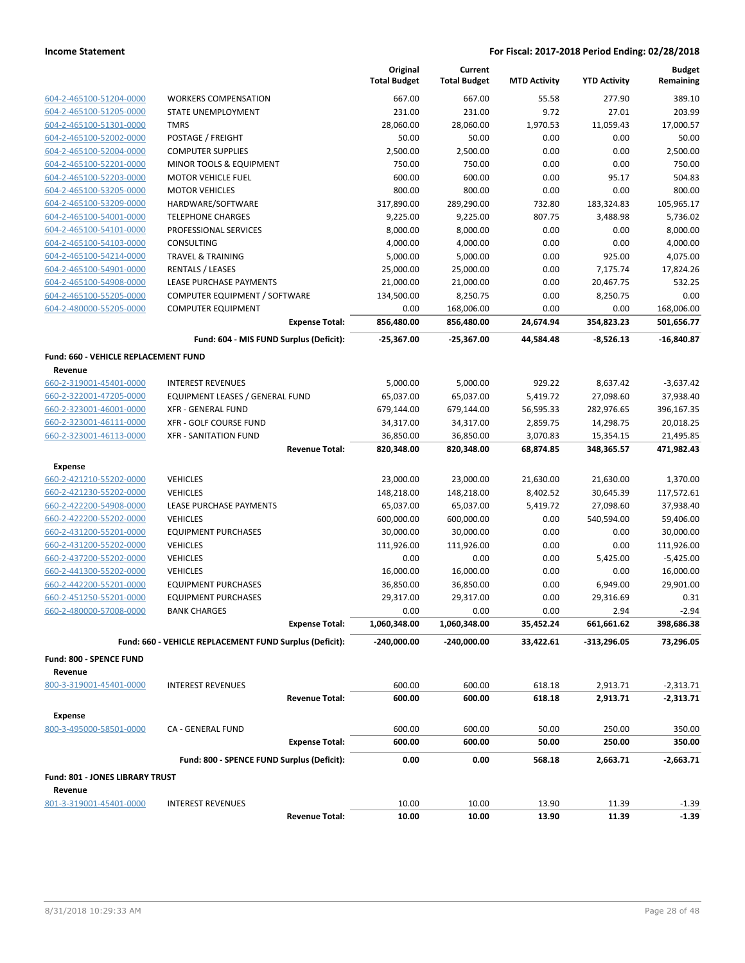|                                                    |                                                         | Original<br><b>Total Budget</b> | Current<br><b>Total Budget</b> | <b>MTD Activity</b>  | <b>YTD Activity</b>    | <b>Budget</b><br>Remaining |
|----------------------------------------------------|---------------------------------------------------------|---------------------------------|--------------------------------|----------------------|------------------------|----------------------------|
| 604-2-465100-51204-0000                            | <b>WORKERS COMPENSATION</b>                             | 667.00                          | 667.00                         | 55.58                | 277.90                 | 389.10                     |
| 604-2-465100-51205-0000                            | STATE UNEMPLOYMENT                                      | 231.00                          | 231.00                         | 9.72                 | 27.01                  | 203.99                     |
| 604-2-465100-51301-0000                            | <b>TMRS</b>                                             | 28,060.00                       | 28,060.00                      | 1,970.53             | 11,059.43              | 17,000.57                  |
| 604-2-465100-52002-0000                            | POSTAGE / FREIGHT                                       | 50.00                           | 50.00                          | 0.00                 | 0.00                   | 50.00                      |
| 604-2-465100-52004-0000                            | <b>COMPUTER SUPPLIES</b>                                | 2,500.00                        | 2,500.00                       | 0.00                 | 0.00                   | 2,500.00                   |
| 604-2-465100-52201-0000                            | MINOR TOOLS & EQUIPMENT                                 | 750.00                          | 750.00                         | 0.00                 | 0.00                   | 750.00                     |
| 604-2-465100-52203-0000                            | <b>MOTOR VEHICLE FUEL</b>                               | 600.00                          | 600.00                         | 0.00                 | 95.17                  | 504.83                     |
| 604-2-465100-53205-0000                            | <b>MOTOR VEHICLES</b>                                   | 800.00                          | 800.00                         | 0.00                 | 0.00                   | 800.00                     |
| 604-2-465100-53209-0000                            | HARDWARE/SOFTWARE                                       | 317,890.00                      | 289,290.00                     | 732.80               | 183,324.83             | 105,965.17                 |
| 604-2-465100-54001-0000                            | <b>TELEPHONE CHARGES</b>                                | 9,225.00                        | 9,225.00                       | 807.75               | 3,488.98               | 5,736.02                   |
| 604-2-465100-54101-0000                            | PROFESSIONAL SERVICES                                   | 8,000.00                        | 8,000.00                       | 0.00                 | 0.00                   | 8,000.00                   |
| 604-2-465100-54103-0000                            | CONSULTING                                              | 4,000.00                        | 4,000.00                       | 0.00                 | 0.00                   | 4,000.00                   |
| 604-2-465100-54214-0000                            | <b>TRAVEL &amp; TRAINING</b>                            | 5,000.00                        | 5,000.00                       | 0.00                 | 925.00                 | 4,075.00                   |
| 604-2-465100-54901-0000                            | <b>RENTALS / LEASES</b>                                 | 25,000.00                       | 25,000.00                      | 0.00                 | 7,175.74               | 17,824.26                  |
| 604-2-465100-54908-0000                            | LEASE PURCHASE PAYMENTS                                 | 21,000.00                       | 21,000.00                      | 0.00                 | 20,467.75              | 532.25                     |
| 604-2-465100-55205-0000                            | COMPUTER EQUIPMENT / SOFTWARE                           | 134,500.00                      | 8,250.75                       | 0.00                 | 8,250.75               | 0.00                       |
| 604-2-480000-55205-0000                            | <b>COMPUTER EQUIPMENT</b>                               | 0.00                            | 168,006.00                     | 0.00                 | 0.00                   | 168,006.00                 |
|                                                    | <b>Expense Total:</b>                                   | 856,480.00                      | 856,480.00                     | 24,674.94            | 354,823.23             | 501,656.77                 |
|                                                    | Fund: 604 - MIS FUND Surplus (Deficit):                 | -25,367.00                      | $-25,367.00$                   | 44,584.48            | $-8,526.13$            | -16,840.87                 |
| Fund: 660 - VEHICLE REPLACEMENT FUND               |                                                         |                                 |                                |                      |                        |                            |
| Revenue                                            |                                                         |                                 |                                |                      |                        |                            |
| 660-2-319001-45401-0000                            | <b>INTEREST REVENUES</b>                                | 5,000.00                        | 5,000.00                       | 929.22               | 8,637.42               | $-3,637.42$                |
| 660-2-322001-47205-0000                            | <b>EQUIPMENT LEASES / GENERAL FUND</b>                  | 65,037.00                       | 65,037.00                      | 5,419.72             | 27,098.60              | 37,938.40                  |
| 660-2-323001-46001-0000                            | <b>XFR - GENERAL FUND</b>                               | 679,144.00                      | 679,144.00                     | 56,595.33            | 282,976.65             | 396,167.35                 |
| 660-2-323001-46111-0000<br>660-2-323001-46113-0000 | XFR - GOLF COURSE FUND<br>XFR - SANITATION FUND         | 34,317.00<br>36,850.00          | 34,317.00<br>36,850.00         | 2,859.75<br>3,070.83 | 14,298.75<br>15,354.15 | 20,018.25<br>21,495.85     |
|                                                    | <b>Revenue Total:</b>                                   | 820,348.00                      | 820,348.00                     | 68,874.85            | 348,365.57             | 471,982.43                 |
|                                                    |                                                         |                                 |                                |                      |                        |                            |
| <b>Expense</b><br>660-2-421210-55202-0000          | <b>VEHICLES</b>                                         | 23,000.00                       | 23,000.00                      | 21,630.00            | 21,630.00              | 1,370.00                   |
| 660-2-421230-55202-0000                            | <b>VEHICLES</b>                                         | 148,218.00                      | 148,218.00                     | 8,402.52             | 30,645.39              | 117,572.61                 |
| 660-2-422200-54908-0000                            | LEASE PURCHASE PAYMENTS                                 | 65,037.00                       | 65,037.00                      | 5,419.72             | 27,098.60              | 37,938.40                  |
| 660-2-422200-55202-0000                            | <b>VEHICLES</b>                                         | 600,000.00                      | 600,000.00                     | 0.00                 | 540,594.00             | 59,406.00                  |
| 660-2-431200-55201-0000                            | <b>EQUIPMENT PURCHASES</b>                              | 30,000.00                       | 30,000.00                      | 0.00                 | 0.00                   | 30,000.00                  |
| 660-2-431200-55202-0000                            | <b>VEHICLES</b>                                         | 111,926.00                      | 111,926.00                     | 0.00                 | 0.00                   | 111,926.00                 |
| 660-2-437200-55202-0000                            | <b>VEHICLES</b>                                         | 0.00                            | 0.00                           | 0.00                 | 5,425.00               | $-5,425.00$                |
| 660-2-441300-55202-0000                            | <b>VEHICLES</b>                                         | 16,000.00                       | 16,000.00                      | 0.00                 | 0.00                   | 16,000.00                  |
| 660-2-442200-55201-0000                            | <b>EQUIPMENT PURCHASES</b>                              | 36,850.00                       | 36,850.00                      | 0.00                 | 6,949.00               | 29,901.00                  |
| 660-2-451250-55201-0000                            | <b>EQUIPMENT PURCHASES</b>                              | 29,317.00                       | 29,317.00                      | 0.00                 | 29,316.69              | 0.31                       |
| 660-2-480000-57008-0000                            | <b>BANK CHARGES</b>                                     | 0.00                            | 0.00                           | 0.00                 | 2.94                   | $-2.94$                    |
|                                                    | <b>Expense Total:</b>                                   | 1,060,348.00                    | 1,060,348.00                   | 35,452.24            | 661,661.62             | 398,686.38                 |
|                                                    | Fund: 660 - VEHICLE REPLACEMENT FUND Surplus (Deficit): | $-240,000.00$                   | -240,000.00                    | 33,422.61            | $-313,296.05$          | 73,296.05                  |
| <b>Fund: 800 - SPENCE FUND</b>                     |                                                         |                                 |                                |                      |                        |                            |
| Revenue                                            |                                                         |                                 |                                |                      |                        |                            |
| 800-3-319001-45401-0000                            | <b>INTEREST REVENUES</b>                                | 600.00                          | 600.00                         | 618.18               | 2,913.71               | $-2,313.71$                |
|                                                    | <b>Revenue Total:</b>                                   | 600.00                          | 600.00                         | 618.18               | 2,913.71               | -2,313.71                  |
| <b>Expense</b>                                     |                                                         |                                 |                                |                      |                        |                            |
| 800-3-495000-58501-0000                            | CA - GENERAL FUND                                       | 600.00                          | 600.00                         | 50.00                | 250.00                 | 350.00                     |
|                                                    | <b>Expense Total:</b>                                   | 600.00                          | 600.00                         | 50.00                | 250.00                 | 350.00                     |
|                                                    | Fund: 800 - SPENCE FUND Surplus (Deficit):              | 0.00                            | 0.00                           | 568.18               | 2,663.71               | $-2,663.71$                |
| Fund: 801 - JONES LIBRARY TRUST                    |                                                         |                                 |                                |                      |                        |                            |
| Revenue                                            |                                                         |                                 |                                |                      |                        |                            |
| 801-3-319001-45401-0000                            | <b>INTEREST REVENUES</b>                                | 10.00                           | 10.00                          | 13.90                | 11.39                  | $-1.39$                    |
|                                                    | <b>Revenue Total:</b>                                   | 10.00                           | 10.00                          | 13.90                | 11.39                  | $-1.39$                    |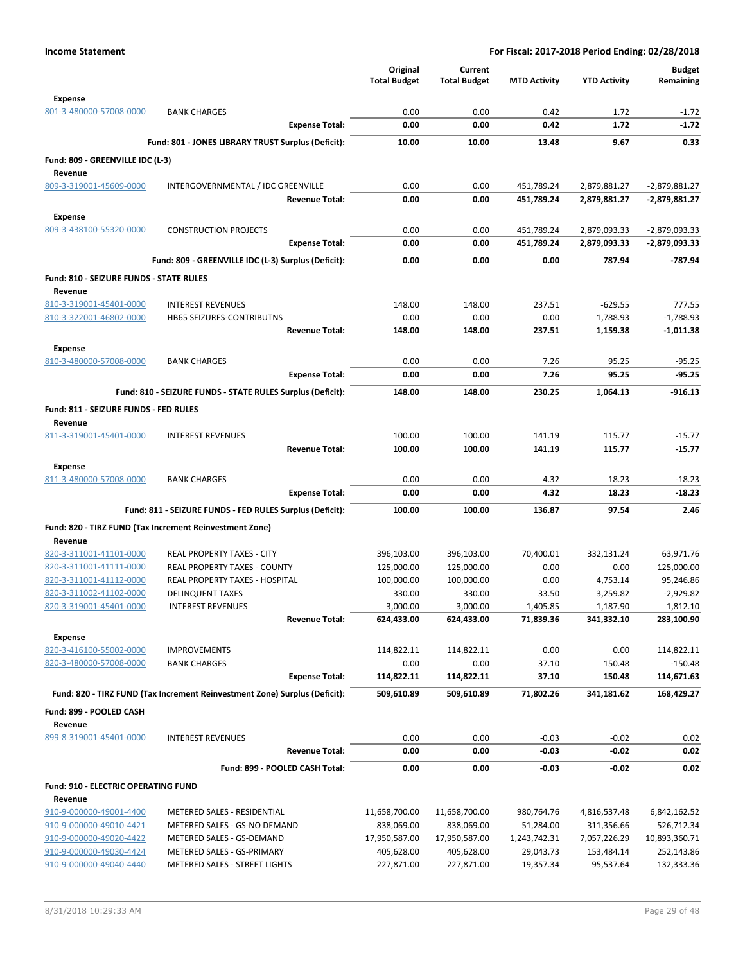| <b>Expense</b><br>801-3-480000-57008-0000<br>0.00<br>0.00<br>0.42<br>1.72<br>$-1.72$<br><b>BANK CHARGES</b><br>0.00<br>0.00<br>0.42<br>1.72<br>$-1.72$<br><b>Expense Total:</b><br>Fund: 801 - JONES LIBRARY TRUST Surplus (Deficit):<br>10.00<br>10.00<br>13.48<br>9.67<br>0.33<br>Fund: 809 - GREENVILLE IDC (L-3)<br>Revenue<br>809-3-319001-45609-0000<br>0.00<br>0.00<br>$-2,879,881.27$<br>INTERGOVERNMENTAL / IDC GREENVILLE<br>451,789.24<br>2,879,881.27<br>0.00<br>0.00<br>451,789.24<br><b>Revenue Total:</b><br>2,879,881.27<br>-2,879,881.27<br><b>Expense</b><br>809-3-438100-55320-0000<br><b>CONSTRUCTION PROJECTS</b><br>0.00<br>0.00<br>451,789.24<br>2,879,093.33<br>-2,879,093.33<br>0.00<br>0.00<br>451,789.24<br><b>Expense Total:</b><br>2,879,093.33<br>-2,879,093.33<br>$-787.94$<br>Fund: 809 - GREENVILLE IDC (L-3) Surplus (Deficit):<br>0.00<br>0.00<br>787.94<br>0.00<br>Fund: 810 - SEIZURE FUNDS - STATE RULES<br>Revenue<br>148.00<br>148.00<br>237.51<br>$-629.55$<br>777.55<br>810-3-319001-45401-0000<br><b>INTEREST REVENUES</b><br><b>HB65 SEIZURES-CONTRIBUTNS</b><br>0.00<br>0.00<br>0.00<br>1,788.93<br>$-1,788.93$<br>810-3-322001-46802-0000<br><b>Revenue Total:</b><br>148.00<br>148.00<br>237.51<br>1,159.38<br>$-1,011.38$<br>Expense<br>810-3-480000-57008-0000<br>0.00<br>0.00<br>7.26<br>95.25<br>$-95.25$<br><b>BANK CHARGES</b><br><b>Expense Total:</b><br>7.26<br>95.25<br>$-95.25$<br>0.00<br>0.00<br>$-916.13$<br>Fund: 810 - SEIZURE FUNDS - STATE RULES Surplus (Deficit):<br>148.00<br>148.00<br>230.25<br>1,064.13<br>Fund: 811 - SEIZURE FUNDS - FED RULES<br>Revenue<br><b>INTEREST REVENUES</b><br>100.00<br>100.00<br>141.19<br>115.77<br>$-15.77$<br>811-3-319001-45401-0000<br>$-15.77$<br><b>Revenue Total:</b><br>100.00<br>100.00<br>141.19<br>115.77<br>Expense<br>18.23<br>811-3-480000-57008-0000<br><b>BANK CHARGES</b><br>0.00<br>0.00<br>4.32<br>$-18.23$<br>$-18.23$<br><b>Expense Total:</b><br>4.32<br>18.23<br>0.00<br>0.00<br>2.46<br>Fund: 811 - SEIZURE FUNDS - FED RULES Surplus (Deficit):<br>100.00<br>97.54<br>100.00<br>136.87<br>Fund: 820 - TIRZ FUND (Tax Increment Reinvestment Zone)<br>Revenue<br>820-3-311001-41101-0000<br>REAL PROPERTY TAXES - CITY<br>70,400.01<br>63,971.76<br>396,103.00<br>396,103.00<br>332,131.24<br>REAL PROPERTY TAXES - COUNTY<br>125,000.00<br>125,000.00<br>0.00<br>0.00<br>125,000.00<br>820-3-311001-41111-0000<br>REAL PROPERTY TAXES - HOSPITAL<br>100,000.00<br>100,000.00<br>0.00<br>95,246.86<br>820-3-311001-41112-0000<br>4,753.14<br>820-3-311002-41102-0000<br>330.00<br>330.00<br>33.50<br>3,259.82<br>$-2,929.82$<br><b>DELINQUENT TAXES</b><br><b>INTEREST REVENUES</b><br>3,000.00<br>3,000.00<br>1,405.85<br>1,187.90<br>1,812.10<br>820-3-319001-45401-0000<br>283,100.90<br><b>Revenue Total:</b><br>624,433.00<br>624,433.00<br>71,839.36<br>341,332.10<br><b>Expense</b><br>820-3-416100-55002-0000<br>114,822.11<br>114,822.11<br>0.00<br>0.00<br>114,822.11<br><b>IMPROVEMENTS</b><br>820-3-480000-57008-0000<br>0.00<br><b>BANK CHARGES</b><br>0.00<br>37.10<br>150.48<br><b>Expense Total:</b><br>114,822.11<br>114,822.11<br>37.10<br>150.48<br>114,671.63<br>Fund: 820 - TIRZ FUND (Tax Increment Reinvestment Zone) Surplus (Deficit):<br>509,610.89<br>509,610.89<br>71,802.26<br>341,181.62<br>168,429.27<br>Fund: 899 - POOLED CASH<br>Revenue<br>899-8-319001-45401-0000<br><b>INTEREST REVENUES</b><br>0.00<br>0.00<br>$-0.03$<br>$-0.02$<br>0.02<br>$-0.03$<br>$-0.02$<br>0.00<br>0.00<br>0.02<br><b>Revenue Total:</b><br>0.02<br>Fund: 899 - POOLED CASH Total:<br>0.00<br>0.00<br>$-0.03$<br>$-0.02$<br>Fund: 910 - ELECTRIC OPERATING FUND<br>Revenue<br>910-9-000000-49001-4400<br>METERED SALES - RESIDENTIAL<br>11,658,700.00<br>6,842,162.52<br>11,658,700.00<br>980,764.76<br>4,816,537.48<br>910-9-000000-49010-4421<br>METERED SALES - GS-NO DEMAND<br>838,069.00<br>838,069.00<br>51,284.00<br>526,712.34<br>311,356.66<br>910-9-000000-49020-4422<br>METERED SALES - GS-DEMAND<br>17,950,587.00<br>17,950,587.00<br>1,243,742.31<br>7,057,226.29<br>10,893,360.71<br>252,143.86<br>910-9-000000-49030-4424<br>METERED SALES - GS-PRIMARY<br>405,628.00<br>405,628.00<br>29,043.73<br>153,484.14<br>910-9-000000-49040-4440<br>METERED SALES - STREET LIGHTS<br>95,537.64 |  | Original<br><b>Total Budget</b> | Current<br><b>Total Budget</b> | <b>MTD Activity</b> | <b>YTD Activity</b> | <b>Budget</b><br>Remaining |
|----------------------------------------------------------------------------------------------------------------------------------------------------------------------------------------------------------------------------------------------------------------------------------------------------------------------------------------------------------------------------------------------------------------------------------------------------------------------------------------------------------------------------------------------------------------------------------------------------------------------------------------------------------------------------------------------------------------------------------------------------------------------------------------------------------------------------------------------------------------------------------------------------------------------------------------------------------------------------------------------------------------------------------------------------------------------------------------------------------------------------------------------------------------------------------------------------------------------------------------------------------------------------------------------------------------------------------------------------------------------------------------------------------------------------------------------------------------------------------------------------------------------------------------------------------------------------------------------------------------------------------------------------------------------------------------------------------------------------------------------------------------------------------------------------------------------------------------------------------------------------------------------------------------------------------------------------------------------------------------------------------------------------------------------------------------------------------------------------------------------------------------------------------------------------------------------------------------------------------------------------------------------------------------------------------------------------------------------------------------------------------------------------------------------------------------------------------------------------------------------------------------------------------------------------------------------------------------------------------------------------------------------------------------------------------------------------------------------------------------------------------------------------------------------------------------------------------------------------------------------------------------------------------------------------------------------------------------------------------------------------------------------------------------------------------------------------------------------------------------------------------------------------------------------------------------------------------------------------------------------------------------------------------------------------------------------------------------------------------------------------------------------------------------------------------------------------------------------------------------------------------------------------------------------------------------------------------------------------------------------------------------------------------------------------------------------------------------------------------------------------------------------------------------------------------------------------------------------------------------------------------------------------------------------------------------------------------------------------------------------------------------------------------------------------------------------------------------------------------------------------------------------------------------------------------------------------------------------------------------------------------------------------------------------------------------------------------------------------|--|---------------------------------|--------------------------------|---------------------|---------------------|----------------------------|
|                                                                                                                                                                                                                                                                                                                                                                                                                                                                                                                                                                                                                                                                                                                                                                                                                                                                                                                                                                                                                                                                                                                                                                                                                                                                                                                                                                                                                                                                                                                                                                                                                                                                                                                                                                                                                                                                                                                                                                                                                                                                                                                                                                                                                                                                                                                                                                                                                                                                                                                                                                                                                                                                                                                                                                                                                                                                                                                                                                                                                                                                                                                                                                                                                                                                                                                                                                                                                                                                                                                                                                                                                                                                                                                                                                                                                                                                                                                                                                                                                                                                                                                                                                                                                                                                                                                                                    |  |                                 |                                |                     |                     |                            |
|                                                                                                                                                                                                                                                                                                                                                                                                                                                                                                                                                                                                                                                                                                                                                                                                                                                                                                                                                                                                                                                                                                                                                                                                                                                                                                                                                                                                                                                                                                                                                                                                                                                                                                                                                                                                                                                                                                                                                                                                                                                                                                                                                                                                                                                                                                                                                                                                                                                                                                                                                                                                                                                                                                                                                                                                                                                                                                                                                                                                                                                                                                                                                                                                                                                                                                                                                                                                                                                                                                                                                                                                                                                                                                                                                                                                                                                                                                                                                                                                                                                                                                                                                                                                                                                                                                                                                    |  |                                 |                                |                     |                     |                            |
|                                                                                                                                                                                                                                                                                                                                                                                                                                                                                                                                                                                                                                                                                                                                                                                                                                                                                                                                                                                                                                                                                                                                                                                                                                                                                                                                                                                                                                                                                                                                                                                                                                                                                                                                                                                                                                                                                                                                                                                                                                                                                                                                                                                                                                                                                                                                                                                                                                                                                                                                                                                                                                                                                                                                                                                                                                                                                                                                                                                                                                                                                                                                                                                                                                                                                                                                                                                                                                                                                                                                                                                                                                                                                                                                                                                                                                                                                                                                                                                                                                                                                                                                                                                                                                                                                                                                                    |  |                                 |                                |                     |                     |                            |
|                                                                                                                                                                                                                                                                                                                                                                                                                                                                                                                                                                                                                                                                                                                                                                                                                                                                                                                                                                                                                                                                                                                                                                                                                                                                                                                                                                                                                                                                                                                                                                                                                                                                                                                                                                                                                                                                                                                                                                                                                                                                                                                                                                                                                                                                                                                                                                                                                                                                                                                                                                                                                                                                                                                                                                                                                                                                                                                                                                                                                                                                                                                                                                                                                                                                                                                                                                                                                                                                                                                                                                                                                                                                                                                                                                                                                                                                                                                                                                                                                                                                                                                                                                                                                                                                                                                                                    |  |                                 |                                |                     |                     |                            |
|                                                                                                                                                                                                                                                                                                                                                                                                                                                                                                                                                                                                                                                                                                                                                                                                                                                                                                                                                                                                                                                                                                                                                                                                                                                                                                                                                                                                                                                                                                                                                                                                                                                                                                                                                                                                                                                                                                                                                                                                                                                                                                                                                                                                                                                                                                                                                                                                                                                                                                                                                                                                                                                                                                                                                                                                                                                                                                                                                                                                                                                                                                                                                                                                                                                                                                                                                                                                                                                                                                                                                                                                                                                                                                                                                                                                                                                                                                                                                                                                                                                                                                                                                                                                                                                                                                                                                    |  |                                 |                                |                     |                     |                            |
|                                                                                                                                                                                                                                                                                                                                                                                                                                                                                                                                                                                                                                                                                                                                                                                                                                                                                                                                                                                                                                                                                                                                                                                                                                                                                                                                                                                                                                                                                                                                                                                                                                                                                                                                                                                                                                                                                                                                                                                                                                                                                                                                                                                                                                                                                                                                                                                                                                                                                                                                                                                                                                                                                                                                                                                                                                                                                                                                                                                                                                                                                                                                                                                                                                                                                                                                                                                                                                                                                                                                                                                                                                                                                                                                                                                                                                                                                                                                                                                                                                                                                                                                                                                                                                                                                                                                                    |  |                                 |                                |                     |                     |                            |
|                                                                                                                                                                                                                                                                                                                                                                                                                                                                                                                                                                                                                                                                                                                                                                                                                                                                                                                                                                                                                                                                                                                                                                                                                                                                                                                                                                                                                                                                                                                                                                                                                                                                                                                                                                                                                                                                                                                                                                                                                                                                                                                                                                                                                                                                                                                                                                                                                                                                                                                                                                                                                                                                                                                                                                                                                                                                                                                                                                                                                                                                                                                                                                                                                                                                                                                                                                                                                                                                                                                                                                                                                                                                                                                                                                                                                                                                                                                                                                                                                                                                                                                                                                                                                                                                                                                                                    |  |                                 |                                |                     |                     |                            |
| $-150.48$                                                                                                                                                                                                                                                                                                                                                                                                                                                                                                                                                                                                                                                                                                                                                                                                                                                                                                                                                                                                                                                                                                                                                                                                                                                                                                                                                                                                                                                                                                                                                                                                                                                                                                                                                                                                                                                                                                                                                                                                                                                                                                                                                                                                                                                                                                                                                                                                                                                                                                                                                                                                                                                                                                                                                                                                                                                                                                                                                                                                                                                                                                                                                                                                                                                                                                                                                                                                                                                                                                                                                                                                                                                                                                                                                                                                                                                                                                                                                                                                                                                                                                                                                                                                                                                                                                                                          |  |                                 |                                |                     |                     |                            |
|                                                                                                                                                                                                                                                                                                                                                                                                                                                                                                                                                                                                                                                                                                                                                                                                                                                                                                                                                                                                                                                                                                                                                                                                                                                                                                                                                                                                                                                                                                                                                                                                                                                                                                                                                                                                                                                                                                                                                                                                                                                                                                                                                                                                                                                                                                                                                                                                                                                                                                                                                                                                                                                                                                                                                                                                                                                                                                                                                                                                                                                                                                                                                                                                                                                                                                                                                                                                                                                                                                                                                                                                                                                                                                                                                                                                                                                                                                                                                                                                                                                                                                                                                                                                                                                                                                                                                    |  |                                 |                                |                     |                     |                            |
|                                                                                                                                                                                                                                                                                                                                                                                                                                                                                                                                                                                                                                                                                                                                                                                                                                                                                                                                                                                                                                                                                                                                                                                                                                                                                                                                                                                                                                                                                                                                                                                                                                                                                                                                                                                                                                                                                                                                                                                                                                                                                                                                                                                                                                                                                                                                                                                                                                                                                                                                                                                                                                                                                                                                                                                                                                                                                                                                                                                                                                                                                                                                                                                                                                                                                                                                                                                                                                                                                                                                                                                                                                                                                                                                                                                                                                                                                                                                                                                                                                                                                                                                                                                                                                                                                                                                                    |  |                                 |                                |                     |                     |                            |
|                                                                                                                                                                                                                                                                                                                                                                                                                                                                                                                                                                                                                                                                                                                                                                                                                                                                                                                                                                                                                                                                                                                                                                                                                                                                                                                                                                                                                                                                                                                                                                                                                                                                                                                                                                                                                                                                                                                                                                                                                                                                                                                                                                                                                                                                                                                                                                                                                                                                                                                                                                                                                                                                                                                                                                                                                                                                                                                                                                                                                                                                                                                                                                                                                                                                                                                                                                                                                                                                                                                                                                                                                                                                                                                                                                                                                                                                                                                                                                                                                                                                                                                                                                                                                                                                                                                                                    |  |                                 |                                |                     |                     |                            |
|                                                                                                                                                                                                                                                                                                                                                                                                                                                                                                                                                                                                                                                                                                                                                                                                                                                                                                                                                                                                                                                                                                                                                                                                                                                                                                                                                                                                                                                                                                                                                                                                                                                                                                                                                                                                                                                                                                                                                                                                                                                                                                                                                                                                                                                                                                                                                                                                                                                                                                                                                                                                                                                                                                                                                                                                                                                                                                                                                                                                                                                                                                                                                                                                                                                                                                                                                                                                                                                                                                                                                                                                                                                                                                                                                                                                                                                                                                                                                                                                                                                                                                                                                                                                                                                                                                                                                    |  |                                 |                                |                     |                     |                            |
|                                                                                                                                                                                                                                                                                                                                                                                                                                                                                                                                                                                                                                                                                                                                                                                                                                                                                                                                                                                                                                                                                                                                                                                                                                                                                                                                                                                                                                                                                                                                                                                                                                                                                                                                                                                                                                                                                                                                                                                                                                                                                                                                                                                                                                                                                                                                                                                                                                                                                                                                                                                                                                                                                                                                                                                                                                                                                                                                                                                                                                                                                                                                                                                                                                                                                                                                                                                                                                                                                                                                                                                                                                                                                                                                                                                                                                                                                                                                                                                                                                                                                                                                                                                                                                                                                                                                                    |  |                                 |                                |                     |                     |                            |
|                                                                                                                                                                                                                                                                                                                                                                                                                                                                                                                                                                                                                                                                                                                                                                                                                                                                                                                                                                                                                                                                                                                                                                                                                                                                                                                                                                                                                                                                                                                                                                                                                                                                                                                                                                                                                                                                                                                                                                                                                                                                                                                                                                                                                                                                                                                                                                                                                                                                                                                                                                                                                                                                                                                                                                                                                                                                                                                                                                                                                                                                                                                                                                                                                                                                                                                                                                                                                                                                                                                                                                                                                                                                                                                                                                                                                                                                                                                                                                                                                                                                                                                                                                                                                                                                                                                                                    |  |                                 |                                |                     |                     |                            |
|                                                                                                                                                                                                                                                                                                                                                                                                                                                                                                                                                                                                                                                                                                                                                                                                                                                                                                                                                                                                                                                                                                                                                                                                                                                                                                                                                                                                                                                                                                                                                                                                                                                                                                                                                                                                                                                                                                                                                                                                                                                                                                                                                                                                                                                                                                                                                                                                                                                                                                                                                                                                                                                                                                                                                                                                                                                                                                                                                                                                                                                                                                                                                                                                                                                                                                                                                                                                                                                                                                                                                                                                                                                                                                                                                                                                                                                                                                                                                                                                                                                                                                                                                                                                                                                                                                                                                    |  |                                 |                                |                     |                     |                            |
|                                                                                                                                                                                                                                                                                                                                                                                                                                                                                                                                                                                                                                                                                                                                                                                                                                                                                                                                                                                                                                                                                                                                                                                                                                                                                                                                                                                                                                                                                                                                                                                                                                                                                                                                                                                                                                                                                                                                                                                                                                                                                                                                                                                                                                                                                                                                                                                                                                                                                                                                                                                                                                                                                                                                                                                                                                                                                                                                                                                                                                                                                                                                                                                                                                                                                                                                                                                                                                                                                                                                                                                                                                                                                                                                                                                                                                                                                                                                                                                                                                                                                                                                                                                                                                                                                                                                                    |  |                                 |                                |                     |                     |                            |
|                                                                                                                                                                                                                                                                                                                                                                                                                                                                                                                                                                                                                                                                                                                                                                                                                                                                                                                                                                                                                                                                                                                                                                                                                                                                                                                                                                                                                                                                                                                                                                                                                                                                                                                                                                                                                                                                                                                                                                                                                                                                                                                                                                                                                                                                                                                                                                                                                                                                                                                                                                                                                                                                                                                                                                                                                                                                                                                                                                                                                                                                                                                                                                                                                                                                                                                                                                                                                                                                                                                                                                                                                                                                                                                                                                                                                                                                                                                                                                                                                                                                                                                                                                                                                                                                                                                                                    |  |                                 |                                |                     |                     |                            |
|                                                                                                                                                                                                                                                                                                                                                                                                                                                                                                                                                                                                                                                                                                                                                                                                                                                                                                                                                                                                                                                                                                                                                                                                                                                                                                                                                                                                                                                                                                                                                                                                                                                                                                                                                                                                                                                                                                                                                                                                                                                                                                                                                                                                                                                                                                                                                                                                                                                                                                                                                                                                                                                                                                                                                                                                                                                                                                                                                                                                                                                                                                                                                                                                                                                                                                                                                                                                                                                                                                                                                                                                                                                                                                                                                                                                                                                                                                                                                                                                                                                                                                                                                                                                                                                                                                                                                    |  |                                 |                                |                     |                     |                            |
|                                                                                                                                                                                                                                                                                                                                                                                                                                                                                                                                                                                                                                                                                                                                                                                                                                                                                                                                                                                                                                                                                                                                                                                                                                                                                                                                                                                                                                                                                                                                                                                                                                                                                                                                                                                                                                                                                                                                                                                                                                                                                                                                                                                                                                                                                                                                                                                                                                                                                                                                                                                                                                                                                                                                                                                                                                                                                                                                                                                                                                                                                                                                                                                                                                                                                                                                                                                                                                                                                                                                                                                                                                                                                                                                                                                                                                                                                                                                                                                                                                                                                                                                                                                                                                                                                                                                                    |  |                                 |                                |                     |                     |                            |
|                                                                                                                                                                                                                                                                                                                                                                                                                                                                                                                                                                                                                                                                                                                                                                                                                                                                                                                                                                                                                                                                                                                                                                                                                                                                                                                                                                                                                                                                                                                                                                                                                                                                                                                                                                                                                                                                                                                                                                                                                                                                                                                                                                                                                                                                                                                                                                                                                                                                                                                                                                                                                                                                                                                                                                                                                                                                                                                                                                                                                                                                                                                                                                                                                                                                                                                                                                                                                                                                                                                                                                                                                                                                                                                                                                                                                                                                                                                                                                                                                                                                                                                                                                                                                                                                                                                                                    |  |                                 |                                |                     |                     |                            |
|                                                                                                                                                                                                                                                                                                                                                                                                                                                                                                                                                                                                                                                                                                                                                                                                                                                                                                                                                                                                                                                                                                                                                                                                                                                                                                                                                                                                                                                                                                                                                                                                                                                                                                                                                                                                                                                                                                                                                                                                                                                                                                                                                                                                                                                                                                                                                                                                                                                                                                                                                                                                                                                                                                                                                                                                                                                                                                                                                                                                                                                                                                                                                                                                                                                                                                                                                                                                                                                                                                                                                                                                                                                                                                                                                                                                                                                                                                                                                                                                                                                                                                                                                                                                                                                                                                                                                    |  |                                 |                                |                     |                     |                            |
|                                                                                                                                                                                                                                                                                                                                                                                                                                                                                                                                                                                                                                                                                                                                                                                                                                                                                                                                                                                                                                                                                                                                                                                                                                                                                                                                                                                                                                                                                                                                                                                                                                                                                                                                                                                                                                                                                                                                                                                                                                                                                                                                                                                                                                                                                                                                                                                                                                                                                                                                                                                                                                                                                                                                                                                                                                                                                                                                                                                                                                                                                                                                                                                                                                                                                                                                                                                                                                                                                                                                                                                                                                                                                                                                                                                                                                                                                                                                                                                                                                                                                                                                                                                                                                                                                                                                                    |  |                                 |                                |                     |                     |                            |
|                                                                                                                                                                                                                                                                                                                                                                                                                                                                                                                                                                                                                                                                                                                                                                                                                                                                                                                                                                                                                                                                                                                                                                                                                                                                                                                                                                                                                                                                                                                                                                                                                                                                                                                                                                                                                                                                                                                                                                                                                                                                                                                                                                                                                                                                                                                                                                                                                                                                                                                                                                                                                                                                                                                                                                                                                                                                                                                                                                                                                                                                                                                                                                                                                                                                                                                                                                                                                                                                                                                                                                                                                                                                                                                                                                                                                                                                                                                                                                                                                                                                                                                                                                                                                                                                                                                                                    |  |                                 |                                |                     |                     |                            |
|                                                                                                                                                                                                                                                                                                                                                                                                                                                                                                                                                                                                                                                                                                                                                                                                                                                                                                                                                                                                                                                                                                                                                                                                                                                                                                                                                                                                                                                                                                                                                                                                                                                                                                                                                                                                                                                                                                                                                                                                                                                                                                                                                                                                                                                                                                                                                                                                                                                                                                                                                                                                                                                                                                                                                                                                                                                                                                                                                                                                                                                                                                                                                                                                                                                                                                                                                                                                                                                                                                                                                                                                                                                                                                                                                                                                                                                                                                                                                                                                                                                                                                                                                                                                                                                                                                                                                    |  |                                 |                                |                     |                     |                            |
|                                                                                                                                                                                                                                                                                                                                                                                                                                                                                                                                                                                                                                                                                                                                                                                                                                                                                                                                                                                                                                                                                                                                                                                                                                                                                                                                                                                                                                                                                                                                                                                                                                                                                                                                                                                                                                                                                                                                                                                                                                                                                                                                                                                                                                                                                                                                                                                                                                                                                                                                                                                                                                                                                                                                                                                                                                                                                                                                                                                                                                                                                                                                                                                                                                                                                                                                                                                                                                                                                                                                                                                                                                                                                                                                                                                                                                                                                                                                                                                                                                                                                                                                                                                                                                                                                                                                                    |  |                                 |                                |                     |                     |                            |
|                                                                                                                                                                                                                                                                                                                                                                                                                                                                                                                                                                                                                                                                                                                                                                                                                                                                                                                                                                                                                                                                                                                                                                                                                                                                                                                                                                                                                                                                                                                                                                                                                                                                                                                                                                                                                                                                                                                                                                                                                                                                                                                                                                                                                                                                                                                                                                                                                                                                                                                                                                                                                                                                                                                                                                                                                                                                                                                                                                                                                                                                                                                                                                                                                                                                                                                                                                                                                                                                                                                                                                                                                                                                                                                                                                                                                                                                                                                                                                                                                                                                                                                                                                                                                                                                                                                                                    |  |                                 |                                |                     |                     |                            |
|                                                                                                                                                                                                                                                                                                                                                                                                                                                                                                                                                                                                                                                                                                                                                                                                                                                                                                                                                                                                                                                                                                                                                                                                                                                                                                                                                                                                                                                                                                                                                                                                                                                                                                                                                                                                                                                                                                                                                                                                                                                                                                                                                                                                                                                                                                                                                                                                                                                                                                                                                                                                                                                                                                                                                                                                                                                                                                                                                                                                                                                                                                                                                                                                                                                                                                                                                                                                                                                                                                                                                                                                                                                                                                                                                                                                                                                                                                                                                                                                                                                                                                                                                                                                                                                                                                                                                    |  |                                 |                                |                     |                     |                            |
|                                                                                                                                                                                                                                                                                                                                                                                                                                                                                                                                                                                                                                                                                                                                                                                                                                                                                                                                                                                                                                                                                                                                                                                                                                                                                                                                                                                                                                                                                                                                                                                                                                                                                                                                                                                                                                                                                                                                                                                                                                                                                                                                                                                                                                                                                                                                                                                                                                                                                                                                                                                                                                                                                                                                                                                                                                                                                                                                                                                                                                                                                                                                                                                                                                                                                                                                                                                                                                                                                                                                                                                                                                                                                                                                                                                                                                                                                                                                                                                                                                                                                                                                                                                                                                                                                                                                                    |  |                                 |                                |                     |                     |                            |
|                                                                                                                                                                                                                                                                                                                                                                                                                                                                                                                                                                                                                                                                                                                                                                                                                                                                                                                                                                                                                                                                                                                                                                                                                                                                                                                                                                                                                                                                                                                                                                                                                                                                                                                                                                                                                                                                                                                                                                                                                                                                                                                                                                                                                                                                                                                                                                                                                                                                                                                                                                                                                                                                                                                                                                                                                                                                                                                                                                                                                                                                                                                                                                                                                                                                                                                                                                                                                                                                                                                                                                                                                                                                                                                                                                                                                                                                                                                                                                                                                                                                                                                                                                                                                                                                                                                                                    |  |                                 |                                |                     |                     |                            |
|                                                                                                                                                                                                                                                                                                                                                                                                                                                                                                                                                                                                                                                                                                                                                                                                                                                                                                                                                                                                                                                                                                                                                                                                                                                                                                                                                                                                                                                                                                                                                                                                                                                                                                                                                                                                                                                                                                                                                                                                                                                                                                                                                                                                                                                                                                                                                                                                                                                                                                                                                                                                                                                                                                                                                                                                                                                                                                                                                                                                                                                                                                                                                                                                                                                                                                                                                                                                                                                                                                                                                                                                                                                                                                                                                                                                                                                                                                                                                                                                                                                                                                                                                                                                                                                                                                                                                    |  |                                 |                                |                     |                     |                            |
|                                                                                                                                                                                                                                                                                                                                                                                                                                                                                                                                                                                                                                                                                                                                                                                                                                                                                                                                                                                                                                                                                                                                                                                                                                                                                                                                                                                                                                                                                                                                                                                                                                                                                                                                                                                                                                                                                                                                                                                                                                                                                                                                                                                                                                                                                                                                                                                                                                                                                                                                                                                                                                                                                                                                                                                                                                                                                                                                                                                                                                                                                                                                                                                                                                                                                                                                                                                                                                                                                                                                                                                                                                                                                                                                                                                                                                                                                                                                                                                                                                                                                                                                                                                                                                                                                                                                                    |  |                                 |                                |                     |                     |                            |
|                                                                                                                                                                                                                                                                                                                                                                                                                                                                                                                                                                                                                                                                                                                                                                                                                                                                                                                                                                                                                                                                                                                                                                                                                                                                                                                                                                                                                                                                                                                                                                                                                                                                                                                                                                                                                                                                                                                                                                                                                                                                                                                                                                                                                                                                                                                                                                                                                                                                                                                                                                                                                                                                                                                                                                                                                                                                                                                                                                                                                                                                                                                                                                                                                                                                                                                                                                                                                                                                                                                                                                                                                                                                                                                                                                                                                                                                                                                                                                                                                                                                                                                                                                                                                                                                                                                                                    |  |                                 |                                |                     |                     |                            |
|                                                                                                                                                                                                                                                                                                                                                                                                                                                                                                                                                                                                                                                                                                                                                                                                                                                                                                                                                                                                                                                                                                                                                                                                                                                                                                                                                                                                                                                                                                                                                                                                                                                                                                                                                                                                                                                                                                                                                                                                                                                                                                                                                                                                                                                                                                                                                                                                                                                                                                                                                                                                                                                                                                                                                                                                                                                                                                                                                                                                                                                                                                                                                                                                                                                                                                                                                                                                                                                                                                                                                                                                                                                                                                                                                                                                                                                                                                                                                                                                                                                                                                                                                                                                                                                                                                                                                    |  |                                 |                                |                     |                     |                            |
|                                                                                                                                                                                                                                                                                                                                                                                                                                                                                                                                                                                                                                                                                                                                                                                                                                                                                                                                                                                                                                                                                                                                                                                                                                                                                                                                                                                                                                                                                                                                                                                                                                                                                                                                                                                                                                                                                                                                                                                                                                                                                                                                                                                                                                                                                                                                                                                                                                                                                                                                                                                                                                                                                                                                                                                                                                                                                                                                                                                                                                                                                                                                                                                                                                                                                                                                                                                                                                                                                                                                                                                                                                                                                                                                                                                                                                                                                                                                                                                                                                                                                                                                                                                                                                                                                                                                                    |  |                                 |                                |                     |                     |                            |
|                                                                                                                                                                                                                                                                                                                                                                                                                                                                                                                                                                                                                                                                                                                                                                                                                                                                                                                                                                                                                                                                                                                                                                                                                                                                                                                                                                                                                                                                                                                                                                                                                                                                                                                                                                                                                                                                                                                                                                                                                                                                                                                                                                                                                                                                                                                                                                                                                                                                                                                                                                                                                                                                                                                                                                                                                                                                                                                                                                                                                                                                                                                                                                                                                                                                                                                                                                                                                                                                                                                                                                                                                                                                                                                                                                                                                                                                                                                                                                                                                                                                                                                                                                                                                                                                                                                                                    |  |                                 |                                |                     |                     |                            |
|                                                                                                                                                                                                                                                                                                                                                                                                                                                                                                                                                                                                                                                                                                                                                                                                                                                                                                                                                                                                                                                                                                                                                                                                                                                                                                                                                                                                                                                                                                                                                                                                                                                                                                                                                                                                                                                                                                                                                                                                                                                                                                                                                                                                                                                                                                                                                                                                                                                                                                                                                                                                                                                                                                                                                                                                                                                                                                                                                                                                                                                                                                                                                                                                                                                                                                                                                                                                                                                                                                                                                                                                                                                                                                                                                                                                                                                                                                                                                                                                                                                                                                                                                                                                                                                                                                                                                    |  |                                 |                                |                     |                     |                            |
|                                                                                                                                                                                                                                                                                                                                                                                                                                                                                                                                                                                                                                                                                                                                                                                                                                                                                                                                                                                                                                                                                                                                                                                                                                                                                                                                                                                                                                                                                                                                                                                                                                                                                                                                                                                                                                                                                                                                                                                                                                                                                                                                                                                                                                                                                                                                                                                                                                                                                                                                                                                                                                                                                                                                                                                                                                                                                                                                                                                                                                                                                                                                                                                                                                                                                                                                                                                                                                                                                                                                                                                                                                                                                                                                                                                                                                                                                                                                                                                                                                                                                                                                                                                                                                                                                                                                                    |  |                                 |                                |                     |                     |                            |
|                                                                                                                                                                                                                                                                                                                                                                                                                                                                                                                                                                                                                                                                                                                                                                                                                                                                                                                                                                                                                                                                                                                                                                                                                                                                                                                                                                                                                                                                                                                                                                                                                                                                                                                                                                                                                                                                                                                                                                                                                                                                                                                                                                                                                                                                                                                                                                                                                                                                                                                                                                                                                                                                                                                                                                                                                                                                                                                                                                                                                                                                                                                                                                                                                                                                                                                                                                                                                                                                                                                                                                                                                                                                                                                                                                                                                                                                                                                                                                                                                                                                                                                                                                                                                                                                                                                                                    |  |                                 |                                |                     |                     |                            |
|                                                                                                                                                                                                                                                                                                                                                                                                                                                                                                                                                                                                                                                                                                                                                                                                                                                                                                                                                                                                                                                                                                                                                                                                                                                                                                                                                                                                                                                                                                                                                                                                                                                                                                                                                                                                                                                                                                                                                                                                                                                                                                                                                                                                                                                                                                                                                                                                                                                                                                                                                                                                                                                                                                                                                                                                                                                                                                                                                                                                                                                                                                                                                                                                                                                                                                                                                                                                                                                                                                                                                                                                                                                                                                                                                                                                                                                                                                                                                                                                                                                                                                                                                                                                                                                                                                                                                    |  |                                 |                                |                     |                     |                            |
|                                                                                                                                                                                                                                                                                                                                                                                                                                                                                                                                                                                                                                                                                                                                                                                                                                                                                                                                                                                                                                                                                                                                                                                                                                                                                                                                                                                                                                                                                                                                                                                                                                                                                                                                                                                                                                                                                                                                                                                                                                                                                                                                                                                                                                                                                                                                                                                                                                                                                                                                                                                                                                                                                                                                                                                                                                                                                                                                                                                                                                                                                                                                                                                                                                                                                                                                                                                                                                                                                                                                                                                                                                                                                                                                                                                                                                                                                                                                                                                                                                                                                                                                                                                                                                                                                                                                                    |  |                                 |                                |                     |                     |                            |
|                                                                                                                                                                                                                                                                                                                                                                                                                                                                                                                                                                                                                                                                                                                                                                                                                                                                                                                                                                                                                                                                                                                                                                                                                                                                                                                                                                                                                                                                                                                                                                                                                                                                                                                                                                                                                                                                                                                                                                                                                                                                                                                                                                                                                                                                                                                                                                                                                                                                                                                                                                                                                                                                                                                                                                                                                                                                                                                                                                                                                                                                                                                                                                                                                                                                                                                                                                                                                                                                                                                                                                                                                                                                                                                                                                                                                                                                                                                                                                                                                                                                                                                                                                                                                                                                                                                                                    |  |                                 |                                |                     |                     |                            |
|                                                                                                                                                                                                                                                                                                                                                                                                                                                                                                                                                                                                                                                                                                                                                                                                                                                                                                                                                                                                                                                                                                                                                                                                                                                                                                                                                                                                                                                                                                                                                                                                                                                                                                                                                                                                                                                                                                                                                                                                                                                                                                                                                                                                                                                                                                                                                                                                                                                                                                                                                                                                                                                                                                                                                                                                                                                                                                                                                                                                                                                                                                                                                                                                                                                                                                                                                                                                                                                                                                                                                                                                                                                                                                                                                                                                                                                                                                                                                                                                                                                                                                                                                                                                                                                                                                                                                    |  |                                 |                                |                     |                     |                            |
|                                                                                                                                                                                                                                                                                                                                                                                                                                                                                                                                                                                                                                                                                                                                                                                                                                                                                                                                                                                                                                                                                                                                                                                                                                                                                                                                                                                                                                                                                                                                                                                                                                                                                                                                                                                                                                                                                                                                                                                                                                                                                                                                                                                                                                                                                                                                                                                                                                                                                                                                                                                                                                                                                                                                                                                                                                                                                                                                                                                                                                                                                                                                                                                                                                                                                                                                                                                                                                                                                                                                                                                                                                                                                                                                                                                                                                                                                                                                                                                                                                                                                                                                                                                                                                                                                                                                                    |  |                                 |                                |                     |                     |                            |
|                                                                                                                                                                                                                                                                                                                                                                                                                                                                                                                                                                                                                                                                                                                                                                                                                                                                                                                                                                                                                                                                                                                                                                                                                                                                                                                                                                                                                                                                                                                                                                                                                                                                                                                                                                                                                                                                                                                                                                                                                                                                                                                                                                                                                                                                                                                                                                                                                                                                                                                                                                                                                                                                                                                                                                                                                                                                                                                                                                                                                                                                                                                                                                                                                                                                                                                                                                                                                                                                                                                                                                                                                                                                                                                                                                                                                                                                                                                                                                                                                                                                                                                                                                                                                                                                                                                                                    |  |                                 |                                |                     |                     |                            |
|                                                                                                                                                                                                                                                                                                                                                                                                                                                                                                                                                                                                                                                                                                                                                                                                                                                                                                                                                                                                                                                                                                                                                                                                                                                                                                                                                                                                                                                                                                                                                                                                                                                                                                                                                                                                                                                                                                                                                                                                                                                                                                                                                                                                                                                                                                                                                                                                                                                                                                                                                                                                                                                                                                                                                                                                                                                                                                                                                                                                                                                                                                                                                                                                                                                                                                                                                                                                                                                                                                                                                                                                                                                                                                                                                                                                                                                                                                                                                                                                                                                                                                                                                                                                                                                                                                                                                    |  |                                 |                                |                     |                     |                            |
|                                                                                                                                                                                                                                                                                                                                                                                                                                                                                                                                                                                                                                                                                                                                                                                                                                                                                                                                                                                                                                                                                                                                                                                                                                                                                                                                                                                                                                                                                                                                                                                                                                                                                                                                                                                                                                                                                                                                                                                                                                                                                                                                                                                                                                                                                                                                                                                                                                                                                                                                                                                                                                                                                                                                                                                                                                                                                                                                                                                                                                                                                                                                                                                                                                                                                                                                                                                                                                                                                                                                                                                                                                                                                                                                                                                                                                                                                                                                                                                                                                                                                                                                                                                                                                                                                                                                                    |  |                                 |                                |                     |                     |                            |
|                                                                                                                                                                                                                                                                                                                                                                                                                                                                                                                                                                                                                                                                                                                                                                                                                                                                                                                                                                                                                                                                                                                                                                                                                                                                                                                                                                                                                                                                                                                                                                                                                                                                                                                                                                                                                                                                                                                                                                                                                                                                                                                                                                                                                                                                                                                                                                                                                                                                                                                                                                                                                                                                                                                                                                                                                                                                                                                                                                                                                                                                                                                                                                                                                                                                                                                                                                                                                                                                                                                                                                                                                                                                                                                                                                                                                                                                                                                                                                                                                                                                                                                                                                                                                                                                                                                                                    |  |                                 |                                |                     |                     |                            |
|                                                                                                                                                                                                                                                                                                                                                                                                                                                                                                                                                                                                                                                                                                                                                                                                                                                                                                                                                                                                                                                                                                                                                                                                                                                                                                                                                                                                                                                                                                                                                                                                                                                                                                                                                                                                                                                                                                                                                                                                                                                                                                                                                                                                                                                                                                                                                                                                                                                                                                                                                                                                                                                                                                                                                                                                                                                                                                                                                                                                                                                                                                                                                                                                                                                                                                                                                                                                                                                                                                                                                                                                                                                                                                                                                                                                                                                                                                                                                                                                                                                                                                                                                                                                                                                                                                                                                    |  |                                 |                                |                     |                     |                            |
|                                                                                                                                                                                                                                                                                                                                                                                                                                                                                                                                                                                                                                                                                                                                                                                                                                                                                                                                                                                                                                                                                                                                                                                                                                                                                                                                                                                                                                                                                                                                                                                                                                                                                                                                                                                                                                                                                                                                                                                                                                                                                                                                                                                                                                                                                                                                                                                                                                                                                                                                                                                                                                                                                                                                                                                                                                                                                                                                                                                                                                                                                                                                                                                                                                                                                                                                                                                                                                                                                                                                                                                                                                                                                                                                                                                                                                                                                                                                                                                                                                                                                                                                                                                                                                                                                                                                                    |  |                                 |                                |                     |                     |                            |
|                                                                                                                                                                                                                                                                                                                                                                                                                                                                                                                                                                                                                                                                                                                                                                                                                                                                                                                                                                                                                                                                                                                                                                                                                                                                                                                                                                                                                                                                                                                                                                                                                                                                                                                                                                                                                                                                                                                                                                                                                                                                                                                                                                                                                                                                                                                                                                                                                                                                                                                                                                                                                                                                                                                                                                                                                                                                                                                                                                                                                                                                                                                                                                                                                                                                                                                                                                                                                                                                                                                                                                                                                                                                                                                                                                                                                                                                                                                                                                                                                                                                                                                                                                                                                                                                                                                                                    |  |                                 |                                |                     |                     |                            |
|                                                                                                                                                                                                                                                                                                                                                                                                                                                                                                                                                                                                                                                                                                                                                                                                                                                                                                                                                                                                                                                                                                                                                                                                                                                                                                                                                                                                                                                                                                                                                                                                                                                                                                                                                                                                                                                                                                                                                                                                                                                                                                                                                                                                                                                                                                                                                                                                                                                                                                                                                                                                                                                                                                                                                                                                                                                                                                                                                                                                                                                                                                                                                                                                                                                                                                                                                                                                                                                                                                                                                                                                                                                                                                                                                                                                                                                                                                                                                                                                                                                                                                                                                                                                                                                                                                                                                    |  |                                 |                                |                     |                     |                            |
|                                                                                                                                                                                                                                                                                                                                                                                                                                                                                                                                                                                                                                                                                                                                                                                                                                                                                                                                                                                                                                                                                                                                                                                                                                                                                                                                                                                                                                                                                                                                                                                                                                                                                                                                                                                                                                                                                                                                                                                                                                                                                                                                                                                                                                                                                                                                                                                                                                                                                                                                                                                                                                                                                                                                                                                                                                                                                                                                                                                                                                                                                                                                                                                                                                                                                                                                                                                                                                                                                                                                                                                                                                                                                                                                                                                                                                                                                                                                                                                                                                                                                                                                                                                                                                                                                                                                                    |  | 227,871.00                      | 227,871.00                     | 19,357.34           |                     | 132,333.36                 |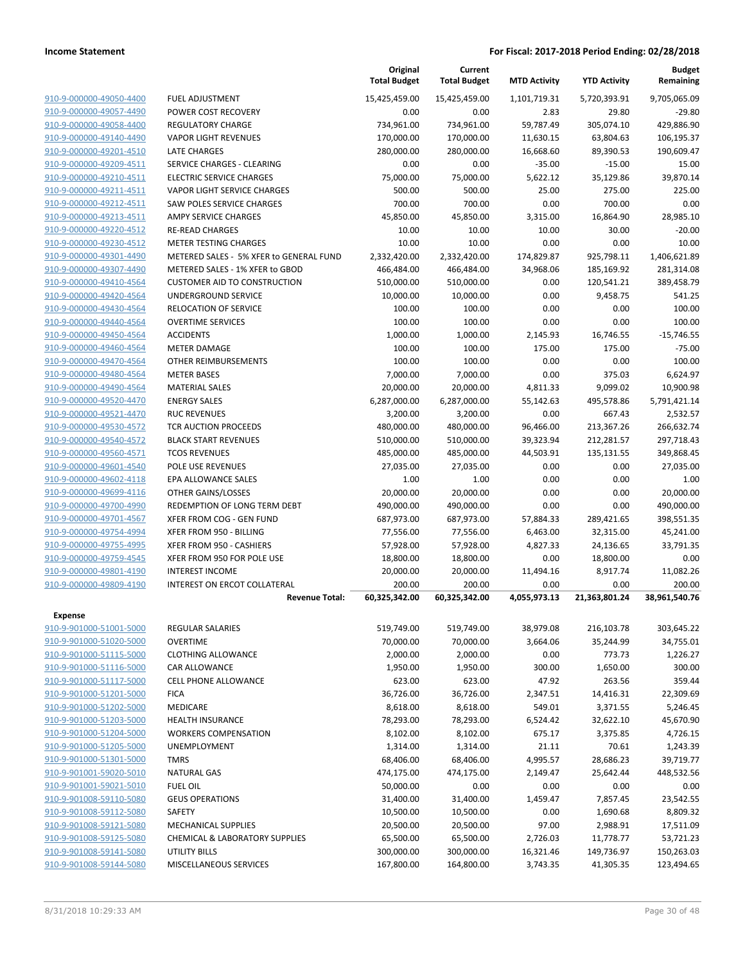|                         |                                         | Original<br><b>Total Budget</b> | Current<br><b>Total Budget</b> | <b>MTD Activity</b> | <b>YTD Activity</b> | <b>Budget</b><br>Remaining |
|-------------------------|-----------------------------------------|---------------------------------|--------------------------------|---------------------|---------------------|----------------------------|
| 910-9-000000-49050-4400 | <b>FUEL ADJUSTMENT</b>                  | 15,425,459.00                   | 15,425,459.00                  | 1,101,719.31        | 5,720,393.91        | 9,705,065.09               |
| 910-9-000000-49057-4490 | POWER COST RECOVERY                     | 0.00                            | 0.00                           | 2.83                | 29.80               | $-29.80$                   |
| 910-9-000000-49058-4400 | <b>REGULATORY CHARGE</b>                | 734,961.00                      | 734,961.00                     | 59,787.49           | 305,074.10          | 429,886.90                 |
| 910-9-000000-49140-4490 | <b>VAPOR LIGHT REVENUES</b>             | 170,000.00                      | 170,000.00                     | 11,630.15           | 63,804.63           | 106,195.37                 |
| 910-9-000000-49201-4510 | LATE CHARGES                            | 280,000.00                      | 280,000.00                     | 16,668.60           | 89,390.53           | 190,609.47                 |
| 910-9-000000-49209-4511 | SERVICE CHARGES - CLEARING              | 0.00                            | 0.00                           | $-35.00$            | $-15.00$            | 15.00                      |
| 910-9-000000-49210-4511 | <b>ELECTRIC SERVICE CHARGES</b>         | 75,000.00                       | 75,000.00                      | 5,622.12            | 35,129.86           | 39,870.14                  |
| 910-9-000000-49211-4511 | <b>VAPOR LIGHT SERVICE CHARGES</b>      | 500.00                          | 500.00                         | 25.00               | 275.00              | 225.00                     |
| 910-9-000000-49212-4511 | <b>SAW POLES SERVICE CHARGES</b>        | 700.00                          | 700.00                         | 0.00                | 700.00              | 0.00                       |
| 910-9-000000-49213-4511 | AMPY SERVICE CHARGES                    | 45,850.00                       | 45,850.00                      | 3,315.00            | 16,864.90           | 28,985.10                  |
| 910-9-000000-49220-4512 | <b>RE-READ CHARGES</b>                  | 10.00                           | 10.00                          | 10.00               | 30.00               | $-20.00$                   |
| 910-9-000000-49230-4512 | <b>METER TESTING CHARGES</b>            | 10.00                           | 10.00                          | 0.00                | 0.00                | 10.00                      |
| 910-9-000000-49301-4490 | METERED SALES - 5% XFER to GENERAL FUND | 2,332,420.00                    | 2,332,420.00                   | 174,829.87          | 925,798.11          | 1,406,621.89               |
| 910-9-000000-49307-4490 | METERED SALES - 1% XFER to GBOD         | 466,484.00                      | 466,484.00                     | 34,968.06           | 185,169.92          | 281,314.08                 |
| 910-9-000000-49410-4564 | <b>CUSTOMER AID TO CONSTRUCTION</b>     | 510,000.00                      | 510,000.00                     | 0.00                | 120,541.21          | 389,458.79                 |
| 910-9-000000-49420-4564 | UNDERGROUND SERVICE                     | 10,000.00                       | 10,000.00                      | 0.00                | 9,458.75            | 541.25                     |
| 910-9-000000-49430-4564 | <b>RELOCATION OF SERVICE</b>            | 100.00                          | 100.00                         | 0.00                | 0.00                | 100.00                     |
| 910-9-000000-49440-4564 | <b>OVERTIME SERVICES</b>                | 100.00                          | 100.00                         | 0.00                | 0.00                | 100.00                     |
| 910-9-000000-49450-4564 | <b>ACCIDENTS</b>                        | 1,000.00                        | 1,000.00                       | 2,145.93            | 16,746.55           | $-15,746.55$               |
| 910-9-000000-49460-4564 | <b>METER DAMAGE</b>                     | 100.00                          | 100.00                         | 175.00              | 175.00              | $-75.00$                   |
| 910-9-000000-49470-4564 | OTHER REIMBURSEMENTS                    | 100.00                          | 100.00                         | 0.00                | 0.00                | 100.00                     |
| 910-9-000000-49480-4564 | <b>METER BASES</b>                      | 7,000.00                        | 7,000.00                       | 0.00                | 375.03              | 6,624.97                   |
| 910-9-000000-49490-4564 | <b>MATERIAL SALES</b>                   | 20,000.00                       | 20,000.00                      | 4,811.33            | 9,099.02            | 10,900.98                  |
| 910-9-000000-49520-4470 | <b>ENERGY SALES</b>                     | 6,287,000.00                    | 6,287,000.00                   | 55,142.63           | 495,578.86          | 5,791,421.14               |
| 910-9-000000-49521-4470 | <b>RUC REVENUES</b>                     | 3,200.00                        | 3,200.00                       | 0.00                | 667.43              | 2,532.57                   |
| 910-9-000000-49530-4572 | TCR AUCTION PROCEEDS                    | 480,000.00                      | 480,000.00                     | 96,466.00           | 213,367.26          | 266,632.74                 |
| 910-9-000000-49540-4572 | <b>BLACK START REVENUES</b>             | 510,000.00                      | 510,000.00                     | 39,323.94           | 212,281.57          | 297,718.43                 |
| 910-9-000000-49560-4571 | <b>TCOS REVENUES</b>                    | 485,000.00                      | 485,000.00                     | 44,503.91           | 135,131.55          | 349,868.45                 |
| 910-9-000000-49601-4540 | POLE USE REVENUES                       | 27,035.00                       | 27,035.00                      | 0.00                | 0.00                | 27,035.00                  |
| 910-9-000000-49602-4118 | EPA ALLOWANCE SALES                     | 1.00                            | 1.00                           | 0.00                | 0.00                | 1.00                       |
| 910-9-000000-49699-4116 | OTHER GAINS/LOSSES                      | 20,000.00                       | 20,000.00                      | 0.00                | 0.00                | 20,000.00                  |
| 910-9-000000-49700-4990 | REDEMPTION OF LONG TERM DEBT            | 490,000.00                      | 490,000.00                     | 0.00                | 0.00                | 490,000.00                 |
| 910-9-000000-49701-4567 | XFER FROM COG - GEN FUND                | 687,973.00                      | 687,973.00                     | 57,884.33           | 289,421.65          | 398,551.35                 |
| 910-9-000000-49754-4994 | XFER FROM 950 - BILLING                 | 77,556.00                       | 77,556.00                      | 6,463.00            | 32,315.00           | 45,241.00                  |
| 910-9-000000-49755-4995 | XFER FROM 950 - CASHIERS                | 57,928.00                       | 57,928.00                      | 4,827.33            | 24,136.65           | 33,791.35                  |
| 910-9-000000-49759-4545 | XFER FROM 950 FOR POLE USE              | 18,800.00                       | 18,800.00                      | 0.00                | 18,800.00           | 0.00                       |
| 910-9-000000-49801-4190 | <b>INTEREST INCOME</b>                  | 20,000.00                       | 20,000.00                      | 11,494.16           | 8,917.74            | 11,082.26                  |
| 910-9-000000-49809-4190 | <b>INTEREST ON ERCOT COLLATERAL</b>     | 200.00                          | 200.00                         | 0.00                | 0.00                | 200.00                     |
|                         | <b>Revenue Total:</b>                   | 60,325,342.00                   | 60,325,342.00                  | 4,055,973.13        | 21,363,801.24       | 38,961,540.76              |
| Expense                 |                                         |                                 |                                |                     |                     |                            |
| 910-9-901000-51001-5000 | REGULAR SALARIES                        | 519,749.00                      | 519,749.00                     | 38,979.08           | 216,103.78          | 303,645.22                 |
| 910-9-901000-51020-5000 | <b>OVERTIME</b>                         | 70,000.00                       | 70,000.00                      | 3,664.06            | 35,244.99           | 34,755.01                  |
| 910-9-901000-51115-5000 | <b>CLOTHING ALLOWANCE</b>               | 2,000.00                        | 2,000.00                       | 0.00                | 773.73              | 1,226.27                   |
| 910-9-901000-51116-5000 | CAR ALLOWANCE                           | 1,950.00                        | 1,950.00                       | 300.00              | 1,650.00            | 300.00                     |
| 910-9-901000-51117-5000 | <b>CELL PHONE ALLOWANCE</b>             | 623.00                          | 623.00                         | 47.92               | 263.56              | 359.44                     |
| 910-9-901000-51201-5000 | <b>FICA</b>                             | 36,726.00                       | 36,726.00                      | 2,347.51            | 14,416.31           | 22,309.69                  |
| 910-9-901000-51202-5000 | MEDICARE                                | 8,618.00                        | 8,618.00                       | 549.01              | 3,371.55            | 5,246.45                   |
| 910-9-901000-51203-5000 | <b>HEALTH INSURANCE</b>                 | 78,293.00                       | 78,293.00                      | 6,524.42            | 32,622.10           | 45,670.90                  |
| 910-9-901000-51204-5000 | <b>WORKERS COMPENSATION</b>             | 8,102.00                        | 8,102.00                       | 675.17              | 3,375.85            | 4,726.15                   |
| 910-9-901000-51205-5000 | <b>UNEMPLOYMENT</b>                     | 1,314.00                        | 1,314.00                       | 21.11               | 70.61               | 1,243.39                   |
| 910-9-901000-51301-5000 | <b>TMRS</b>                             | 68,406.00                       | 68,406.00                      | 4,995.57            | 28,686.23           | 39,719.77                  |
| 910-9-901001-59020-5010 | <b>NATURAL GAS</b>                      | 474,175.00                      | 474,175.00                     | 2,149.47            | 25,642.44           | 448,532.56                 |
| 910-9-901001-59021-5010 | <b>FUEL OIL</b>                         | 50,000.00                       | 0.00                           | 0.00                | 0.00                | 0.00                       |
| 910-9-901008-59110-5080 | <b>GEUS OPERATIONS</b>                  | 31,400.00                       | 31,400.00                      | 1,459.47            | 7,857.45            | 23,542.55                  |
| 910-9-901008-59112-5080 | SAFETY                                  | 10,500.00                       | 10,500.00                      | 0.00                | 1,690.68            | 8,809.32                   |
| 910-9-901008-59121-5080 | <b>MECHANICAL SUPPLIES</b>              | 20,500.00                       | 20,500.00                      | 97.00               | 2,988.91            | 17,511.09                  |
| 910-9-901008-59125-5080 | CHEMICAL & LABORATORY SUPPLIES          | 65,500.00                       | 65,500.00                      | 2,726.03            | 11,778.77           | 53,721.23                  |
| 910-9-901008-59141-5080 | <b>UTILITY BILLS</b>                    | 300,000.00                      | 300,000.00                     | 16,321.46           | 149,736.97          | 150,263.03                 |
| 910-9-901008-59144-5080 | MISCELLANEOUS SERVICES                  | 167,800.00                      | 164,800.00                     | 3,743.35            | 41,305.35           | 123,494.65                 |
|                         |                                         |                                 |                                |                     |                     |                            |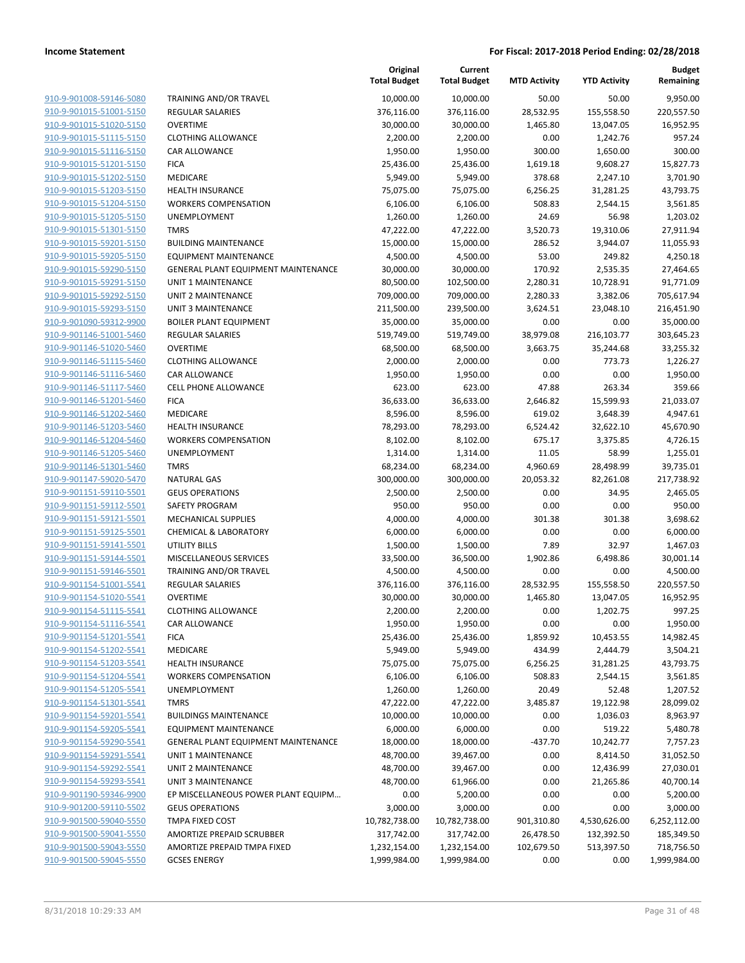| 910-9-901008-59146-5080                            | <b>TRAIN</b>              |
|----------------------------------------------------|---------------------------|
| 910-9-901015-51001-5150                            | REGU                      |
| 910-9-901015-51020-5150                            | OVER <sup>®</sup>         |
| 910-9-901015-51115-5150                            | <b>CLOTI</b>              |
| 910-9-901015-51116-5150                            | CAR A                     |
| 910-9-901015-51201-5150                            | <b>FICA</b>               |
| 910-9-901015-51202-5150                            | MEDI                      |
| 910-9-901015-51203-5150                            | <b>HEAL1</b>              |
| 910-9-901015-51204-5150                            | <b>WORK</b>               |
| 910-9-901015-51205-5150                            | <b>UNEM</b>               |
| 910-9-901015-51301-5150                            | <b>TMRS</b>               |
| 910-9-901015-59201-5150                            | BUILD                     |
| 910-9-901015-59205-5150                            | <b>EQUIF</b>              |
| 910-9-901015-59290-5150                            | <b>GENE</b>               |
| 910-9-901015-59291-5150                            | UNIT:                     |
| 910-9-901015-59292-5150                            | UNIT :                    |
| 910-9-901015-59293-5150                            | UNIT :                    |
| 910-9-901090-59312-9900                            | <b>BOILE</b>              |
| 910-9-901146-51001-5460                            | REGU                      |
| 910-9-901146-51020-5460                            | OVER <sup>®</sup>         |
| 910-9-901146-51115-5460                            | CLOTH                     |
| 910-9-901146-51116-5460                            | CAR A                     |
| 910-9-901146-51117-5460                            | CELL F                    |
| 910-9-901146-51201-5460                            | <b>FICA</b>               |
| 910-9-901146-51202-5460                            | <b>MEDI</b>               |
| 910-9-901146-51203-5460                            | <b>HEAL1</b>              |
| 910-9-901146-51204-5460                            | WORI                      |
| 910-9-901146-51205-5460                            | <b>UNEN</b>               |
| 910-9-901146-51301-5460                            | <b>TMRS</b>               |
| 910-9-901147-59020-5470                            | NATU                      |
| 910-9-901151-59110-5501                            | GEUS                      |
| 910-9-901151-59112-5501                            | SAFET                     |
| 910-9-901151-59121-5501                            | <b>MECH</b>               |
| 910-9-901151-59125-5501                            | CHEM                      |
| 910-9-901151-59141-5501                            | UTILIT                    |
| 910-9-901151-59144-5501                            | <b>MISCE</b>              |
| 910-9-901151-59146-5501<br>910-9-901154-51001-5541 | TRAIN                     |
| 910-9-901154-51020-5541                            | REGU<br>OVER <sup>®</sup> |
| 910-9-901154-51115-5541                            | <b>CLOTI</b>              |
| 910-9-901154-51116-5541                            | CAR A                     |
| 910-9-901154-51201-5541                            | FICA                      |
| 910-9-901154-51202-5541                            | MEDI                      |
| 910-9-901154-51203-5541                            | <b>HEAL1</b>              |
| 910-9-901154-51204-5541                            | WORI                      |
| 910-9-901154-51205-5541                            | UNEN                      |
| 910-9-901154-51301-5541                            | TMRS                      |
| 910-9-901154-59201-5541                            | BUILD                     |
| 910-9-901154-59205-5541                            | EQUIF                     |
| 910-9-901154-59290-5541                            | <b>GENE</b>               |
| 910-9-901154-59291-5541                            | UNIT :                    |
| 910-9-901154-59292-5541                            | UNIT :                    |
| 910-9-901154-59293-5541                            | UNIT :                    |
| 910-9-901190-59346-9900                            | EP MI                     |
| 910-9-901200-59110-5502                            | GEUS                      |
| 910-9-901500-59040-5550                            | TMPA                      |
| 910-9-901500-59041-5550                            | AMOF                      |
| 910-9-901500-59043-5550                            | AMOF                      |
| 910-9-901500-59045-5550                            | <b>GCSES</b>              |
|                                                    |                           |

|                         |                                     | Original<br><b>Total Budget</b> | Current<br><b>Total Budget</b> | <b>MTD Activity</b> | <b>YTD Activity</b> | <b>Budget</b><br>Remaining |
|-------------------------|-------------------------------------|---------------------------------|--------------------------------|---------------------|---------------------|----------------------------|
| 910-9-901008-59146-5080 | TRAINING AND/OR TRAVEL              | 10,000.00                       | 10,000.00                      | 50.00               | 50.00               | 9,950.00                   |
| 910-9-901015-51001-5150 | <b>REGULAR SALARIES</b>             | 376,116.00                      | 376,116.00                     | 28,532.95           | 155,558.50          | 220,557.50                 |
| 910-9-901015-51020-5150 | <b>OVERTIME</b>                     | 30,000.00                       | 30,000.00                      | 1,465.80            | 13,047.05           | 16,952.95                  |
| 910-9-901015-51115-5150 | <b>CLOTHING ALLOWANCE</b>           | 2,200.00                        | 2,200.00                       | 0.00                | 1,242.76            | 957.24                     |
| 910-9-901015-51116-5150 | <b>CAR ALLOWANCE</b>                | 1,950.00                        | 1,950.00                       | 300.00              | 1,650.00            | 300.00                     |
| 910-9-901015-51201-5150 | <b>FICA</b>                         | 25,436.00                       | 25,436.00                      | 1,619.18            | 9,608.27            | 15,827.73                  |
| 910-9-901015-51202-5150 | MEDICARE                            | 5,949.00                        | 5,949.00                       | 378.68              | 2,247.10            | 3,701.90                   |
| 910-9-901015-51203-5150 | <b>HEALTH INSURANCE</b>             | 75,075.00                       | 75,075.00                      | 6,256.25            | 31,281.25           | 43,793.75                  |
| 910-9-901015-51204-5150 | <b>WORKERS COMPENSATION</b>         | 6,106.00                        | 6,106.00                       | 508.83              | 2,544.15            | 3,561.85                   |
| 910-9-901015-51205-5150 | UNEMPLOYMENT                        | 1,260.00                        | 1,260.00                       | 24.69               | 56.98               | 1,203.02                   |
| 910-9-901015-51301-5150 | <b>TMRS</b>                         | 47,222.00                       | 47,222.00                      | 3,520.73            | 19,310.06           | 27,911.94                  |
| 910-9-901015-59201-5150 | <b>BUILDING MAINTENANCE</b>         | 15,000.00                       | 15,000.00                      | 286.52              | 3,944.07            | 11,055.93                  |
| 910-9-901015-59205-5150 | <b>EQUIPMENT MAINTENANCE</b>        | 4,500.00                        | 4,500.00                       | 53.00               | 249.82              | 4,250.18                   |
| 910-9-901015-59290-5150 | GENERAL PLANT EQUIPMENT MAINTENANCE | 30,000.00                       | 30,000.00                      | 170.92              | 2,535.35            | 27,464.65                  |
| 910-9-901015-59291-5150 | <b>UNIT 1 MAINTENANCE</b>           | 80,500.00                       | 102,500.00                     | 2,280.31            | 10,728.91           | 91,771.09                  |
| 910-9-901015-59292-5150 | <b>UNIT 2 MAINTENANCE</b>           | 709,000.00                      | 709,000.00                     | 2,280.33            | 3,382.06            | 705,617.94                 |
| 910-9-901015-59293-5150 | UNIT 3 MAINTENANCE                  | 211,500.00                      | 239,500.00                     | 3,624.51            | 23,048.10           | 216,451.90                 |
| 910-9-901090-59312-9900 | <b>BOILER PLANT EQUIPMENT</b>       | 35,000.00                       | 35,000.00                      | 0.00                | 0.00                | 35,000.00                  |
| 910-9-901146-51001-5460 | <b>REGULAR SALARIES</b>             | 519,749.00                      | 519,749.00                     | 38,979.08           | 216,103.77          | 303,645.23                 |
| 910-9-901146-51020-5460 | <b>OVERTIME</b>                     | 68,500.00                       | 68,500.00                      | 3,663.75            | 35,244.68           | 33,255.32                  |
| 910-9-901146-51115-5460 | <b>CLOTHING ALLOWANCE</b>           | 2,000.00                        | 2,000.00                       | 0.00                | 773.73              | 1,226.27                   |
| 910-9-901146-51116-5460 | CAR ALLOWANCE                       | 1,950.00                        | 1,950.00                       | 0.00                | 0.00                | 1,950.00                   |
| 910-9-901146-51117-5460 | <b>CELL PHONE ALLOWANCE</b>         | 623.00                          | 623.00                         | 47.88               | 263.34              | 359.66                     |
| 910-9-901146-51201-5460 | <b>FICA</b>                         | 36,633.00                       | 36,633.00                      | 2,646.82            | 15,599.93           | 21,033.07                  |
| 910-9-901146-51202-5460 | MEDICARE                            | 8,596.00                        | 8,596.00                       | 619.02              | 3,648.39            | 4,947.61                   |
| 910-9-901146-51203-5460 | <b>HEALTH INSURANCE</b>             | 78,293.00                       | 78,293.00                      | 6,524.42            | 32,622.10           | 45,670.90                  |
| 910-9-901146-51204-5460 | <b>WORKERS COMPENSATION</b>         | 8,102.00                        | 8,102.00                       | 675.17              | 3,375.85            | 4,726.15                   |
| 910-9-901146-51205-5460 | UNEMPLOYMENT                        | 1,314.00                        | 1,314.00                       | 11.05               | 58.99               | 1,255.01                   |
| 910-9-901146-51301-5460 | <b>TMRS</b>                         | 68,234.00                       | 68,234.00                      | 4,960.69            | 28,498.99           | 39,735.01                  |
| 910-9-901147-59020-5470 | <b>NATURAL GAS</b>                  | 300,000.00                      | 300,000.00                     | 20,053.32           | 82,261.08           | 217,738.92                 |
| 910-9-901151-59110-5501 | <b>GEUS OPERATIONS</b>              | 2,500.00                        | 2,500.00                       | 0.00                | 34.95               | 2,465.05                   |
| 910-9-901151-59112-5501 | SAFETY PROGRAM                      | 950.00                          | 950.00                         | 0.00                | 0.00                | 950.00                     |
| 910-9-901151-59121-5501 | MECHANICAL SUPPLIES                 | 4,000.00                        | 4,000.00                       | 301.38              | 301.38              | 3,698.62                   |
| 910-9-901151-59125-5501 | <b>CHEMICAL &amp; LABORATORY</b>    | 6,000.00                        | 6,000.00                       | 0.00                | 0.00                | 6,000.00                   |
| 910-9-901151-59141-5501 | <b>UTILITY BILLS</b>                | 1,500.00                        | 1,500.00                       | 7.89                | 32.97               | 1,467.03                   |
| 910-9-901151-59144-5501 | MISCELLANEOUS SERVICES              | 33,500.00                       | 36,500.00                      | 1,902.86            | 6,498.86            | 30,001.14                  |
| 910-9-901151-59146-5501 | TRAINING AND/OR TRAVEL              | 4,500.00                        | 4,500.00                       | 0.00                | 0.00                | 4,500.00                   |
| 910-9-901154-51001-5541 | <b>REGULAR SALARIES</b>             | 376,116.00                      | 376,116.00                     | 28,532.95           | 155,558.50          | 220,557.50                 |
| 910-9-901154-51020-5541 | <b>OVERTIME</b>                     | 30,000.00                       | 30,000.00                      | 1,465.80            | 13,047.05           | 16,952.95                  |
| 910-9-901154-51115-5541 | <b>CLOTHING ALLOWANCE</b>           | 2,200.00                        | 2,200.00                       | 0.00                | 1,202.75            | 997.25                     |
| 910-9-901154-51116-5541 | CAR ALLOWANCE                       | 1,950.00                        | 1,950.00                       | 0.00                | 0.00                | 1,950.00                   |
| 910-9-901154-51201-5541 | <b>FICA</b>                         | 25,436.00                       | 25,436.00                      | 1,859.92            | 10,453.55           | 14,982.45                  |
| 910-9-901154-51202-5541 | MEDICARE                            | 5,949.00                        | 5,949.00                       | 434.99              | 2,444.79            | 3,504.21                   |
| 910-9-901154-51203-5541 | <b>HEALTH INSURANCE</b>             | 75,075.00                       | 75,075.00                      | 6,256.25            | 31,281.25           | 43,793.75                  |
| 910-9-901154-51204-5541 | <b>WORKERS COMPENSATION</b>         | 6,106.00                        | 6,106.00                       | 508.83              | 2,544.15            | 3,561.85                   |
| 910-9-901154-51205-5541 | <b>UNEMPLOYMENT</b>                 | 1,260.00                        | 1,260.00                       | 20.49               | 52.48               | 1,207.52                   |
| 910-9-901154-51301-5541 | <b>TMRS</b>                         | 47,222.00                       | 47,222.00                      | 3,485.87            | 19,122.98           | 28,099.02                  |
| 910-9-901154-59201-5541 | <b>BUILDINGS MAINTENANCE</b>        | 10,000.00                       | 10,000.00                      | 0.00                | 1,036.03            | 8,963.97                   |
| 910-9-901154-59205-5541 | <b>EQUIPMENT MAINTENANCE</b>        | 6,000.00                        | 6,000.00                       | 0.00                | 519.22              | 5,480.78                   |
| 910-9-901154-59290-5541 | GENERAL PLANT EQUIPMENT MAINTENANCE | 18,000.00                       | 18,000.00                      | $-437.70$           | 10,242.77           | 7,757.23                   |
| 910-9-901154-59291-5541 | UNIT 1 MAINTENANCE                  | 48,700.00                       | 39,467.00                      | 0.00                | 8,414.50            | 31,052.50                  |
| 910-9-901154-59292-5541 | UNIT 2 MAINTENANCE                  | 48,700.00                       | 39,467.00                      | 0.00                | 12,436.99           | 27,030.01                  |
| 910-9-901154-59293-5541 | <b>UNIT 3 MAINTENANCE</b>           | 48,700.00                       | 61,966.00                      | 0.00                | 21,265.86           | 40,700.14                  |
| 910-9-901190-59346-9900 | EP MISCELLANEOUS POWER PLANT EQUIPM | 0.00                            | 5,200.00                       | 0.00                | 0.00                | 5,200.00                   |
| 910-9-901200-59110-5502 | <b>GEUS OPERATIONS</b>              | 3,000.00                        | 3,000.00                       | 0.00                | 0.00                | 3,000.00                   |
| 910-9-901500-59040-5550 | TMPA FIXED COST                     | 10,782,738.00                   | 10,782,738.00                  | 901,310.80          | 4,530,626.00        | 6,252,112.00               |
| 910-9-901500-59041-5550 | AMORTIZE PREPAID SCRUBBER           | 317,742.00                      | 317,742.00                     | 26,478.50           | 132,392.50          | 185,349.50                 |
| 910-9-901500-59043-5550 | AMORTIZE PREPAID TMPA FIXED         | 1,232,154.00                    | 1,232,154.00                   | 102,679.50          | 513,397.50          | 718,756.50                 |
| 910-9-901500-59045-5550 | <b>GCSES ENERGY</b>                 | 1,999,984.00                    | 1,999,984.00                   | 0.00                | 0.00                | 1,999,984.00               |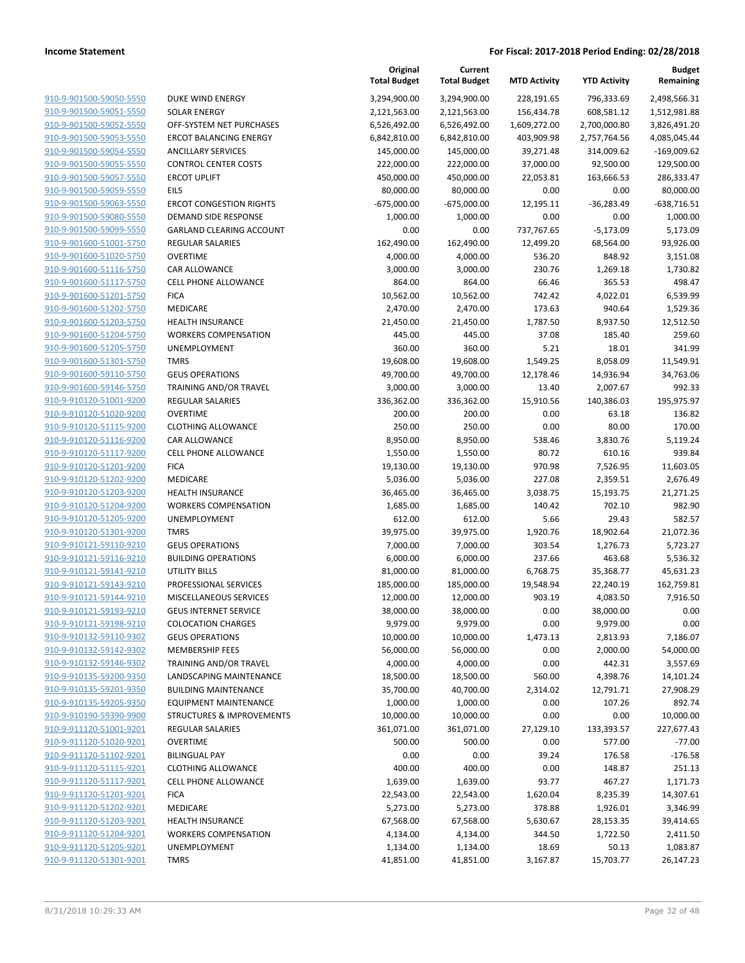|                                                    |                                                    | Original<br><b>Total Budget</b> | Current<br><b>Total Budget</b> | <b>MTD Activity</b>   | <b>YTD Activity</b>   | <b>Budget</b><br>Remaining |
|----------------------------------------------------|----------------------------------------------------|---------------------------------|--------------------------------|-----------------------|-----------------------|----------------------------|
| 910-9-901500-59050-5550                            | DUKE WIND ENERGY                                   | 3,294,900.00                    | 3,294,900.00                   | 228,191.65            | 796,333.69            | 2,498,566.31               |
| 910-9-901500-59051-5550                            | <b>SOLAR ENERGY</b>                                | 2,121,563.00                    | 2,121,563.00                   | 156,434.78            | 608,581.12            | 1,512,981.88               |
| 910-9-901500-59052-5550                            | OFF-SYSTEM NET PURCHASES                           | 6,526,492.00                    | 6,526,492.00                   | 1,609,272.00          | 2,700,000.80          | 3,826,491.20               |
| 910-9-901500-59053-5550                            | <b>ERCOT BALANCING ENERGY</b>                      | 6,842,810.00                    | 6,842,810.00                   | 403,909.98            | 2,757,764.56          | 4,085,045.44               |
| 910-9-901500-59054-5550                            | <b>ANCILLARY SERVICES</b>                          | 145,000.00                      | 145,000.00                     | 39,271.48             | 314,009.62            | $-169,009.62$              |
| 910-9-901500-59055-5550                            | <b>CONTROL CENTER COSTS</b>                        | 222,000.00                      | 222,000.00                     | 37,000.00             | 92,500.00             | 129,500.00                 |
| 910-9-901500-59057-5550                            | <b>ERCOT UPLIFT</b>                                | 450,000.00                      | 450,000.00                     | 22,053.81             | 163,666.53            | 286,333.47                 |
| 910-9-901500-59059-5550                            | EILS                                               | 80,000.00                       | 80,000.00                      | 0.00                  | 0.00                  | 80,000.00                  |
| 910-9-901500-59063-5550                            | <b>ERCOT CONGESTION RIGHTS</b>                     | $-675,000.00$                   | $-675,000.00$                  | 12,195.11             | $-36,283.49$          | $-638,716.51$              |
| 910-9-901500-59080-5550                            | DEMAND SIDE RESPONSE                               | 1,000.00                        | 1,000.00                       | 0.00                  | 0.00                  | 1,000.00                   |
| 910-9-901500-59099-5550                            | <b>GARLAND CLEARING ACCOUNT</b>                    | 0.00                            | 0.00                           | 737,767.65            | $-5,173.09$           | 5,173.09                   |
| 910-9-901600-51001-5750                            | REGULAR SALARIES                                   | 162,490.00                      | 162,490.00                     | 12,499.20             | 68,564.00             | 93,926.00                  |
| 910-9-901600-51020-5750                            | <b>OVERTIME</b>                                    | 4,000.00                        | 4,000.00                       | 536.20                | 848.92                | 3,151.08                   |
| 910-9-901600-51116-5750                            | CAR ALLOWANCE                                      | 3,000.00                        | 3,000.00                       | 230.76                | 1,269.18              | 1,730.82                   |
| 910-9-901600-51117-5750                            | <b>CELL PHONE ALLOWANCE</b>                        | 864.00                          | 864.00                         | 66.46                 | 365.53                | 498.47                     |
| 910-9-901600-51201-5750                            | <b>FICA</b>                                        | 10,562.00                       | 10,562.00                      | 742.42                | 4,022.01              | 6,539.99                   |
| 910-9-901600-51202-5750                            | MEDICARE                                           | 2,470.00                        | 2,470.00                       | 173.63                | 940.64                | 1,529.36                   |
| 910-9-901600-51203-5750                            | <b>HEALTH INSURANCE</b>                            | 21,450.00                       | 21,450.00                      | 1,787.50              | 8,937.50              | 12,512.50                  |
| 910-9-901600-51204-5750                            | <b>WORKERS COMPENSATION</b><br><b>UNEMPLOYMENT</b> | 445.00                          | 445.00<br>360.00               | 37.08                 | 185.40                | 259.60                     |
| 910-9-901600-51205-5750<br>910-9-901600-51301-5750 | <b>TMRS</b>                                        | 360.00                          |                                | 5.21                  | 18.01                 | 341.99                     |
| 910-9-901600-59110-5750                            | <b>GEUS OPERATIONS</b>                             | 19,608.00<br>49,700.00          | 19,608.00<br>49,700.00         | 1,549.25<br>12,178.46 | 8,058.09<br>14,936.94 | 11,549.91<br>34,763.06     |
| 910-9-901600-59146-5750                            | <b>TRAINING AND/OR TRAVEL</b>                      | 3,000.00                        | 3,000.00                       | 13.40                 | 2,007.67              | 992.33                     |
| 910-9-910120-51001-9200                            | <b>REGULAR SALARIES</b>                            | 336,362.00                      | 336,362.00                     | 15,910.56             | 140,386.03            | 195,975.97                 |
| 910-9-910120-51020-9200                            | <b>OVERTIME</b>                                    | 200.00                          | 200.00                         | 0.00                  | 63.18                 | 136.82                     |
| 910-9-910120-51115-9200                            | <b>CLOTHING ALLOWANCE</b>                          | 250.00                          | 250.00                         | 0.00                  | 80.00                 | 170.00                     |
| 910-9-910120-51116-9200                            | CAR ALLOWANCE                                      | 8,950.00                        | 8,950.00                       | 538.46                | 3,830.76              | 5,119.24                   |
| 910-9-910120-51117-9200                            | <b>CELL PHONE ALLOWANCE</b>                        | 1,550.00                        | 1,550.00                       | 80.72                 | 610.16                | 939.84                     |
| 910-9-910120-51201-9200                            | <b>FICA</b>                                        | 19,130.00                       | 19,130.00                      | 970.98                | 7,526.95              | 11,603.05                  |
| 910-9-910120-51202-9200                            | MEDICARE                                           | 5,036.00                        | 5,036.00                       | 227.08                | 2,359.51              | 2,676.49                   |
| 910-9-910120-51203-9200                            | <b>HEALTH INSURANCE</b>                            | 36,465.00                       | 36,465.00                      | 3,038.75              | 15,193.75             | 21,271.25                  |
| 910-9-910120-51204-9200                            | <b>WORKERS COMPENSATION</b>                        | 1,685.00                        | 1,685.00                       | 140.42                | 702.10                | 982.90                     |
| 910-9-910120-51205-9200                            | UNEMPLOYMENT                                       | 612.00                          | 612.00                         | 5.66                  | 29.43                 | 582.57                     |
| 910-9-910120-51301-9200                            | <b>TMRS</b>                                        | 39,975.00                       | 39,975.00                      | 1,920.76              | 18,902.64             | 21,072.36                  |
| 910-9-910121-59110-9210                            | <b>GEUS OPERATIONS</b>                             | 7,000.00                        | 7,000.00                       | 303.54                | 1,276.73              | 5,723.27                   |
| 910-9-910121-59116-9210                            | <b>BUILDING OPERATIONS</b>                         | 6,000.00                        | 6,000.00                       | 237.66                | 463.68                | 5,536.32                   |
| 910-9-910121-59141-9210                            | UTILITY BILLS                                      | 81,000.00                       | 81,000.00                      | 6,768.75              | 35,368.77             | 45,631.23                  |
| 910-9-910121-59143-9210                            | PROFESSIONAL SERVICES                              | 185,000.00                      | 185,000.00                     | 19,548.94             | 22,240.19             | 162,759.81                 |
| 910-9-910121-59144-9210                            | MISCELLANEOUS SERVICES                             | 12,000.00                       | 12,000.00                      | 903.19                | 4,083.50              | 7,916.50                   |
| 910-9-910121-59193-9210                            | <b>GEUS INTERNET SERVICE</b>                       | 38,000.00                       | 38,000.00                      | 0.00                  | 38,000.00             | 0.00                       |
| 910-9-910121-59198-9210                            | <b>COLOCATION CHARGES</b>                          | 9,979.00                        | 9,979.00                       | 0.00                  | 9,979.00              | 0.00                       |
| 910-9-910132-59110-9302<br>910-9-910132-59142-9302 | <b>GEUS OPERATIONS</b><br><b>MEMBERSHIP FEES</b>   | 10,000.00<br>56,000.00          | 10,000.00<br>56,000.00         | 1,473.13<br>0.00      | 2,813.93<br>2,000.00  | 7,186.07<br>54,000.00      |
| 910-9-910132-59146-9302                            | TRAINING AND/OR TRAVEL                             | 4,000.00                        | 4,000.00                       | 0.00                  | 442.31                | 3,557.69                   |
| 910-9-910135-59200-9350                            | LANDSCAPING MAINTENANCE                            | 18,500.00                       | 18,500.00                      | 560.00                | 4,398.76              | 14,101.24                  |
| 910-9-910135-59201-9350                            | <b>BUILDING MAINTENANCE</b>                        | 35,700.00                       | 40,700.00                      | 2,314.02              | 12,791.71             | 27,908.29                  |
| 910-9-910135-59205-9350                            | <b>EQUIPMENT MAINTENANCE</b>                       | 1,000.00                        | 1,000.00                       | 0.00                  | 107.26                | 892.74                     |
| 910-9-910190-59390-9900                            | <b>STRUCTURES &amp; IMPROVEMENTS</b>               | 10,000.00                       | 10,000.00                      | 0.00                  | 0.00                  | 10,000.00                  |
| 910-9-911120-51001-9201                            | <b>REGULAR SALARIES</b>                            | 361,071.00                      | 361,071.00                     | 27,129.10             | 133,393.57            | 227,677.43                 |
| 910-9-911120-51020-9201                            | <b>OVERTIME</b>                                    | 500.00                          | 500.00                         | 0.00                  | 577.00                | $-77.00$                   |
| 910-9-911120-51102-9201                            | <b>BILINGUAL PAY</b>                               | 0.00                            | 0.00                           | 39.24                 | 176.58                | $-176.58$                  |
| 910-9-911120-51115-9201                            | <b>CLOTHING ALLOWANCE</b>                          | 400.00                          | 400.00                         | 0.00                  | 148.87                | 251.13                     |
| 910-9-911120-51117-9201                            | <b>CELL PHONE ALLOWANCE</b>                        | 1,639.00                        | 1,639.00                       | 93.77                 | 467.27                | 1,171.73                   |
| 910-9-911120-51201-9201                            | <b>FICA</b>                                        | 22,543.00                       | 22,543.00                      | 1,620.04              | 8,235.39              | 14,307.61                  |
| 910-9-911120-51202-9201                            | MEDICARE                                           | 5,273.00                        | 5,273.00                       | 378.88                | 1,926.01              | 3,346.99                   |
| 910-9-911120-51203-9201                            | <b>HEALTH INSURANCE</b>                            | 67,568.00                       | 67,568.00                      | 5,630.67              | 28,153.35             | 39,414.65                  |
| 910-9-911120-51204-9201                            | <b>WORKERS COMPENSATION</b>                        | 4,134.00                        | 4,134.00                       | 344.50                | 1,722.50              | 2,411.50                   |
| 910-9-911120-51205-9201                            | UNEMPLOYMENT                                       | 1,134.00                        | 1,134.00                       | 18.69                 | 50.13                 | 1,083.87                   |
| 910-9-911120-51301-9201                            | <b>TMRS</b>                                        | 41,851.00                       | 41,851.00                      | 3,167.87              | 15,703.77             | 26,147.23                  |
|                                                    |                                                    |                                 |                                |                       |                       |                            |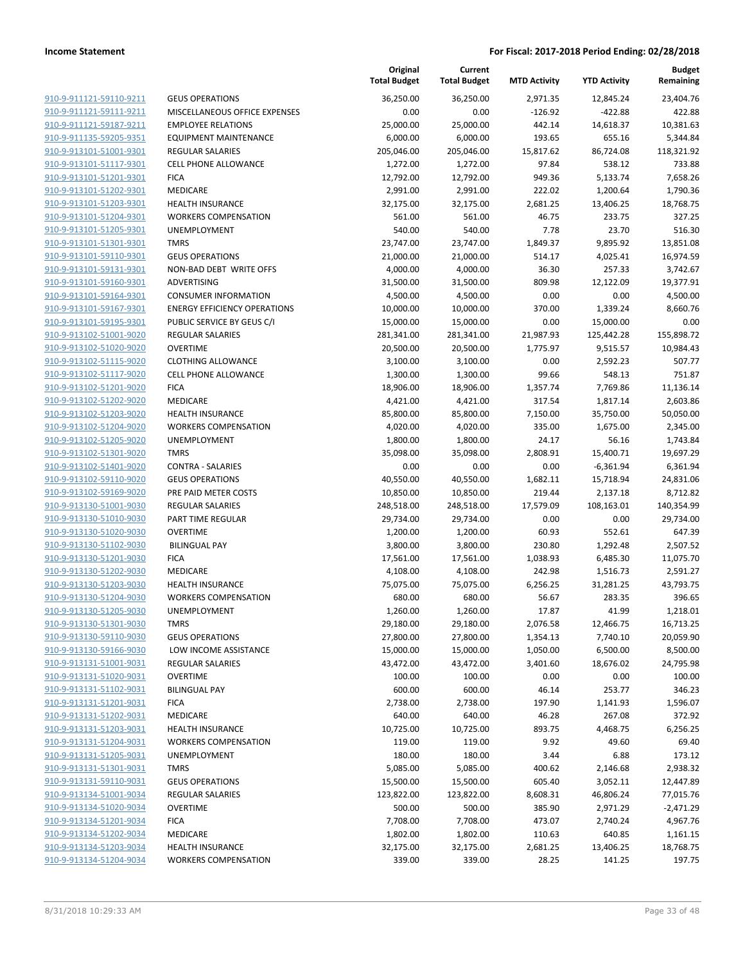|                                                    |                                                       | Original<br><b>Total Budget</b> | Current<br><b>Total Budget</b> | <b>MTD Activity</b> | <b>YTD Activity</b>     | Budget<br>Remaining   |
|----------------------------------------------------|-------------------------------------------------------|---------------------------------|--------------------------------|---------------------|-------------------------|-----------------------|
| 910-9-911121-59110-9211                            | <b>GEUS OPERATIONS</b>                                | 36,250.00                       | 36,250.00                      | 2,971.35            | 12,845.24               | 23,404.76             |
| 910-9-911121-59111-9211                            | MISCELLANEOUS OFFICE EXPENSES                         | 0.00                            | 0.00                           | $-126.92$           | $-422.88$               | 422.88                |
| 910-9-911121-59187-9211                            | <b>EMPLOYEE RELATIONS</b>                             | 25,000.00                       | 25,000.00                      | 442.14              | 14,618.37               | 10,381.63             |
| 910-9-911135-59205-9351                            | <b>EQUIPMENT MAINTENANCE</b>                          | 6,000.00                        | 6,000.00                       | 193.65              | 655.16                  | 5,344.84              |
| 910-9-913101-51001-9301                            | <b>REGULAR SALARIES</b>                               | 205,046.00                      | 205,046.00                     | 15,817.62           | 86,724.08               | 118,321.92            |
| 910-9-913101-51117-9301                            | <b>CELL PHONE ALLOWANCE</b>                           | 1,272.00                        | 1,272.00                       | 97.84               | 538.12                  | 733.88                |
| 910-9-913101-51201-9301                            | <b>FICA</b>                                           | 12,792.00                       | 12,792.00                      | 949.36              | 5,133.74                | 7,658.26              |
| 910-9-913101-51202-9301                            | <b>MEDICARE</b>                                       | 2,991.00                        | 2,991.00                       | 222.02              | 1,200.64                | 1,790.36              |
| 910-9-913101-51203-9301                            | <b>HEALTH INSURANCE</b>                               | 32,175.00                       | 32,175.00                      | 2,681.25            | 13,406.25               | 18,768.75             |
| 910-9-913101-51204-9301                            | <b>WORKERS COMPENSATION</b>                           | 561.00                          | 561.00                         | 46.75               | 233.75                  | 327.25                |
| 910-9-913101-51205-9301                            | <b>UNEMPLOYMENT</b>                                   | 540.00                          | 540.00                         | 7.78                | 23.70                   | 516.30                |
| 910-9-913101-51301-9301                            | <b>TMRS</b>                                           | 23,747.00                       | 23,747.00                      | 1,849.37            | 9,895.92                | 13,851.08             |
| 910-9-913101-59110-9301                            | <b>GEUS OPERATIONS</b>                                | 21,000.00                       | 21,000.00                      | 514.17              | 4,025.41                | 16,974.59             |
| 910-9-913101-59131-9301                            | NON-BAD DEBT WRITE OFFS                               | 4,000.00                        | 4,000.00                       | 36.30               | 257.33                  | 3,742.67              |
| 910-9-913101-59160-9301                            | ADVERTISING                                           | 31,500.00                       | 31,500.00                      | 809.98              | 12,122.09               | 19,377.91             |
| 910-9-913101-59164-9301                            | <b>CONSUMER INFORMATION</b>                           | 4,500.00<br>10,000.00           | 4,500.00                       | 0.00                | 0.00<br>1,339.24        | 4,500.00              |
| 910-9-913101-59167-9301<br>910-9-913101-59195-9301 | <b>ENERGY EFFICIENCY OPERATIONS</b>                   |                                 | 10,000.00                      | 370.00<br>0.00      |                         | 8,660.76<br>0.00      |
| 910-9-913102-51001-9020                            | PUBLIC SERVICE BY GEUS C/I<br><b>REGULAR SALARIES</b> | 15,000.00<br>281,341.00         | 15,000.00                      | 21,987.93           | 15,000.00<br>125,442.28 | 155,898.72            |
| 910-9-913102-51020-9020                            | <b>OVERTIME</b>                                       | 20,500.00                       | 281,341.00<br>20,500.00        | 1,775.97            | 9,515.57                | 10,984.43             |
| 910-9-913102-51115-9020                            | <b>CLOTHING ALLOWANCE</b>                             | 3,100.00                        | 3,100.00                       | 0.00                | 2,592.23                | 507.77                |
| 910-9-913102-51117-9020                            | <b>CELL PHONE ALLOWANCE</b>                           | 1,300.00                        | 1,300.00                       | 99.66               | 548.13                  | 751.87                |
| 910-9-913102-51201-9020                            | <b>FICA</b>                                           | 18,906.00                       | 18,906.00                      | 1,357.74            | 7,769.86                | 11,136.14             |
| 910-9-913102-51202-9020                            | <b>MEDICARE</b>                                       | 4,421.00                        | 4,421.00                       | 317.54              | 1,817.14                | 2,603.86              |
| 910-9-913102-51203-9020                            | <b>HEALTH INSURANCE</b>                               | 85,800.00                       | 85,800.00                      | 7,150.00            | 35,750.00               | 50,050.00             |
| 910-9-913102-51204-9020                            | <b>WORKERS COMPENSATION</b>                           | 4,020.00                        | 4,020.00                       | 335.00              | 1,675.00                | 2,345.00              |
| 910-9-913102-51205-9020                            | <b>UNEMPLOYMENT</b>                                   | 1,800.00                        | 1,800.00                       | 24.17               | 56.16                   | 1,743.84              |
| 910-9-913102-51301-9020                            | <b>TMRS</b>                                           | 35,098.00                       | 35,098.00                      | 2,808.91            | 15,400.71               | 19,697.29             |
| 910-9-913102-51401-9020                            | <b>CONTRA - SALARIES</b>                              | 0.00                            | 0.00                           | 0.00                | $-6,361.94$             | 6,361.94              |
| 910-9-913102-59110-9020                            | <b>GEUS OPERATIONS</b>                                | 40,550.00                       | 40,550.00                      | 1,682.11            | 15,718.94               | 24,831.06             |
| 910-9-913102-59169-9020                            | PRE PAID METER COSTS                                  | 10,850.00                       | 10,850.00                      | 219.44              | 2,137.18                | 8,712.82              |
| 910-9-913130-51001-9030                            | <b>REGULAR SALARIES</b>                               | 248,518.00                      | 248,518.00                     | 17,579.09           | 108,163.01              | 140,354.99            |
| 910-9-913130-51010-9030                            | PART TIME REGULAR                                     | 29,734.00                       | 29,734.00                      | 0.00                | 0.00                    | 29,734.00             |
| 910-9-913130-51020-9030                            | <b>OVERTIME</b>                                       | 1,200.00                        | 1,200.00                       | 60.93               | 552.61                  | 647.39                |
| 910-9-913130-51102-9030                            | <b>BILINGUAL PAY</b>                                  | 3,800.00                        | 3,800.00                       | 230.80              | 1,292.48                | 2,507.52              |
| 910-9-913130-51201-9030                            | <b>FICA</b>                                           | 17,561.00                       | 17,561.00                      | 1,038.93            | 6,485.30                | 11,075.70             |
| 910-9-913130-51202-9030                            | MEDICARE                                              | 4,108.00                        | 4,108.00                       | 242.98              | 1,516.73                | 2,591.27              |
| 910-9-913130-51203-9030                            | <b>HEALTH INSURANCE</b>                               | 75,075.00                       | 75,075.00                      | 6,256.25            | 31,281.25               | 43,793.75             |
| 910-9-913130-51204-9030                            | <b>WORKERS COMPENSATION</b>                           | 680.00                          | 680.00                         | 56.67               | 283.35                  | 396.65                |
| 910-9-913130-51205-9030                            | <b>UNEMPLOYMENT</b>                                   | 1,260.00                        | 1,260.00                       | 17.87               | 41.99                   | 1,218.01              |
| 910-9-913130-51301-9030                            | <b>TMRS</b>                                           | 29,180.00                       | 29,180.00                      | 2,076.58            | 12,466.75               | 16,713.25             |
| 910-9-913130-59110-9030                            | <b>GEUS OPERATIONS</b>                                | 27,800.00                       | 27,800.00                      | 1,354.13            | 7,740.10                | 20,059.90             |
| 910-9-913130-59166-9030                            | LOW INCOME ASSISTANCE                                 | 15,000.00                       | 15,000.00                      | 1,050.00            | 6,500.00                | 8,500.00              |
| 910-9-913131-51001-9031                            | <b>REGULAR SALARIES</b>                               | 43,472.00                       | 43,472.00                      | 3,401.60            | 18,676.02               | 24,795.98             |
| 910-9-913131-51020-9031                            | <b>OVERTIME</b>                                       | 100.00                          | 100.00                         | 0.00                | 0.00                    | 100.00                |
| 910-9-913131-51102-9031                            | <b>BILINGUAL PAY</b>                                  | 600.00                          | 600.00                         | 46.14               | 253.77                  | 346.23                |
| 910-9-913131-51201-9031                            | <b>FICA</b>                                           | 2,738.00                        | 2,738.00                       | 197.90              | 1,141.93                | 1,596.07              |
| 910-9-913131-51202-9031                            | MEDICARE                                              | 640.00                          | 640.00                         | 46.28               | 267.08                  | 372.92                |
| 910-9-913131-51203-9031                            | <b>HEALTH INSURANCE</b>                               | 10,725.00                       | 10,725.00                      | 893.75              | 4,468.75                | 6,256.25              |
| 910-9-913131-51204-9031                            | <b>WORKERS COMPENSATION</b>                           | 119.00                          | 119.00                         | 9.92                | 49.60                   | 69.40                 |
| 910-9-913131-51205-9031                            | <b>UNEMPLOYMENT</b>                                   | 180.00                          | 180.00                         | 3.44                | 6.88                    | 173.12                |
| 910-9-913131-51301-9031                            | <b>TMRS</b>                                           | 5,085.00                        | 5,085.00                       | 400.62              | 2,146.68                | 2,938.32              |
| 910-9-913131-59110-9031                            | <b>GEUS OPERATIONS</b>                                | 15,500.00                       | 15,500.00                      | 605.40              | 3,052.11                | 12,447.89             |
| 910-9-913134-51001-9034                            | <b>REGULAR SALARIES</b>                               | 123,822.00                      | 123,822.00                     | 8,608.31            | 46,806.24               | 77,015.76             |
| 910-9-913134-51020-9034                            | <b>OVERTIME</b>                                       | 500.00                          | 500.00                         | 385.90              | 2,971.29                | $-2,471.29$           |
| 910-9-913134-51201-9034<br>910-9-913134-51202-9034 | <b>FICA</b><br>MEDICARE                               | 7,708.00                        | 7,708.00                       | 473.07<br>110.63    | 2,740.24<br>640.85      | 4,967.76              |
| 910-9-913134-51203-9034                            | <b>HEALTH INSURANCE</b>                               | 1,802.00<br>32,175.00           | 1,802.00<br>32,175.00          | 2,681.25            | 13,406.25               | 1,161.15<br>18,768.75 |
| 910-9-913134-51204-9034                            | <b>WORKERS COMPENSATION</b>                           | 339.00                          | 339.00                         | 28.25               | 141.25                  | 197.75                |
|                                                    |                                                       |                                 |                                |                     |                         |                       |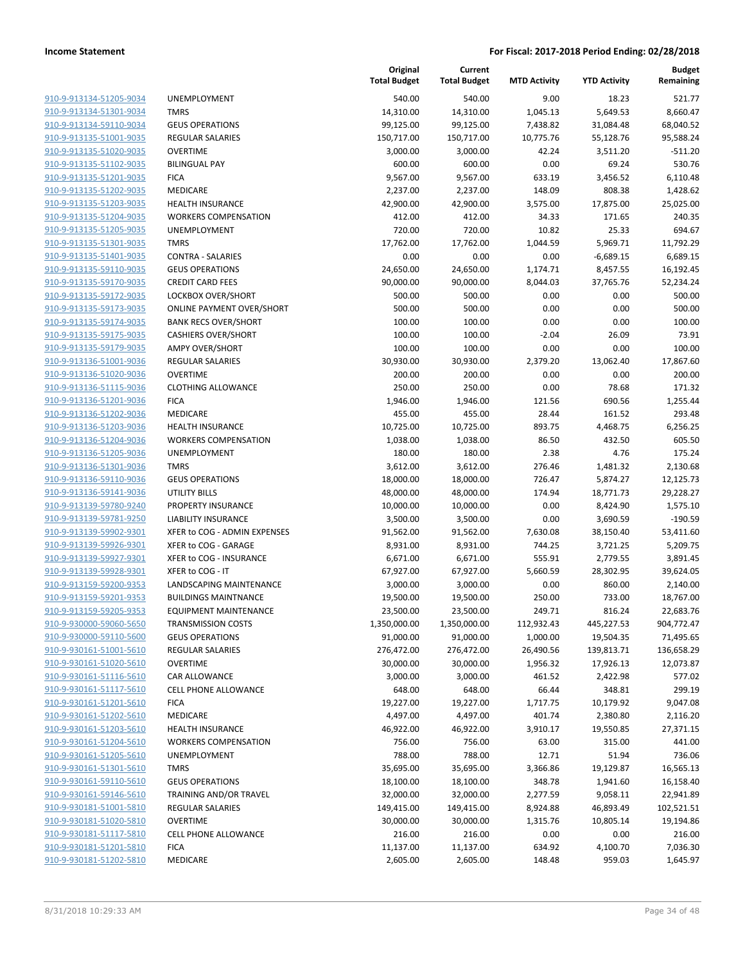| 910-9-913134-51205-9034        |
|--------------------------------|
| 910-9-913134-51301-9034        |
| 910-9-913134-59110-9034        |
| 910-9-913135-51001-9035        |
| 910-9-913135-51020-9035        |
| 910-9-913135-51102-9035        |
| 910-9-913135-51201-9035        |
| 910-9-913135-51202-9035        |
| 910-9-913135-51203-9035        |
| 910-9-913135-51204-9035        |
| 910-9-913135-51205-9035        |
| 910-9-913135-51301-9035        |
| 910-9-913135-51401-9035        |
|                                |
| 910-9-913135-59110-9035        |
| 910-9-913135-59170-9035        |
| 910-9-913135-59172-9035        |
| 910-9-913135-59173-9035        |
| 910-9-913135-59174-9035        |
| 910-9-913135-59175-9035        |
| 910-9-913135-59179-9035        |
| 910-9-913136-51001-9036        |
| 910-9-913136-51020-9036        |
| 910-9-913136-51115-9036        |
| 910-9-913136-51201-9036        |
| 910-9-913136-51202-9036        |
| 910-9-913136-51203-9036        |
| 910-9-913136-51204-9036        |
| 910-9-913136-51205-9036        |
| 910-9-913136-51301-9036        |
| 910-9-913136-59110-9036        |
| 910-9-913136-59141-9036        |
| 910-9-913139-59780-9240        |
| 910-9-913139-59781-9250        |
|                                |
| 910-9-913139-59902-9301        |
| 910-9-913139-59926-9301        |
| 910-9-913139-59927-9301        |
| 910-9-913139-59928-9301        |
| 910-9-913159-59200-9353        |
| 910-9-913159-59201-9353        |
| 910-9-913159-59205-9353        |
| 910-9-930000-59060-5650        |
| 910-9-930000-59110-5600        |
| <u>910-9-930161-51001-5610</u> |
| 910-9-930161-51020-5610        |
| 910-9-930161-51116-5610        |
| 910-9-930161-51117-5610        |
| 910-9-930161-51201-5610        |
| 910-9-930161-51202-5610        |
| 910-9-930161-51203-5610        |
| 910-9-930161-51204-5610        |
|                                |
| 910-9-930161-51205-5610        |
| <u>910-9-930161-51301-5610</u> |
| 910-9-930161-59110-5610        |
| 910-9-930161-59146-5610        |
| 910-9-930181-51001-5810        |
| <u>910-9-930181-51020-5810</u> |
| <u>910-9-930181-51117-5810</u> |
| <u>910-9-930181-51201-5810</u> |
| 910-9-930181-51202-5810        |
|                                |

|                         |                                  | Original<br><b>Total Budget</b> | Current<br><b>Total Budget</b> | <b>MTD Activity</b> | <b>YTD Activity</b> | <b>Budget</b><br>Remaining |
|-------------------------|----------------------------------|---------------------------------|--------------------------------|---------------------|---------------------|----------------------------|
| 910-9-913134-51205-9034 | <b>UNEMPLOYMENT</b>              | 540.00                          | 540.00                         | 9.00                | 18.23               | 521.77                     |
| 910-9-913134-51301-9034 | <b>TMRS</b>                      | 14,310.00                       | 14,310.00                      | 1,045.13            | 5,649.53            | 8,660.47                   |
| 910-9-913134-59110-9034 | <b>GEUS OPERATIONS</b>           | 99,125.00                       | 99,125.00                      | 7,438.82            | 31,084.48           | 68,040.52                  |
| 910-9-913135-51001-9035 | <b>REGULAR SALARIES</b>          | 150,717.00                      | 150,717.00                     | 10,775.76           | 55,128.76           | 95,588.24                  |
| 910-9-913135-51020-9035 | <b>OVERTIME</b>                  | 3,000.00                        | 3,000.00                       | 42.24               | 3,511.20            | $-511.20$                  |
| 910-9-913135-51102-9035 | <b>BILINGUAL PAY</b>             | 600.00                          | 600.00                         | 0.00                | 69.24               | 530.76                     |
| 910-9-913135-51201-9035 | <b>FICA</b>                      | 9,567.00                        | 9,567.00                       | 633.19              | 3,456.52            | 6,110.48                   |
| 910-9-913135-51202-9035 | <b>MEDICARE</b>                  | 2,237.00                        | 2,237.00                       | 148.09              | 808.38              | 1,428.62                   |
| 910-9-913135-51203-9035 | <b>HEALTH INSURANCE</b>          | 42,900.00                       | 42,900.00                      | 3,575.00            | 17,875.00           | 25,025.00                  |
| 910-9-913135-51204-9035 | <b>WORKERS COMPENSATION</b>      | 412.00                          | 412.00                         | 34.33               | 171.65              | 240.35                     |
| 910-9-913135-51205-9035 | <b>UNEMPLOYMENT</b>              | 720.00                          | 720.00                         | 10.82               | 25.33               | 694.67                     |
| 910-9-913135-51301-9035 | <b>TMRS</b>                      | 17,762.00                       | 17,762.00                      | 1,044.59            | 5,969.71            | 11,792.29                  |
| 910-9-913135-51401-9035 | <b>CONTRA - SALARIES</b>         | 0.00                            | 0.00                           | 0.00                | $-6,689.15$         | 6,689.15                   |
| 910-9-913135-59110-9035 | <b>GEUS OPERATIONS</b>           | 24,650.00                       | 24,650.00                      | 1,174.71            | 8,457.55            | 16,192.45                  |
| 910-9-913135-59170-9035 | <b>CREDIT CARD FEES</b>          | 90,000.00                       | 90,000.00                      | 8,044.03            | 37,765.76           | 52,234.24                  |
| 910-9-913135-59172-9035 | LOCKBOX OVER/SHORT               | 500.00                          | 500.00                         | 0.00                | 0.00                | 500.00                     |
| 910-9-913135-59173-9035 | <b>ONLINE PAYMENT OVER/SHORT</b> | 500.00                          | 500.00                         | 0.00                | 0.00                | 500.00                     |
| 910-9-913135-59174-9035 | <b>BANK RECS OVER/SHORT</b>      | 100.00                          | 100.00                         | 0.00                | 0.00                | 100.00                     |
| 910-9-913135-59175-9035 | <b>CASHIERS OVER/SHORT</b>       | 100.00                          | 100.00                         | $-2.04$             | 26.09               | 73.91                      |
| 910-9-913135-59179-9035 | <b>AMPY OVER/SHORT</b>           | 100.00                          | 100.00                         | 0.00                | 0.00                | 100.00                     |
| 910-9-913136-51001-9036 | REGULAR SALARIES                 | 30,930.00                       | 30,930.00                      | 2,379.20            | 13,062.40           | 17,867.60                  |
| 910-9-913136-51020-9036 | <b>OVERTIME</b>                  | 200.00                          | 200.00                         | 0.00                | 0.00                | 200.00                     |
| 910-9-913136-51115-9036 | <b>CLOTHING ALLOWANCE</b>        | 250.00                          | 250.00                         | 0.00                | 78.68               | 171.32                     |
| 910-9-913136-51201-9036 | <b>FICA</b>                      | 1,946.00                        | 1,946.00                       | 121.56              | 690.56              | 1,255.44                   |
| 910-9-913136-51202-9036 | MEDICARE                         | 455.00                          | 455.00                         | 28.44               | 161.52              | 293.48                     |
| 910-9-913136-51203-9036 | <b>HEALTH INSURANCE</b>          | 10,725.00                       | 10,725.00                      | 893.75              | 4,468.75            | 6,256.25                   |
| 910-9-913136-51204-9036 | <b>WORKERS COMPENSATION</b>      | 1,038.00                        | 1,038.00                       | 86.50               | 432.50              | 605.50                     |
| 910-9-913136-51205-9036 | UNEMPLOYMENT                     | 180.00                          | 180.00                         | 2.38                | 4.76                | 175.24                     |
| 910-9-913136-51301-9036 | <b>TMRS</b>                      | 3,612.00                        | 3,612.00                       | 276.46              | 1,481.32            | 2,130.68                   |
| 910-9-913136-59110-9036 | <b>GEUS OPERATIONS</b>           | 18,000.00                       | 18,000.00                      | 726.47              | 5,874.27            | 12,125.73                  |
| 910-9-913136-59141-9036 | UTILITY BILLS                    | 48,000.00                       | 48,000.00                      | 174.94              | 18,771.73           | 29,228.27                  |
| 910-9-913139-59780-9240 | PROPERTY INSURANCE               | 10,000.00                       | 10,000.00                      | 0.00                | 8,424.90            | 1,575.10                   |
| 910-9-913139-59781-9250 | <b>LIABILITY INSURANCE</b>       | 3,500.00                        | 3,500.00                       | 0.00                | 3,690.59            | $-190.59$                  |
| 910-9-913139-59902-9301 | XFER to COG - ADMIN EXPENSES     | 91,562.00                       | 91,562.00                      | 7,630.08            | 38,150.40           | 53,411.60                  |
| 910-9-913139-59926-9301 | XFER to COG - GARAGE             | 8,931.00                        | 8,931.00                       | 744.25              | 3,721.25            | 5,209.75                   |
| 910-9-913139-59927-9301 | XFER to COG - INSURANCE          | 6,671.00                        | 6,671.00                       | 555.91              | 2,779.55            | 3,891.45                   |
| 910-9-913139-59928-9301 | XFER to COG - IT                 | 67,927.00                       | 67,927.00                      | 5,660.59            | 28,302.95           | 39,624.05                  |
| 910-9-913159-59200-9353 | LANDSCAPING MAINTENANCE          | 3,000.00                        | 3,000.00                       | 0.00                | 860.00              | 2,140.00                   |
| 910-9-913159-59201-9353 | <b>BUILDINGS MAINTNANCE</b>      | 19,500.00                       | 19,500.00                      | 250.00              | 733.00              | 18,767.00                  |
| 910-9-913159-59205-9353 | <b>EQUIPMENT MAINTENANCE</b>     | 23,500.00                       | 23,500.00                      | 249.71              | 816.24              | 22,683.76                  |
| 910-9-930000-59060-5650 | <b>TRANSMISSION COSTS</b>        | 1,350,000.00                    | 1,350,000.00                   | 112,932.43          | 445,227.53          | 904,772.47                 |
| 910-9-930000-59110-5600 | <b>GEUS OPERATIONS</b>           | 91,000.00                       | 91,000.00                      | 1,000.00            | 19,504.35           | 71,495.65                  |
| 910-9-930161-51001-5610 | REGULAR SALARIES                 | 276,472.00                      | 276,472.00                     | 26,490.56           | 139,813.71          | 136,658.29                 |
| 910-9-930161-51020-5610 | <b>OVERTIME</b>                  | 30,000.00                       | 30,000.00                      | 1,956.32            | 17,926.13           | 12,073.87                  |
| 910-9-930161-51116-5610 | CAR ALLOWANCE                    | 3,000.00                        | 3,000.00                       | 461.52              | 2,422.98            | 577.02                     |
| 910-9-930161-51117-5610 | CELL PHONE ALLOWANCE             | 648.00                          | 648.00                         | 66.44               | 348.81              | 299.19                     |
| 910-9-930161-51201-5610 | <b>FICA</b>                      | 19,227.00                       | 19,227.00                      | 1,717.75            | 10,179.92           | 9,047.08                   |
| 910-9-930161-51202-5610 | MEDICARE                         | 4,497.00                        | 4,497.00                       | 401.74              | 2,380.80            | 2,116.20                   |
| 910-9-930161-51203-5610 | <b>HEALTH INSURANCE</b>          | 46,922.00                       | 46,922.00                      | 3,910.17            | 19,550.85           | 27,371.15                  |
| 910-9-930161-51204-5610 | <b>WORKERS COMPENSATION</b>      | 756.00                          | 756.00                         | 63.00               | 315.00              | 441.00                     |
| 910-9-930161-51205-5610 | UNEMPLOYMENT                     | 788.00                          | 788.00                         | 12.71               | 51.94               | 736.06                     |
| 910-9-930161-51301-5610 | <b>TMRS</b>                      | 35,695.00                       | 35,695.00                      | 3,366.86            | 19,129.87           | 16,565.13                  |
| 910-9-930161-59110-5610 | <b>GEUS OPERATIONS</b>           | 18,100.00                       | 18,100.00                      | 348.78              | 1,941.60            | 16,158.40                  |
| 910-9-930161-59146-5610 | TRAINING AND/OR TRAVEL           | 32,000.00                       | 32,000.00                      | 2,277.59            | 9,058.11            | 22,941.89                  |
| 910-9-930181-51001-5810 | REGULAR SALARIES                 | 149,415.00                      | 149,415.00                     | 8,924.88            | 46,893.49           | 102,521.51                 |
| 910-9-930181-51020-5810 | <b>OVERTIME</b>                  | 30,000.00                       | 30,000.00                      | 1,315.76            | 10,805.14           | 19,194.86                  |
| 910-9-930181-51117-5810 | CELL PHONE ALLOWANCE             | 216.00                          | 216.00                         | 0.00                | 0.00                | 216.00                     |
| 910-9-930181-51201-5810 | <b>FICA</b>                      | 11,137.00                       | 11,137.00                      | 634.92              | 4,100.70            | 7,036.30                   |
| 910-9-930181-51202-5810 | MEDICARE                         | 2,605.00                        | 2,605.00                       | 148.48              | 959.03              | 1,645.97                   |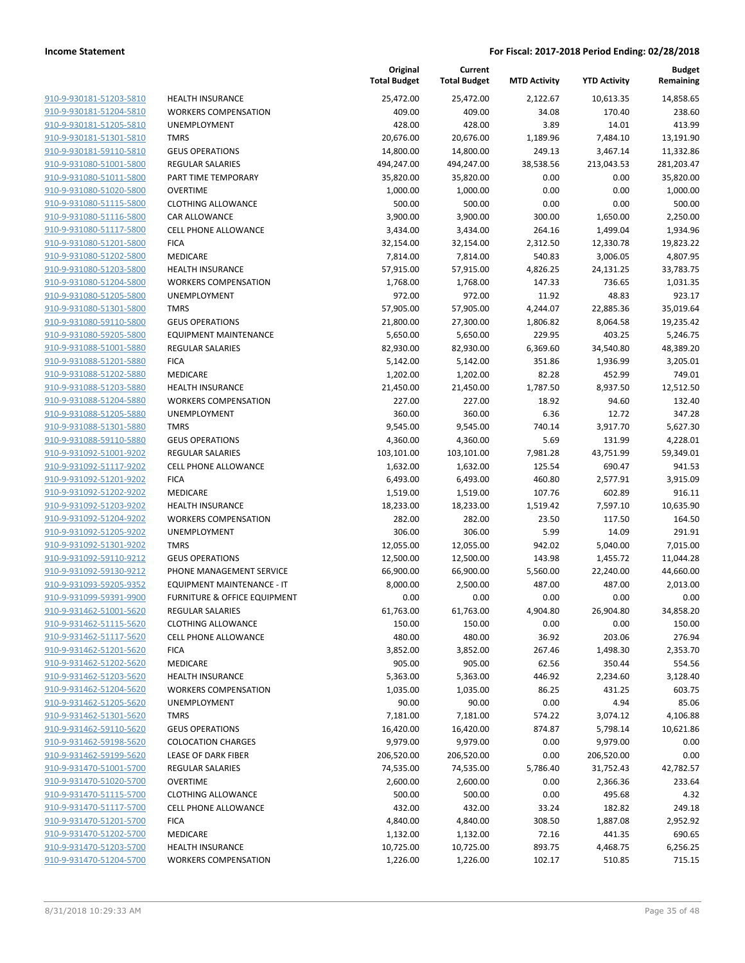| 910-9-930181-51203-5810                            |
|----------------------------------------------------|
| 910-9-930181-51204-5810                            |
| 910-9-930181-51205-5810                            |
| 910-9-930181-51301-5810                            |
| 910-9-930181-59110-5810                            |
| 910-9-931080-51001-5800                            |
| 910-9-931080-51011-5800                            |
| 910-9-931080-51020-5800                            |
| 910-9-931080-51115-5800                            |
| 910-9-931080-51116-5800                            |
| 910-9-931080-51117-5800                            |
| 910-9-931080-51201-5800                            |
| 910-9-931080-51202-5800                            |
| 910-9-931080-51203-5800                            |
|                                                    |
| <u>910-9-931080-51204-5800</u>                     |
| 910-9-931080-51205-5800                            |
| 910-9-931080-51301-5800                            |
| 910-9-931080-59110-5800                            |
| 910-9-931080-59205-5800                            |
| <u>910-9-931088-51001-5880</u>                     |
| 910-9-931088-51201-5880                            |
| 910-9-931088-51202-5880                            |
| 910-9-931088-51203-5880                            |
| 910-9-931088-51204-5880                            |
| <u>910-9-931088-51205-5880</u>                     |
| 910-9-931088-51301-5880                            |
| 910-9-931088-59110-5880                            |
| 910-9-931092-51001-9202                            |
| 910-9-931092-51117-9202                            |
| 910-9-931092-51201-9202                            |
| 910-9-931092-51202-9202                            |
| 910-9-931092-51203-9202                            |
| 910-9-931092-51204-9202                            |
| 910-9-931092-51205-9202                            |
| 910-9-931092-51301-9202                            |
| 910-9-931092-59110-9212                            |
| 910-9-931092-59130-9212                            |
| 910-9-931093-59205-9352                            |
| 910-9-931099-59391-9900                            |
|                                                    |
| 910-9-931462-51001-5620<br>910-9-931462-51115-5620 |
|                                                    |
| <u>910-9-931462-51117-5620</u>                     |
| 910-9-931462-51201-5620                            |
| 910-9-931462-51202-5620                            |
| <u>910-9-931462-51203-5620</u>                     |
| 910-9-931462-51204-5620                            |
| 910-9-931462-51205-5620                            |
| <u>910-9-931462-51301-5620</u>                     |
| 910-9-931462-59110-5620                            |
| 910-9-931462-59198-5620                            |
| <u>910-9-931462-59199-5620</u>                     |
| 910-9-931470-51001-5700                            |
| 910-9-931470-51020-5700                            |
| 910-9-931470-51115-5700                            |
| <u>910-9-931470-51117-5700</u>                     |
| <u>910-9-931470-51201-5700</u>                     |
| <u>910-9-931470-51202-5700</u>                     |
| 910-9-931470-51203-5700                            |
| 910-9-931470-51204-5700                            |
|                                                    |

|                                                    |                                                             | Original<br><b>Total Budget</b> | Current<br><b>Total Budget</b> | <b>MTD Activity</b> | <b>YTD Activity</b>  | <b>Budget</b><br>Remaining |
|----------------------------------------------------|-------------------------------------------------------------|---------------------------------|--------------------------------|---------------------|----------------------|----------------------------|
| 910-9-930181-51203-5810                            | <b>HEALTH INSURANCE</b>                                     | 25,472.00                       | 25,472.00                      | 2,122.67            | 10,613.35            | 14,858.65                  |
| 910-9-930181-51204-5810                            | <b>WORKERS COMPENSATION</b>                                 | 409.00                          | 409.00                         | 34.08               | 170.40               | 238.60                     |
| 910-9-930181-51205-5810                            | UNEMPLOYMENT                                                | 428.00                          | 428.00                         | 3.89                | 14.01                | 413.99                     |
| 910-9-930181-51301-5810                            | <b>TMRS</b>                                                 | 20,676.00                       | 20,676.00                      | 1,189.96            | 7,484.10             | 13,191.90                  |
| 910-9-930181-59110-5810                            | <b>GEUS OPERATIONS</b>                                      | 14,800.00                       | 14,800.00                      | 249.13              | 3,467.14             | 11,332.86                  |
| 910-9-931080-51001-5800                            | REGULAR SALARIES                                            | 494,247.00                      | 494,247.00                     | 38,538.56           | 213,043.53           | 281,203.47                 |
| 910-9-931080-51011-5800                            | PART TIME TEMPORARY                                         | 35,820.00                       | 35,820.00                      | 0.00                | 0.00                 | 35,820.00                  |
| 910-9-931080-51020-5800                            | <b>OVERTIME</b>                                             | 1,000.00                        | 1,000.00                       | 0.00                | 0.00                 | 1,000.00                   |
| 910-9-931080-51115-5800                            | <b>CLOTHING ALLOWANCE</b>                                   | 500.00                          | 500.00                         | 0.00                | 0.00                 | 500.00                     |
| 910-9-931080-51116-5800                            | <b>CAR ALLOWANCE</b>                                        | 3,900.00                        | 3,900.00                       | 300.00              | 1,650.00             | 2,250.00                   |
| 910-9-931080-51117-5800                            | <b>CELL PHONE ALLOWANCE</b>                                 | 3,434.00                        | 3,434.00                       | 264.16              | 1,499.04             | 1,934.96                   |
| 910-9-931080-51201-5800                            | <b>FICA</b>                                                 | 32,154.00                       | 32,154.00                      | 2,312.50            | 12,330.78            | 19,823.22                  |
| 910-9-931080-51202-5800                            | MEDICARE                                                    | 7,814.00                        | 7,814.00                       | 540.83              | 3,006.05             | 4,807.95                   |
| 910-9-931080-51203-5800                            | <b>HEALTH INSURANCE</b>                                     | 57,915.00                       | 57,915.00                      | 4,826.25            | 24,131.25            | 33,783.75                  |
| 910-9-931080-51204-5800                            | <b>WORKERS COMPENSATION</b>                                 | 1,768.00                        | 1,768.00                       | 147.33              | 736.65               | 1,031.35                   |
| 910-9-931080-51205-5800                            | <b>UNEMPLOYMENT</b>                                         | 972.00                          | 972.00                         | 11.92               | 48.83                | 923.17                     |
| 910-9-931080-51301-5800                            | <b>TMRS</b>                                                 | 57,905.00                       | 57,905.00                      | 4,244.07            | 22,885.36            | 35,019.64                  |
| 910-9-931080-59110-5800                            | <b>GEUS OPERATIONS</b>                                      | 21,800.00                       | 27,300.00                      | 1,806.82            | 8,064.58             | 19,235.42                  |
| 910-9-931080-59205-5800                            | <b>EQUIPMENT MAINTENANCE</b>                                | 5,650.00                        | 5,650.00                       | 229.95              | 403.25               | 5,246.75                   |
| 910-9-931088-51001-5880                            | <b>REGULAR SALARIES</b>                                     | 82,930.00                       | 82,930.00                      | 6,369.60            | 34,540.80            | 48,389.20                  |
| 910-9-931088-51201-5880                            | <b>FICA</b>                                                 | 5,142.00                        | 5,142.00                       | 351.86              | 1,936.99             | 3,205.01                   |
| 910-9-931088-51202-5880                            | MEDICARE                                                    | 1,202.00                        | 1,202.00                       | 82.28               | 452.99               | 749.01                     |
| 910-9-931088-51203-5880                            | <b>HEALTH INSURANCE</b>                                     | 21,450.00                       | 21,450.00                      | 1,787.50            | 8,937.50             | 12,512.50                  |
| 910-9-931088-51204-5880                            | <b>WORKERS COMPENSATION</b>                                 | 227.00                          | 227.00                         | 18.92               | 94.60                | 132.40                     |
| 910-9-931088-51205-5880                            | UNEMPLOYMENT                                                | 360.00                          | 360.00                         | 6.36                | 12.72                | 347.28                     |
| 910-9-931088-51301-5880                            | <b>TMRS</b>                                                 | 9,545.00                        | 9,545.00                       | 740.14              | 3,917.70             | 5,627.30                   |
| 910-9-931088-59110-5880                            | <b>GEUS OPERATIONS</b>                                      | 4,360.00                        | 4,360.00                       | 5.69                | 131.99               | 4,228.01                   |
| 910-9-931092-51001-9202                            | <b>REGULAR SALARIES</b>                                     | 103,101.00                      | 103,101.00                     | 7,981.28            | 43,751.99            | 59,349.01                  |
| 910-9-931092-51117-9202                            | <b>CELL PHONE ALLOWANCE</b>                                 | 1,632.00                        | 1,632.00                       | 125.54              | 690.47               | 941.53                     |
| 910-9-931092-51201-9202                            | <b>FICA</b>                                                 | 6,493.00                        | 6,493.00                       | 460.80              | 2,577.91             | 3,915.09                   |
| 910-9-931092-51202-9202                            | MEDICARE                                                    | 1,519.00                        | 1,519.00                       | 107.76              | 602.89               | 916.11                     |
| 910-9-931092-51203-9202                            | <b>HEALTH INSURANCE</b>                                     | 18,233.00                       | 18,233.00                      | 1,519.42            | 7,597.10             | 10,635.90                  |
| 910-9-931092-51204-9202                            | <b>WORKERS COMPENSATION</b>                                 | 282.00                          | 282.00                         | 23.50               | 117.50               | 164.50                     |
| 910-9-931092-51205-9202                            | UNEMPLOYMENT                                                | 306.00                          | 306.00                         | 5.99                | 14.09                | 291.91                     |
| 910-9-931092-51301-9202                            | <b>TMRS</b>                                                 | 12,055.00                       | 12,055.00                      | 942.02              | 5,040.00             | 7,015.00                   |
| 910-9-931092-59110-9212                            | <b>GEUS OPERATIONS</b>                                      | 12,500.00                       | 12,500.00                      | 143.98              | 1,455.72             | 11,044.28                  |
| 910-9-931092-59130-9212                            | PHONE MANAGEMENT SERVICE                                    | 66,900.00                       | 66,900.00                      | 5,560.00            | 22,240.00            | 44,660.00                  |
| 910-9-931093-59205-9352<br>910-9-931099-59391-9900 | <b>EQUIPMENT MAINTENANCE - IT</b>                           | 8,000.00                        | 2,500.00                       | 487.00              | 487.00               | 2,013.00                   |
| 910-9-931462-51001-5620                            | <b>FURNITURE &amp; OFFICE EQUIPMENT</b><br>REGULAR SALARIES | 0.00<br>61,763.00               | 0.00<br>61,763.00              | 0.00                | 0.00<br>26,904.80    | 0.00                       |
| 910-9-931462-51115-5620                            |                                                             |                                 |                                | 4,904.80            |                      | 34,858.20                  |
|                                                    | <b>CLOTHING ALLOWANCE</b><br><b>CELL PHONE ALLOWANCE</b>    | 150.00                          | 150.00                         | 0.00                | 0.00                 | 150.00                     |
| 910-9-931462-51117-5620                            | <b>FICA</b>                                                 | 480.00                          | 480.00                         | 36.92               | 203.06               | 276.94                     |
| 910-9-931462-51201-5620<br>910-9-931462-51202-5620 | MEDICARE                                                    | 3,852.00<br>905.00              | 3,852.00                       | 267.46              | 1,498.30             | 2,353.70<br>554.56         |
| 910-9-931462-51203-5620                            | <b>HEALTH INSURANCE</b>                                     | 5,363.00                        | 905.00<br>5,363.00             | 62.56<br>446.92     | 350.44<br>2,234.60   | 3,128.40                   |
| 910-9-931462-51204-5620                            | <b>WORKERS COMPENSATION</b>                                 | 1,035.00                        | 1,035.00                       | 86.25               | 431.25               | 603.75                     |
| 910-9-931462-51205-5620                            | UNEMPLOYMENT                                                | 90.00                           | 90.00                          | 0.00                | 4.94                 | 85.06                      |
| 910-9-931462-51301-5620                            | <b>TMRS</b>                                                 | 7,181.00                        | 7,181.00                       | 574.22              |                      | 4,106.88                   |
| 910-9-931462-59110-5620                            | <b>GEUS OPERATIONS</b>                                      | 16,420.00                       | 16,420.00                      | 874.87              | 3,074.12<br>5,798.14 | 10,621.86                  |
| 910-9-931462-59198-5620                            | <b>COLOCATION CHARGES</b>                                   | 9,979.00                        | 9,979.00                       | 0.00                | 9,979.00             | 0.00                       |
| 910-9-931462-59199-5620                            | LEASE OF DARK FIBER                                         | 206,520.00                      | 206,520.00                     | 0.00                | 206,520.00           | 0.00                       |
| 910-9-931470-51001-5700                            | <b>REGULAR SALARIES</b>                                     | 74,535.00                       | 74,535.00                      | 5,786.40            | 31,752.43            | 42,782.57                  |
| 910-9-931470-51020-5700                            | <b>OVERTIME</b>                                             | 2,600.00                        | 2,600.00                       | 0.00                | 2,366.36             | 233.64                     |
| 910-9-931470-51115-5700                            | <b>CLOTHING ALLOWANCE</b>                                   | 500.00                          | 500.00                         | 0.00                | 495.68               | 4.32                       |
| 910-9-931470-51117-5700                            | <b>CELL PHONE ALLOWANCE</b>                                 | 432.00                          | 432.00                         | 33.24               | 182.82               | 249.18                     |
| 910-9-931470-51201-5700                            | <b>FICA</b>                                                 | 4,840.00                        | 4,840.00                       | 308.50              | 1,887.08             | 2,952.92                   |
| 910-9-931470-51202-5700                            | MEDICARE                                                    | 1,132.00                        | 1,132.00                       | 72.16               | 441.35               | 690.65                     |
| 910-9-931470-51203-5700                            | HEALTH INSURANCE                                            | 10,725.00                       | 10,725.00                      | 893.75              | 4,468.75             | 6,256.25                   |
| 910-9-931470-51204-5700                            | <b>WORKERS COMPENSATION</b>                                 | 1,226.00                        | 1,226.00                       | 102.17              | 510.85               | 715.15                     |
|                                                    |                                                             |                                 |                                |                     |                      |                            |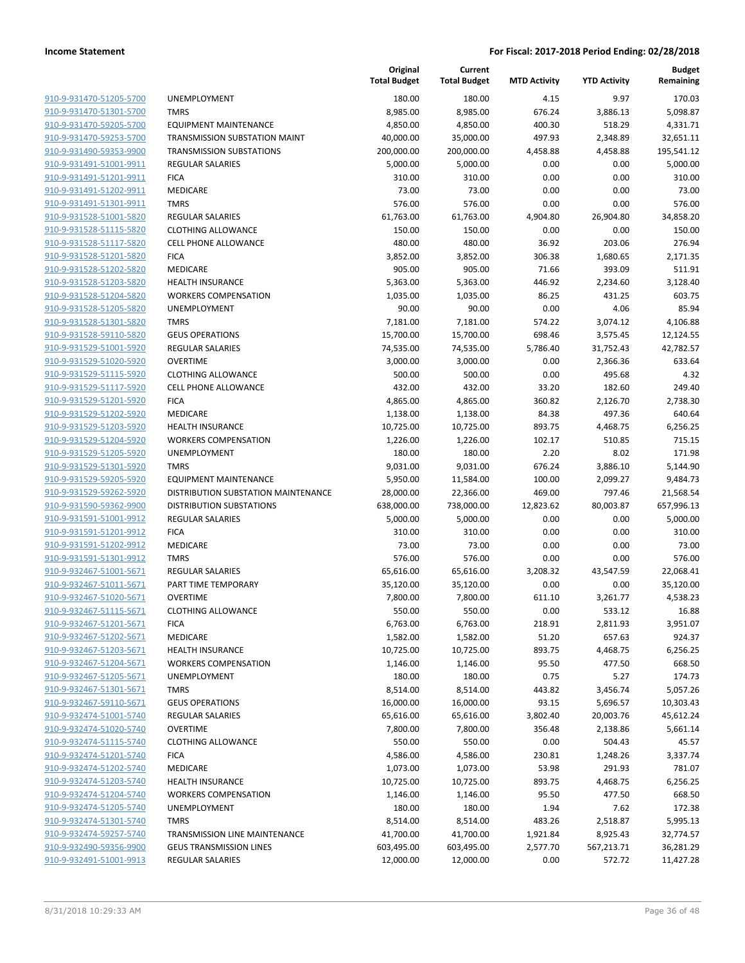| 910-9-931470-51205-5700        | UNE              |
|--------------------------------|------------------|
| 910-9-931470-51301-5700        | <b>TMF</b>       |
| 910-9-931470-59205-5700        | EQL              |
| 910-9-931470-59253-5700        | <b>TRA</b>       |
|                                |                  |
| 910-9-931490-59353-9900        | <b>TRA</b>       |
| 910-9-931491-51001-9911        | <b>REG</b>       |
| 910-9-931491-51201-9911        | <b>FICA</b>      |
| 910-9-931491-51202-9911        | MED              |
| 910-9-931491-51301-9911        | <b>TMF</b>       |
| 910-9-931528-51001-5820        | <b>REG</b>       |
| 910-9-931528-51115-5820        | <b>CLO</b>       |
| 910-9-931528-51117-5820        | <b>CELI</b>      |
| 910-9-931528-51201-5820        | <b>FICA</b>      |
| 910-9-931528-51202-5820        | MED              |
| 910-9-931528-51203-5820        | HEA              |
| 910-9-931528-51204-5820        | wo               |
| 910-9-931528-51205-5820        | UNE              |
| 910-9-931528-51301-5820        | <b>TMF</b>       |
| 910-9-931528-59110-5820        | GEU              |
|                                |                  |
| 910-9-931529-51001-5920        | <b>REG</b>       |
| 910-9-931529-51020-5920        | OVE              |
| 910-9-931529-51115-5920        | <b>CLO</b>       |
| 910-9-931529-51117-5920        | CELI             |
| 910-9-931529-51201-5920        | <b>FICA</b>      |
| 910-9-931529-51202-5920        | MED              |
| 910-9-931529-51203-5920        | HEA              |
| 910-9-931529-51204-5920        | WO               |
| 910-9-931529-51205-5920        | UNE              |
| 910-9-931529-51301-5920        | <b>TMF</b>       |
| 910-9-931529-59205-5920        | EQU              |
| <u>910-9-931529-59262-5920</u> | <b>DIST</b>      |
| 910-9-931590-59362-9900        | DIS <sub>1</sub> |
| 910-9-931591-51001-9912        | <b>REG</b>       |
| 910-9-931591-51201-9912        | <b>FICA</b>      |
| 910-9-931591-51202-9912        | MED              |
| 910-9-931591-51301-9912        | TMF              |
| 910-9-932467-51001-5671        | REG              |
| 910-9-932467-51011-5671        | PAR              |
| 910-9-932467-51020-5671        |                  |
|                                | OVE              |
| 910-9-932467-51115-5671        | <b>CLO</b>       |
| 910-9-932467-51201-5671        | <b>FICA</b>      |
| 910-9-932467-51202-5671        | MED              |
| 910-9-932467-51203-5671        | HEA              |
| 910-9-932467-51204-5671        | wo               |
| 910-9-932467-51205-5671        | UNE              |
| 910-9-932467-51301-5671        | TMF              |
| 910-9-932467-59110-5671        | GEU              |
| 910-9-932474-51001-5740        | <b>REG</b>       |
| 910-9-932474-51020-5740        | OVE              |
| 910-9-932474-51115-5740        | <b>CLO</b>       |
| 910-9-932474-51201-5740        | <b>FICA</b>      |
| 910-9-932474-51202-5740        | MED              |
| 910-9-932474-51203-5740        | HEA              |
| 910-9-932474-51204-5740        | wo               |
| 910-9-932474-51205-5740        | UNE              |
|                                |                  |
| 910-9-932474-51301-5740        | TMF              |
| 910-9-932474-59257-5740        | TRA              |
| 910-9-932490-59356-9900        | GEU              |
| 910-9-932491-51001-9913        | REG              |
|                                |                  |

|                                                    |                                                        | Original<br><b>Total Budget</b> | Current<br><b>Total Budget</b> | <b>MTD Activity</b> | <b>YTD Activity</b> | <b>Budget</b><br>Remaining |
|----------------------------------------------------|--------------------------------------------------------|---------------------------------|--------------------------------|---------------------|---------------------|----------------------------|
| 910-9-931470-51205-5700                            | <b>UNEMPLOYMENT</b>                                    | 180.00                          | 180.00                         | 4.15                | 9.97                | 170.03                     |
| 910-9-931470-51301-5700                            | <b>TMRS</b>                                            | 8,985.00                        | 8,985.00                       | 676.24              | 3,886.13            | 5,098.87                   |
| 910-9-931470-59205-5700                            | <b>EQUIPMENT MAINTENANCE</b>                           | 4,850.00                        | 4,850.00                       | 400.30              | 518.29              | 4,331.71                   |
| 910-9-931470-59253-5700                            | TRANSMISSION SUBSTATION MAINT                          | 40,000.00                       | 35,000.00                      | 497.93              | 2,348.89            | 32,651.11                  |
| 910-9-931490-59353-9900                            | <b>TRANSMISSION SUBSTATIONS</b>                        | 200,000.00                      | 200,000.00                     | 4,458.88            | 4,458.88            | 195,541.12                 |
| 910-9-931491-51001-9911                            | <b>REGULAR SALARIES</b>                                | 5,000.00                        | 5,000.00                       | 0.00                | 0.00                | 5,000.00                   |
| 910-9-931491-51201-9911                            | <b>FICA</b>                                            | 310.00                          | 310.00                         | 0.00                | 0.00                | 310.00                     |
| 910-9-931491-51202-9911                            | <b>MEDICARE</b>                                        | 73.00                           | 73.00                          | 0.00                | 0.00                | 73.00                      |
| 910-9-931491-51301-9911                            | <b>TMRS</b>                                            | 576.00                          | 576.00                         | 0.00                | 0.00                | 576.00                     |
| 910-9-931528-51001-5820                            | <b>REGULAR SALARIES</b>                                | 61,763.00                       | 61,763.00                      | 4,904.80            | 26,904.80           | 34,858.20                  |
| 910-9-931528-51115-5820                            | <b>CLOTHING ALLOWANCE</b>                              | 150.00                          | 150.00                         | 0.00                | 0.00                | 150.00                     |
| 910-9-931528-51117-5820                            | <b>CELL PHONE ALLOWANCE</b>                            | 480.00                          | 480.00                         | 36.92               | 203.06              | 276.94                     |
| 910-9-931528-51201-5820                            | <b>FICA</b>                                            | 3,852.00                        | 3,852.00                       | 306.38              | 1,680.65            | 2,171.35                   |
| 910-9-931528-51202-5820                            | MEDICARE                                               | 905.00                          | 905.00                         | 71.66               | 393.09              | 511.91                     |
| 910-9-931528-51203-5820                            | <b>HEALTH INSURANCE</b>                                | 5,363.00                        | 5,363.00                       | 446.92              | 2,234.60            | 3,128.40                   |
| 910-9-931528-51204-5820                            | <b>WORKERS COMPENSATION</b>                            | 1,035.00                        | 1,035.00                       | 86.25               | 431.25              | 603.75                     |
| 910-9-931528-51205-5820                            | UNEMPLOYMENT                                           | 90.00                           | 90.00                          | 0.00                | 4.06                | 85.94                      |
| 910-9-931528-51301-5820                            | <b>TMRS</b>                                            | 7,181.00                        | 7,181.00                       | 574.22              | 3,074.12            | 4,106.88                   |
| 910-9-931528-59110-5820                            | <b>GEUS OPERATIONS</b>                                 | 15,700.00                       | 15,700.00                      | 698.46              | 3,575.45            | 12,124.55                  |
| 910-9-931529-51001-5920                            | <b>REGULAR SALARIES</b>                                | 74,535.00                       | 74,535.00                      | 5,786.40            | 31,752.43           | 42,782.57                  |
| 910-9-931529-51020-5920                            | <b>OVERTIME</b>                                        | 3,000.00                        | 3,000.00                       | 0.00                | 2,366.36            | 633.64                     |
| 910-9-931529-51115-5920                            | <b>CLOTHING ALLOWANCE</b>                              | 500.00                          | 500.00                         | 0.00                | 495.68              | 4.32                       |
| 910-9-931529-51117-5920                            | <b>CELL PHONE ALLOWANCE</b>                            | 432.00                          | 432.00                         | 33.20               | 182.60              | 249.40                     |
| 910-9-931529-51201-5920                            | <b>FICA</b>                                            | 4,865.00                        | 4,865.00                       | 360.82              | 2,126.70            | 2,738.30                   |
| 910-9-931529-51202-5920                            | MEDICARE                                               | 1,138.00                        | 1,138.00                       | 84.38               | 497.36              | 640.64                     |
| 910-9-931529-51203-5920                            | <b>HEALTH INSURANCE</b>                                | 10,725.00                       | 10,725.00                      | 893.75              | 4,468.75            | 6,256.25                   |
| 910-9-931529-51204-5920                            | <b>WORKERS COMPENSATION</b>                            | 1,226.00                        | 1,226.00                       | 102.17              | 510.85              | 715.15                     |
| 910-9-931529-51205-5920                            | UNEMPLOYMENT                                           | 180.00                          | 180.00                         | 2.20                | 8.02                | 171.98                     |
| 910-9-931529-51301-5920                            | <b>TMRS</b>                                            | 9,031.00                        | 9,031.00                       | 676.24              | 3,886.10            | 5,144.90                   |
| 910-9-931529-59205-5920                            | <b>EQUIPMENT MAINTENANCE</b>                           | 5,950.00                        | 11,584.00                      | 100.00              | 2,099.27            | 9,484.73                   |
| 910-9-931529-59262-5920                            | DISTRIBUTION SUBSTATION MAINTENANCE                    | 28,000.00                       | 22,366.00                      | 469.00              | 797.46              | 21,568.54                  |
| 910-9-931590-59362-9900                            | DISTRIBUTION SUBSTATIONS                               | 638,000.00                      | 738,000.00                     | 12,823.62           | 80,003.87           | 657,996.13                 |
| 910-9-931591-51001-9912                            | <b>REGULAR SALARIES</b>                                | 5,000.00                        | 5,000.00                       | 0.00                | 0.00                | 5,000.00                   |
| 910-9-931591-51201-9912                            | <b>FICA</b>                                            | 310.00                          | 310.00                         | 0.00                | 0.00                | 310.00                     |
| 910-9-931591-51202-9912                            | <b>MEDICARE</b>                                        | 73.00                           | 73.00                          | 0.00                | 0.00                | 73.00                      |
| 910-9-931591-51301-9912                            | <b>TMRS</b>                                            | 576.00                          | 576.00                         | 0.00                | 0.00                | 576.00                     |
| 910-9-932467-51001-5671                            | REGULAR SALARIES                                       | 65,616.00                       | 65,616.00                      | 3,208.32            | 43,547.59           | 22,068.41                  |
| 910-9-932467-51011-5671                            | PART TIME TEMPORARY                                    | 35,120.00                       | 35,120.00                      | 0.00                | 0.00                | 35,120.00                  |
| 910-9-932467-51020-5671                            | <b>OVERTIME</b>                                        | 7,800.00                        | 7,800.00                       | 611.10              | 3,261.77            | 4,538.23                   |
| 910-9-932467-51115-5671                            | <b>CLOTHING ALLOWANCE</b>                              | 550.00                          | 550.00                         | 0.00                | 533.12              | 16.88                      |
| 910-9-932467-51201-5671                            | <b>FICA</b>                                            | 6,763.00                        | 6,763.00                       | 218.91              | 2,811.93            | 3,951.07                   |
| 910-9-932467-51202-5671                            | MEDICARE                                               | 1,582.00                        | 1,582.00                       | 51.20               | 657.63              | 924.37                     |
| 910-9-932467-51203-5671                            | <b>HEALTH INSURANCE</b>                                | 10,725.00                       | 10,725.00                      | 893.75              | 4,468.75            | 6,256.25                   |
| 910-9-932467-51204-5671                            | <b>WORKERS COMPENSATION</b>                            | 1,146.00                        | 1,146.00                       | 95.50               | 477.50              | 668.50                     |
| 910-9-932467-51205-5671                            | <b>UNEMPLOYMENT</b>                                    | 180.00                          | 180.00                         | 0.75                | 5.27                | 174.73                     |
| 910-9-932467-51301-5671                            | <b>TMRS</b>                                            | 8,514.00                        | 8,514.00                       | 443.82              | 3,456.74            | 5,057.26                   |
| 910-9-932467-59110-5671                            | <b>GEUS OPERATIONS</b>                                 | 16,000.00                       | 16,000.00                      | 93.15               | 5,696.57            | 10,303.43                  |
| 910-9-932474-51001-5740                            | REGULAR SALARIES                                       | 65,616.00                       | 65,616.00                      | 3,802.40            | 20,003.76           | 45,612.24                  |
| 910-9-932474-51020-5740                            | <b>OVERTIME</b>                                        | 7,800.00                        | 7,800.00                       | 356.48              | 2,138.86            | 5,661.14                   |
| 910-9-932474-51115-5740                            | <b>CLOTHING ALLOWANCE</b>                              | 550.00                          | 550.00                         | 0.00                | 504.43              | 45.57                      |
| 910-9-932474-51201-5740                            | <b>FICA</b>                                            | 4,586.00                        | 4,586.00                       | 230.81              | 1,248.26            | 3,337.74                   |
| 910-9-932474-51202-5740                            | MEDICARE                                               | 1,073.00                        | 1,073.00                       | 53.98               | 291.93              | 781.07                     |
| 910-9-932474-51203-5740                            |                                                        |                                 |                                |                     |                     |                            |
| 910-9-932474-51204-5740                            | <b>HEALTH INSURANCE</b><br><b>WORKERS COMPENSATION</b> | 10,725.00                       | 10,725.00                      | 893.75<br>95.50     | 4,468.75            | 6,256.25                   |
| 910-9-932474-51205-5740                            | <b>UNEMPLOYMENT</b>                                    | 1,146.00<br>180.00              | 1,146.00<br>180.00             | 1.94                | 477.50<br>7.62      | 668.50<br>172.38           |
| 910-9-932474-51301-5740                            | <b>TMRS</b>                                            |                                 |                                |                     |                     |                            |
|                                                    |                                                        | 8,514.00                        | 8,514.00                       | 483.26              | 2,518.87            | 5,995.13                   |
| 910-9-932474-59257-5740                            | TRANSMISSION LINE MAINTENANCE                          | 41,700.00                       | 41,700.00                      | 1,921.84            | 8,925.43            | 32,774.57                  |
| 910-9-932490-59356-9900<br>910-9-932491-51001-9913 | <b>GEUS TRANSMISSION LINES</b>                         | 603,495.00                      | 603,495.00                     | 2,577.70            | 567,213.71          | 36,281.29                  |
|                                                    | REGULAR SALARIES                                       | 12,000.00                       | 12,000.00                      | 0.00                | 572.72              | 11,427.28                  |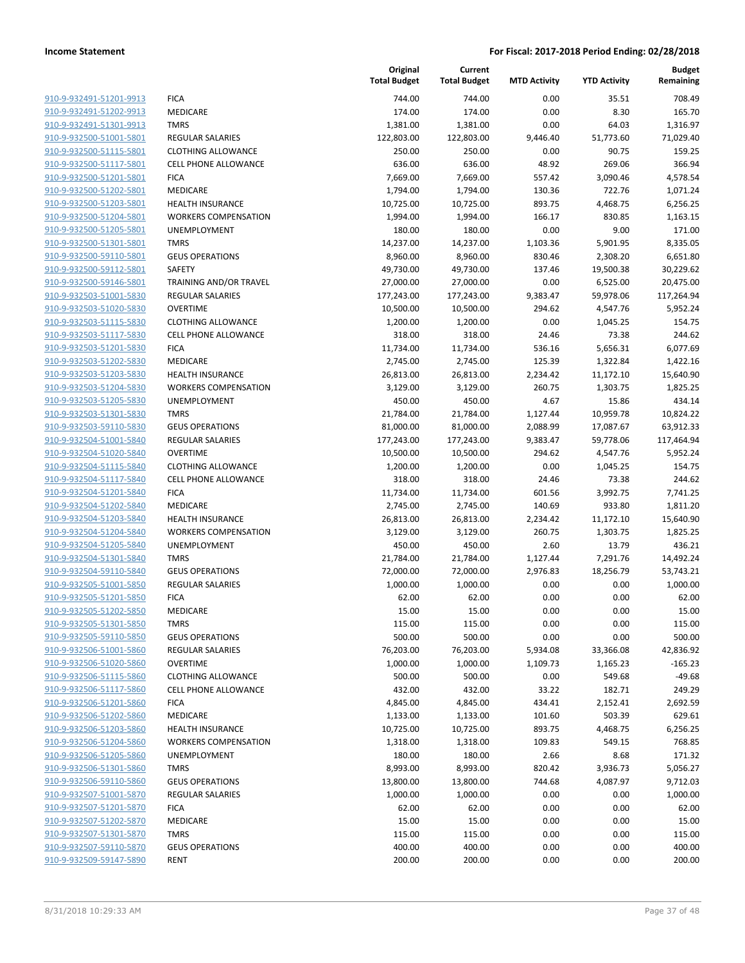| 910-9-932491-51201-9913                                   |
|-----------------------------------------------------------|
| 910-9-932491-51202-9913                                   |
| 910-9-932491-51301-9913                                   |
| 910-9-932500-51001-5801                                   |
| 910-9-932500-51115-5801                                   |
| 910-9-932500-51117-5801                                   |
| 910-9-932500-51201-5801                                   |
| 910-9-932500-51202-5801                                   |
| 910-9-932500-51203-5801                                   |
| 910-9-932500-51204-5801                                   |
| 910-9-932500-51205-5801                                   |
| 910-9-932500-51301-5801                                   |
| 910-9-932500-59110-5801                                   |
| 910-9-932500-59112-5801                                   |
| 910-9-932500-59146-5801                                   |
|                                                           |
| 910-9-932503-51001-5830                                   |
| 910-9-932503-51020-5830                                   |
| 910-9-932503-51115-5830                                   |
| 910-9-932503-51117-5830                                   |
| 910-9-932503-51201-5830                                   |
| 910-9-932503-51202-5830                                   |
| 910-9-932503-51203-5830                                   |
| 910-9-932503-51204-5830                                   |
| 910-9-932503-51205-5830                                   |
| 910-9-932503-51301-5830                                   |
| 910-9-932503-59110-5830                                   |
| 910-9-932504-51001-5840                                   |
| 910-9-932504-51020-5840                                   |
| 910-9-932504-51115-5840                                   |
| 910-9-932504-51117-5840                                   |
| 910-9-932504-51201-5840                                   |
| 910-9-932504-51202-5840                                   |
| 910-9-932504-51203-5840                                   |
| 910-9-932504-51204-5840                                   |
| 910-9-932504-51205-5840                                   |
| 910-9-932504-51301-5840                                   |
| 910-9-932504-59110-5840                                   |
| 910-9-932505-51001-5850                                   |
| 910-9-932505-51201-5850                                   |
| 910-9-932505-51202-5850                                   |
| 910-9-932505-51301-5850                                   |
|                                                           |
| <u>910-9-932505-59110-5850</u>                            |
| <u>910-9-932506-51001-5860</u><br>910-9-932506-51020-5860 |
|                                                           |
| 910-9-932506-51115-5860                                   |
| 910-9-932506-51117-5860                                   |
| <u>910-9-932506-51201-5860</u>                            |
| <u>910-9-932506-51202-5860</u>                            |
| 910-9-932506-51203-5860                                   |
| 910-9-932506-51204-5860                                   |
| <u>910-9-932506-51205-5860</u>                            |
| 910-9-932506-51301-5860                                   |
| 910-9-932506-59110-5860                                   |
| 910-9-932507-51001-5870                                   |
| 910-9-932507-51201-5870                                   |
| 910-9-932507-51202-5870                                   |
| 910-9-932507-51301-5870                                   |
| <u>910-9-932507-59110-5870</u>                            |
| 910-9-932509-59147-5890                                   |
|                                                           |

|                         |                             | Original<br><b>Total Budget</b> | Current<br><b>Total Budget</b> | <b>MTD Activity</b> | <b>YTD Activity</b> | <b>Budget</b><br>Remaining |
|-------------------------|-----------------------------|---------------------------------|--------------------------------|---------------------|---------------------|----------------------------|
| 910-9-932491-51201-9913 | <b>FICA</b>                 | 744.00                          | 744.00                         | 0.00                | 35.51               | 708.49                     |
| 910-9-932491-51202-9913 | <b>MEDICARE</b>             | 174.00                          | 174.00                         | 0.00                | 8.30                | 165.70                     |
| 910-9-932491-51301-9913 | <b>TMRS</b>                 | 1,381.00                        | 1,381.00                       | 0.00                | 64.03               | 1,316.97                   |
| 910-9-932500-51001-5801 | <b>REGULAR SALARIES</b>     | 122,803.00                      | 122,803.00                     | 9,446.40            | 51,773.60           | 71,029.40                  |
| 910-9-932500-51115-5801 | <b>CLOTHING ALLOWANCE</b>   | 250.00                          | 250.00                         | 0.00                | 90.75               | 159.25                     |
| 910-9-932500-51117-5801 | <b>CELL PHONE ALLOWANCE</b> | 636.00                          | 636.00                         | 48.92               | 269.06              | 366.94                     |
| 910-9-932500-51201-5801 | <b>FICA</b>                 | 7,669.00                        | 7,669.00                       | 557.42              | 3,090.46            | 4,578.54                   |
| 910-9-932500-51202-5801 | MEDICARE                    | 1,794.00                        | 1,794.00                       | 130.36              | 722.76              | 1,071.24                   |
| 910-9-932500-51203-5801 | <b>HEALTH INSURANCE</b>     | 10,725.00                       | 10,725.00                      | 893.75              | 4,468.75            | 6,256.25                   |
| 910-9-932500-51204-5801 | <b>WORKERS COMPENSATION</b> | 1,994.00                        | 1,994.00                       | 166.17              | 830.85              | 1,163.15                   |
| 910-9-932500-51205-5801 | UNEMPLOYMENT                | 180.00                          | 180.00                         | 0.00                | 9.00                | 171.00                     |
| 910-9-932500-51301-5801 | <b>TMRS</b>                 | 14,237.00                       | 14,237.00                      | 1,103.36            | 5,901.95            | 8,335.05                   |
| 910-9-932500-59110-5801 | <b>GEUS OPERATIONS</b>      | 8,960.00                        | 8,960.00                       | 830.46              | 2,308.20            | 6,651.80                   |
| 910-9-932500-59112-5801 | SAFETY                      | 49,730.00                       | 49,730.00                      | 137.46              | 19,500.38           | 30,229.62                  |
| 910-9-932500-59146-5801 | TRAINING AND/OR TRAVEL      | 27,000.00                       | 27,000.00                      | 0.00                | 6,525.00            | 20,475.00                  |
| 910-9-932503-51001-5830 | REGULAR SALARIES            | 177,243.00                      | 177,243.00                     | 9,383.47            | 59,978.06           | 117,264.94                 |
| 910-9-932503-51020-5830 | <b>OVERTIME</b>             | 10,500.00                       | 10,500.00                      | 294.62              | 4,547.76            | 5,952.24                   |
| 910-9-932503-51115-5830 | <b>CLOTHING ALLOWANCE</b>   | 1,200.00                        | 1,200.00                       | 0.00                | 1,045.25            | 154.75                     |
| 910-9-932503-51117-5830 | <b>CELL PHONE ALLOWANCE</b> | 318.00                          | 318.00                         | 24.46               | 73.38               | 244.62                     |
| 910-9-932503-51201-5830 | <b>FICA</b>                 | 11,734.00                       | 11,734.00                      | 536.16              | 5,656.31            | 6,077.69                   |
| 910-9-932503-51202-5830 | MEDICARE                    | 2,745.00                        | 2,745.00                       | 125.39              | 1,322.84            | 1,422.16                   |
| 910-9-932503-51203-5830 | <b>HEALTH INSURANCE</b>     | 26,813.00                       | 26,813.00                      | 2,234.42            | 11,172.10           | 15,640.90                  |
| 910-9-932503-51204-5830 | <b>WORKERS COMPENSATION</b> | 3,129.00                        | 3,129.00                       | 260.75              | 1,303.75            | 1,825.25                   |
| 910-9-932503-51205-5830 | <b>UNEMPLOYMENT</b>         | 450.00                          | 450.00                         | 4.67                | 15.86               | 434.14                     |
| 910-9-932503-51301-5830 | <b>TMRS</b>                 | 21,784.00                       | 21,784.00                      | 1,127.44            | 10,959.78           | 10,824.22                  |
| 910-9-932503-59110-5830 | <b>GEUS OPERATIONS</b>      | 81,000.00                       | 81,000.00                      | 2,088.99            | 17,087.67           | 63,912.33                  |
| 910-9-932504-51001-5840 | REGULAR SALARIES            | 177,243.00                      | 177,243.00                     | 9,383.47            | 59,778.06           | 117,464.94                 |
| 910-9-932504-51020-5840 | <b>OVERTIME</b>             | 10,500.00                       | 10,500.00                      | 294.62              | 4,547.76            | 5,952.24                   |
| 910-9-932504-51115-5840 | <b>CLOTHING ALLOWANCE</b>   | 1,200.00                        | 1,200.00                       | 0.00                | 1,045.25            | 154.75                     |
| 910-9-932504-51117-5840 | <b>CELL PHONE ALLOWANCE</b> | 318.00                          | 318.00                         | 24.46               | 73.38               | 244.62                     |
| 910-9-932504-51201-5840 | <b>FICA</b>                 | 11,734.00                       | 11,734.00                      | 601.56              | 3,992.75            | 7,741.25                   |
| 910-9-932504-51202-5840 | <b>MEDICARE</b>             | 2,745.00                        | 2,745.00                       | 140.69              | 933.80              | 1,811.20                   |
| 910-9-932504-51203-5840 | <b>HEALTH INSURANCE</b>     | 26,813.00                       | 26,813.00                      | 2,234.42            | 11,172.10           | 15,640.90                  |
| 910-9-932504-51204-5840 | <b>WORKERS COMPENSATION</b> | 3,129.00                        | 3,129.00                       | 260.75              | 1,303.75            | 1,825.25                   |
| 910-9-932504-51205-5840 | <b>UNEMPLOYMENT</b>         | 450.00                          | 450.00                         | 2.60                | 13.79               | 436.21                     |
| 910-9-932504-51301-5840 | <b>TMRS</b>                 | 21,784.00                       | 21,784.00                      | 1,127.44            | 7,291.76            | 14,492.24                  |
| 910-9-932504-59110-5840 | <b>GEUS OPERATIONS</b>      | 72,000.00                       | 72,000.00                      | 2,976.83            | 18,256.79           | 53,743.21                  |
| 910-9-932505-51001-5850 | <b>REGULAR SALARIES</b>     | 1,000.00                        | 1,000.00                       | 0.00                | 0.00                | 1,000.00                   |
| 910-9-932505-51201-5850 | <b>FICA</b>                 | 62.00                           | 62.00                          | 0.00                | 0.00                | 62.00                      |
| 910-9-932505-51202-5850 | MEDICARE                    | 15.00                           | 15.00                          | 0.00                | 0.00                | 15.00                      |
| 910-9-932505-51301-5850 | TMRS                        | 115.00                          | 115.00                         | 0.00                | 0.00                | 115.00                     |
| 910-9-932505-59110-5850 | <b>GEUS OPERATIONS</b>      | 500.00                          | 500.00                         | 0.00                | 0.00                | 500.00                     |
| 910-9-932506-51001-5860 | REGULAR SALARIES            | 76,203.00                       | 76,203.00                      | 5,934.08            | 33,366.08           | 42,836.92                  |
| 910-9-932506-51020-5860 | <b>OVERTIME</b>             | 1,000.00                        | 1,000.00                       | 1,109.73            | 1,165.23            | $-165.23$                  |
| 910-9-932506-51115-5860 | <b>CLOTHING ALLOWANCE</b>   | 500.00                          | 500.00                         | 0.00                | 549.68              | $-49.68$                   |
| 910-9-932506-51117-5860 | <b>CELL PHONE ALLOWANCE</b> | 432.00                          | 432.00                         | 33.22               | 182.71              | 249.29                     |
| 910-9-932506-51201-5860 | <b>FICA</b>                 | 4,845.00                        | 4,845.00                       | 434.41              | 2,152.41            | 2,692.59                   |
| 910-9-932506-51202-5860 | MEDICARE                    | 1,133.00                        | 1,133.00                       | 101.60              | 503.39              | 629.61                     |
| 910-9-932506-51203-5860 | <b>HEALTH INSURANCE</b>     | 10,725.00                       | 10,725.00                      | 893.75              | 4,468.75            | 6,256.25                   |
| 910-9-932506-51204-5860 | <b>WORKERS COMPENSATION</b> | 1,318.00                        | 1,318.00                       | 109.83              | 549.15              | 768.85                     |
| 910-9-932506-51205-5860 | <b>UNEMPLOYMENT</b>         | 180.00                          | 180.00                         | 2.66                | 8.68                | 171.32                     |
| 910-9-932506-51301-5860 | <b>TMRS</b>                 | 8,993.00                        | 8,993.00                       | 820.42              | 3,936.73            | 5,056.27                   |
| 910-9-932506-59110-5860 | <b>GEUS OPERATIONS</b>      | 13,800.00                       | 13,800.00                      | 744.68              | 4,087.97            | 9,712.03                   |
| 910-9-932507-51001-5870 | <b>REGULAR SALARIES</b>     | 1,000.00                        | 1,000.00                       | 0.00                | 0.00                | 1,000.00                   |
| 910-9-932507-51201-5870 | <b>FICA</b>                 | 62.00                           | 62.00                          | 0.00                | 0.00                | 62.00                      |
| 910-9-932507-51202-5870 | MEDICARE                    | 15.00                           | 15.00                          | 0.00                | 0.00                | 15.00                      |
| 910-9-932507-51301-5870 | <b>TMRS</b>                 | 115.00                          | 115.00                         | 0.00                | 0.00                | 115.00                     |
| 910-9-932507-59110-5870 | <b>GEUS OPERATIONS</b>      | 400.00                          | 400.00                         | 0.00                | 0.00                | 400.00                     |
| 910-9-932509-59147-5890 | <b>RENT</b>                 | 200.00                          | 200.00                         | 0.00                | 0.00                | 200.00                     |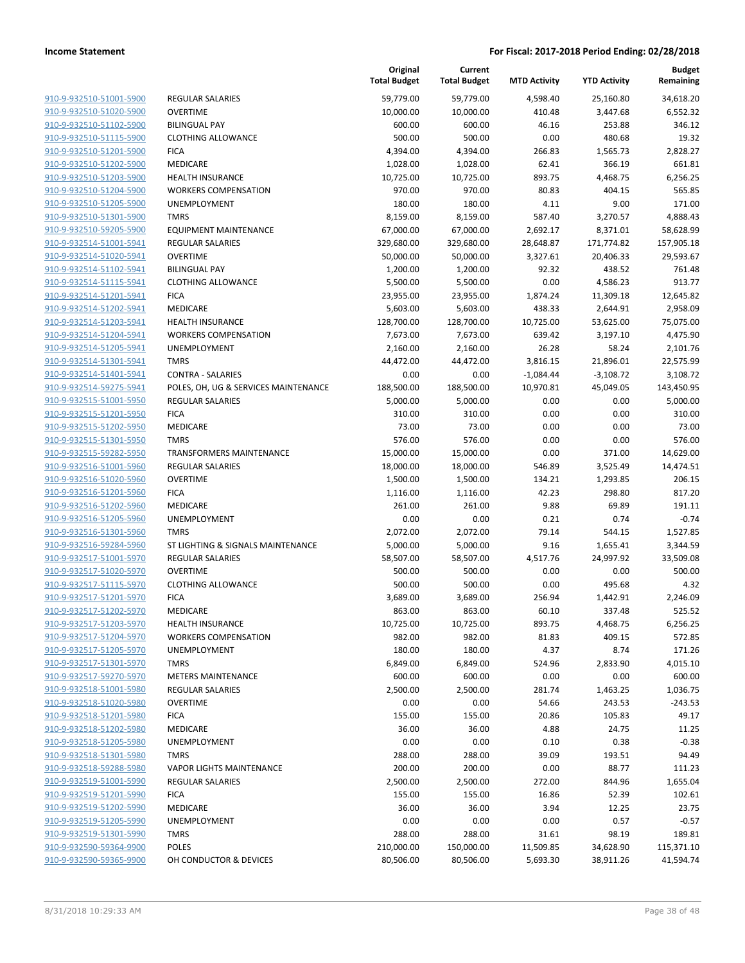|                         |                                      | Original<br><b>Total Budget</b> | Current<br><b>Total Budget</b> | <b>MTD Activity</b> | <b>YTD Activity</b> | Budget<br>Remaining |
|-------------------------|--------------------------------------|---------------------------------|--------------------------------|---------------------|---------------------|---------------------|
| 910-9-932510-51001-5900 | <b>REGULAR SALARIES</b>              | 59,779.00                       | 59,779.00                      | 4,598.40            | 25,160.80           | 34,618.20           |
| 910-9-932510-51020-5900 | <b>OVERTIME</b>                      | 10,000.00                       | 10,000.00                      | 410.48              | 3,447.68            | 6,552.32            |
| 910-9-932510-51102-5900 | <b>BILINGUAL PAY</b>                 | 600.00                          | 600.00                         | 46.16               | 253.88              | 346.12              |
| 910-9-932510-51115-5900 | <b>CLOTHING ALLOWANCE</b>            | 500.00                          | 500.00                         | 0.00                | 480.68              | 19.32               |
| 910-9-932510-51201-5900 | <b>FICA</b>                          | 4,394.00                        | 4,394.00                       | 266.83              | 1,565.73            | 2,828.27            |
| 910-9-932510-51202-5900 | MEDICARE                             | 1,028.00                        | 1,028.00                       | 62.41               | 366.19              | 661.81              |
| 910-9-932510-51203-5900 | <b>HEALTH INSURANCE</b>              | 10,725.00                       | 10,725.00                      | 893.75              | 4,468.75            | 6,256.25            |
| 910-9-932510-51204-5900 | <b>WORKERS COMPENSATION</b>          | 970.00                          | 970.00                         | 80.83               | 404.15              | 565.85              |
| 910-9-932510-51205-5900 | UNEMPLOYMENT                         | 180.00                          | 180.00                         | 4.11                | 9.00                | 171.00              |
| 910-9-932510-51301-5900 | <b>TMRS</b>                          | 8,159.00                        | 8,159.00                       | 587.40              | 3,270.57            | 4,888.43            |
| 910-9-932510-59205-5900 | <b>EQUIPMENT MAINTENANCE</b>         | 67,000.00                       | 67,000.00                      | 2,692.17            | 8,371.01            | 58,628.99           |
| 910-9-932514-51001-5941 | <b>REGULAR SALARIES</b>              | 329,680.00                      | 329,680.00                     | 28,648.87           | 171,774.82          | 157,905.18          |
| 910-9-932514-51020-5941 | <b>OVERTIME</b>                      | 50,000.00                       | 50,000.00                      | 3,327.61            | 20,406.33           | 29,593.67           |
| 910-9-932514-51102-5941 | <b>BILINGUAL PAY</b>                 | 1,200.00                        | 1,200.00                       | 92.32               | 438.52              | 761.48              |
| 910-9-932514-51115-5941 | <b>CLOTHING ALLOWANCE</b>            | 5,500.00                        | 5,500.00                       | 0.00                | 4,586.23            | 913.77              |
| 910-9-932514-51201-5941 | <b>FICA</b>                          | 23,955.00                       | 23,955.00                      | 1,874.24            | 11,309.18           | 12,645.82           |
| 910-9-932514-51202-5941 | MEDICARE                             | 5,603.00                        | 5,603.00                       | 438.33              | 2,644.91            | 2,958.09            |
| 910-9-932514-51203-5941 | <b>HEALTH INSURANCE</b>              | 128,700.00                      | 128,700.00                     | 10,725.00           | 53,625.00           | 75,075.00           |
| 910-9-932514-51204-5941 | <b>WORKERS COMPENSATION</b>          | 7,673.00                        | 7,673.00                       | 639.42              | 3,197.10            | 4,475.90            |
| 910-9-932514-51205-5941 | UNEMPLOYMENT                         | 2,160.00                        | 2,160.00                       | 26.28               | 58.24               | 2,101.76            |
| 910-9-932514-51301-5941 | <b>TMRS</b>                          | 44,472.00                       | 44,472.00                      | 3,816.15            | 21,896.01           | 22,575.99           |
| 910-9-932514-51401-5941 | <b>CONTRA - SALARIES</b>             | 0.00                            | 0.00                           | $-1,084.44$         | $-3,108.72$         | 3,108.72            |
| 910-9-932514-59275-5941 | POLES, OH, UG & SERVICES MAINTENANCE | 188,500.00                      | 188,500.00                     | 10,970.81           | 45,049.05           | 143,450.95          |
| 910-9-932515-51001-5950 | <b>REGULAR SALARIES</b>              | 5,000.00                        | 5,000.00                       | 0.00                | 0.00                | 5,000.00            |
| 910-9-932515-51201-5950 | <b>FICA</b>                          | 310.00                          | 310.00                         | 0.00                | 0.00                | 310.00              |
| 910-9-932515-51202-5950 | MEDICARE                             | 73.00                           | 73.00                          | 0.00                | 0.00                | 73.00               |
| 910-9-932515-51301-5950 | <b>TMRS</b>                          | 576.00                          | 576.00                         | 0.00                | 0.00                | 576.00              |
| 910-9-932515-59282-5950 | <b>TRANSFORMERS MAINTENANCE</b>      | 15,000.00                       | 15,000.00                      | 0.00                | 371.00              | 14,629.00           |
| 910-9-932516-51001-5960 | <b>REGULAR SALARIES</b>              | 18,000.00                       | 18,000.00                      | 546.89              | 3,525.49            | 14,474.51           |
| 910-9-932516-51020-5960 | <b>OVERTIME</b>                      | 1,500.00                        | 1,500.00                       | 134.21              | 1,293.85            | 206.15              |
| 910-9-932516-51201-5960 | <b>FICA</b>                          | 1,116.00                        | 1,116.00                       | 42.23               | 298.80              | 817.20              |
| 910-9-932516-51202-5960 | MEDICARE                             | 261.00                          | 261.00                         | 9.88                | 69.89               | 191.11              |
| 910-9-932516-51205-5960 | <b>UNEMPLOYMENT</b>                  | 0.00                            | 0.00                           | 0.21                | 0.74                | $-0.74$             |
| 910-9-932516-51301-5960 | <b>TMRS</b>                          | 2,072.00                        | 2,072.00                       | 79.14               | 544.15              | 1,527.85            |
| 910-9-932516-59284-5960 | ST LIGHTING & SIGNALS MAINTENANCE    | 5,000.00                        | 5,000.00                       | 9.16                | 1,655.41            | 3,344.59            |
| 910-9-932517-51001-5970 | REGULAR SALARIES                     | 58,507.00                       | 58,507.00                      | 4,517.76            | 24,997.92           | 33,509.08           |
| 910-9-932517-51020-5970 | <b>OVERTIME</b>                      | 500.00                          | 500.00                         | 0.00                | 0.00                | 500.00              |
| 910-9-932517-51115-5970 | <b>CLOTHING ALLOWANCE</b>            | 500.00                          | 500.00                         | 0.00                | 495.68              | 4.32                |
| 910-9-932517-51201-5970 | <b>FICA</b>                          | 3,689.00                        | 3,689.00                       | 256.94              | 1,442.91            | 2,246.09            |
| 910-9-932517-51202-5970 | MEDICARE                             | 863.00                          | 863.00                         | 60.10               | 337.48              | 525.52              |
| 910-9-932517-51203-5970 | <b>HEALTH INSURANCE</b>              | 10,725.00                       | 10,725.00                      | 893.75              | 4,468.75            | 6,256.25            |
| 910-9-932517-51204-5970 | <b>WORKERS COMPENSATION</b>          | 982.00                          | 982.00                         | 81.83               | 409.15              | 572.85              |
| 910-9-932517-51205-5970 | <b>UNEMPLOYMENT</b>                  | 180.00                          | 180.00                         | 4.37                | 8.74                | 171.26              |
| 910-9-932517-51301-5970 | <b>TMRS</b>                          | 6,849.00                        | 6,849.00                       | 524.96              | 2,833.90            | 4,015.10            |
| 910-9-932517-59270-5970 | <b>METERS MAINTENANCE</b>            | 600.00                          | 600.00                         | 0.00                | 0.00                | 600.00              |
| 910-9-932518-51001-5980 | <b>REGULAR SALARIES</b>              | 2,500.00                        | 2,500.00                       | 281.74              | 1,463.25            | 1,036.75            |
| 910-9-932518-51020-5980 | <b>OVERTIME</b>                      | 0.00                            | 0.00                           | 54.66               | 243.53              | $-243.53$           |
| 910-9-932518-51201-5980 | <b>FICA</b>                          | 155.00                          | 155.00                         | 20.86               | 105.83              | 49.17               |
| 910-9-932518-51202-5980 | MEDICARE                             | 36.00                           | 36.00                          | 4.88                | 24.75               | 11.25               |
| 910-9-932518-51205-5980 | <b>UNEMPLOYMENT</b>                  | 0.00                            | 0.00                           | 0.10                | 0.38                | $-0.38$             |
| 910-9-932518-51301-5980 | <b>TMRS</b>                          | 288.00                          | 288.00                         | 39.09               | 193.51              | 94.49               |
| 910-9-932518-59288-5980 | <b>VAPOR LIGHTS MAINTENANCE</b>      | 200.00                          | 200.00                         | 0.00                | 88.77               | 111.23              |
| 910-9-932519-51001-5990 | <b>REGULAR SALARIES</b>              | 2,500.00                        | 2,500.00                       | 272.00              | 844.96              | 1,655.04            |
| 910-9-932519-51201-5990 | <b>FICA</b>                          | 155.00                          | 155.00                         | 16.86               | 52.39               | 102.61              |
| 910-9-932519-51202-5990 | MEDICARE                             | 36.00                           | 36.00                          | 3.94                | 12.25               | 23.75               |
| 910-9-932519-51205-5990 | UNEMPLOYMENT                         | 0.00                            | 0.00                           | 0.00                | 0.57                | $-0.57$             |
| 910-9-932519-51301-5990 | <b>TMRS</b>                          | 288.00                          | 288.00                         | 31.61               | 98.19               | 189.81              |
| 910-9-932590-59364-9900 | POLES                                | 210,000.00                      | 150,000.00                     | 11,509.85           | 34,628.90           | 115,371.10          |
| 910-9-932590-59365-9900 | OH CONDUCTOR & DEVICES               | 80,506.00                       | 80,506.00                      | 5,693.30            | 38,911.26           | 41,594.74           |
|                         |                                      |                                 |                                |                     |                     |                     |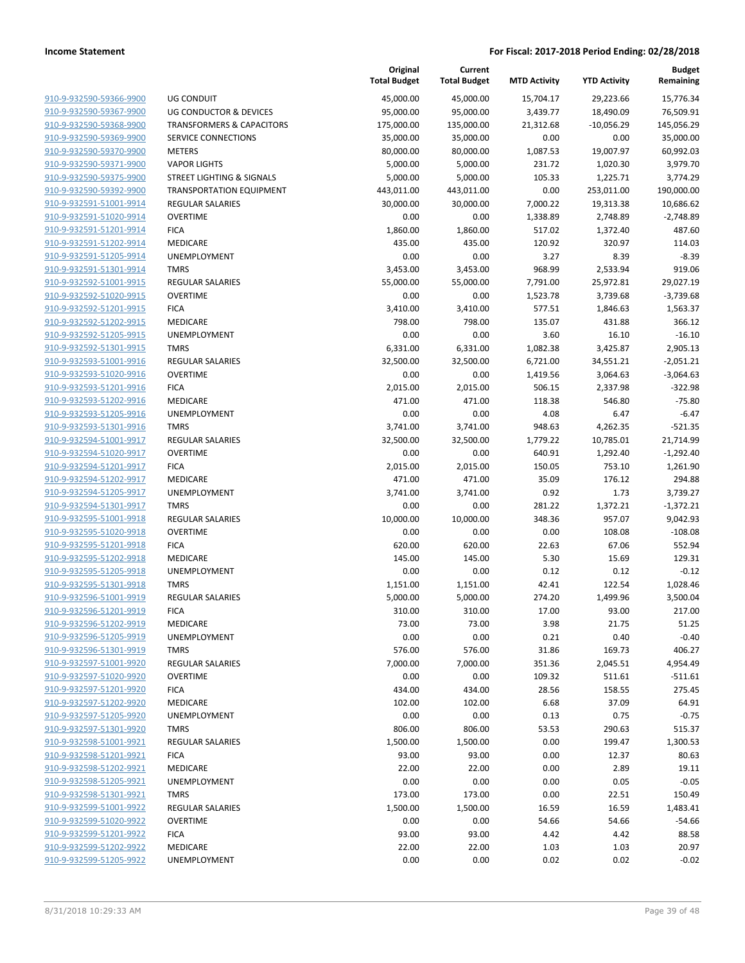|                                                    |                                            | Original<br><b>Total Budget</b> | Current<br><b>Total Budget</b> | <b>MTD Activity</b> | <b>YTD Activity</b> | <b>Budget</b><br>Remaining |
|----------------------------------------------------|--------------------------------------------|---------------------------------|--------------------------------|---------------------|---------------------|----------------------------|
| 910-9-932590-59366-9900                            | <b>UG CONDUIT</b>                          | 45,000.00                       | 45,000.00                      | 15,704.17           | 29,223.66           | 15,776.34                  |
| 910-9-932590-59367-9900                            | UG CONDUCTOR & DEVICES                     | 95,000.00                       | 95,000.00                      | 3,439.77            | 18,490.09           | 76,509.91                  |
| 910-9-932590-59368-9900                            | <b>TRANSFORMERS &amp; CAPACITORS</b>       | 175,000.00                      | 135,000.00                     | 21,312.68           | $-10,056.29$        | 145,056.29                 |
| 910-9-932590-59369-9900                            | SERVICE CONNECTIONS                        | 35,000.00                       | 35,000.00                      | 0.00                | 0.00                | 35,000.00                  |
| 910-9-932590-59370-9900                            | <b>METERS</b>                              | 80,000.00                       | 80,000.00                      | 1,087.53            | 19,007.97           | 60,992.03                  |
| 910-9-932590-59371-9900                            | <b>VAPOR LIGHTS</b>                        | 5,000.00                        | 5,000.00                       | 231.72              | 1,020.30            | 3,979.70                   |
| 910-9-932590-59375-9900                            | STREET LIGHTING & SIGNALS                  | 5,000.00                        | 5,000.00                       | 105.33              | 1,225.71            | 3,774.29                   |
| 910-9-932590-59392-9900                            | <b>TRANSPORTATION EQUIPMENT</b>            | 443,011.00                      | 443,011.00                     | 0.00                | 253,011.00          | 190,000.00                 |
| 910-9-932591-51001-9914                            | <b>REGULAR SALARIES</b>                    | 30,000.00                       | 30,000.00                      | 7,000.22            | 19,313.38           | 10,686.62                  |
| 910-9-932591-51020-9914                            | <b>OVERTIME</b>                            | 0.00                            | 0.00                           | 1,338.89            | 2,748.89            | $-2,748.89$                |
| 910-9-932591-51201-9914                            | <b>FICA</b>                                | 1,860.00                        | 1,860.00                       | 517.02              | 1,372.40            | 487.60                     |
| 910-9-932591-51202-9914                            | MEDICARE                                   | 435.00                          | 435.00                         | 120.92              | 320.97              | 114.03                     |
| 910-9-932591-51205-9914                            | UNEMPLOYMENT                               | 0.00                            | 0.00                           | 3.27                | 8.39                | $-8.39$                    |
| 910-9-932591-51301-9914                            | <b>TMRS</b>                                | 3,453.00                        | 3,453.00                       | 968.99              | 2,533.94            | 919.06                     |
| 910-9-932592-51001-9915                            | <b>REGULAR SALARIES</b>                    | 55,000.00                       | 55,000.00                      | 7,791.00            | 25,972.81           | 29,027.19                  |
| 910-9-932592-51020-9915                            | <b>OVERTIME</b>                            | 0.00                            | 0.00                           | 1,523.78            | 3,739.68            | $-3,739.68$                |
| 910-9-932592-51201-9915                            | <b>FICA</b>                                | 3,410.00                        | 3,410.00                       | 577.51              | 1,846.63            | 1,563.37                   |
| 910-9-932592-51202-9915                            | MEDICARE                                   | 798.00                          | 798.00                         | 135.07              | 431.88              | 366.12                     |
| 910-9-932592-51205-9915                            | <b>UNEMPLOYMENT</b>                        | 0.00                            | 0.00                           | 3.60                | 16.10               | $-16.10$                   |
| 910-9-932592-51301-9915                            | <b>TMRS</b>                                | 6,331.00                        | 6,331.00                       | 1,082.38            | 3,425.87            | 2,905.13                   |
| 910-9-932593-51001-9916                            | <b>REGULAR SALARIES</b>                    | 32,500.00                       | 32,500.00                      | 6,721.00            | 34,551.21           | $-2,051.21$                |
| 910-9-932593-51020-9916                            | <b>OVERTIME</b>                            | 0.00                            | 0.00                           | 1,419.56            | 3,064.63            | $-3,064.63$                |
| 910-9-932593-51201-9916                            | <b>FICA</b>                                | 2,015.00                        | 2,015.00                       | 506.15              | 2,337.98            | $-322.98$                  |
| 910-9-932593-51202-9916                            | MEDICARE                                   | 471.00                          | 471.00                         | 118.38              | 546.80              | $-75.80$                   |
| 910-9-932593-51205-9916                            | <b>UNEMPLOYMENT</b>                        | 0.00                            | 0.00                           | 4.08                | 6.47                | $-6.47$                    |
| 910-9-932593-51301-9916                            | <b>TMRS</b>                                | 3,741.00                        | 3,741.00                       | 948.63              | 4,262.35            | $-521.35$                  |
| 910-9-932594-51001-9917                            | REGULAR SALARIES                           | 32,500.00                       | 32,500.00                      | 1,779.22            | 10,785.01           | 21,714.99                  |
| 910-9-932594-51020-9917                            | <b>OVERTIME</b>                            | 0.00                            | 0.00                           | 640.91              | 1,292.40            | $-1,292.40$                |
| 910-9-932594-51201-9917                            | <b>FICA</b>                                | 2,015.00                        | 2,015.00                       | 150.05              | 753.10              | 1,261.90                   |
| 910-9-932594-51202-9917                            | MEDICARE                                   | 471.00                          | 471.00                         | 35.09               | 176.12              | 294.88                     |
| 910-9-932594-51205-9917                            | UNEMPLOYMENT                               | 3,741.00                        | 3,741.00                       | 0.92                | 1.73                | 3,739.27                   |
| 910-9-932594-51301-9917                            | <b>TMRS</b>                                | 0.00                            | 0.00                           | 281.22              | 1,372.21            | $-1,372.21$                |
| 910-9-932595-51001-9918                            | <b>REGULAR SALARIES</b>                    | 10,000.00                       | 10,000.00                      | 348.36              | 957.07              | 9,042.93                   |
| 910-9-932595-51020-9918                            | <b>OVERTIME</b>                            | 0.00                            | 0.00                           | 0.00                | 108.08              | $-108.08$                  |
| 910-9-932595-51201-9918                            | <b>FICA</b>                                | 620.00                          | 620.00                         | 22.63               | 67.06               | 552.94                     |
| 910-9-932595-51202-9918                            | MEDICARE                                   | 145.00                          | 145.00                         | 5.30                | 15.69               | 129.31                     |
| 910-9-932595-51205-9918                            | UNEMPLOYMENT                               | 0.00                            | 0.00                           | 0.12                | 0.12                | $-0.12$                    |
| 910-9-932595-51301-9918                            | <b>TMRS</b>                                | 1,151.00                        | 1,151.00                       | 42.41               | 122.54              | 1,028.46                   |
| 910-9-932596-51001-9919                            | <b>REGULAR SALARIES</b>                    | 5,000.00                        | 5,000.00                       | 274.20              | 1,499.96            | 3,500.04                   |
| 910-9-932596-51201-9919                            | <b>FICA</b>                                | 310.00                          | 310.00                         | 17.00               | 93.00               | 217.00                     |
| 910-9-932596-51202-9919<br>910-9-932596-51205-9919 | MEDICARE                                   | 73.00                           | 73.00                          | 3.98                | 21.75               | 51.25                      |
| 910-9-932596-51301-9919                            | UNEMPLOYMENT                               | 0.00                            | 0.00                           | 0.21                | 0.40                | $-0.40$                    |
| 910-9-932597-51001-9920                            | <b>TMRS</b>                                | 576.00<br>7,000.00              | 576.00<br>7,000.00             | 31.86               | 169.73<br>2,045.51  | 406.27                     |
| 910-9-932597-51020-9920                            | <b>REGULAR SALARIES</b><br><b>OVERTIME</b> | 0.00                            | 0.00                           | 351.36<br>109.32    | 511.61              | 4,954.49<br>$-511.61$      |
| 910-9-932597-51201-9920                            | <b>FICA</b>                                | 434.00                          | 434.00                         | 28.56               | 158.55              | 275.45                     |
| 910-9-932597-51202-9920                            | MEDICARE                                   | 102.00                          | 102.00                         | 6.68                | 37.09               | 64.91                      |
| 910-9-932597-51205-9920                            | UNEMPLOYMENT                               |                                 |                                |                     |                     |                            |
| 910-9-932597-51301-9920                            | <b>TMRS</b>                                | 0.00                            | 0.00                           | 0.13                | 0.75                | $-0.75$                    |
| 910-9-932598-51001-9921                            | <b>REGULAR SALARIES</b>                    | 806.00<br>1,500.00              | 806.00<br>1,500.00             | 53.53<br>0.00       | 290.63<br>199.47    | 515.37<br>1,300.53         |
| 910-9-932598-51201-9921                            | <b>FICA</b>                                |                                 |                                |                     |                     |                            |
| 910-9-932598-51202-9921                            | MEDICARE                                   | 93.00<br>22.00                  | 93.00<br>22.00                 | 0.00<br>0.00        | 12.37<br>2.89       | 80.63<br>19.11             |
| 910-9-932598-51205-9921                            | UNEMPLOYMENT                               | 0.00                            | 0.00                           | 0.00                | 0.05                | $-0.05$                    |
| 910-9-932598-51301-9921                            | <b>TMRS</b>                                | 173.00                          | 173.00                         | 0.00                | 22.51               | 150.49                     |
| 910-9-932599-51001-9922                            | <b>REGULAR SALARIES</b>                    | 1,500.00                        | 1,500.00                       | 16.59               | 16.59               | 1,483.41                   |
| 910-9-932599-51020-9922                            | <b>OVERTIME</b>                            | 0.00                            | 0.00                           | 54.66               | 54.66               | $-54.66$                   |
| 910-9-932599-51201-9922                            |                                            | 93.00                           | 93.00                          | 4.42                | 4.42                | 88.58                      |
| 910-9-932599-51202-9922                            | <b>FICA</b><br>MEDICARE                    | 22.00                           | 22.00                          | 1.03                | 1.03                | 20.97                      |
| 910-9-932599-51205-9922                            | UNEMPLOYMENT                               |                                 | 0.00                           |                     |                     | $-0.02$                    |
|                                                    |                                            | 0.00                            |                                | 0.02                | 0.02                |                            |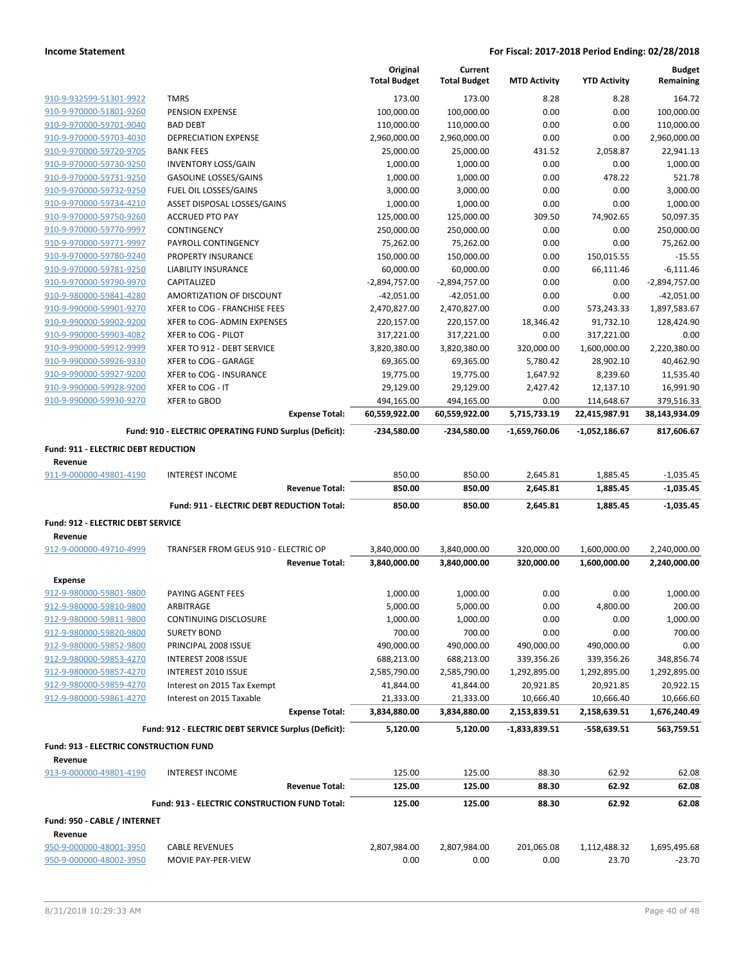|                                                    |                                                        | Original<br><b>Total Budget</b> | Current<br><b>Total Budget</b> | <b>MTD Activity</b> | <b>YTD Activity</b>   | <b>Budget</b><br>Remaining             |
|----------------------------------------------------|--------------------------------------------------------|---------------------------------|--------------------------------|---------------------|-----------------------|----------------------------------------|
| 910-9-932599-51301-9922                            | <b>TMRS</b>                                            | 173.00                          | 173.00                         | 8.28                | 8.28                  | 164.72                                 |
| 910-9-970000-51801-9260                            | PENSION EXPENSE                                        | 100,000.00                      | 100,000.00                     | 0.00                | 0.00                  | 100,000.00                             |
| 910-9-970000-59701-9040                            | <b>BAD DEBT</b>                                        | 110,000.00                      | 110,000.00                     | 0.00                | 0.00                  | 110,000.00                             |
| 910-9-970000-59703-4030                            | <b>DEPRECIATION EXPENSE</b>                            | 2,960,000.00                    | 2,960,000.00                   | 0.00                | 0.00                  | 2,960,000.00                           |
| 910-9-970000-59720-9705                            | <b>BANK FEES</b>                                       | 25,000.00                       | 25,000.00                      | 431.52              | 2,058.87              | 22,941.13                              |
| 910-9-970000-59730-9250                            | <b>INVENTORY LOSS/GAIN</b>                             | 1,000.00                        | 1,000.00                       | 0.00                | 0.00                  | 1,000.00                               |
| 910-9-970000-59731-9250                            | <b>GASOLINE LOSSES/GAINS</b>                           | 1,000.00                        | 1,000.00                       | 0.00                | 478.22                | 521.78                                 |
| 910-9-970000-59732-9250                            | FUEL OIL LOSSES/GAINS                                  | 3,000.00                        | 3,000.00                       | 0.00                | 0.00                  | 3,000.00                               |
| 910-9-970000-59734-4210                            | ASSET DISPOSAL LOSSES/GAINS                            | 1,000.00                        | 1,000.00                       | 0.00                | 0.00                  | 1,000.00                               |
| 910-9-970000-59750-9260                            | <b>ACCRUED PTO PAY</b>                                 | 125,000.00                      | 125,000.00                     | 309.50              | 74,902.65             | 50,097.35                              |
| 910-9-970000-59770-9997                            | <b>CONTINGENCY</b>                                     | 250,000.00                      | 250,000.00                     | 0.00                | 0.00                  | 250,000.00                             |
| 910-9-970000-59771-9997                            | PAYROLL CONTINGENCY                                    | 75,262.00                       | 75,262.00                      | 0.00                | 0.00                  | 75,262.00                              |
| 910-9-970000-59780-9240                            | PROPERTY INSURANCE                                     | 150,000.00                      | 150,000.00                     | 0.00                | 150,015.55            | $-15.55$                               |
| 910-9-970000-59781-9250                            | <b>LIABILITY INSURANCE</b>                             | 60,000.00                       | 60,000.00                      | 0.00                | 66,111.46             | $-6,111.46$                            |
| 910-9-970000-59790-9970                            | CAPITALIZED                                            | $-2,894,757.00$                 | $-2,894,757.00$                | 0.00                | 0.00                  | $-2,894,757.00$                        |
| 910-9-980000-59841-4280                            | AMORTIZATION OF DISCOUNT                               | $-42,051.00$                    | $-42,051.00$                   | 0.00                | 0.00                  | $-42,051.00$                           |
| 910-9-990000-59901-9270                            | XFER to COG - FRANCHISE FEES                           | 2,470,827.00                    | 2,470,827.00                   | 0.00                | 573,243.33            | 1,897,583.67                           |
| 910-9-990000-59902-9200                            | XFER to COG- ADMIN EXPENSES                            | 220,157.00                      | 220,157.00                     | 18,346.42           | 91,732.10             | 128,424.90                             |
| 910-9-990000-59903-4082                            | XFER to COG - PILOT                                    | 317,221.00                      | 317,221.00                     | 0.00                | 317,221.00            | 0.00                                   |
| 910-9-990000-59912-9999                            | XFER TO 912 - DEBT SERVICE                             | 3,820,380.00                    | 3,820,380.00                   | 320,000.00          | 1,600,000.00          | 2,220,380.00                           |
| 910-9-990000-59926-9330                            | XFER to COG - GARAGE                                   | 69,365.00                       | 69,365.00                      | 5,780.42            | 28,902.10             | 40,462.90                              |
| 910-9-990000-59927-9200                            | XFER to COG - INSURANCE                                | 19,775.00                       | 19,775.00                      | 1,647.92            | 8,239.60              | 11,535.40                              |
| 910-9-990000-59928-9200                            | XFER to COG - IT                                       | 29,129.00                       | 29,129.00                      | 2,427.42            | 12,137.10             | 16,991.90                              |
| 910-9-990000-59930-9270                            | XFER to GBOD                                           | 494,165.00                      | 494,165.00                     | 0.00                | 114,648.67            | 379,516.33                             |
|                                                    | <b>Expense Total:</b>                                  | 60,559,922.00                   | 60,559,922.00                  | 5,715,733.19        | 22,415,987.91         | 38,143,934.09                          |
|                                                    | Fund: 910 - ELECTRIC OPERATING FUND Surplus (Deficit): | -234,580.00                     | -234,580.00                    | -1,659,760.06       | -1,052,186.67         | 817,606.67                             |
| Fund: 911 - ELECTRIC DEBT REDUCTION                |                                                        |                                 |                                |                     |                       |                                        |
| Revenue                                            |                                                        |                                 |                                |                     |                       |                                        |
|                                                    |                                                        |                                 |                                |                     |                       |                                        |
| 911-9-000000-49801-4190                            | <b>INTEREST INCOME</b>                                 | 850.00                          | 850.00                         | 2,645.81            | 1,885.45              | $-1,035.45$                            |
|                                                    | <b>Revenue Total:</b>                                  | 850.00                          | 850.00                         | 2,645.81            | 1,885.45              | $-1,035.45$                            |
|                                                    | Fund: 911 - ELECTRIC DEBT REDUCTION Total:             | 850.00                          | 850.00                         | 2,645.81            | 1,885.45              | $-1,035.45$                            |
|                                                    |                                                        |                                 |                                |                     |                       |                                        |
| Fund: 912 - ELECTRIC DEBT SERVICE                  |                                                        |                                 |                                |                     |                       |                                        |
| Revenue                                            |                                                        |                                 |                                |                     |                       |                                        |
| 912-9-000000-49710-4999                            | TRANFSER FROM GEUS 910 - ELECTRIC OP                   | 3,840,000.00                    | 3,840,000.00                   | 320,000.00          | 1,600,000.00          | 2,240,000.00                           |
|                                                    | <b>Revenue Total:</b>                                  | 3,840,000.00                    | 3,840,000.00                   | 320,000.00          | 1,600,000.00          | 2,240,000.00                           |
| <b>Expense</b>                                     |                                                        |                                 |                                |                     |                       |                                        |
| 912-9-980000-59801-9800                            | PAYING AGENT FEES                                      | 1,000.00                        | 1,000.00                       | 0.00                | 0.00                  | 1,000.00                               |
| 912-9-980000-59810-9800                            | ARBITRAGE                                              | 5,000.00                        | 5,000.00                       | 0.00                | 4,800.00              | 200.00                                 |
| 912-9-980000-59811-9800                            | CONTINUING DISCLOSURE                                  | 1,000.00                        | 1,000.00                       | 0.00                | 0.00                  | 1,000.00                               |
| 912-9-980000-59820-9800                            | <b>SURETY BOND</b>                                     | 700.00                          | 700.00                         | 0.00                | 0.00                  | 700.00                                 |
| 912-9-980000-59852-9800                            | PRINCIPAL 2008 ISSUE                                   | 490,000.00                      | 490,000.00                     | 490,000.00          | 490,000.00            | 0.00                                   |
| 912-9-980000-59853-4270                            | INTEREST 2008 ISSUE                                    | 688,213.00                      | 688,213.00                     | 339,356.26          | 339,356.26            |                                        |
| 912-9-980000-59857-4270                            | INTEREST 2010 ISSUE                                    | 2,585,790.00                    | 2,585,790.00                   | 1,292,895.00        | 1,292,895.00          | 1,292,895.00                           |
| 912-9-980000-59859-4270                            | Interest on 2015 Tax Exempt                            | 41,844.00                       | 41,844.00                      | 20,921.85           | 20,921.85             | 20,922.15                              |
| 912-9-980000-59861-4270                            | Interest on 2015 Taxable                               | 21,333.00                       | 21,333.00                      | 10,666.40           | 10,666.40             | 10,666.60                              |
|                                                    | <b>Expense Total:</b>                                  | 3,834,880.00                    | 3,834,880.00                   | 2,153,839.51        | 2,158,639.51          | 1,676,240.49                           |
|                                                    | Fund: 912 - ELECTRIC DEBT SERVICE Surplus (Deficit):   | 5,120.00                        | 5,120.00                       | $-1,833,839.51$     | $-558,639.51$         | 563,759.51                             |
| Fund: 913 - ELECTRIC CONSTRUCTION FUND             |                                                        |                                 |                                |                     |                       |                                        |
| Revenue                                            |                                                        |                                 |                                |                     |                       |                                        |
| 913-9-000000-49801-4190                            | <b>INTEREST INCOME</b>                                 | 125.00                          | 125.00                         | 88.30               | 62.92                 | 62.08                                  |
|                                                    | <b>Revenue Total:</b>                                  | 125.00                          | 125.00                         | 88.30               | 62.92                 | 62.08                                  |
|                                                    | Fund: 913 - ELECTRIC CONSTRUCTION FUND Total:          | 125.00                          | 125.00                         | 88.30               | 62.92                 | 62.08                                  |
| Fund: 950 - CABLE / INTERNET                       |                                                        |                                 |                                |                     |                       |                                        |
| Revenue                                            |                                                        |                                 |                                |                     |                       |                                        |
| 950-9-000000-48001-3950<br>950-9-000000-48002-3950 | <b>CABLE REVENUES</b><br>MOVIE PAY-PER-VIEW            | 2,807,984.00<br>0.00            | 2,807,984.00<br>0.00           | 201,065.08<br>0.00  | 1,112,488.32<br>23.70 | 348,856.74<br>1,695,495.68<br>$-23.70$ |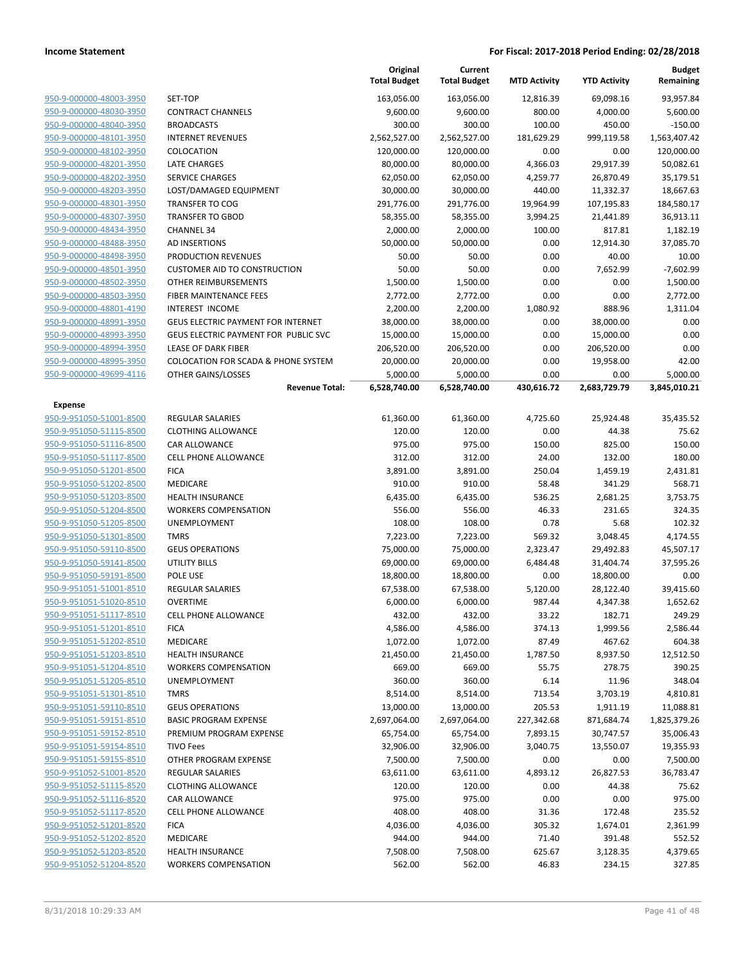|                                    |                                             | Original<br><b>Total Budget</b> | Current<br><b>Total Budget</b> | <b>MTD Activity</b> | <b>YTD Activity</b>  | Budget<br>Remaining      |
|------------------------------------|---------------------------------------------|---------------------------------|--------------------------------|---------------------|----------------------|--------------------------|
| 950-9-000000-48003-3950            | SET-TOP                                     | 163,056.00                      | 163,056.00                     | 12,816.39           | 69.098.16            | 93,957.84                |
| 950-9-000000-48030-3950            | <b>CONTRACT CHANNELS</b>                    | 9,600.00                        | 9,600.00                       | 800.00              | 4,000.00             | 5,600.00                 |
| 950-9-000000-48040-3950            | <b>BROADCASTS</b>                           | 300.00                          | 300.00                         | 100.00              | 450.00               | $-150.00$                |
| 950-9-000000-48101-3950            | <b>INTERNET REVENUES</b>                    | 2,562,527.00                    | 2,562,527.00                   | 181,629.29          | 999,119.58           | 1,563,407.42             |
| 950-9-000000-48102-3950            | COLOCATION                                  | 120,000.00                      | 120,000.00                     | 0.00                | 0.00                 | 120,000.00               |
| 950-9-000000-48201-3950            | <b>LATE CHARGES</b>                         | 80,000.00                       | 80,000.00                      | 4,366.03            | 29,917.39            | 50,082.61                |
| 950-9-000000-48202-3950            | <b>SERVICE CHARGES</b>                      | 62,050.00                       | 62,050.00                      | 4,259.77            | 26,870.49            | 35,179.51                |
| 950-9-000000-48203-3950            | LOST/DAMAGED EQUIPMENT                      | 30,000.00                       | 30,000.00                      | 440.00              | 11,332.37            | 18,667.63                |
| 950-9-000000-48301-3950            | <b>TRANSFER TO COG</b>                      | 291,776.00                      | 291,776.00                     | 19,964.99           | 107,195.83           | 184,580.17               |
| 950-9-000000-48307-3950            | <b>TRANSFER TO GBOD</b>                     | 58,355.00                       | 58,355.00                      | 3,994.25            | 21,441.89            | 36,913.11                |
| 950-9-000000-48434-3950            | <b>CHANNEL 34</b>                           | 2,000.00                        | 2,000.00                       | 100.00              | 817.81               | 1,182.19                 |
| 950-9-000000-48488-3950            | <b>AD INSERTIONS</b>                        | 50,000.00                       | 50,000.00                      | 0.00                | 12,914.30            | 37,085.70                |
| 950-9-000000-48498-3950            | PRODUCTION REVENUES                         | 50.00                           | 50.00                          | 0.00                | 40.00                | 10.00                    |
| 950-9-000000-48501-3950            | <b>CUSTOMER AID TO CONSTRUCTION</b>         | 50.00                           | 50.00                          | 0.00                | 7,652.99             | $-7,602.99$              |
| 950-9-000000-48502-3950            | OTHER REIMBURSEMENTS                        | 1,500.00                        | 1,500.00                       | 0.00                | 0.00                 | 1,500.00                 |
| 950-9-000000-48503-3950            | <b>FIBER MAINTENANCE FEES</b>               | 2,772.00                        | 2,772.00                       | 0.00                | 0.00                 | 2,772.00                 |
| 950-9-000000-48801-4190            | <b>INTEREST INCOME</b>                      | 2,200.00                        | 2,200.00                       | 1,080.92            | 888.96               | 1,311.04                 |
| 950-9-000000-48991-3950            | <b>GEUS ELECTRIC PAYMENT FOR INTERNET</b>   | 38,000.00                       | 38,000.00                      | 0.00                | 38,000.00            | 0.00                     |
| 950-9-000000-48993-3950            | GEUS ELECTRIC PAYMENT FOR PUBLIC SVC        | 15,000.00                       | 15,000.00                      | 0.00                | 15,000.00            | 0.00                     |
| 950-9-000000-48994-3950            | <b>LEASE OF DARK FIBER</b>                  | 206,520.00                      | 206,520.00                     | 0.00                | 206,520.00           | 0.00                     |
| 950-9-000000-48995-3950            | COLOCATION FOR SCADA & PHONE SYSTEM         | 20,000.00                       | 20,000.00                      | 0.00                | 19,958.00            | 42.00                    |
| 950-9-000000-49699-4116            | OTHER GAINS/LOSSES<br><b>Revenue Total:</b> | 5,000.00<br>6,528,740.00        | 5,000.00<br>6,528,740.00       | 0.00<br>430,616.72  | 0.00<br>2,683,729.79 | 5,000.00<br>3,845,010.21 |
|                                    |                                             |                                 |                                |                     |                      |                          |
| Expense<br>950-9-951050-51001-8500 | <b>REGULAR SALARIES</b>                     | 61,360.00                       | 61,360.00                      | 4,725.60            | 25,924.48            | 35,435.52                |
| 950-9-951050-51115-8500            | <b>CLOTHING ALLOWANCE</b>                   | 120.00                          | 120.00                         | 0.00                | 44.38                | 75.62                    |
| 950-9-951050-51116-8500            | CAR ALLOWANCE                               | 975.00                          | 975.00                         | 150.00              | 825.00               | 150.00                   |
| 950-9-951050-51117-8500            | CELL PHONE ALLOWANCE                        | 312.00                          | 312.00                         | 24.00               | 132.00               | 180.00                   |
| 950-9-951050-51201-8500            | <b>FICA</b>                                 | 3,891.00                        | 3,891.00                       | 250.04              | 1,459.19             | 2,431.81                 |
| 950-9-951050-51202-8500            | MEDICARE                                    | 910.00                          | 910.00                         | 58.48               | 341.29               | 568.71                   |
| 950-9-951050-51203-8500            | <b>HEALTH INSURANCE</b>                     | 6,435.00                        | 6,435.00                       | 536.25              | 2,681.25             | 3,753.75                 |
| 950-9-951050-51204-8500            | <b>WORKERS COMPENSATION</b>                 | 556.00                          | 556.00                         | 46.33               | 231.65               | 324.35                   |
| 950-9-951050-51205-8500            | UNEMPLOYMENT                                | 108.00                          | 108.00                         | 0.78                | 5.68                 | 102.32                   |
| 950-9-951050-51301-8500            | <b>TMRS</b>                                 | 7,223.00                        | 7,223.00                       | 569.32              | 3,048.45             | 4,174.55                 |
| 950-9-951050-59110-8500            | <b>GEUS OPERATIONS</b>                      | 75,000.00                       | 75,000.00                      | 2,323.47            | 29,492.83            | 45,507.17                |
| 950-9-951050-59141-8500            | <b>UTILITY BILLS</b>                        | 69,000.00                       | 69,000.00                      | 6,484.48            | 31,404.74            | 37,595.26                |
| 950-9-951050-59191-8500            | POLE USE                                    | 18,800.00                       | 18,800.00                      | 0.00                | 18,800.00            | 0.00                     |
| 950-9-951051-51001-8510            | REGULAR SALARIES                            | 67,538.00                       | 67,538.00                      | 5,120.00            | 28,122.40            | 39,415.60                |
| 950-9-951051-51020-8510            | <b>OVERTIME</b>                             | 6,000.00                        | 6,000.00                       | 987.44              | 4,347.38             | 1,652.62                 |
| 950-9-951051-51117-8510            | <b>CELL PHONE ALLOWANCE</b>                 | 432.00                          | 432.00                         | 33.22               | 182.71               | 249.29                   |
| 950-9-951051-51201-8510            | <b>FICA</b>                                 | 4,586.00                        | 4,586.00                       | 374.13              | 1,999.56             | 2,586.44                 |
| 950-9-951051-51202-8510            | MEDICARE                                    | 1,072.00                        | 1,072.00                       | 87.49               | 467.62               | 604.38                   |
| 950-9-951051-51203-8510            | <b>HEALTH INSURANCE</b>                     | 21,450.00                       | 21,450.00                      | 1,787.50            | 8,937.50             | 12,512.50                |
| 950-9-951051-51204-8510            | <b>WORKERS COMPENSATION</b>                 | 669.00                          | 669.00                         | 55.75               | 278.75               | 390.25                   |
| 950-9-951051-51205-8510            | UNEMPLOYMENT                                | 360.00                          | 360.00                         | 6.14                | 11.96                | 348.04                   |
| 950-9-951051-51301-8510            | <b>TMRS</b>                                 | 8,514.00                        | 8,514.00                       | 713.54              | 3,703.19             | 4,810.81                 |
| 950-9-951051-59110-8510            | <b>GEUS OPERATIONS</b>                      | 13,000.00                       | 13,000.00                      | 205.53              | 1,911.19             | 11,088.81                |
| 950-9-951051-59151-8510            | <b>BASIC PROGRAM EXPENSE</b>                | 2,697,064.00                    | 2,697,064.00                   | 227,342.68          | 871,684.74           | 1,825,379.26             |
| 950-9-951051-59152-8510            | PREMIUM PROGRAM EXPENSE                     | 65,754.00                       | 65,754.00                      | 7,893.15            | 30,747.57            | 35,006.43                |
| 950-9-951051-59154-8510            | <b>TIVO Fees</b>                            | 32,906.00                       | 32,906.00                      | 3,040.75            | 13,550.07            | 19,355.93                |
| 950-9-951051-59155-8510            | OTHER PROGRAM EXPENSE                       | 7,500.00                        | 7,500.00                       | 0.00                | 0.00                 | 7,500.00                 |
| 950-9-951052-51001-8520            | <b>REGULAR SALARIES</b>                     | 63,611.00                       | 63,611.00                      | 4,893.12            | 26,827.53            | 36,783.47                |
| 950-9-951052-51115-8520            | <b>CLOTHING ALLOWANCE</b>                   | 120.00                          | 120.00                         | 0.00                | 44.38                | 75.62                    |
| 950-9-951052-51116-8520            | CAR ALLOWANCE                               | 975.00                          | 975.00                         | 0.00                | 0.00                 | 975.00                   |
| 950-9-951052-51117-8520            | <b>CELL PHONE ALLOWANCE</b>                 | 408.00                          | 408.00                         | 31.36               | 172.48               | 235.52                   |
| 950-9-951052-51201-8520            | <b>FICA</b>                                 | 4,036.00                        | 4,036.00                       | 305.32              | 1,674.01             | 2,361.99                 |
| 950-9-951052-51202-8520            | MEDICARE                                    | 944.00                          | 944.00                         | 71.40               | 391.48               | 552.52                   |
| 950-9-951052-51203-8520            | <b>HEALTH INSURANCE</b>                     | 7,508.00                        | 7,508.00                       | 625.67              | 3,128.35             | 4,379.65                 |
| 950-9-951052-51204-8520            | <b>WORKERS COMPENSATION</b>                 | 562.00                          | 562.00                         | 46.83               | 234.15               | 327.85                   |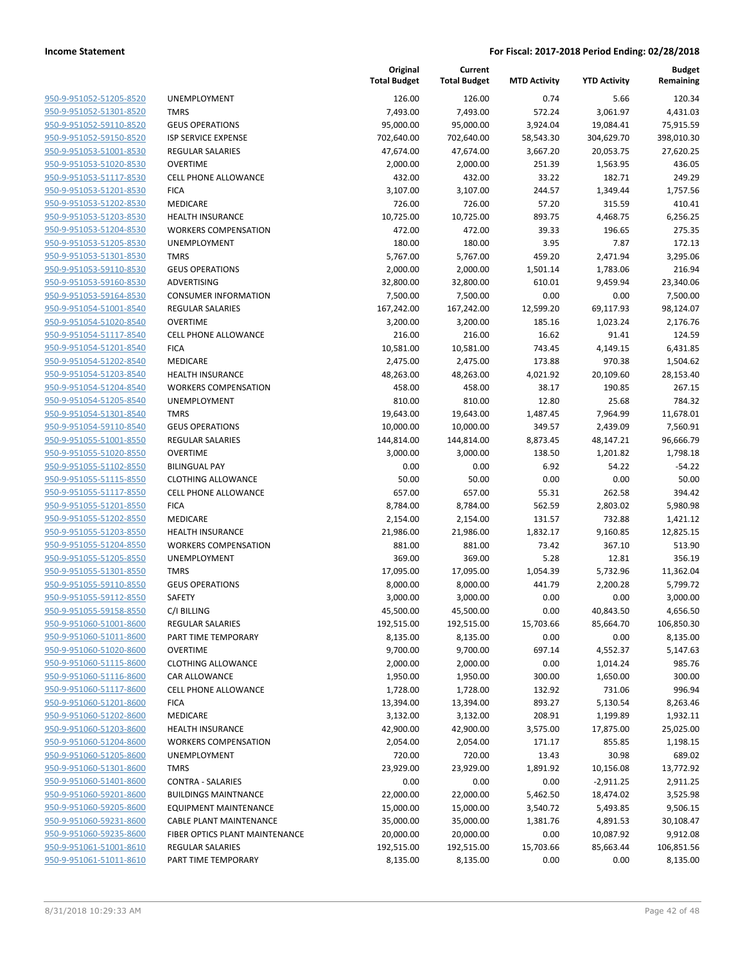| 950-9-951052-51205-8520                                   |
|-----------------------------------------------------------|
| <u>950-9-951052-51301-8520</u>                            |
| <u>950-9-951052-59110-8520</u>                            |
| 950-9-951052-59150-8520                                   |
| 950-9-951053-51001-8530                                   |
| 950-9-951053-51020-8530                                   |
| <u>950-9-951053-51117-8530</u>                            |
| 950-9-951053-51201-8530                                   |
| 950-9-951053-51202-8530                                   |
| 950-9-951053-51203-8530                                   |
| 950-9-951053-51204-8530                                   |
| <u>950-9-951053-51205-8530</u>                            |
| 950-9-951053-51301-8530                                   |
| 950-9-951053-59110-8530                                   |
| 950-9-951053-59160-8530                                   |
| 950-9-951053-59164-8530                                   |
| 950-9-951054-51001-8540                                   |
| 950-9-951054-51020-8540                                   |
| 950-9-951054-51117-8540                                   |
| 950-9-951054-51201-8540                                   |
| 950-9-951054-51202-8540                                   |
| 950-9-951054-51203-8540                                   |
| 950-9-951054-51204-8540                                   |
| 950-9-951054-51205-8540                                   |
| 950-9-951054-51301-8540                                   |
| 950-9-951054-59110-8540                                   |
| 950-9-951055-51001-8550                                   |
| 950-9-951055-51020-8550                                   |
| 950-9-951055-51102-8550                                   |
| 950-9-951055-51115-8550                                   |
| 950-9-951055-51117-8550                                   |
| 950-9-951055-51201-8550                                   |
| 950-9-951055-51202-8550                                   |
| 950-9-951055-51203-8550                                   |
| 950-9-951055-51204-8550                                   |
| 950-9-951055-51205-8550                                   |
| 950-9-951055-51301-8550                                   |
| 950-9-951055-59110-8550                                   |
| 950-9-951055-59112-8550                                   |
| 950-9-951055-59158-8550                                   |
| 950-9-951060-51001-8600                                   |
| <u>950-9-951060-51011-8600</u>                            |
| <u>950-9-951060-51020-8600</u><br>950-9-951060-51115-8600 |
|                                                           |
| 950-9-951060-51116-8600                                   |
| 950-9-951060-51117-8600<br>950-9-951060-51201-8600        |
| <u>950-9-951060-51202-8600</u>                            |
| 950-9-951060-51203-8600                                   |
| 950-9-951060-51204-8600                                   |
| 950-9-951060-51205-8600                                   |
| <u>950-9-951060-51301-8600</u>                            |
| <u>950-9-951060-51401-8600</u>                            |
| 950-9-951060-59201-8600                                   |
| 950-9-951060-59205-8600                                   |
| <u>950-9-951060-59231-8600</u>                            |
| 950-9-951060-59235-8600                                   |
| <u>950-9-951061-51001-8610</u>                            |
| 950-9-951061-51011-8610                                   |
|                                                           |

|                         |                                | Original<br><b>Total Budget</b> | Current<br><b>Total Budget</b> | <b>MTD Activity</b> | <b>YTD Activity</b> | <b>Budget</b><br>Remaining |
|-------------------------|--------------------------------|---------------------------------|--------------------------------|---------------------|---------------------|----------------------------|
| 950-9-951052-51205-8520 | <b>UNEMPLOYMENT</b>            | 126.00                          | 126.00                         | 0.74                | 5.66                | 120.34                     |
| 950-9-951052-51301-8520 | <b>TMRS</b>                    | 7,493.00                        | 7,493.00                       | 572.24              | 3,061.97            | 4,431.03                   |
| 950-9-951052-59110-8520 | <b>GEUS OPERATIONS</b>         | 95,000.00                       | 95,000.00                      | 3,924.04            | 19,084.41           | 75,915.59                  |
| 950-9-951052-59150-8520 | <b>ISP SERVICE EXPENSE</b>     | 702,640.00                      | 702,640.00                     | 58,543.30           | 304,629.70          | 398,010.30                 |
| 950-9-951053-51001-8530 | <b>REGULAR SALARIES</b>        | 47,674.00                       | 47,674.00                      | 3,667.20            | 20,053.75           | 27,620.25                  |
| 950-9-951053-51020-8530 | <b>OVERTIME</b>                | 2,000.00                        | 2,000.00                       | 251.39              | 1,563.95            | 436.05                     |
| 950-9-951053-51117-8530 | <b>CELL PHONE ALLOWANCE</b>    | 432.00                          | 432.00                         | 33.22               | 182.71              | 249.29                     |
| 950-9-951053-51201-8530 | <b>FICA</b>                    | 3,107.00                        | 3,107.00                       | 244.57              | 1,349.44            | 1,757.56                   |
| 950-9-951053-51202-8530 | MEDICARE                       | 726.00                          | 726.00                         | 57.20               | 315.59              | 410.41                     |
| 950-9-951053-51203-8530 | <b>HEALTH INSURANCE</b>        | 10,725.00                       | 10,725.00                      | 893.75              | 4,468.75            | 6,256.25                   |
| 950-9-951053-51204-8530 | <b>WORKERS COMPENSATION</b>    | 472.00                          | 472.00                         | 39.33               | 196.65              | 275.35                     |
| 950-9-951053-51205-8530 | UNEMPLOYMENT                   | 180.00                          | 180.00                         | 3.95                | 7.87                | 172.13                     |
| 950-9-951053-51301-8530 | <b>TMRS</b>                    | 5,767.00                        | 5,767.00                       | 459.20              | 2,471.94            | 3,295.06                   |
| 950-9-951053-59110-8530 | <b>GEUS OPERATIONS</b>         | 2,000.00                        | 2,000.00                       | 1,501.14            | 1,783.06            | 216.94                     |
| 950-9-951053-59160-8530 | ADVERTISING                    | 32,800.00                       | 32,800.00                      | 610.01              | 9,459.94            | 23,340.06                  |
| 950-9-951053-59164-8530 | <b>CONSUMER INFORMATION</b>    | 7,500.00                        | 7,500.00                       | 0.00                | 0.00                | 7,500.00                   |
| 950-9-951054-51001-8540 | REGULAR SALARIES               | 167,242.00                      | 167,242.00                     | 12,599.20           | 69,117.93           | 98,124.07                  |
| 950-9-951054-51020-8540 | <b>OVERTIME</b>                | 3,200.00                        | 3,200.00                       | 185.16              | 1,023.24            | 2,176.76                   |
| 950-9-951054-51117-8540 | <b>CELL PHONE ALLOWANCE</b>    | 216.00                          | 216.00                         | 16.62               | 91.41               | 124.59                     |
| 950-9-951054-51201-8540 | <b>FICA</b>                    | 10,581.00                       | 10,581.00                      | 743.45              | 4,149.15            | 6,431.85                   |
| 950-9-951054-51202-8540 | <b>MEDICARE</b>                | 2,475.00                        | 2,475.00                       | 173.88              | 970.38              | 1,504.62                   |
| 950-9-951054-51203-8540 | HEALTH INSURANCE               | 48,263.00                       | 48,263.00                      | 4,021.92            | 20,109.60           | 28,153.40                  |
| 950-9-951054-51204-8540 | <b>WORKERS COMPENSATION</b>    | 458.00                          | 458.00                         | 38.17               | 190.85              | 267.15                     |
| 950-9-951054-51205-8540 | <b>UNEMPLOYMENT</b>            | 810.00                          | 810.00                         | 12.80               | 25.68               | 784.32                     |
| 950-9-951054-51301-8540 | <b>TMRS</b>                    | 19,643.00                       | 19,643.00                      | 1,487.45            | 7,964.99            | 11,678.01                  |
| 950-9-951054-59110-8540 | <b>GEUS OPERATIONS</b>         | 10,000.00                       | 10,000.00                      | 349.57              | 2,439.09            | 7,560.91                   |
| 950-9-951055-51001-8550 | REGULAR SALARIES               | 144,814.00                      | 144,814.00                     | 8,873.45            | 48,147.21           | 96,666.79                  |
| 950-9-951055-51020-8550 | <b>OVERTIME</b>                | 3,000.00                        | 3,000.00                       | 138.50              | 1,201.82            | 1,798.18                   |
| 950-9-951055-51102-8550 | <b>BILINGUAL PAY</b>           | 0.00                            | 0.00                           | 6.92                | 54.22               | $-54.22$                   |
| 950-9-951055-51115-8550 | <b>CLOTHING ALLOWANCE</b>      | 50.00                           | 50.00                          | 0.00                | 0.00                | 50.00                      |
| 950-9-951055-51117-8550 | <b>CELL PHONE ALLOWANCE</b>    | 657.00                          | 657.00                         | 55.31               | 262.58              | 394.42                     |
| 950-9-951055-51201-8550 | <b>FICA</b>                    | 8,784.00                        | 8,784.00                       | 562.59              | 2,803.02            | 5,980.98                   |
| 950-9-951055-51202-8550 | MEDICARE                       | 2,154.00                        | 2,154.00                       | 131.57              | 732.88              | 1,421.12                   |
| 950-9-951055-51203-8550 | <b>HEALTH INSURANCE</b>        | 21,986.00                       | 21,986.00                      | 1,832.17            | 9,160.85            | 12,825.15                  |
| 950-9-951055-51204-8550 | <b>WORKERS COMPENSATION</b>    | 881.00                          | 881.00                         | 73.42               | 367.10              | 513.90                     |
| 950-9-951055-51205-8550 | UNEMPLOYMENT                   | 369.00                          | 369.00                         | 5.28                | 12.81               | 356.19                     |
| 950-9-951055-51301-8550 | <b>TMRS</b>                    | 17,095.00                       | 17,095.00                      | 1,054.39            | 5,732.96            | 11,362.04                  |
| 950-9-951055-59110-8550 | <b>GEUS OPERATIONS</b>         | 8,000.00                        | 8,000.00                       | 441.79              | 2,200.28            | 5,799.72                   |
| 950-9-951055-59112-8550 | <b>SAFETY</b>                  | 3,000.00                        | 3,000.00                       | 0.00                | 0.00                | 3,000.00                   |
| 950-9-951055-59158-8550 | C/I BILLING                    | 45,500.00                       | 45,500.00                      | 0.00                | 40,843.50           | 4,656.50                   |
| 950-9-951060-51001-8600 | REGULAR SALARIES               | 192,515.00                      | 192,515.00                     | 15,703.66           | 85,664.70           | 106,850.30                 |
| 950-9-951060-51011-8600 | PART TIME TEMPORARY            | 8,135.00                        | 8,135.00                       | 0.00                | 0.00                | 8,135.00                   |
| 950-9-951060-51020-8600 | <b>OVERTIME</b>                | 9,700.00                        | 9,700.00                       | 697.14              | 4,552.37            | 5,147.63                   |
| 950-9-951060-51115-8600 | <b>CLOTHING ALLOWANCE</b>      | 2,000.00                        | 2,000.00                       | 0.00                | 1,014.24            | 985.76                     |
| 950-9-951060-51116-8600 | CAR ALLOWANCE                  | 1,950.00                        | 1,950.00                       | 300.00              | 1,650.00            | 300.00                     |
| 950-9-951060-51117-8600 | <b>CELL PHONE ALLOWANCE</b>    | 1,728.00                        | 1,728.00                       | 132.92              | 731.06              | 996.94                     |
| 950-9-951060-51201-8600 | <b>FICA</b>                    | 13,394.00                       | 13,394.00                      | 893.27              | 5,130.54            | 8,263.46                   |
| 950-9-951060-51202-8600 | MEDICARE                       | 3,132.00                        | 3,132.00                       | 208.91              | 1,199.89            | 1,932.11                   |
| 950-9-951060-51203-8600 | <b>HEALTH INSURANCE</b>        | 42,900.00                       | 42,900.00                      | 3,575.00            | 17,875.00           | 25,025.00                  |
| 950-9-951060-51204-8600 | <b>WORKERS COMPENSATION</b>    | 2,054.00                        | 2,054.00                       | 171.17              | 855.85              | 1,198.15                   |
| 950-9-951060-51205-8600 | <b>UNEMPLOYMENT</b>            | 720.00                          | 720.00                         | 13.43               | 30.98               | 689.02                     |
| 950-9-951060-51301-8600 | <b>TMRS</b>                    | 23,929.00                       | 23,929.00                      | 1,891.92            | 10,156.08           | 13,772.92                  |
| 950-9-951060-51401-8600 | <b>CONTRA - SALARIES</b>       | 0.00                            | 0.00                           | 0.00                | $-2,911.25$         | 2,911.25                   |
| 950-9-951060-59201-8600 | <b>BUILDINGS MAINTNANCE</b>    | 22,000.00                       | 22,000.00                      | 5,462.50            | 18,474.02           | 3,525.98                   |
| 950-9-951060-59205-8600 | <b>EQUIPMENT MAINTENANCE</b>   | 15,000.00                       | 15,000.00                      | 3,540.72            | 5,493.85            | 9,506.15                   |
| 950-9-951060-59231-8600 | CABLE PLANT MAINTENANCE        | 35,000.00                       | 35,000.00                      | 1,381.76            | 4,891.53            | 30,108.47                  |
| 950-9-951060-59235-8600 | FIBER OPTICS PLANT MAINTENANCE | 20,000.00                       | 20,000.00                      | 0.00                | 10,087.92           | 9,912.08                   |
| 950-9-951061-51001-8610 | REGULAR SALARIES               | 192,515.00                      | 192,515.00                     | 15,703.66           | 85,663.44           | 106,851.56                 |
| 950-9-951061-51011-8610 | PART TIME TEMPORARY            | 8,135.00                        | 8,135.00                       | 0.00                | 0.00                | 8,135.00                   |
|                         |                                |                                 |                                |                     |                     |                            |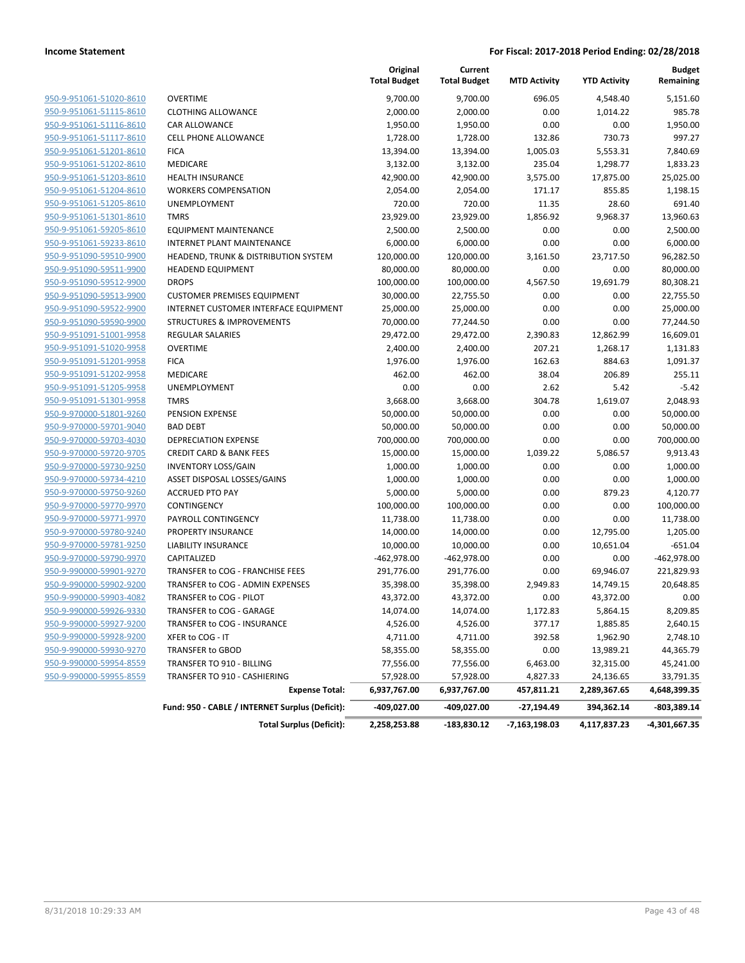|                         |                                                 | Original<br><b>Total Budget</b> | Current<br><b>Total Budget</b> | <b>MTD Activity</b> | <b>YTD Activity</b> | <b>Budget</b><br>Remaining |
|-------------------------|-------------------------------------------------|---------------------------------|--------------------------------|---------------------|---------------------|----------------------------|
| 950-9-951061-51020-8610 | <b>OVERTIME</b>                                 | 9,700.00                        | 9,700.00                       | 696.05              | 4,548.40            | 5,151.60                   |
| 950-9-951061-51115-8610 | <b>CLOTHING ALLOWANCE</b>                       | 2,000.00                        | 2,000.00                       | 0.00                | 1,014.22            | 985.78                     |
| 950-9-951061-51116-8610 | <b>CAR ALLOWANCE</b>                            | 1,950.00                        | 1,950.00                       | 0.00                | 0.00                | 1,950.00                   |
| 950-9-951061-51117-8610 | <b>CELL PHONE ALLOWANCE</b>                     | 1,728.00                        | 1,728.00                       | 132.86              | 730.73              | 997.27                     |
| 950-9-951061-51201-8610 | <b>FICA</b>                                     | 13,394.00                       | 13,394.00                      | 1,005.03            | 5,553.31            | 7,840.69                   |
| 950-9-951061-51202-8610 | MEDICARE                                        | 3,132.00                        | 3,132.00                       | 235.04              | 1,298.77            | 1,833.23                   |
| 950-9-951061-51203-8610 | HEALTH INSURANCE                                | 42,900.00                       | 42,900.00                      | 3,575.00            | 17,875.00           | 25,025.00                  |
| 950-9-951061-51204-8610 | <b>WORKERS COMPENSATION</b>                     | 2,054.00                        | 2,054.00                       | 171.17              | 855.85              | 1,198.15                   |
| 950-9-951061-51205-8610 | UNEMPLOYMENT                                    | 720.00                          | 720.00                         | 11.35               | 28.60               | 691.40                     |
| 950-9-951061-51301-8610 | <b>TMRS</b>                                     | 23,929.00                       | 23,929.00                      | 1,856.92            | 9,968.37            | 13,960.63                  |
| 950-9-951061-59205-8610 | <b>EQUIPMENT MAINTENANCE</b>                    | 2,500.00                        | 2,500.00                       | 0.00                | 0.00                | 2,500.00                   |
| 950-9-951061-59233-8610 | INTERNET PLANT MAINTENANCE                      | 6,000.00                        | 6,000.00                       | 0.00                | 0.00                | 6,000.00                   |
| 950-9-951090-59510-9900 | HEADEND, TRUNK & DISTRIBUTION SYSTEM            | 120,000.00                      | 120,000.00                     | 3,161.50            | 23,717.50           | 96,282.50                  |
| 950-9-951090-59511-9900 | <b>HEADEND EQUIPMENT</b>                        | 80,000.00                       | 80,000.00                      | 0.00                | 0.00                | 80,000.00                  |
| 950-9-951090-59512-9900 | <b>DROPS</b>                                    | 100,000.00                      | 100,000.00                     | 4,567.50            | 19,691.79           | 80,308.21                  |
| 950-9-951090-59513-9900 | <b>CUSTOMER PREMISES EQUIPMENT</b>              | 30,000.00                       | 22,755.50                      | 0.00                | 0.00                | 22,755.50                  |
| 950-9-951090-59522-9900 | INTERNET CUSTOMER INTERFACE EQUIPMENT           | 25,000.00                       | 25,000.00                      | 0.00                | 0.00                | 25,000.00                  |
| 950-9-951090-59590-9900 | <b>STRUCTURES &amp; IMPROVEMENTS</b>            | 70,000.00                       | 77,244.50                      | 0.00                | 0.00                | 77,244.50                  |
| 950-9-951091-51001-9958 | <b>REGULAR SALARIES</b>                         | 29,472.00                       | 29,472.00                      | 2,390.83            | 12,862.99           | 16,609.01                  |
| 950-9-951091-51020-9958 | <b>OVERTIME</b>                                 | 2,400.00                        | 2,400.00                       | 207.21              | 1,268.17            | 1,131.83                   |
| 950-9-951091-51201-9958 | <b>FICA</b>                                     | 1,976.00                        | 1,976.00                       | 162.63              | 884.63              | 1,091.37                   |
| 950-9-951091-51202-9958 | MEDICARE                                        | 462.00                          | 462.00                         | 38.04               | 206.89              | 255.11                     |
| 950-9-951091-51205-9958 | UNEMPLOYMENT                                    | 0.00                            | 0.00                           | 2.62                | 5.42                | $-5.42$                    |
| 950-9-951091-51301-9958 | <b>TMRS</b>                                     | 3,668.00                        | 3,668.00                       | 304.78              | 1,619.07            | 2,048.93                   |
| 950-9-970000-51801-9260 | PENSION EXPENSE                                 | 50,000.00                       | 50,000.00                      | 0.00                | 0.00                | 50,000.00                  |
| 950-9-970000-59701-9040 | <b>BAD DEBT</b>                                 | 50,000.00                       | 50,000.00                      | 0.00                | 0.00                | 50,000.00                  |
| 950-9-970000-59703-4030 | <b>DEPRECIATION EXPENSE</b>                     | 700,000.00                      | 700,000.00                     | 0.00                | 0.00                | 700,000.00                 |
| 950-9-970000-59720-9705 | <b>CREDIT CARD &amp; BANK FEES</b>              | 15,000.00                       | 15,000.00                      | 1,039.22            | 5,086.57            | 9,913.43                   |
| 950-9-970000-59730-9250 | <b>INVENTORY LOSS/GAIN</b>                      | 1,000.00                        | 1,000.00                       | 0.00                | 0.00                | 1,000.00                   |
| 950-9-970000-59734-4210 | ASSET DISPOSAL LOSSES/GAINS                     | 1,000.00                        | 1,000.00                       | 0.00                | 0.00                | 1,000.00                   |
| 950-9-970000-59750-9260 | <b>ACCRUED PTO PAY</b>                          | 5,000.00                        | 5,000.00                       | 0.00                | 879.23              | 4,120.77                   |
| 950-9-970000-59770-9970 | CONTINGENCY                                     | 100,000.00                      | 100,000.00                     | 0.00                | 0.00                | 100,000.00                 |
| 950-9-970000-59771-9970 | PAYROLL CONTINGENCY                             | 11,738.00                       | 11,738.00                      | 0.00                | 0.00                | 11,738.00                  |
| 950-9-970000-59780-9240 | PROPERTY INSURANCE                              | 14,000.00                       | 14,000.00                      | 0.00                | 12,795.00           | 1,205.00                   |
| 950-9-970000-59781-9250 | LIABILITY INSURANCE                             | 10,000.00                       | 10,000.00                      | 0.00                | 10,651.04           | $-651.04$                  |
| 950-9-970000-59790-9970 | CAPITALIZED                                     | $-462,978.00$                   | $-462,978.00$                  | 0.00                | 0.00                | -462,978.00                |
| 950-9-990000-59901-9270 | TRANSFER to COG - FRANCHISE FEES                | 291,776.00                      | 291,776.00                     | 0.00                | 69,946.07           | 221,829.93                 |
| 950-9-990000-59902-9200 | TRANSFER to COG - ADMIN EXPENSES                | 35,398.00                       | 35,398.00                      | 2,949.83            | 14,749.15           | 20,648.85                  |
| 950-9-990000-59903-4082 | TRANSFER to COG - PILOT                         | 43,372.00                       | 43,372.00                      | 0.00                | 43,372.00           | 0.00                       |
| 950-9-990000-59926-9330 | TRANSFER to COG - GARAGE                        | 14,074.00                       | 14,074.00                      | 1,172.83            | 5,864.15            | 8,209.85                   |
| 950-9-990000-59927-9200 | TRANSFER to COG - INSURANCE                     | 4,526.00                        | 4,526.00                       | 377.17              | 1,885.85            | 2,640.15                   |
| 950-9-990000-59928-9200 | XFER to COG - IT                                | 4,711.00                        | 4,711.00                       | 392.58              | 1,962.90            | 2,748.10                   |
| 950-9-990000-59930-9270 | TRANSFER to GBOD                                | 58,355.00                       | 58,355.00                      | 0.00                | 13,989.21           | 44,365.79                  |
| 950-9-990000-59954-8559 | TRANSFER TO 910 - BILLING                       | 77,556.00                       | 77,556.00                      | 6,463.00            | 32,315.00           | 45,241.00                  |
| 950-9-990000-59955-8559 | TRANSFER TO 910 - CASHIERING                    | 57,928.00                       | 57,928.00                      | 4,827.33            | 24,136.65           | 33,791.35                  |
|                         | <b>Expense Total:</b>                           | 6,937,767.00                    | 6,937,767.00                   | 457,811.21          | 2,289,367.65        | 4,648,399.35               |
|                         | Fund: 950 - CABLE / INTERNET Surplus (Deficit): | -409,027.00                     | -409,027.00                    | -27,194.49          | 394,362.14          | -803,389.14                |
|                         | <b>Total Surplus (Deficit):</b>                 | 2,258,253.88                    | $-183,830.12$                  | -7,163,198.03       | 4,117,837.23        | -4,301,667.35              |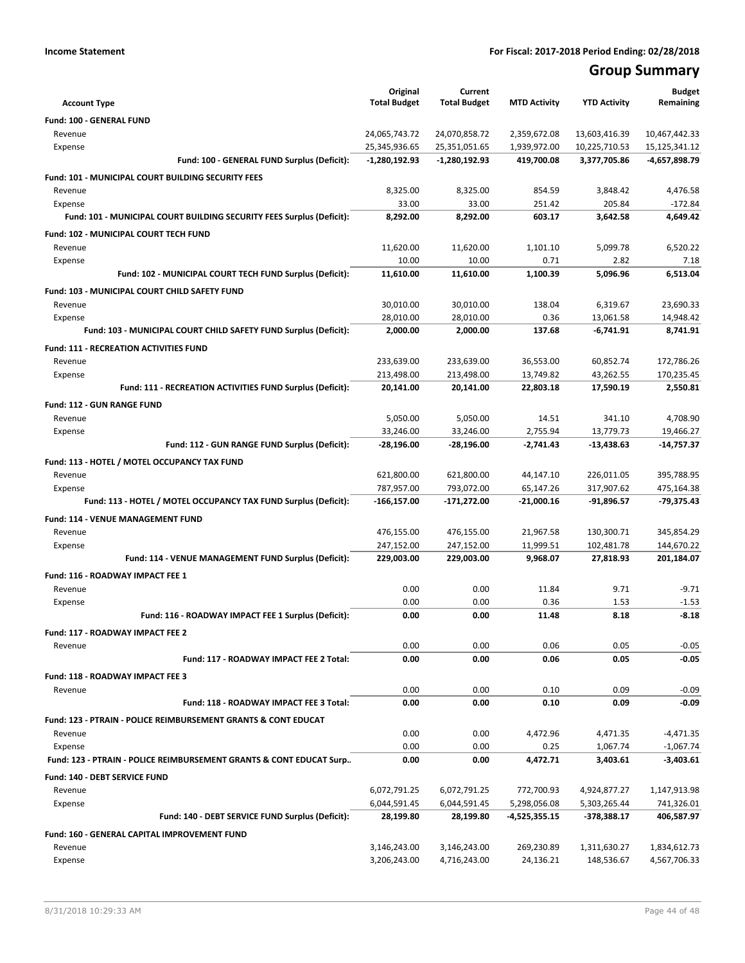# **Group Summary**

|                                                                                | Original            | Current             |                     |                      | <b>Budget</b>              |
|--------------------------------------------------------------------------------|---------------------|---------------------|---------------------|----------------------|----------------------------|
| <b>Account Type</b>                                                            | <b>Total Budget</b> | <b>Total Budget</b> | <b>MTD Activity</b> | <b>YTD Activity</b>  | Remaining                  |
| Fund: 100 - GENERAL FUND                                                       |                     |                     |                     |                      |                            |
| Revenue                                                                        | 24,065,743.72       | 24,070,858.72       | 2,359,672.08        | 13,603,416.39        | 10,467,442.33              |
| Expense                                                                        | 25,345,936.65       | 25,351,051.65       | 1,939,972.00        | 10,225,710.53        | 15,125,341.12              |
| Fund: 100 - GENERAL FUND Surplus (Deficit):                                    | -1,280,192.93       | -1,280,192.93       | 419,700.08          | 3,377,705.86         | -4,657,898.79              |
| Fund: 101 - MUNICIPAL COURT BUILDING SECURITY FEES                             |                     |                     |                     |                      |                            |
| Revenue                                                                        | 8,325.00            | 8,325.00            | 854.59              | 3,848.42             | 4,476.58                   |
| Expense                                                                        | 33.00               | 33.00               | 251.42              | 205.84               | $-172.84$                  |
| Fund: 101 - MUNICIPAL COURT BUILDING SECURITY FEES Surplus (Deficit):          | 8,292.00            | 8.292.00            | 603.17              | 3,642.58             | 4.649.42                   |
| <b>Fund: 102 - MUNICIPAL COURT TECH FUND</b>                                   |                     |                     |                     |                      |                            |
| Revenue                                                                        | 11,620.00           | 11,620.00           | 1,101.10            | 5,099.78             | 6,520.22                   |
| Expense                                                                        | 10.00               | 10.00               | 0.71                | 2.82                 | 7.18                       |
| Fund: 102 - MUNICIPAL COURT TECH FUND Surplus (Deficit):                       | 11,610.00           | 11,610.00           | 1,100.39            | 5,096.96             | 6,513.04                   |
| Fund: 103 - MUNICIPAL COURT CHILD SAFETY FUND                                  |                     |                     |                     |                      |                            |
| Revenue                                                                        | 30,010.00           | 30,010.00           | 138.04              | 6,319.67             | 23,690.33                  |
| Expense                                                                        | 28,010.00           | 28,010.00           | 0.36                | 13,061.58            | 14,948.42                  |
| Fund: 103 - MUNICIPAL COURT CHILD SAFETY FUND Surplus (Deficit):               | 2,000.00            | 2,000.00            | 137.68              | $-6,741.91$          | 8,741.91                   |
| <b>Fund: 111 - RECREATION ACTIVITIES FUND</b>                                  |                     |                     |                     |                      |                            |
| Revenue                                                                        | 233,639.00          | 233,639.00          | 36,553.00           | 60,852.74            | 172,786.26                 |
| Expense                                                                        | 213,498.00          | 213,498.00          | 13,749.82           | 43,262.55            | 170,235.45                 |
| Fund: 111 - RECREATION ACTIVITIES FUND Surplus (Deficit):                      | 20,141.00           | 20,141.00           | 22,803.18           | 17,590.19            | 2,550.81                   |
| Fund: 112 - GUN RANGE FUND                                                     |                     |                     |                     |                      |                            |
| Revenue                                                                        | 5,050.00            | 5,050.00            | 14.51               | 341.10               | 4,708.90                   |
| Expense                                                                        | 33,246.00           | 33,246.00           | 2,755.94            | 13,779.73            | 19,466.27                  |
| Fund: 112 - GUN RANGE FUND Surplus (Deficit):                                  | -28,196.00          | -28,196.00          | -2,741.43           | -13,438.63           | -14,757.37                 |
| Fund: 113 - HOTEL / MOTEL OCCUPANCY TAX FUND                                   |                     |                     |                     |                      |                            |
| Revenue                                                                        | 621,800.00          | 621,800.00          | 44,147.10           | 226,011.05           | 395,788.95                 |
| Expense                                                                        | 787,957.00          | 793,072.00          | 65,147.26           | 317,907.62           | 475,164.38                 |
| Fund: 113 - HOTEL / MOTEL OCCUPANCY TAX FUND Surplus (Deficit):                | -166,157.00         | -171,272.00         | $-21,000.16$        | -91,896.57           | -79,375.43                 |
| Fund: 114 - VENUE MANAGEMENT FUND                                              |                     |                     |                     |                      |                            |
| Revenue                                                                        | 476,155.00          | 476,155.00          | 21,967.58           | 130,300.71           | 345,854.29                 |
| Expense                                                                        | 247,152.00          | 247,152.00          | 11,999.51           | 102,481.78           | 144,670.22                 |
| Fund: 114 - VENUE MANAGEMENT FUND Surplus (Deficit):                           | 229,003.00          | 229,003.00          | 9,968.07            | 27,818.93            | 201,184.07                 |
| Fund: 116 - ROADWAY IMPACT FEE 1                                               |                     |                     |                     |                      |                            |
| Revenue                                                                        | 0.00                | 0.00                | 11.84               | 9.71                 | $-9.71$                    |
| Expense                                                                        | 0.00                | 0.00                | 0.36                | 1.53                 | $-1.53$                    |
| Fund: 116 - ROADWAY IMPACT FEE 1 Surplus (Deficit):                            | 0.00                | 0.00                | 11.48               | 8.18                 | $-8.18$                    |
| Fund: 117 - ROADWAY IMPACT FEE 2                                               |                     |                     |                     |                      |                            |
| Revenue                                                                        | 0.00                | 0.00                | 0.06                | 0.05                 | $-0.05$                    |
| Fund: 117 - ROADWAY IMPACT FEE 2 Total:                                        | 0.00                | 0.00                | 0.06                | 0.05                 | $-0.05$                    |
| Fund: 118 - ROADWAY IMPACT FEE 3                                               |                     |                     |                     |                      |                            |
| Revenue                                                                        | 0.00                | 0.00                | 0.10                | 0.09                 | $-0.09$                    |
| Fund: 118 - ROADWAY IMPACT FEE 3 Total:                                        | 0.00                | 0.00                | 0.10                | 0.09                 | $-0.09$                    |
|                                                                                |                     |                     |                     |                      |                            |
| <b>Fund: 123 - PTRAIN - POLICE REIMBURSEMENT GRANTS &amp; CONT EDUCAT</b>      |                     |                     |                     |                      |                            |
| Revenue                                                                        | 0.00                | 0.00                | 4,472.96            | 4,471.35             | $-4,471.35$                |
| Expense<br>Fund: 123 - PTRAIN - POLICE REIMBURSEMENT GRANTS & CONT EDUCAT Surp | 0.00<br>0.00        | 0.00<br>0.00        | 0.25<br>4,472.71    | 1,067.74<br>3,403.61 | $-1,067.74$<br>$-3,403.61$ |
|                                                                                |                     |                     |                     |                      |                            |
| Fund: 140 - DEBT SERVICE FUND                                                  |                     |                     |                     |                      |                            |
| Revenue                                                                        | 6,072,791.25        | 6,072,791.25        | 772,700.93          | 4,924,877.27         | 1,147,913.98               |
| Expense                                                                        | 6,044,591.45        | 6,044,591.45        | 5,298,056.08        | 5,303,265.44         | 741,326.01                 |
| Fund: 140 - DEBT SERVICE FUND Surplus (Deficit):                               | 28,199.80           | 28,199.80           | -4,525,355.15       | -378,388.17          | 406,587.97                 |
| Fund: 160 - GENERAL CAPITAL IMPROVEMENT FUND                                   |                     |                     |                     |                      |                            |
| Revenue                                                                        | 3,146,243.00        | 3,146,243.00        | 269,230.89          | 1,311,630.27         | 1,834,612.73               |
| Expense                                                                        | 3,206,243.00        | 4,716,243.00        | 24,136.21           | 148,536.67           | 4,567,706.33               |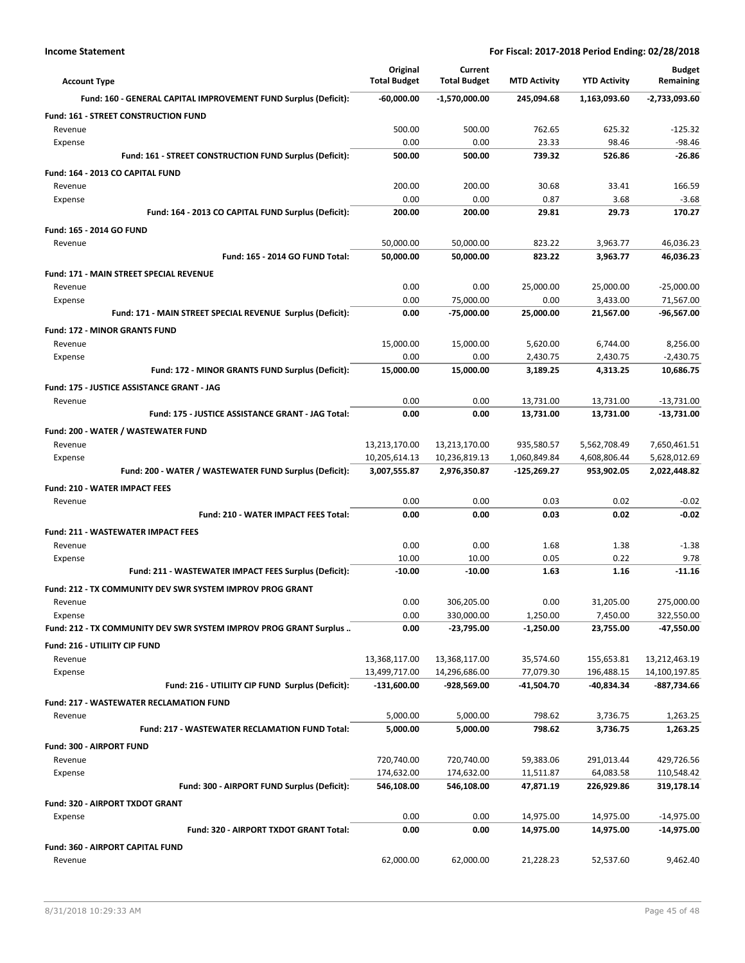| <b>Account Type</b>                                               | Original<br><b>Total Budget</b> | Current<br><b>Total Budget</b> | <b>MTD Activity</b>         | <b>YTD Activity</b>        | <b>Budget</b><br>Remaining   |
|-------------------------------------------------------------------|---------------------------------|--------------------------------|-----------------------------|----------------------------|------------------------------|
| Fund: 160 - GENERAL CAPITAL IMPROVEMENT FUND Surplus (Deficit):   | $-60,000.00$                    | -1,570,000.00                  | 245,094.68                  | 1,163,093.60               | -2,733,093.60                |
| <b>Fund: 161 - STREET CONSTRUCTION FUND</b>                       |                                 |                                |                             |                            |                              |
| Revenue                                                           | 500.00                          | 500.00                         | 762.65                      | 625.32                     | $-125.32$                    |
| Expense                                                           | 0.00                            | 0.00                           | 23.33                       | 98.46                      | $-98.46$                     |
| Fund: 161 - STREET CONSTRUCTION FUND Surplus (Deficit):           | 500.00                          | 500.00                         | 739.32                      | 526.86                     | -26.86                       |
| Fund: 164 - 2013 CO CAPITAL FUND                                  |                                 |                                |                             |                            |                              |
| Revenue                                                           | 200.00                          | 200.00                         | 30.68                       | 33.41                      | 166.59                       |
| Expense<br>Fund: 164 - 2013 CO CAPITAL FUND Surplus (Deficit):    | 0.00<br>200.00                  | 0.00<br>200.00                 | 0.87<br>29.81               | 3.68<br>29.73              | $-3.68$<br>170.27            |
|                                                                   |                                 |                                |                             |                            |                              |
| <b>Fund: 165 - 2014 GO FUND</b><br>Revenue                        | 50,000.00                       | 50,000.00                      | 823.22                      | 3,963.77                   | 46,036.23                    |
| Fund: 165 - 2014 GO FUND Total:                                   | 50,000.00                       | 50,000.00                      | 823.22                      | 3,963.77                   | 46,036.23                    |
| <b>Fund: 171 - MAIN STREET SPECIAL REVENUE</b>                    |                                 |                                |                             |                            |                              |
| Revenue                                                           | 0.00                            | 0.00                           | 25,000.00                   | 25,000.00                  | $-25,000.00$                 |
| Expense                                                           | 0.00                            | 75,000.00                      | 0.00                        | 3,433.00                   | 71,567.00                    |
| Fund: 171 - MAIN STREET SPECIAL REVENUE Surplus (Deficit):        | 0.00                            | -75,000.00                     | 25,000.00                   | 21,567.00                  | -96,567.00                   |
| <b>Fund: 172 - MINOR GRANTS FUND</b>                              |                                 |                                |                             |                            |                              |
| Revenue                                                           | 15,000.00                       | 15,000.00                      | 5,620.00                    | 6,744.00                   | 8,256.00                     |
| Expense                                                           | 0.00                            | 0.00                           | 2,430.75                    | 2,430.75                   | $-2,430.75$                  |
| Fund: 172 - MINOR GRANTS FUND Surplus (Deficit):                  | 15,000.00                       | 15,000.00                      | 3,189.25                    | 4,313.25                   | 10,686.75                    |
| Fund: 175 - JUSTICE ASSISTANCE GRANT - JAG                        |                                 |                                |                             |                            |                              |
| Revenue                                                           | 0.00                            | 0.00                           | 13,731.00                   | 13,731.00                  | $-13,731.00$                 |
| Fund: 175 - JUSTICE ASSISTANCE GRANT - JAG Total:                 | 0.00                            | 0.00                           | 13,731.00                   | 13,731.00                  | -13,731.00                   |
| Fund: 200 - WATER / WASTEWATER FUND                               |                                 |                                |                             |                            |                              |
| Revenue                                                           | 13,213,170.00                   | 13,213,170.00                  | 935,580.57                  | 5,562,708.49               | 7,650,461.51                 |
| Expense<br>Fund: 200 - WATER / WASTEWATER FUND Surplus (Deficit): | 10,205,614.13<br>3,007,555.87   | 10,236,819.13<br>2,976,350.87  | 1,060,849.84<br>-125,269.27 | 4,608,806.44<br>953,902.05 | 5,628,012.69<br>2,022,448.82 |
|                                                                   |                                 |                                |                             |                            |                              |
| <b>Fund: 210 - WATER IMPACT FEES</b><br>Revenue                   | 0.00                            | 0.00                           | 0.03                        | 0.02                       | $-0.02$                      |
| Fund: 210 - WATER IMPACT FEES Total:                              | 0.00                            | 0.00                           | 0.03                        | 0.02                       | $-0.02$                      |
| <b>Fund: 211 - WASTEWATER IMPACT FEES</b>                         |                                 |                                |                             |                            |                              |
| Revenue                                                           | 0.00                            | 0.00                           | 1.68                        | 1.38                       | $-1.38$                      |
| Expense                                                           | 10.00                           | 10.00                          | 0.05                        | 0.22                       | 9.78                         |
| Fund: 211 - WASTEWATER IMPACT FEES Surplus (Deficit):             | $-10.00$                        | $-10.00$                       | 1.63                        | 1.16                       | $-11.16$                     |
| Fund: 212 - TX COMMUNITY DEV SWR SYSTEM IMPROV PROG GRANT         |                                 |                                |                             |                            |                              |
| Revenue                                                           | 0.00                            | 306,205.00                     | 0.00                        | 31,205.00                  | 275,000.00                   |
| Expense                                                           | 0.00                            | 330,000.00                     | 1,250.00                    | 7,450.00                   | 322,550.00                   |
| Fund: 212 - TX COMMUNITY DEV SWR SYSTEM IMPROV PROG GRANT Surplus | 0.00                            | -23,795.00                     | $-1,250.00$                 | 23,755.00                  | -47,550.00                   |
| Fund: 216 - UTILIITY CIP FUND                                     |                                 |                                |                             |                            |                              |
| Revenue                                                           | 13,368,117.00                   | 13,368,117.00                  | 35,574.60                   | 155,653.81                 | 13,212,463.19                |
| Expense                                                           | 13,499,717.00                   | 14,296,686.00                  | 77,079.30                   | 196,488.15                 | 14,100,197.85                |
| Fund: 216 - UTILIITY CIP FUND Surplus (Deficit):                  | -131,600.00                     | -928,569.00                    | -41,504.70                  | -40,834.34                 | -887,734.66                  |
| <b>Fund: 217 - WASTEWATER RECLAMATION FUND</b>                    |                                 |                                |                             |                            |                              |
| Revenue                                                           | 5,000.00                        | 5,000.00                       | 798.62                      | 3,736.75                   | 1,263.25                     |
| <b>Fund: 217 - WASTEWATER RECLAMATION FUND Total:</b>             | 5,000.00                        | 5,000.00                       | 798.62                      | 3,736.75                   | 1,263.25                     |
| Fund: 300 - AIRPORT FUND<br>Revenue                               | 720,740.00                      |                                |                             |                            | 429,726.56                   |
| Expense                                                           | 174,632.00                      | 720,740.00<br>174,632.00       | 59,383.06<br>11,511.87      | 291,013.44<br>64,083.58    | 110,548.42                   |
| Fund: 300 - AIRPORT FUND Surplus (Deficit):                       | 546,108.00                      | 546,108.00                     | 47,871.19                   | 226,929.86                 | 319,178.14                   |
| Fund: 320 - AIRPORT TXDOT GRANT                                   |                                 |                                |                             |                            |                              |
| Expense                                                           | 0.00                            | 0.00                           | 14,975.00                   | 14,975.00                  | -14,975.00                   |
| Fund: 320 - AIRPORT TXDOT GRANT Total:                            | 0.00                            | 0.00                           | 14,975.00                   | 14,975.00                  | -14,975.00                   |
| Fund: 360 - AIRPORT CAPITAL FUND                                  |                                 |                                |                             |                            |                              |
| Revenue                                                           | 62,000.00                       | 62,000.00                      | 21,228.23                   | 52,537.60                  | 9,462.40                     |
|                                                                   |                                 |                                |                             |                            |                              |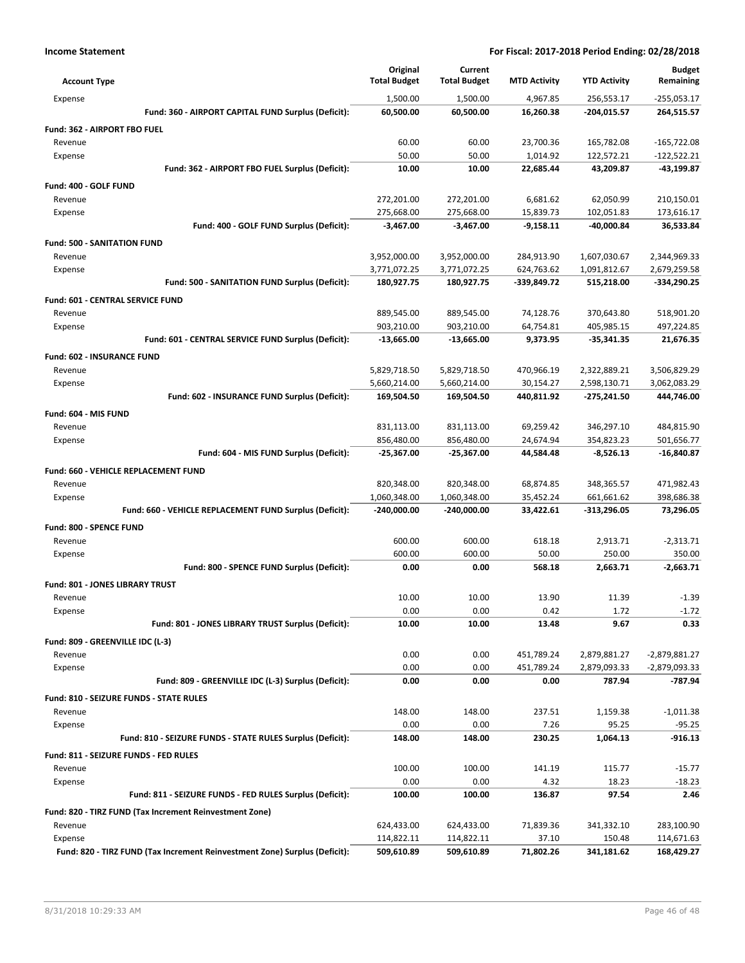| 1,500.00<br>1,500.00<br>4,967.85<br>256,553.17<br>$-255,053.17$<br>Expense<br>Fund: 360 - AIRPORT CAPITAL FUND Surplus (Deficit):<br>60,500.00<br>60,500.00<br>16,260.38<br>-204,015.57<br>264,515.57<br>Fund: 362 - AIRPORT FBO FUEL<br>60.00<br>60.00<br>23,700.36<br>165,782.08<br>$-165,722.08$<br>Revenue<br>50.00<br>50.00<br>1,014.92<br>122,572.21<br>$-122,522.21$<br>Expense<br>Fund: 362 - AIRPORT FBO FUEL Surplus (Deficit):<br>10.00<br>10.00<br>22,685.44<br>43,209.87<br>-43,199.87<br>Fund: 400 - GOLF FUND<br>272,201.00<br>62,050.99<br>210,150.01<br>Revenue<br>272,201.00<br>6,681.62<br>275,668.00<br>275,668.00<br>15,839.73<br>102,051.83<br>173,616.17<br>Expense<br>Fund: 400 - GOLF FUND Surplus (Deficit):<br>$-3,467.00$<br>$-3,467.00$<br>$-9,158.11$<br>-40,000.84<br>36,533.84<br><b>Fund: 500 - SANITATION FUND</b><br>3,952,000.00<br>3,952,000.00<br>284,913.90<br>1,607,030.67<br>2,344,969.33<br>Revenue<br>624,763.62<br>2,679,259.58<br>3,771,072.25<br>3,771,072.25<br>1,091,812.67<br>Expense<br>Fund: 500 - SANITATION FUND Surplus (Deficit):<br>180,927.75<br>180,927.75<br>-339,849.72<br>515,218.00<br>-334,290.25<br>Fund: 601 - CENTRAL SERVICE FUND<br>889,545.00<br>889,545.00<br>74,128.76<br>370,643.80<br>518,901.20<br>Revenue<br>903,210.00<br>903,210.00<br>64,754.81<br>405,985.15<br>497,224.85<br>Expense<br>Fund: 601 - CENTRAL SERVICE FUND Surplus (Deficit):<br>$-13,665.00$<br>$-13,665.00$<br>9,373.95<br>$-35,341.35$<br>21,676.35<br>Fund: 602 - INSURANCE FUND<br>5,829,718.50<br>5,829,718.50<br>470,966.19<br>2,322,889.21<br>3,506,829.29<br>Revenue<br>5,660,214.00<br>5,660,214.00<br>30,154.27<br>2,598,130.71<br>3,062,083.29<br>Expense<br>Fund: 602 - INSURANCE FUND Surplus (Deficit):<br>169,504.50<br>169,504.50<br>440,811.92<br>-275,241.50<br>444,746.00<br>Fund: 604 - MIS FUND<br>831,113.00<br>831,113.00<br>69,259.42<br>346,297.10<br>484,815.90<br>Revenue<br>856,480.00<br>856,480.00<br>24,674.94<br>354,823.23<br>501,656.77<br>Expense<br>Fund: 604 - MIS FUND Surplus (Deficit):<br>$-25,367.00$<br>$-25,367.00$<br>44,584.48<br>$-8,526.13$<br>$-16,840.87$<br>Fund: 660 - VEHICLE REPLACEMENT FUND<br>820,348.00<br>820,348.00<br>68,874.85<br>348,365.57<br>471,982.43<br>Revenue<br>1,060,348.00<br>1,060,348.00<br>35,452.24<br>661,661.62<br>398,686.38<br>Expense<br>Fund: 660 - VEHICLE REPLACEMENT FUND Surplus (Deficit):<br>$-240,000.00$<br>$-240,000.00$<br>33,422.61<br>-313,296.05<br>73,296.05<br><b>Fund: 800 - SPENCE FUND</b><br>600.00<br>600.00<br>618.18<br>2,913.71<br>$-2,313.71$<br>Revenue<br>600.00<br>600.00<br>50.00<br>250.00<br>350.00<br>Expense<br>Fund: 800 - SPENCE FUND Surplus (Deficit):<br>0.00<br>0.00<br>568.18<br>2,663.71<br>$-2,663.71$<br><b>Fund: 801 - JONES LIBRARY TRUST</b><br>10.00<br>10.00<br>13.90<br>11.39<br>$-1.39$<br>Revenue<br>Expense<br>0.00<br>0.00<br>0.42<br>1.72<br>$-1.72$<br>Fund: 801 - JONES LIBRARY TRUST Surplus (Deficit):<br>0.33<br>10.00<br>10.00<br>13.48<br>9.67<br>Fund: 809 - GREENVILLE IDC (L-3)<br>0.00<br>0.00<br>451,789.24<br>2,879,881.27<br>$-2,879,881.27$<br>Revenue<br>0.00<br>0.00<br>451,789.24<br>2,879,093.33<br>-2,879,093.33<br>Expense<br>Fund: 809 - GREENVILLE IDC (L-3) Surplus (Deficit):<br>0.00<br>0.00<br>0.00<br>787.94<br>-787.94<br>Fund: 810 - SEIZURE FUNDS - STATE RULES<br>148.00<br>148.00<br>237.51<br>1,159.38<br>$-1,011.38$<br>Revenue<br>0.00<br>0.00<br>7.26<br>95.25<br>$-95.25$<br>Expense<br>Fund: 810 - SEIZURE FUNDS - STATE RULES Surplus (Deficit):<br>148.00<br>148.00<br>230.25<br>1,064.13<br>$-916.13$<br>Fund: 811 - SEIZURE FUNDS - FED RULES<br>100.00<br>100.00<br>141.19<br>115.77<br>$-15.77$<br>Revenue<br>0.00<br>0.00<br>4.32<br>18.23<br>$-18.23$<br>Expense<br>Fund: 811 - SEIZURE FUNDS - FED RULES Surplus (Deficit):<br>100.00<br>100.00<br>136.87<br>97.54<br>2.46<br>Fund: 820 - TIRZ FUND (Tax Increment Reinvestment Zone)<br>624,433.00<br>624,433.00<br>71,839.36<br>341,332.10<br>283,100.90<br>Revenue<br>Expense<br>114,822.11<br>114,822.11<br>37.10<br>150.48<br>114,671.63 | <b>Account Type</b>                                                        | Original<br><b>Total Budget</b> | Current<br><b>Total Budget</b> | <b>MTD Activity</b> | <b>YTD Activity</b> | <b>Budget</b><br>Remaining |
|--------------------------------------------------------------------------------------------------------------------------------------------------------------------------------------------------------------------------------------------------------------------------------------------------------------------------------------------------------------------------------------------------------------------------------------------------------------------------------------------------------------------------------------------------------------------------------------------------------------------------------------------------------------------------------------------------------------------------------------------------------------------------------------------------------------------------------------------------------------------------------------------------------------------------------------------------------------------------------------------------------------------------------------------------------------------------------------------------------------------------------------------------------------------------------------------------------------------------------------------------------------------------------------------------------------------------------------------------------------------------------------------------------------------------------------------------------------------------------------------------------------------------------------------------------------------------------------------------------------------------------------------------------------------------------------------------------------------------------------------------------------------------------------------------------------------------------------------------------------------------------------------------------------------------------------------------------------------------------------------------------------------------------------------------------------------------------------------------------------------------------------------------------------------------------------------------------------------------------------------------------------------------------------------------------------------------------------------------------------------------------------------------------------------------------------------------------------------------------------------------------------------------------------------------------------------------------------------------------------------------------------------------------------------------------------------------------------------------------------------------------------------------------------------------------------------------------------------------------------------------------------------------------------------------------------------------------------------------------------------------------------------------------------------------------------------------------------------------------------------------------------------------------------------------------------------------------------------------------------------------------------------------------------------------------------------------------------------------------------------------------------------------------------------------------------------------------------------------------------------------------------------------------------------------------------------------------------------------------------------------------------------------------------------------------------------------------------------------------------------------------------------------------------------------------------------------------------------------------------------------------------------------------------------------------------------------------------------------------------------------------------------------------------------------------------------------------------------------------------------------------------|----------------------------------------------------------------------------|---------------------------------|--------------------------------|---------------------|---------------------|----------------------------|
|                                                                                                                                                                                                                                                                                                                                                                                                                                                                                                                                                                                                                                                                                                                                                                                                                                                                                                                                                                                                                                                                                                                                                                                                                                                                                                                                                                                                                                                                                                                                                                                                                                                                                                                                                                                                                                                                                                                                                                                                                                                                                                                                                                                                                                                                                                                                                                                                                                                                                                                                                                                                                                                                                                                                                                                                                                                                                                                                                                                                                                                                                                                                                                                                                                                                                                                                                                                                                                                                                                                                                                                                                                                                                                                                                                                                                                                                                                                                                                                                                                                                                                                                      |                                                                            |                                 |                                |                     |                     |                            |
|                                                                                                                                                                                                                                                                                                                                                                                                                                                                                                                                                                                                                                                                                                                                                                                                                                                                                                                                                                                                                                                                                                                                                                                                                                                                                                                                                                                                                                                                                                                                                                                                                                                                                                                                                                                                                                                                                                                                                                                                                                                                                                                                                                                                                                                                                                                                                                                                                                                                                                                                                                                                                                                                                                                                                                                                                                                                                                                                                                                                                                                                                                                                                                                                                                                                                                                                                                                                                                                                                                                                                                                                                                                                                                                                                                                                                                                                                                                                                                                                                                                                                                                                      |                                                                            |                                 |                                |                     |                     |                            |
|                                                                                                                                                                                                                                                                                                                                                                                                                                                                                                                                                                                                                                                                                                                                                                                                                                                                                                                                                                                                                                                                                                                                                                                                                                                                                                                                                                                                                                                                                                                                                                                                                                                                                                                                                                                                                                                                                                                                                                                                                                                                                                                                                                                                                                                                                                                                                                                                                                                                                                                                                                                                                                                                                                                                                                                                                                                                                                                                                                                                                                                                                                                                                                                                                                                                                                                                                                                                                                                                                                                                                                                                                                                                                                                                                                                                                                                                                                                                                                                                                                                                                                                                      |                                                                            |                                 |                                |                     |                     |                            |
|                                                                                                                                                                                                                                                                                                                                                                                                                                                                                                                                                                                                                                                                                                                                                                                                                                                                                                                                                                                                                                                                                                                                                                                                                                                                                                                                                                                                                                                                                                                                                                                                                                                                                                                                                                                                                                                                                                                                                                                                                                                                                                                                                                                                                                                                                                                                                                                                                                                                                                                                                                                                                                                                                                                                                                                                                                                                                                                                                                                                                                                                                                                                                                                                                                                                                                                                                                                                                                                                                                                                                                                                                                                                                                                                                                                                                                                                                                                                                                                                                                                                                                                                      |                                                                            |                                 |                                |                     |                     |                            |
|                                                                                                                                                                                                                                                                                                                                                                                                                                                                                                                                                                                                                                                                                                                                                                                                                                                                                                                                                                                                                                                                                                                                                                                                                                                                                                                                                                                                                                                                                                                                                                                                                                                                                                                                                                                                                                                                                                                                                                                                                                                                                                                                                                                                                                                                                                                                                                                                                                                                                                                                                                                                                                                                                                                                                                                                                                                                                                                                                                                                                                                                                                                                                                                                                                                                                                                                                                                                                                                                                                                                                                                                                                                                                                                                                                                                                                                                                                                                                                                                                                                                                                                                      |                                                                            |                                 |                                |                     |                     |                            |
|                                                                                                                                                                                                                                                                                                                                                                                                                                                                                                                                                                                                                                                                                                                                                                                                                                                                                                                                                                                                                                                                                                                                                                                                                                                                                                                                                                                                                                                                                                                                                                                                                                                                                                                                                                                                                                                                                                                                                                                                                                                                                                                                                                                                                                                                                                                                                                                                                                                                                                                                                                                                                                                                                                                                                                                                                                                                                                                                                                                                                                                                                                                                                                                                                                                                                                                                                                                                                                                                                                                                                                                                                                                                                                                                                                                                                                                                                                                                                                                                                                                                                                                                      |                                                                            |                                 |                                |                     |                     |                            |
|                                                                                                                                                                                                                                                                                                                                                                                                                                                                                                                                                                                                                                                                                                                                                                                                                                                                                                                                                                                                                                                                                                                                                                                                                                                                                                                                                                                                                                                                                                                                                                                                                                                                                                                                                                                                                                                                                                                                                                                                                                                                                                                                                                                                                                                                                                                                                                                                                                                                                                                                                                                                                                                                                                                                                                                                                                                                                                                                                                                                                                                                                                                                                                                                                                                                                                                                                                                                                                                                                                                                                                                                                                                                                                                                                                                                                                                                                                                                                                                                                                                                                                                                      |                                                                            |                                 |                                |                     |                     |                            |
|                                                                                                                                                                                                                                                                                                                                                                                                                                                                                                                                                                                                                                                                                                                                                                                                                                                                                                                                                                                                                                                                                                                                                                                                                                                                                                                                                                                                                                                                                                                                                                                                                                                                                                                                                                                                                                                                                                                                                                                                                                                                                                                                                                                                                                                                                                                                                                                                                                                                                                                                                                                                                                                                                                                                                                                                                                                                                                                                                                                                                                                                                                                                                                                                                                                                                                                                                                                                                                                                                                                                                                                                                                                                                                                                                                                                                                                                                                                                                                                                                                                                                                                                      |                                                                            |                                 |                                |                     |                     |                            |
|                                                                                                                                                                                                                                                                                                                                                                                                                                                                                                                                                                                                                                                                                                                                                                                                                                                                                                                                                                                                                                                                                                                                                                                                                                                                                                                                                                                                                                                                                                                                                                                                                                                                                                                                                                                                                                                                                                                                                                                                                                                                                                                                                                                                                                                                                                                                                                                                                                                                                                                                                                                                                                                                                                                                                                                                                                                                                                                                                                                                                                                                                                                                                                                                                                                                                                                                                                                                                                                                                                                                                                                                                                                                                                                                                                                                                                                                                                                                                                                                                                                                                                                                      |                                                                            |                                 |                                |                     |                     |                            |
|                                                                                                                                                                                                                                                                                                                                                                                                                                                                                                                                                                                                                                                                                                                                                                                                                                                                                                                                                                                                                                                                                                                                                                                                                                                                                                                                                                                                                                                                                                                                                                                                                                                                                                                                                                                                                                                                                                                                                                                                                                                                                                                                                                                                                                                                                                                                                                                                                                                                                                                                                                                                                                                                                                                                                                                                                                                                                                                                                                                                                                                                                                                                                                                                                                                                                                                                                                                                                                                                                                                                                                                                                                                                                                                                                                                                                                                                                                                                                                                                                                                                                                                                      |                                                                            |                                 |                                |                     |                     |                            |
|                                                                                                                                                                                                                                                                                                                                                                                                                                                                                                                                                                                                                                                                                                                                                                                                                                                                                                                                                                                                                                                                                                                                                                                                                                                                                                                                                                                                                                                                                                                                                                                                                                                                                                                                                                                                                                                                                                                                                                                                                                                                                                                                                                                                                                                                                                                                                                                                                                                                                                                                                                                                                                                                                                                                                                                                                                                                                                                                                                                                                                                                                                                                                                                                                                                                                                                                                                                                                                                                                                                                                                                                                                                                                                                                                                                                                                                                                                                                                                                                                                                                                                                                      |                                                                            |                                 |                                |                     |                     |                            |
|                                                                                                                                                                                                                                                                                                                                                                                                                                                                                                                                                                                                                                                                                                                                                                                                                                                                                                                                                                                                                                                                                                                                                                                                                                                                                                                                                                                                                                                                                                                                                                                                                                                                                                                                                                                                                                                                                                                                                                                                                                                                                                                                                                                                                                                                                                                                                                                                                                                                                                                                                                                                                                                                                                                                                                                                                                                                                                                                                                                                                                                                                                                                                                                                                                                                                                                                                                                                                                                                                                                                                                                                                                                                                                                                                                                                                                                                                                                                                                                                                                                                                                                                      |                                                                            |                                 |                                |                     |                     |                            |
|                                                                                                                                                                                                                                                                                                                                                                                                                                                                                                                                                                                                                                                                                                                                                                                                                                                                                                                                                                                                                                                                                                                                                                                                                                                                                                                                                                                                                                                                                                                                                                                                                                                                                                                                                                                                                                                                                                                                                                                                                                                                                                                                                                                                                                                                                                                                                                                                                                                                                                                                                                                                                                                                                                                                                                                                                                                                                                                                                                                                                                                                                                                                                                                                                                                                                                                                                                                                                                                                                                                                                                                                                                                                                                                                                                                                                                                                                                                                                                                                                                                                                                                                      |                                                                            |                                 |                                |                     |                     |                            |
|                                                                                                                                                                                                                                                                                                                                                                                                                                                                                                                                                                                                                                                                                                                                                                                                                                                                                                                                                                                                                                                                                                                                                                                                                                                                                                                                                                                                                                                                                                                                                                                                                                                                                                                                                                                                                                                                                                                                                                                                                                                                                                                                                                                                                                                                                                                                                                                                                                                                                                                                                                                                                                                                                                                                                                                                                                                                                                                                                                                                                                                                                                                                                                                                                                                                                                                                                                                                                                                                                                                                                                                                                                                                                                                                                                                                                                                                                                                                                                                                                                                                                                                                      |                                                                            |                                 |                                |                     |                     |                            |
|                                                                                                                                                                                                                                                                                                                                                                                                                                                                                                                                                                                                                                                                                                                                                                                                                                                                                                                                                                                                                                                                                                                                                                                                                                                                                                                                                                                                                                                                                                                                                                                                                                                                                                                                                                                                                                                                                                                                                                                                                                                                                                                                                                                                                                                                                                                                                                                                                                                                                                                                                                                                                                                                                                                                                                                                                                                                                                                                                                                                                                                                                                                                                                                                                                                                                                                                                                                                                                                                                                                                                                                                                                                                                                                                                                                                                                                                                                                                                                                                                                                                                                                                      |                                                                            |                                 |                                |                     |                     |                            |
|                                                                                                                                                                                                                                                                                                                                                                                                                                                                                                                                                                                                                                                                                                                                                                                                                                                                                                                                                                                                                                                                                                                                                                                                                                                                                                                                                                                                                                                                                                                                                                                                                                                                                                                                                                                                                                                                                                                                                                                                                                                                                                                                                                                                                                                                                                                                                                                                                                                                                                                                                                                                                                                                                                                                                                                                                                                                                                                                                                                                                                                                                                                                                                                                                                                                                                                                                                                                                                                                                                                                                                                                                                                                                                                                                                                                                                                                                                                                                                                                                                                                                                                                      |                                                                            |                                 |                                |                     |                     |                            |
|                                                                                                                                                                                                                                                                                                                                                                                                                                                                                                                                                                                                                                                                                                                                                                                                                                                                                                                                                                                                                                                                                                                                                                                                                                                                                                                                                                                                                                                                                                                                                                                                                                                                                                                                                                                                                                                                                                                                                                                                                                                                                                                                                                                                                                                                                                                                                                                                                                                                                                                                                                                                                                                                                                                                                                                                                                                                                                                                                                                                                                                                                                                                                                                                                                                                                                                                                                                                                                                                                                                                                                                                                                                                                                                                                                                                                                                                                                                                                                                                                                                                                                                                      |                                                                            |                                 |                                |                     |                     |                            |
|                                                                                                                                                                                                                                                                                                                                                                                                                                                                                                                                                                                                                                                                                                                                                                                                                                                                                                                                                                                                                                                                                                                                                                                                                                                                                                                                                                                                                                                                                                                                                                                                                                                                                                                                                                                                                                                                                                                                                                                                                                                                                                                                                                                                                                                                                                                                                                                                                                                                                                                                                                                                                                                                                                                                                                                                                                                                                                                                                                                                                                                                                                                                                                                                                                                                                                                                                                                                                                                                                                                                                                                                                                                                                                                                                                                                                                                                                                                                                                                                                                                                                                                                      |                                                                            |                                 |                                |                     |                     |                            |
|                                                                                                                                                                                                                                                                                                                                                                                                                                                                                                                                                                                                                                                                                                                                                                                                                                                                                                                                                                                                                                                                                                                                                                                                                                                                                                                                                                                                                                                                                                                                                                                                                                                                                                                                                                                                                                                                                                                                                                                                                                                                                                                                                                                                                                                                                                                                                                                                                                                                                                                                                                                                                                                                                                                                                                                                                                                                                                                                                                                                                                                                                                                                                                                                                                                                                                                                                                                                                                                                                                                                                                                                                                                                                                                                                                                                                                                                                                                                                                                                                                                                                                                                      |                                                                            |                                 |                                |                     |                     |                            |
|                                                                                                                                                                                                                                                                                                                                                                                                                                                                                                                                                                                                                                                                                                                                                                                                                                                                                                                                                                                                                                                                                                                                                                                                                                                                                                                                                                                                                                                                                                                                                                                                                                                                                                                                                                                                                                                                                                                                                                                                                                                                                                                                                                                                                                                                                                                                                                                                                                                                                                                                                                                                                                                                                                                                                                                                                                                                                                                                                                                                                                                                                                                                                                                                                                                                                                                                                                                                                                                                                                                                                                                                                                                                                                                                                                                                                                                                                                                                                                                                                                                                                                                                      |                                                                            |                                 |                                |                     |                     |                            |
|                                                                                                                                                                                                                                                                                                                                                                                                                                                                                                                                                                                                                                                                                                                                                                                                                                                                                                                                                                                                                                                                                                                                                                                                                                                                                                                                                                                                                                                                                                                                                                                                                                                                                                                                                                                                                                                                                                                                                                                                                                                                                                                                                                                                                                                                                                                                                                                                                                                                                                                                                                                                                                                                                                                                                                                                                                                                                                                                                                                                                                                                                                                                                                                                                                                                                                                                                                                                                                                                                                                                                                                                                                                                                                                                                                                                                                                                                                                                                                                                                                                                                                                                      |                                                                            |                                 |                                |                     |                     |                            |
|                                                                                                                                                                                                                                                                                                                                                                                                                                                                                                                                                                                                                                                                                                                                                                                                                                                                                                                                                                                                                                                                                                                                                                                                                                                                                                                                                                                                                                                                                                                                                                                                                                                                                                                                                                                                                                                                                                                                                                                                                                                                                                                                                                                                                                                                                                                                                                                                                                                                                                                                                                                                                                                                                                                                                                                                                                                                                                                                                                                                                                                                                                                                                                                                                                                                                                                                                                                                                                                                                                                                                                                                                                                                                                                                                                                                                                                                                                                                                                                                                                                                                                                                      |                                                                            |                                 |                                |                     |                     |                            |
|                                                                                                                                                                                                                                                                                                                                                                                                                                                                                                                                                                                                                                                                                                                                                                                                                                                                                                                                                                                                                                                                                                                                                                                                                                                                                                                                                                                                                                                                                                                                                                                                                                                                                                                                                                                                                                                                                                                                                                                                                                                                                                                                                                                                                                                                                                                                                                                                                                                                                                                                                                                                                                                                                                                                                                                                                                                                                                                                                                                                                                                                                                                                                                                                                                                                                                                                                                                                                                                                                                                                                                                                                                                                                                                                                                                                                                                                                                                                                                                                                                                                                                                                      |                                                                            |                                 |                                |                     |                     |                            |
|                                                                                                                                                                                                                                                                                                                                                                                                                                                                                                                                                                                                                                                                                                                                                                                                                                                                                                                                                                                                                                                                                                                                                                                                                                                                                                                                                                                                                                                                                                                                                                                                                                                                                                                                                                                                                                                                                                                                                                                                                                                                                                                                                                                                                                                                                                                                                                                                                                                                                                                                                                                                                                                                                                                                                                                                                                                                                                                                                                                                                                                                                                                                                                                                                                                                                                                                                                                                                                                                                                                                                                                                                                                                                                                                                                                                                                                                                                                                                                                                                                                                                                                                      |                                                                            |                                 |                                |                     |                     |                            |
|                                                                                                                                                                                                                                                                                                                                                                                                                                                                                                                                                                                                                                                                                                                                                                                                                                                                                                                                                                                                                                                                                                                                                                                                                                                                                                                                                                                                                                                                                                                                                                                                                                                                                                                                                                                                                                                                                                                                                                                                                                                                                                                                                                                                                                                                                                                                                                                                                                                                                                                                                                                                                                                                                                                                                                                                                                                                                                                                                                                                                                                                                                                                                                                                                                                                                                                                                                                                                                                                                                                                                                                                                                                                                                                                                                                                                                                                                                                                                                                                                                                                                                                                      |                                                                            |                                 |                                |                     |                     |                            |
|                                                                                                                                                                                                                                                                                                                                                                                                                                                                                                                                                                                                                                                                                                                                                                                                                                                                                                                                                                                                                                                                                                                                                                                                                                                                                                                                                                                                                                                                                                                                                                                                                                                                                                                                                                                                                                                                                                                                                                                                                                                                                                                                                                                                                                                                                                                                                                                                                                                                                                                                                                                                                                                                                                                                                                                                                                                                                                                                                                                                                                                                                                                                                                                                                                                                                                                                                                                                                                                                                                                                                                                                                                                                                                                                                                                                                                                                                                                                                                                                                                                                                                                                      |                                                                            |                                 |                                |                     |                     |                            |
|                                                                                                                                                                                                                                                                                                                                                                                                                                                                                                                                                                                                                                                                                                                                                                                                                                                                                                                                                                                                                                                                                                                                                                                                                                                                                                                                                                                                                                                                                                                                                                                                                                                                                                                                                                                                                                                                                                                                                                                                                                                                                                                                                                                                                                                                                                                                                                                                                                                                                                                                                                                                                                                                                                                                                                                                                                                                                                                                                                                                                                                                                                                                                                                                                                                                                                                                                                                                                                                                                                                                                                                                                                                                                                                                                                                                                                                                                                                                                                                                                                                                                                                                      |                                                                            |                                 |                                |                     |                     |                            |
|                                                                                                                                                                                                                                                                                                                                                                                                                                                                                                                                                                                                                                                                                                                                                                                                                                                                                                                                                                                                                                                                                                                                                                                                                                                                                                                                                                                                                                                                                                                                                                                                                                                                                                                                                                                                                                                                                                                                                                                                                                                                                                                                                                                                                                                                                                                                                                                                                                                                                                                                                                                                                                                                                                                                                                                                                                                                                                                                                                                                                                                                                                                                                                                                                                                                                                                                                                                                                                                                                                                                                                                                                                                                                                                                                                                                                                                                                                                                                                                                                                                                                                                                      |                                                                            |                                 |                                |                     |                     |                            |
|                                                                                                                                                                                                                                                                                                                                                                                                                                                                                                                                                                                                                                                                                                                                                                                                                                                                                                                                                                                                                                                                                                                                                                                                                                                                                                                                                                                                                                                                                                                                                                                                                                                                                                                                                                                                                                                                                                                                                                                                                                                                                                                                                                                                                                                                                                                                                                                                                                                                                                                                                                                                                                                                                                                                                                                                                                                                                                                                                                                                                                                                                                                                                                                                                                                                                                                                                                                                                                                                                                                                                                                                                                                                                                                                                                                                                                                                                                                                                                                                                                                                                                                                      |                                                                            |                                 |                                |                     |                     |                            |
|                                                                                                                                                                                                                                                                                                                                                                                                                                                                                                                                                                                                                                                                                                                                                                                                                                                                                                                                                                                                                                                                                                                                                                                                                                                                                                                                                                                                                                                                                                                                                                                                                                                                                                                                                                                                                                                                                                                                                                                                                                                                                                                                                                                                                                                                                                                                                                                                                                                                                                                                                                                                                                                                                                                                                                                                                                                                                                                                                                                                                                                                                                                                                                                                                                                                                                                                                                                                                                                                                                                                                                                                                                                                                                                                                                                                                                                                                                                                                                                                                                                                                                                                      |                                                                            |                                 |                                |                     |                     |                            |
|                                                                                                                                                                                                                                                                                                                                                                                                                                                                                                                                                                                                                                                                                                                                                                                                                                                                                                                                                                                                                                                                                                                                                                                                                                                                                                                                                                                                                                                                                                                                                                                                                                                                                                                                                                                                                                                                                                                                                                                                                                                                                                                                                                                                                                                                                                                                                                                                                                                                                                                                                                                                                                                                                                                                                                                                                                                                                                                                                                                                                                                                                                                                                                                                                                                                                                                                                                                                                                                                                                                                                                                                                                                                                                                                                                                                                                                                                                                                                                                                                                                                                                                                      |                                                                            |                                 |                                |                     |                     |                            |
|                                                                                                                                                                                                                                                                                                                                                                                                                                                                                                                                                                                                                                                                                                                                                                                                                                                                                                                                                                                                                                                                                                                                                                                                                                                                                                                                                                                                                                                                                                                                                                                                                                                                                                                                                                                                                                                                                                                                                                                                                                                                                                                                                                                                                                                                                                                                                                                                                                                                                                                                                                                                                                                                                                                                                                                                                                                                                                                                                                                                                                                                                                                                                                                                                                                                                                                                                                                                                                                                                                                                                                                                                                                                                                                                                                                                                                                                                                                                                                                                                                                                                                                                      |                                                                            |                                 |                                |                     |                     |                            |
|                                                                                                                                                                                                                                                                                                                                                                                                                                                                                                                                                                                                                                                                                                                                                                                                                                                                                                                                                                                                                                                                                                                                                                                                                                                                                                                                                                                                                                                                                                                                                                                                                                                                                                                                                                                                                                                                                                                                                                                                                                                                                                                                                                                                                                                                                                                                                                                                                                                                                                                                                                                                                                                                                                                                                                                                                                                                                                                                                                                                                                                                                                                                                                                                                                                                                                                                                                                                                                                                                                                                                                                                                                                                                                                                                                                                                                                                                                                                                                                                                                                                                                                                      |                                                                            |                                 |                                |                     |                     |                            |
|                                                                                                                                                                                                                                                                                                                                                                                                                                                                                                                                                                                                                                                                                                                                                                                                                                                                                                                                                                                                                                                                                                                                                                                                                                                                                                                                                                                                                                                                                                                                                                                                                                                                                                                                                                                                                                                                                                                                                                                                                                                                                                                                                                                                                                                                                                                                                                                                                                                                                                                                                                                                                                                                                                                                                                                                                                                                                                                                                                                                                                                                                                                                                                                                                                                                                                                                                                                                                                                                                                                                                                                                                                                                                                                                                                                                                                                                                                                                                                                                                                                                                                                                      |                                                                            |                                 |                                |                     |                     |                            |
|                                                                                                                                                                                                                                                                                                                                                                                                                                                                                                                                                                                                                                                                                                                                                                                                                                                                                                                                                                                                                                                                                                                                                                                                                                                                                                                                                                                                                                                                                                                                                                                                                                                                                                                                                                                                                                                                                                                                                                                                                                                                                                                                                                                                                                                                                                                                                                                                                                                                                                                                                                                                                                                                                                                                                                                                                                                                                                                                                                                                                                                                                                                                                                                                                                                                                                                                                                                                                                                                                                                                                                                                                                                                                                                                                                                                                                                                                                                                                                                                                                                                                                                                      |                                                                            |                                 |                                |                     |                     |                            |
|                                                                                                                                                                                                                                                                                                                                                                                                                                                                                                                                                                                                                                                                                                                                                                                                                                                                                                                                                                                                                                                                                                                                                                                                                                                                                                                                                                                                                                                                                                                                                                                                                                                                                                                                                                                                                                                                                                                                                                                                                                                                                                                                                                                                                                                                                                                                                                                                                                                                                                                                                                                                                                                                                                                                                                                                                                                                                                                                                                                                                                                                                                                                                                                                                                                                                                                                                                                                                                                                                                                                                                                                                                                                                                                                                                                                                                                                                                                                                                                                                                                                                                                                      |                                                                            |                                 |                                |                     |                     |                            |
|                                                                                                                                                                                                                                                                                                                                                                                                                                                                                                                                                                                                                                                                                                                                                                                                                                                                                                                                                                                                                                                                                                                                                                                                                                                                                                                                                                                                                                                                                                                                                                                                                                                                                                                                                                                                                                                                                                                                                                                                                                                                                                                                                                                                                                                                                                                                                                                                                                                                                                                                                                                                                                                                                                                                                                                                                                                                                                                                                                                                                                                                                                                                                                                                                                                                                                                                                                                                                                                                                                                                                                                                                                                                                                                                                                                                                                                                                                                                                                                                                                                                                                                                      |                                                                            |                                 |                                |                     |                     |                            |
|                                                                                                                                                                                                                                                                                                                                                                                                                                                                                                                                                                                                                                                                                                                                                                                                                                                                                                                                                                                                                                                                                                                                                                                                                                                                                                                                                                                                                                                                                                                                                                                                                                                                                                                                                                                                                                                                                                                                                                                                                                                                                                                                                                                                                                                                                                                                                                                                                                                                                                                                                                                                                                                                                                                                                                                                                                                                                                                                                                                                                                                                                                                                                                                                                                                                                                                                                                                                                                                                                                                                                                                                                                                                                                                                                                                                                                                                                                                                                                                                                                                                                                                                      |                                                                            |                                 |                                |                     |                     |                            |
|                                                                                                                                                                                                                                                                                                                                                                                                                                                                                                                                                                                                                                                                                                                                                                                                                                                                                                                                                                                                                                                                                                                                                                                                                                                                                                                                                                                                                                                                                                                                                                                                                                                                                                                                                                                                                                                                                                                                                                                                                                                                                                                                                                                                                                                                                                                                                                                                                                                                                                                                                                                                                                                                                                                                                                                                                                                                                                                                                                                                                                                                                                                                                                                                                                                                                                                                                                                                                                                                                                                                                                                                                                                                                                                                                                                                                                                                                                                                                                                                                                                                                                                                      |                                                                            |                                 |                                |                     |                     |                            |
|                                                                                                                                                                                                                                                                                                                                                                                                                                                                                                                                                                                                                                                                                                                                                                                                                                                                                                                                                                                                                                                                                                                                                                                                                                                                                                                                                                                                                                                                                                                                                                                                                                                                                                                                                                                                                                                                                                                                                                                                                                                                                                                                                                                                                                                                                                                                                                                                                                                                                                                                                                                                                                                                                                                                                                                                                                                                                                                                                                                                                                                                                                                                                                                                                                                                                                                                                                                                                                                                                                                                                                                                                                                                                                                                                                                                                                                                                                                                                                                                                                                                                                                                      |                                                                            |                                 |                                |                     |                     |                            |
|                                                                                                                                                                                                                                                                                                                                                                                                                                                                                                                                                                                                                                                                                                                                                                                                                                                                                                                                                                                                                                                                                                                                                                                                                                                                                                                                                                                                                                                                                                                                                                                                                                                                                                                                                                                                                                                                                                                                                                                                                                                                                                                                                                                                                                                                                                                                                                                                                                                                                                                                                                                                                                                                                                                                                                                                                                                                                                                                                                                                                                                                                                                                                                                                                                                                                                                                                                                                                                                                                                                                                                                                                                                                                                                                                                                                                                                                                                                                                                                                                                                                                                                                      |                                                                            |                                 |                                |                     |                     |                            |
|                                                                                                                                                                                                                                                                                                                                                                                                                                                                                                                                                                                                                                                                                                                                                                                                                                                                                                                                                                                                                                                                                                                                                                                                                                                                                                                                                                                                                                                                                                                                                                                                                                                                                                                                                                                                                                                                                                                                                                                                                                                                                                                                                                                                                                                                                                                                                                                                                                                                                                                                                                                                                                                                                                                                                                                                                                                                                                                                                                                                                                                                                                                                                                                                                                                                                                                                                                                                                                                                                                                                                                                                                                                                                                                                                                                                                                                                                                                                                                                                                                                                                                                                      |                                                                            |                                 |                                |                     |                     |                            |
|                                                                                                                                                                                                                                                                                                                                                                                                                                                                                                                                                                                                                                                                                                                                                                                                                                                                                                                                                                                                                                                                                                                                                                                                                                                                                                                                                                                                                                                                                                                                                                                                                                                                                                                                                                                                                                                                                                                                                                                                                                                                                                                                                                                                                                                                                                                                                                                                                                                                                                                                                                                                                                                                                                                                                                                                                                                                                                                                                                                                                                                                                                                                                                                                                                                                                                                                                                                                                                                                                                                                                                                                                                                                                                                                                                                                                                                                                                                                                                                                                                                                                                                                      |                                                                            |                                 |                                |                     |                     |                            |
|                                                                                                                                                                                                                                                                                                                                                                                                                                                                                                                                                                                                                                                                                                                                                                                                                                                                                                                                                                                                                                                                                                                                                                                                                                                                                                                                                                                                                                                                                                                                                                                                                                                                                                                                                                                                                                                                                                                                                                                                                                                                                                                                                                                                                                                                                                                                                                                                                                                                                                                                                                                                                                                                                                                                                                                                                                                                                                                                                                                                                                                                                                                                                                                                                                                                                                                                                                                                                                                                                                                                                                                                                                                                                                                                                                                                                                                                                                                                                                                                                                                                                                                                      |                                                                            |                                 |                                |                     |                     |                            |
|                                                                                                                                                                                                                                                                                                                                                                                                                                                                                                                                                                                                                                                                                                                                                                                                                                                                                                                                                                                                                                                                                                                                                                                                                                                                                                                                                                                                                                                                                                                                                                                                                                                                                                                                                                                                                                                                                                                                                                                                                                                                                                                                                                                                                                                                                                                                                                                                                                                                                                                                                                                                                                                                                                                                                                                                                                                                                                                                                                                                                                                                                                                                                                                                                                                                                                                                                                                                                                                                                                                                                                                                                                                                                                                                                                                                                                                                                                                                                                                                                                                                                                                                      |                                                                            |                                 |                                |                     |                     |                            |
|                                                                                                                                                                                                                                                                                                                                                                                                                                                                                                                                                                                                                                                                                                                                                                                                                                                                                                                                                                                                                                                                                                                                                                                                                                                                                                                                                                                                                                                                                                                                                                                                                                                                                                                                                                                                                                                                                                                                                                                                                                                                                                                                                                                                                                                                                                                                                                                                                                                                                                                                                                                                                                                                                                                                                                                                                                                                                                                                                                                                                                                                                                                                                                                                                                                                                                                                                                                                                                                                                                                                                                                                                                                                                                                                                                                                                                                                                                                                                                                                                                                                                                                                      |                                                                            |                                 |                                |                     |                     |                            |
|                                                                                                                                                                                                                                                                                                                                                                                                                                                                                                                                                                                                                                                                                                                                                                                                                                                                                                                                                                                                                                                                                                                                                                                                                                                                                                                                                                                                                                                                                                                                                                                                                                                                                                                                                                                                                                                                                                                                                                                                                                                                                                                                                                                                                                                                                                                                                                                                                                                                                                                                                                                                                                                                                                                                                                                                                                                                                                                                                                                                                                                                                                                                                                                                                                                                                                                                                                                                                                                                                                                                                                                                                                                                                                                                                                                                                                                                                                                                                                                                                                                                                                                                      |                                                                            |                                 |                                |                     |                     |                            |
|                                                                                                                                                                                                                                                                                                                                                                                                                                                                                                                                                                                                                                                                                                                                                                                                                                                                                                                                                                                                                                                                                                                                                                                                                                                                                                                                                                                                                                                                                                                                                                                                                                                                                                                                                                                                                                                                                                                                                                                                                                                                                                                                                                                                                                                                                                                                                                                                                                                                                                                                                                                                                                                                                                                                                                                                                                                                                                                                                                                                                                                                                                                                                                                                                                                                                                                                                                                                                                                                                                                                                                                                                                                                                                                                                                                                                                                                                                                                                                                                                                                                                                                                      |                                                                            |                                 |                                |                     |                     |                            |
|                                                                                                                                                                                                                                                                                                                                                                                                                                                                                                                                                                                                                                                                                                                                                                                                                                                                                                                                                                                                                                                                                                                                                                                                                                                                                                                                                                                                                                                                                                                                                                                                                                                                                                                                                                                                                                                                                                                                                                                                                                                                                                                                                                                                                                                                                                                                                                                                                                                                                                                                                                                                                                                                                                                                                                                                                                                                                                                                                                                                                                                                                                                                                                                                                                                                                                                                                                                                                                                                                                                                                                                                                                                                                                                                                                                                                                                                                                                                                                                                                                                                                                                                      |                                                                            |                                 |                                |                     |                     |                            |
|                                                                                                                                                                                                                                                                                                                                                                                                                                                                                                                                                                                                                                                                                                                                                                                                                                                                                                                                                                                                                                                                                                                                                                                                                                                                                                                                                                                                                                                                                                                                                                                                                                                                                                                                                                                                                                                                                                                                                                                                                                                                                                                                                                                                                                                                                                                                                                                                                                                                                                                                                                                                                                                                                                                                                                                                                                                                                                                                                                                                                                                                                                                                                                                                                                                                                                                                                                                                                                                                                                                                                                                                                                                                                                                                                                                                                                                                                                                                                                                                                                                                                                                                      |                                                                            |                                 |                                |                     |                     |                            |
|                                                                                                                                                                                                                                                                                                                                                                                                                                                                                                                                                                                                                                                                                                                                                                                                                                                                                                                                                                                                                                                                                                                                                                                                                                                                                                                                                                                                                                                                                                                                                                                                                                                                                                                                                                                                                                                                                                                                                                                                                                                                                                                                                                                                                                                                                                                                                                                                                                                                                                                                                                                                                                                                                                                                                                                                                                                                                                                                                                                                                                                                                                                                                                                                                                                                                                                                                                                                                                                                                                                                                                                                                                                                                                                                                                                                                                                                                                                                                                                                                                                                                                                                      |                                                                            |                                 |                                |                     |                     |                            |
|                                                                                                                                                                                                                                                                                                                                                                                                                                                                                                                                                                                                                                                                                                                                                                                                                                                                                                                                                                                                                                                                                                                                                                                                                                                                                                                                                                                                                                                                                                                                                                                                                                                                                                                                                                                                                                                                                                                                                                                                                                                                                                                                                                                                                                                                                                                                                                                                                                                                                                                                                                                                                                                                                                                                                                                                                                                                                                                                                                                                                                                                                                                                                                                                                                                                                                                                                                                                                                                                                                                                                                                                                                                                                                                                                                                                                                                                                                                                                                                                                                                                                                                                      |                                                                            |                                 |                                |                     |                     |                            |
|                                                                                                                                                                                                                                                                                                                                                                                                                                                                                                                                                                                                                                                                                                                                                                                                                                                                                                                                                                                                                                                                                                                                                                                                                                                                                                                                                                                                                                                                                                                                                                                                                                                                                                                                                                                                                                                                                                                                                                                                                                                                                                                                                                                                                                                                                                                                                                                                                                                                                                                                                                                                                                                                                                                                                                                                                                                                                                                                                                                                                                                                                                                                                                                                                                                                                                                                                                                                                                                                                                                                                                                                                                                                                                                                                                                                                                                                                                                                                                                                                                                                                                                                      |                                                                            |                                 |                                |                     |                     |                            |
|                                                                                                                                                                                                                                                                                                                                                                                                                                                                                                                                                                                                                                                                                                                                                                                                                                                                                                                                                                                                                                                                                                                                                                                                                                                                                                                                                                                                                                                                                                                                                                                                                                                                                                                                                                                                                                                                                                                                                                                                                                                                                                                                                                                                                                                                                                                                                                                                                                                                                                                                                                                                                                                                                                                                                                                                                                                                                                                                                                                                                                                                                                                                                                                                                                                                                                                                                                                                                                                                                                                                                                                                                                                                                                                                                                                                                                                                                                                                                                                                                                                                                                                                      |                                                                            |                                 |                                |                     |                     |                            |
|                                                                                                                                                                                                                                                                                                                                                                                                                                                                                                                                                                                                                                                                                                                                                                                                                                                                                                                                                                                                                                                                                                                                                                                                                                                                                                                                                                                                                                                                                                                                                                                                                                                                                                                                                                                                                                                                                                                                                                                                                                                                                                                                                                                                                                                                                                                                                                                                                                                                                                                                                                                                                                                                                                                                                                                                                                                                                                                                                                                                                                                                                                                                                                                                                                                                                                                                                                                                                                                                                                                                                                                                                                                                                                                                                                                                                                                                                                                                                                                                                                                                                                                                      | Fund: 820 - TIRZ FUND (Tax Increment Reinvestment Zone) Surplus (Deficit): | 509,610.89                      | 509,610.89                     | 71,802.26           | 341,181.62          | 168,429.27                 |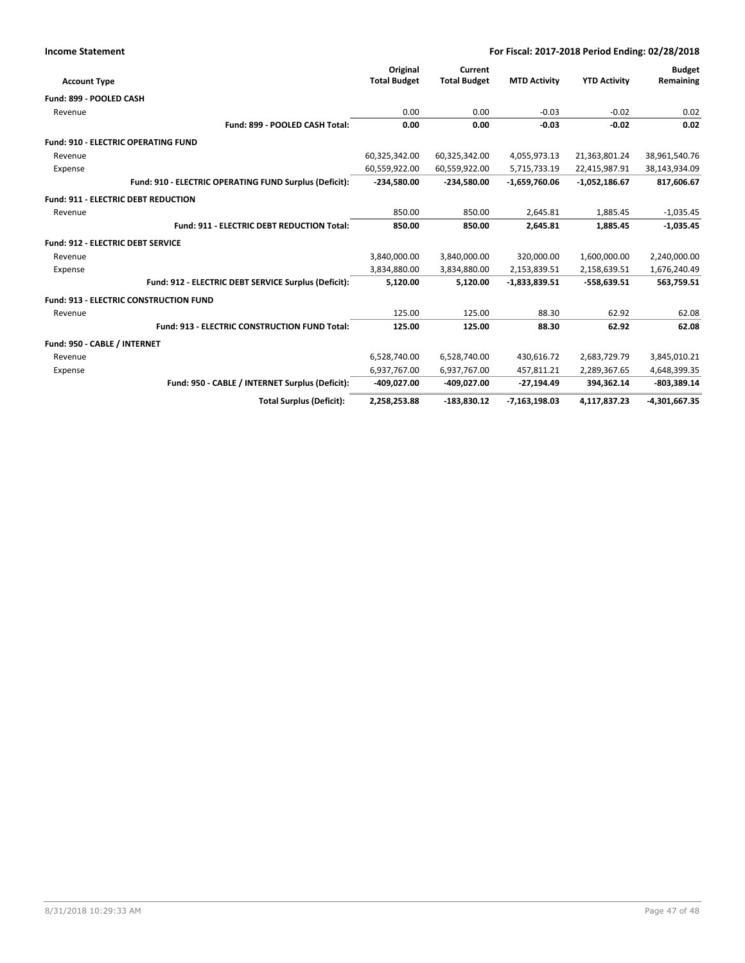|  | <b>Income Statement</b> |
|--|-------------------------|
|--|-------------------------|

|                                            |                                                        | Original            | Current             |                     |                     | <b>Budget</b>   |
|--------------------------------------------|--------------------------------------------------------|---------------------|---------------------|---------------------|---------------------|-----------------|
| <b>Account Type</b>                        |                                                        | <b>Total Budget</b> | <b>Total Budget</b> | <b>MTD Activity</b> | <b>YTD Activity</b> | Remaining       |
| Fund: 899 - POOLED CASH                    |                                                        |                     |                     |                     |                     |                 |
| Revenue                                    |                                                        | 0.00                | 0.00                | $-0.03$             | $-0.02$             | 0.02            |
|                                            | Fund: 899 - POOLED CASH Total:                         | 0.00                | 0.00                | $-0.03$             | $-0.02$             | 0.02            |
|                                            | <b>Fund: 910 - ELECTRIC OPERATING FUND</b>             |                     |                     |                     |                     |                 |
| Revenue                                    |                                                        | 60,325,342.00       | 60,325,342.00       | 4,055,973.13        | 21,363,801.24       | 38,961,540.76   |
| Expense                                    |                                                        | 60,559,922.00       | 60,559,922.00       | 5,715,733.19        | 22,415,987.91       | 38,143,934.09   |
|                                            | Fund: 910 - ELECTRIC OPERATING FUND Surplus (Deficit): | -234,580.00         | $-234,580.00$       | $-1,659,760.06$     | $-1,052,186.67$     | 817,606.67      |
| <b>Fund: 911 - ELECTRIC DEBT REDUCTION</b> |                                                        |                     |                     |                     |                     |                 |
| Revenue                                    |                                                        | 850.00              | 850.00              | 2,645.81            | 1,885.45            | $-1,035.45$     |
|                                            | <b>Fund: 911 - ELECTRIC DEBT REDUCTION Total:</b>      | 850.00              | 850.00              | 2,645.81            | 1,885.45            | $-1,035.45$     |
| <b>Fund: 912 - ELECTRIC DEBT SERVICE</b>   |                                                        |                     |                     |                     |                     |                 |
| Revenue                                    |                                                        | 3,840,000.00        | 3,840,000.00        | 320,000.00          | 1,600,000.00        | 2,240,000.00    |
| Expense                                    |                                                        | 3,834,880.00        | 3,834,880.00        | 2,153,839.51        | 2,158,639.51        | 1,676,240.49    |
|                                            | Fund: 912 - ELECTRIC DEBT SERVICE Surplus (Deficit):   | 5,120.00            | 5,120.00            | $-1,833,839.51$     | $-558,639.51$       | 563,759.51      |
|                                            | <b>Fund: 913 - ELECTRIC CONSTRUCTION FUND</b>          |                     |                     |                     |                     |                 |
| Revenue                                    |                                                        | 125.00              | 125.00              | 88.30               | 62.92               | 62.08           |
|                                            | <b>Fund: 913 - ELECTRIC CONSTRUCTION FUND Total:</b>   | 125.00              | 125.00              | 88.30               | 62.92               | 62.08           |
| Fund: 950 - CABLE / INTERNET               |                                                        |                     |                     |                     |                     |                 |
| Revenue                                    |                                                        | 6,528,740.00        | 6,528,740.00        | 430,616.72          | 2,683,729.79        | 3,845,010.21    |
| Expense                                    |                                                        | 6,937,767.00        | 6,937,767.00        | 457,811.21          | 2,289,367.65        | 4,648,399.35    |
|                                            | Fund: 950 - CABLE / INTERNET Surplus (Deficit):        | -409,027.00         | -409,027.00         | $-27,194.49$        | 394,362.14          | $-803,389.14$   |
|                                            | <b>Total Surplus (Deficit):</b>                        | 2,258,253.88        | $-183,830.12$       | $-7,163,198.03$     | 4,117,837.23        | $-4,301,667.35$ |